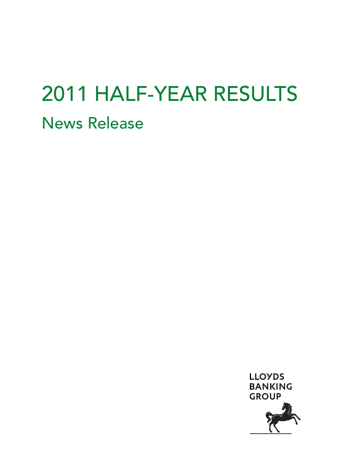# 2011 HALF-YEAR RESULTS News Release

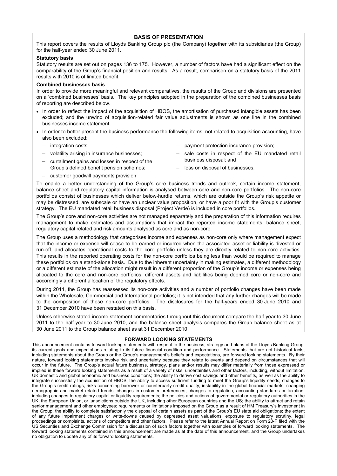#### **BASIS OF PRESENTATION**

This report covers the results of Lloyds Banking Group plc (the Company) together with its subsidiaries (the Group) for the half-year ended 30 June 2011.

#### **Statutory basis**

Statutory results are set out on pages 136 to 175. However, a number of factors have had a significant effect on the comparability of the Group's financial position and results. As a result, comparison on a statutory basis of the 2011 results with 2010 is of limited benefit.

#### **Combined businesses basis**

In order to provide more meaningful and relevant comparatives, the results of the Group and divisions are presented on a 'combined businesses' basis. The key principles adopted in the preparation of the combined businesses basis of reporting are described below.

- In order to reflect the impact of the acquisition of HBOS, the amortisation of purchased intangible assets has been excluded; and the unwind of acquisition-related fair value adjustments is shown as one line in the combined businesses income statement.
- In order to better present the business performance the following items, not related to acquisition accounting, have also been excluded:
	- integration costs;
	- volatility arising in insurance businesses;
	- curtailment gains and losses in respect of the Group's defined benefit pension schemes;
	- customer goodwill payments provision;

To enable a better understanding of the Group's core business trends and outlook, certain income statement, balance sheet and regulatory capital information is analysed between core and non-core portfolios. The non-core portfolios consist of businesses which deliver below-hurdle returns, which are outside the Group's risk appetite or may be distressed, are subscale or have an unclear value proposition, or have a poor fit with the Group's customer strategy. The EU mandated retail business disposal (Project Verde) is included in core portfolios.

The Group's core and non-core activities are not managed separately and the preparation of this information requires management to make estimates and assumptions that impact the reported income statements, balance sheet, regulatory capital related and risk amounts analysed as core and as non-core.

The Group uses a methodology that categorises income and expenses as non-core only where management expect that the income or expense will cease to be earned or incurred when the associated asset or liability is divested or run-off, and allocates operational costs to the core portfolio unless they are directly related to non-core activities. This results in the reported operating costs for the non-core portfolios being less than would be required to manage these portfolios on a stand-alone basis. Due to the inherent uncertainty in making estimates, a different methodology or a different estimate of the allocation might result in a different proportion of the Group's income or expenses being allocated to the core and non-core portfolios, different assets and liabilities being deemed core or non-core and accordingly a different allocation of the regulatory effects.

During 2011, the Group has reassessed its non-core activities and a number of portfolio changes have been made within the Wholesale, Commercial and International portfolios; it is not intended that any further changes will be made to the composition of these non-core portfolios. The disclosures for the half-years ended 30 June 2010 and 31 December 2010 have been restated on this basis.

Unless otherwise stated income statement commentaries throughout this document compare the half-year to 30 June 2011 to the half-year to 30 June 2010, and the balance sheet analysis compares the Group balance sheet as at 30 June 2011 to the Group balance sheet as at 31 December 2010.

# **FORWARD LOOKING STATEMENTS**

This announcement contains forward looking statements with respect to the business, strategy and plans of the Lloyds Banking Group, its current goals and expectations relating to its future financial condition and performance. Statements that are not historical facts, including statements about the Group or the Group's management's beliefs and expectations, are forward looking statements. By their nature, forward looking statements involve risk and uncertainty because they relate to events and depend on circumstances that will occur in the future. The Group's actual future business, strategy, plans and/or results may differ materially from those expressed or implied in these forward looking statements as a result of a variety of risks, uncertainties and other factors, including, without limitation, UK domestic and global economic and business conditions; the ability to derive cost savings and other benefits, as well as the ability to integrate successfully the acquisition of HBOS; the ability to access sufficient funding to meet the Group's liquidity needs; changes to the Group's credit ratings; risks concerning borrower or counterparty credit quality; instability in the global financial markets; changing demographic and market related trends; changes in customer preferences; changes to regulation, accounting standards or taxation, including changes to regulatory capital or liquidity requirements; the policies and actions of governmental or regulatory authorities in the UK, the European Union, or jurisdictions outside the UK, including other European countries and the US; the ability to attract and retain senior management and other employees; requirements or limitations imposed on the Group as a result of HM Treasury's investment in the Group; the ability to complete satisfactorily the disposal of certain assets as part of the Group's EU state aid obligations; the extent of any future impairment charges or write-downs caused by depressed asset valuations; exposure to regulatory scrutiny, legal proceedings or complaints, actions of competitors and other factors. Please refer to the latest Annual Report on Form 20-F filed with the US Securities and Exchange Commission for a discussion of such factors together with examples of forward looking statements. The forward looking statements contained in this announcement are made as at the date of this announcement, and the Group undertakes no obligation to update any of its forward looking statements.

- payment protection insurance provision;
- sale costs in respect of the EU mandated retail business disposal; and
- loss on disposal of businesses.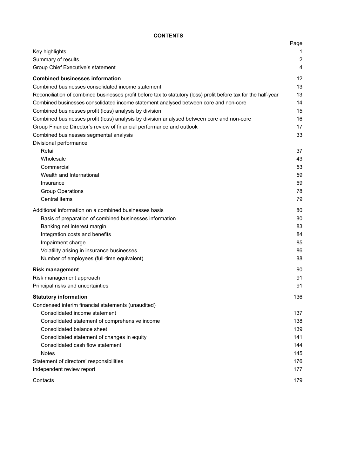# **CONTENTS**

|                                                                                                                 | Page           |
|-----------------------------------------------------------------------------------------------------------------|----------------|
| Key highlights                                                                                                  | 1              |
| Summary of results                                                                                              | $\overline{2}$ |
| Group Chief Executive's statement                                                                               | 4              |
| <b>Combined businesses information</b>                                                                          | 12             |
| Combined businesses consolidated income statement                                                               | 13             |
| Reconciliation of combined businesses profit before tax to statutory (loss) profit before tax for the half-year | 13             |
| Combined businesses consolidated income statement analysed between core and non-core                            | 14             |
| Combined businesses profit (loss) analysis by division                                                          | 15             |
| Combined businesses profit (loss) analysis by division analysed between core and non-core                       | 16             |
| Group Finance Director's review of financial performance and outlook                                            | 17             |
| Combined businesses segmental analysis                                                                          | 33             |
| Divisional performance                                                                                          |                |
| Retail                                                                                                          | 37             |
| Wholesale                                                                                                       | 43             |
| Commercial                                                                                                      | 53             |
| Wealth and International                                                                                        | 59             |
| Insurance                                                                                                       | 69             |
| <b>Group Operations</b>                                                                                         | 78             |
| Central items                                                                                                   | 79             |
| Additional information on a combined businesses basis                                                           | 80             |
| Basis of preparation of combined businesses information                                                         | 80             |
| Banking net interest margin                                                                                     | 83             |
| Integration costs and benefits                                                                                  | 84             |
| Impairment charge                                                                                               | 85             |
| Volatility arising in insurance businesses                                                                      | 86             |
| Number of employees (full-time equivalent)                                                                      | 88             |
| <b>Risk management</b>                                                                                          | 90             |
| Risk management approach                                                                                        | 91             |
| Principal risks and uncertainties                                                                               | 91             |
| <b>Statutory information</b>                                                                                    | 136            |
| Condensed interim financial statements (unaudited)                                                              |                |
| Consolidated income statement                                                                                   | 137            |
| Consolidated statement of comprehensive income                                                                  | 138            |
| Consolidated balance sheet                                                                                      | 139            |
| Consolidated statement of changes in equity                                                                     | 141            |
| Consolidated cash flow statement                                                                                | 144            |
| <b>Notes</b>                                                                                                    | 145            |
| Statement of directors' responsibilities                                                                        | 176            |
| Independent review report                                                                                       | 177            |
| Contacts                                                                                                        | 179            |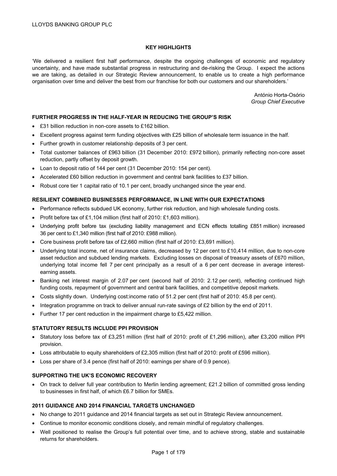# **KEY HIGHLIGHTS**

'We delivered a resilient first half performance, despite the ongoing challenges of economic and regulatory uncertainty, and have made substantial progress in restructuring and de-risking the Group. I expect the actions we are taking, as detailed in our Strategic Review announcement, to enable us to create a high performance organisation over time and deliver the best from our franchise for both our customers and our shareholders.'

> António Horta-Osório *Group Chief Executive*

# **FURTHER PROGRESS IN THE HALF-YEAR IN REDUCING THE GROUP'S RISK**

- £31 billion reduction in non-core assets to £162 billion.
- Excellent progress against term funding objectives with £25 billion of wholesale term issuance in the half.
- Further growth in customer relationship deposits of 3 per cent.
- Total customer balances of £963 billion (31 December 2010: £972 billion), primarily reflecting non-core asset reduction, partly offset by deposit growth.
- Loan to deposit ratio of 144 per cent (31 December 2010: 154 per cent).
- Accelerated £60 billion reduction in government and central bank facilities to £37 billion.
- Robust core tier 1 capital ratio of 10.1 per cent, broadly unchanged since the year end.

#### **RESILIENT COMBINED BUSINESSES PERFORMANCE, IN LINE WITH OUR EXPECTATIONS**

- Performance reflects subdued UK economy, further risk reduction, and high wholesale funding costs.
- Profit before tax of £1,104 million (first half of 2010: £1,603 million).
- Underlying profit before tax (excluding liability management and ECN effects totalling £851 million) increased 36 per cent to £1,340 million (first half of 2010: £988 million).
- Core business profit before tax of £2,660 million (first half of 2010: £3,691 million).
- Underlying total income, net of insurance claims, decreased by 12 per cent to £10,414 million, due to non-core asset reduction and subdued lending markets. Excluding losses on disposal of treasury assets of £670 million, underlying total income fell 7 per cent principally as a result of a 6 per cent decrease in average interestearning assets.
- Banking net interest margin of 2.07 per cent (second half of 2010: 2.12 per cent), reflecting continued high funding costs, repayment of government and central bank facilities, and competitive deposit markets.
- Costs slightly down. Underlying cost:income ratio of 51.2 per cent (first half of 2010: 45.8 per cent).
- Integration programme on track to deliver annual run-rate savings of £2 billion by the end of 2011.
- Further 17 per cent reduction in the impairment charge to £5,422 million.

#### **STATUTORY RESULTS INCLUDE PPI PROVISION**

- Statutory loss before tax of £3,251 million (first half of 2010: profit of £1,296 million), after £3,200 million PPI provision.
- Loss attributable to equity shareholders of £2,305 million (first half of 2010: profit of £596 million).
- Loss per share of 3.4 pence (first half of 2010: earnings per share of 0.9 pence).

#### **SUPPORTING THE UK'S ECONOMIC RECOVERY**

• On track to deliver full year contribution to Merlin lending agreement; £21.2 billion of committed gross lending to businesses in first half, of which £6.7 billion for SMEs.

#### **2011 GUIDANCE AND 2014 FINANCIAL TARGETS UNCHANGED**

- No change to 2011 guidance and 2014 financial targets as set out in Strategic Review announcement.
- Continue to monitor economic conditions closely, and remain mindful of regulatory challenges.
- Well positioned to realise the Group's full potential over time, and to achieve strong, stable and sustainable returns for shareholders.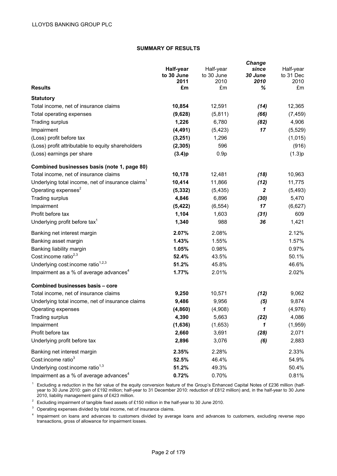# **SUMMARY OF RESULTS**

|                                                               | Half-year<br>to 30 June<br>2011 | Half-year<br>to 30 June<br>2010 | <b>Change</b><br>since<br>30 June<br>2010 | Half-year<br>to 31 Dec<br>2010 |
|---------------------------------------------------------------|---------------------------------|---------------------------------|-------------------------------------------|--------------------------------|
| <b>Results</b>                                                | £m                              | £m                              | ℅                                         | £m                             |
| <b>Statutory</b>                                              |                                 |                                 |                                           |                                |
| Total income, net of insurance claims                         | 10,854                          | 12,591                          | (14)                                      | 12,365                         |
| Total operating expenses                                      | (9,628)                         | (5,811)                         | (66)                                      | (7, 459)                       |
| Trading surplus                                               | 1,226                           | 6,780                           | (82)                                      | 4,906                          |
| Impairment                                                    | (4, 491)                        | (5, 423)                        | 17                                        | (5, 529)                       |
| (Loss) profit before tax                                      | (3,251)                         | 1,296                           |                                           | (1,015)                        |
| (Loss) profit attributable to equity shareholders             | (2, 305)                        | 596                             |                                           | (916)                          |
| (Loss) earnings per share                                     | (3.4)p                          | 0.9p                            |                                           | (1.3)p                         |
| Combined businesses basis (note 1, page 80)                   |                                 |                                 |                                           |                                |
| Total income, net of insurance claims                         | 10,178                          | 12,481                          | (18)                                      | 10,963                         |
| Underlying total income, net of insurance claims <sup>1</sup> | 10,414                          | 11,866                          | (12)                                      | 11,775                         |
| Operating expenses <sup>2</sup>                               | (5, 332)                        | (5, 435)                        | $\boldsymbol{2}$                          | (5, 493)                       |
| Trading surplus                                               | 4,846                           | 6,896                           | (30)                                      | 5,470                          |
| Impairment                                                    | (5, 422)                        | (6, 554)                        | 17                                        | (6,627)                        |
| Profit before tax                                             | 1,104                           | 1,603                           | (31)                                      | 609                            |
| Underlying profit before tax <sup>1</sup>                     | 1,340                           | 988                             | 36                                        | 1,421                          |
| Banking net interest margin                                   | 2.07%                           | 2.08%                           |                                           | 2.12%                          |
| Banking asset margin                                          | 1.43%                           | 1.55%                           |                                           | 1.57%                          |
| Banking liability margin                                      | 1.05%                           | 0.98%                           |                                           | 0.97%                          |
| Cost:income ratio <sup>2,3</sup>                              | 52.4%                           | 43.5%                           |                                           | 50.1%                          |
| Underlying cost:income ratio <sup>1,2,3</sup>                 | 51.2%                           | 45.8%                           |                                           | 46.6%                          |
| Impairment as a % of average advances <sup>4</sup>            | 1.77%                           | 2.01%                           |                                           | 2.02%                          |
| Combined businesses basis - core                              |                                 |                                 |                                           |                                |
| Total income, net of insurance claims                         | 9,250                           | 10,571                          | (12)                                      | 9,062                          |
| Underlying total income, net of insurance claims              | 9,486                           | 9,956                           | (5)                                       | 9,874                          |
| Operating expenses                                            | (4, 860)                        | (4,908)                         | 1                                         | (4,976)                        |
| <b>Trading surplus</b>                                        | 4,390                           | 5,663                           | (22)                                      | 4,086                          |
| Impairment                                                    | (1,636)                         | (1,653)                         | 1                                         | (1, 959)                       |
| Profit before tax                                             | 2,660                           | 3,691                           | (28)                                      | 2,071                          |
| Underlying profit before tax                                  | 2,896                           | 3,076                           | (6)                                       | 2,883                          |
| Banking net interest margin                                   | 2.35%                           | 2.28%                           |                                           | 2.33%                          |
| Cost:income ratio <sup>3</sup>                                | 52.5%                           | 46.4%                           |                                           | 54.9%                          |
| Underlying cost:income ratio <sup>1,3</sup>                   | 51.2%                           | 49.3%                           |                                           | 50.4%                          |
| Impairment as a % of average advances <sup>4</sup>            | 0.72%                           | 0.70%                           |                                           | 0.81%                          |

<sup>1</sup> Excluding a reduction in the fair value of the equity conversion feature of the Group's Enhanced Capital Notes of £236 million (halfyear to 30 June 2010: gain of £192 million; half-year to 31 December 2010: reduction of £812 million) and, in the half-year to 30 June 2010, liability management gains of £423 million.

<sup>2</sup> Excluding impairment of tangible fixed assets of £150 million in the half-year to 30 June 2010.

<sup>3</sup> Operating expenses divided by total income, net of insurance claims.<br><sup>4</sup> Impairment on Joans and advances to customers divided by averal

<sup>4</sup> Impairment on loans and advances to customers divided by average loans and advances to customers, excluding reverse repo transactions, gross of allowance for impairment losses.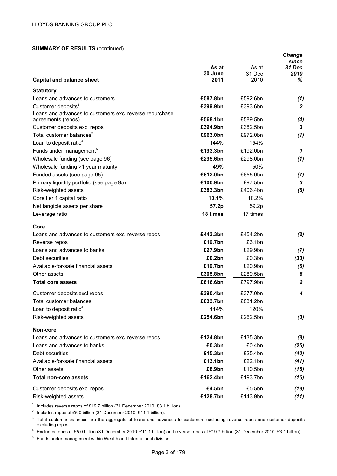# **SUMMARY OF RESULTS** (continued)

|                                                         |                  |                 | <b>Change</b><br>since |
|---------------------------------------------------------|------------------|-----------------|------------------------|
|                                                         | As at<br>30 June | As at<br>31 Dec | 31 Dec<br>2010         |
| <b>Capital and balance sheet</b>                        | 2011             | 2010            | ℅                      |
| <b>Statutory</b>                                        |                  |                 |                        |
| Loans and advances to customers <sup>1</sup>            | £587.8bn         | £592.6bn        | (1)                    |
| Customer deposits <sup>2</sup>                          | £399.9bn         | £393.6bn        | $\mathbf{2}$           |
| Loans and advances to customers excl reverse repurchase |                  |                 |                        |
| agreements (repos)                                      | £568.1bn         | £589.5bn        | (4)                    |
| Customer deposits excl repos                            | £394.9bn         | £382.5bn        | 3                      |
| Total customer balances <sup>3</sup>                    | £963.0bn         | £972.0bn        | (1)                    |
| Loan to deposit ratio <sup>4</sup>                      | 144%             | 154%            |                        |
| Funds under management <sup>5</sup>                     | £193.3bn         | £192.0bn        | 1                      |
| Wholesale funding (see page 96)                         | £295.6bn         | £298.0bn        | (1)                    |
| Wholesale funding >1 year maturity                      | 49%              | 50%             |                        |
| Funded assets (see page 95)                             | £612.0bn         | £655.0bn        | (7)                    |
| Primary liquidity portfolio (see page 95)               | £100.9bn         | £97.5bn         | 3                      |
| Risk-weighted assets                                    | £383.3bn         | £406.4bn        | (6)                    |
| Core tier 1 capital ratio                               | 10.1%            | 10.2%           |                        |
| Net tangible assets per share                           | 57.2p            | 59.2p           |                        |
| Leverage ratio                                          | 18 times         | 17 times        |                        |
| Core                                                    |                  |                 |                        |
| Loans and advances to customers excl reverse repos      | £443.3bn         | £454.2bn        | (2)                    |
| Reverse repos                                           | £19.7bn          | £3.1bn          |                        |
| Loans and advances to banks                             | £27.9bn          | £29.9bn         | (7)                    |
| Debt securities                                         | £0.2bn           | £0.3bn          | (33)                   |
| Available-for-sale financial assets                     | £19.7bn          | £20.9bn         | (6)                    |
| Other assets                                            | £305.8bn         | £289.5bn        | 6                      |
| <b>Total core assets</b>                                | £816.6bn         | £797.9bn        | $\mathbf{2}$           |
| Customer deposits excl repos                            | £390.4bn         | £377.0bn        | 4                      |
| Total customer balances                                 | £833.7bn         | £831.2bn        |                        |
| Loan to deposit ratio <sup>4</sup>                      | 114%             | 120%            |                        |
| Risk-weighted assets                                    | £254.6bn         | £262.5bn        | (3)                    |
| Non-core                                                |                  |                 |                        |
| Loans and advances to customers excl reverse repos      | £124.8bn         | £135.3bn        | (8)                    |
| Loans and advances to banks                             | £0.3bn           | £0.4bn          | (25)                   |
| Debt securities                                         | £15.3bn          | £25.4bn         | (40)                   |
| Available-for-sale financial assets                     | £13.1bn          | £22.1bn         | (41)                   |
| Other assets                                            | £8.9bn           | £10.5bn         | (15)                   |
| <b>Total non-core assets</b>                            | £162.4bn         | £193.7bn        | (16)                   |
| Customer deposits excl repos                            | £4.5bn           | £5.5bn          | (18)                   |
| Risk-weighted assets                                    | £128.7bn         | £143.9bn        | (11)                   |

<sup>1</sup> Includes reverse repos of £19.7 billion (31 December 2010: £3.1 billion).

2 Includes repos of £5.0 billion (31 December 2010: £11.1 billion).

<sup>3</sup> Total customer balances are the aggregate of loans and advances to customers excluding reverse repos and customer deposits excluding repos.

<sup>4</sup> Excludes repos of £5.0 billion (31 December 2010: £11.1 billion) and reverse repos of £19.7 billion (31 December 2010: £3.1 billion).

<sup>5</sup> Funds under management within Wealth and International division.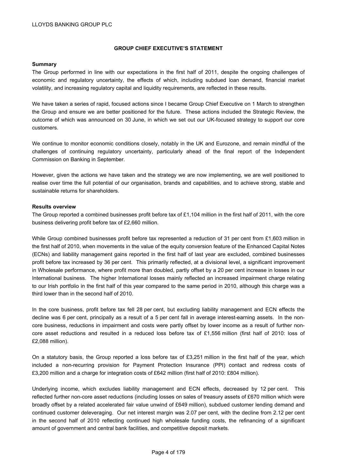# **GROUP CHIEF EXECUTIVE'S STATEMENT**

# **Summary**

The Group performed in line with our expectations in the first half of 2011, despite the ongoing challenges of economic and regulatory uncertainty, the effects of which, including subdued loan demand, financial market volatility, and increasing regulatory capital and liquidity requirements, are reflected in these results.

We have taken a series of rapid, focused actions since I became Group Chief Executive on 1 March to strengthen the Group and ensure we are better positioned for the future. These actions included the Strategic Review, the outcome of which was announced on 30 June, in which we set out our UK-focused strategy to support our core customers.

We continue to monitor economic conditions closely, notably in the UK and Eurozone, and remain mindful of the challenges of continuing regulatory uncertainty, particularly ahead of the final report of the Independent Commission on Banking in September.

However, given the actions we have taken and the strategy we are now implementing, we are well positioned to realise over time the full potential of our organisation, brands and capabilities, and to achieve strong, stable and sustainable returns for shareholders.

# **Results overview**

The Group reported a combined businesses profit before tax of £1,104 million in the first half of 2011, with the core business delivering profit before tax of £2,660 million.

While Group combined businesses profit before tax represented a reduction of 31 per cent from £1,603 million in the first half of 2010, when movements in the value of the equity conversion feature of the Enhanced Capital Notes (ECNs) and liability management gains reported in the first half of last year are excluded, combined businesses profit before tax increased by 36 per cent. This primarily reflected, at a divisional level, a significant improvement in Wholesale performance, where profit more than doubled, partly offset by a 20 per cent increase in losses in our International business. The higher International losses mainly reflected an increased impairment charge relating to our Irish portfolio in the first half of this year compared to the same period in 2010, although this charge was a third lower than in the second half of 2010.

In the core business, profit before tax fell 28 per cent, but excluding liability management and ECN effects the decline was 6 per cent, principally as a result of a 5 per cent fall in average interest-earning assets. In the noncore business, reductions in impairment and costs were partly offset by lower income as a result of further noncore asset reductions and resulted in a reduced loss before tax of £1,556 million (first half of 2010: loss of £2,088 million).

On a statutory basis, the Group reported a loss before tax of £3,251 million in the first half of the year, which included a non-recurring provision for Payment Protection Insurance (PPI) contact and redress costs of £3,200 million and a charge for integration costs of £642 million (first half of 2010: £804 million).

Underlying income, which excludes liability management and ECN effects, decreased by 12 per cent. This reflected further non-core asset reductions (including losses on sales of treasury assets of £670 million which were broadly offset by a related accelerated fair value unwind of £649 million), subdued customer lending demand and continued customer deleveraging. Our net interest margin was 2.07 per cent, with the decline from 2.12 per cent in the second half of 2010 reflecting continued high wholesale funding costs, the refinancing of a significant amount of government and central bank facilities, and competitive deposit markets.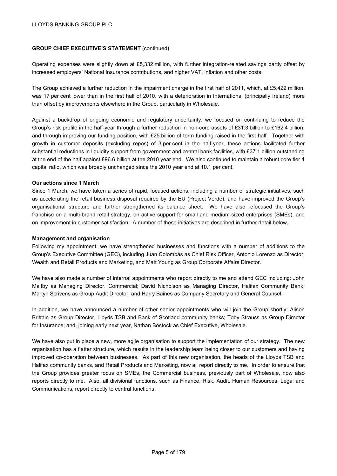Operating expenses were slightly down at £5,332 million, with further integration-related savings partly offset by increased employers' National Insurance contributions, and higher VAT, inflation and other costs.

The Group achieved a further reduction in the impairment charge in the first half of 2011, which, at £5,422 million, was 17 per cent lower than in the first half of 2010, with a deterioration in International (principally Ireland) more than offset by improvements elsewhere in the Group, particularly in Wholesale.

Against a backdrop of ongoing economic and regulatory uncertainty, we focused on continuing to reduce the Group's risk profile in the half-year through a further reduction in non-core assets of £31.3 billion to £162.4 billion, and through improving our funding position, with £25 billion of term funding raised in the first half. Together with growth in customer deposits (excluding repos) of 3 per cent in the half-year, these actions facilitated further substantial reductions in liquidity support from government and central bank facilities, with £37.1 billion outstanding at the end of the half against £96.6 billion at the 2010 year end. We also continued to maintain a robust core tier 1 capital ratio, which was broadly unchanged since the 2010 year end at 10.1 per cent.

# **Our actions since 1 March**

Since 1 March, we have taken a series of rapid, focused actions, including a number of strategic initiatives, such as accelerating the retail business disposal required by the EU (Project Verde), and have improved the Group's organisational structure and further strengthened its balance sheet. We have also refocused the Group's franchise on a multi-brand retail strategy, on active support for small and medium-sized enterprises (SMEs), and on improvement in customer satisfaction. A number of these initiatives are described in further detail below.

# **Management and organisation**

Following my appointment, we have strengthened businesses and functions with a number of additions to the Group's Executive Committee (GEC), including Juan Colombás as Chief Risk Officer, Antonio Lorenzo as Director, Wealth and Retail Products and Marketing, and Matt Young as Group Corporate Affairs Director.

We have also made a number of internal appointments who report directly to me and attend GEC including: John Maltby as Managing Director, Commercial; David Nicholson as Managing Director, Halifax Community Bank; Martyn Scrivens as Group Audit Director; and Harry Baines as Company Secretary and General Counsel.

In addition, we have announced a number of other senior appointments who will join the Group shortly: Alison Brittain as Group Director, Lloyds TSB and Bank of Scotland community banks; Toby Strauss as Group Director for Insurance; and, joining early next year, Nathan Bostock as Chief Executive, Wholesale.

We have also put in place a new, more agile organisation to support the implementation of our strategy. The new organisation has a flatter structure, which results in the leadership team being closer to our customers and having improved co-operation between businesses. As part of this new organisation, the heads of the Lloyds TSB and Halifax community banks, and Retail Products and Marketing, now all report directly to me. In order to ensure that the Group provides greater focus on SMEs, the Commercial business, previously part of Wholesale, now also reports directly to me. Also, all divisional functions, such as Finance, Risk, Audit, Human Resources, Legal and Communications, report directly to central functions.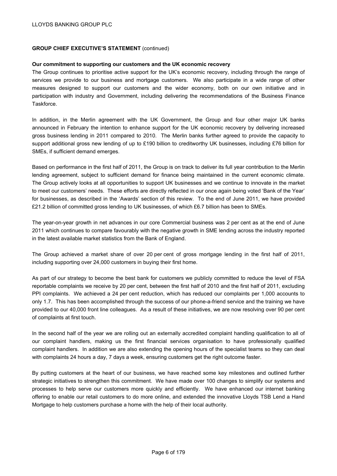# **Our commitment to supporting our customers and the UK economic recovery**

The Group continues to prioritise active support for the UK's economic recovery, including through the range of services we provide to our business and mortgage customers. We also participate in a wide range of other measures designed to support our customers and the wider economy, both on our own initiative and in participation with industry and Government, including delivering the recommendations of the Business Finance Taskforce.

In addition, in the Merlin agreement with the UK Government, the Group and four other major UK banks announced in February the intention to enhance support for the UK economic recovery by delivering increased gross business lending in 2011 compared to 2010. The Merlin banks further agreed to provide the capacity to support additional gross new lending of up to £190 billion to creditworthy UK businesses, including £76 billion for SMEs, if sufficient demand emerges.

Based on performance in the first half of 2011, the Group is on track to deliver its full year contribution to the Merlin lending agreement, subject to sufficient demand for finance being maintained in the current economic climate. The Group actively looks at all opportunities to support UK businesses and we continue to innovate in the market to meet our customers' needs. These efforts are directly reflected in our once again being voted 'Bank of the Year' for businesses, as described in the 'Awards' section of this review. To the end of June 2011, we have provided £21.2 billion of committed gross lending to UK businesses, of which £6.7 billion has been to SMEs.

The year-on-year growth in net advances in our core Commercial business was 2 per cent as at the end of June 2011 which continues to compare favourably with the negative growth in SME lending across the industry reported in the latest available market statistics from the Bank of England.

The Group achieved a market share of over 20 per cent of gross mortgage lending in the first half of 2011, including supporting over 24,000 customers in buying their first home.

As part of our strategy to become the best bank for customers we publicly committed to reduce the level of FSA reportable complaints we receive by 20 per cent, between the first half of 2010 and the first half of 2011, excluding PPI complaints. We achieved a 24 per cent reduction, which has reduced our complaints per 1,000 accounts to only 1.7. This has been accomplished through the success of our phone-a-friend service and the training we have provided to our 40,000 front line colleagues. As a result of these initiatives, we are now resolving over 90 per cent of complaints at first touch.

In the second half of the year we are rolling out an externally accredited complaint handling qualification to all of our complaint handlers, making us the first financial services organisation to have professionally qualified complaint handlers. In addition we are also extending the opening hours of the specialist teams so they can deal with complaints 24 hours a day, 7 days a week, ensuring customers get the right outcome faster.

By putting customers at the heart of our business, we have reached some key milestones and outlined further strategic initiatives to strengthen this commitment. We have made over 100 changes to simplify our systems and processes to help serve our customers more quickly and efficiently. We have enhanced our internet banking offering to enable our retail customers to do more online, and extended the innovative Lloyds TSB Lend a Hand Mortgage to help customers purchase a home with the help of their local authority.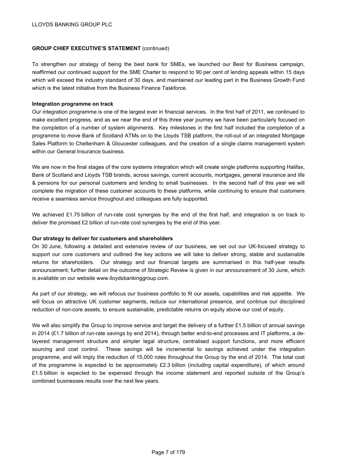To strengthen our strategy of being the best bank for SMEs, we launched our Best for Business campaign, reaffirmed our continued support for the SME Charter to respond to 90 per cent of lending appeals within 15 days which will exceed the industry standard of 30 days, and maintained our leading part in the Business Growth Fund which is the latest initiative from the Business Finance Taskforce.

# **Integration programme on track**

Our integration programme is one of the largest ever in financial services. In the first half of 2011, we continued to make excellent progress, and as we near the end of this three year journey we have been particularly focused on the completion of a number of system alignments. Key milestones in the first half included the completion of a programme to move Bank of Scotland ATMs on to the Lloyds TSB platform, the roll-out of an integrated Mortgage Sales Platform to Cheltenham & Gloucester colleagues, and the creation of a single claims management system within our General Insurance business.

We are now in the final stages of the core systems integration which will create single platforms supporting Halifax, Bank of Scotland and Lloyds TSB brands, across savings, current accounts, mortgages, general insurance and life & pensions for our personal customers and lending to small businesses. In the second half of this year we will complete the migration of these customer accounts to these platforms, while continuing to ensure that customers receive a seamless service throughout and colleagues are fully supported.

We achieved £1.75 billion of run-rate cost synergies by the end of the first half, and integration is on track to deliver the promised £2 billion of run-rate cost synergies by the end of this year.

# **Our strategy to deliver for customers and shareholders**

On 30 June, following a detailed and extensive review of our business, we set out our UK-focused strategy to support our core customers and outlined the key actions we will take to deliver strong, stable and sustainable returns for shareholders. Our strategy and our financial targets are summarised in this half-year results announcement; further detail on the outcome of Strategic Review is given in our announcement of 30 June, which is available on our website www.lloydsbankinggroup.com.

As part of our strategy, we will refocus our business portfolio to fit our assets, capabilities and risk appetite. We will focus on attractive UK customer segments, reduce our international presence, and continue our disciplined reduction of non-core assets, to ensure sustainable, predictable returns on equity above our cost of equity.

We will also simplify the Group to improve service and target the delivery of a further £1.5 billion of annual savings in 2014 (£1.7 billion of run-rate savings by end 2014), through better end-to-end processes and IT platforms, a delayered management structure and simpler legal structure, centralised support functions, and more efficient sourcing and cost control. These savings will be incremental to savings achieved under the integration programme, and will imply the reduction of 15,000 roles throughout the Group by the end of 2014. The total cost of the programme is expected to be approximately £2.3 billion (including capital expenditure), of which around £1.5 billion is expected to be expensed through the income statement and reported outside of the Group's combined businesses results over the next few years.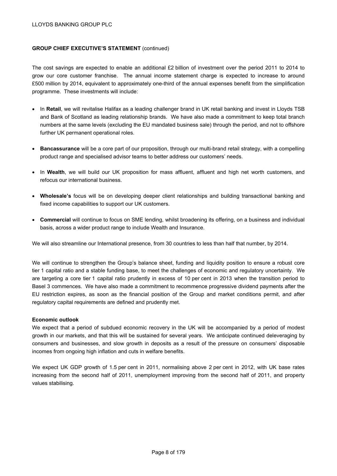The cost savings are expected to enable an additional £2 billion of investment over the period 2011 to 2014 to grow our core customer franchise. The annual income statement charge is expected to increase to around £500 million by 2014, equivalent to approximately one-third of the annual expenses benefit from the simplification programme. These investments will include:

- In Retail, we will revitalise Halifax as a leading challenger brand in UK retail banking and invest in Lloyds TSB and Bank of Scotland as leading relationship brands. We have also made a commitment to keep total branch numbers at the same levels (excluding the EU mandated business sale) through the period, and not to offshore further UK permanent operational roles.
- **Bancassurance** will be a core part of our proposition, through our multi-brand retail strategy, with a compelling product range and specialised advisor teams to better address our customers' needs.
- In Wealth, we will build our UK proposition for mass affluent, affluent and high net worth customers, and refocus our international business.
- **Wholesale's** focus will be on developing deeper client relationships and building transactional banking and fixed income capabilities to support our UK customers.
- **Commercial** will continue to focus on SME lending, whilst broadening its offering, on a business and individual basis, across a wider product range to include Wealth and Insurance.

We will also streamline our International presence, from 30 countries to less than half that number, by 2014.

We will continue to strengthen the Group's balance sheet, funding and liquidity position to ensure a robust core tier 1 capital ratio and a stable funding base, to meet the challenges of economic and regulatory uncertainty. We are targeting a core tier 1 capital ratio prudently in excess of 10 per cent in 2013 when the transition period to Basel 3 commences. We have also made a commitment to recommence progressive dividend payments after the EU restriction expires, as soon as the financial position of the Group and market conditions permit, and after regulatory capital requirements are defined and prudently met.

# **Economic outlook**

We expect that a period of subdued economic recovery in the UK will be accompanied by a period of modest growth in our markets, and that this will be sustained for several years. We anticipate continued deleveraging by consumers and businesses, and slow growth in deposits as a result of the pressure on consumers' disposable incomes from ongoing high inflation and cuts in welfare benefits.

We expect UK GDP growth of 1.5 per cent in 2011, normalising above 2 per cent in 2012, with UK base rates increasing from the second half of 2011, unemployment improving from the second half of 2011, and property values stabilising.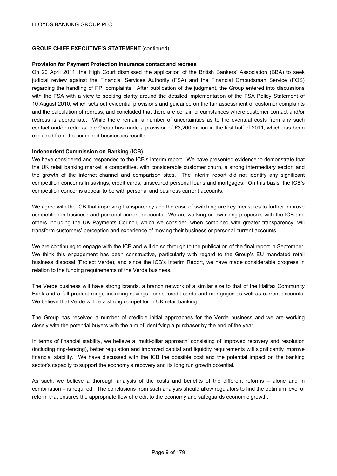# **Provision for Payment Protection Insurance contact and redress**

On 20 April 2011, the High Court dismissed the application of the British Bankers' Association (BBA) to seek judicial review against the Financial Services Authority (FSA) and the Financial Ombudsman Service (FOS) regarding the handling of PPI complaints. After publication of the judgment, the Group entered into discussions with the FSA with a view to seeking clarity around the detailed implementation of the FSA Policy Statement of 10 August 2010, which sets out evidential provisions and guidance on the fair assessment of customer complaints and the calculation of redress, and concluded that there are certain circumstances where customer contact and/or redress is appropriate. While there remain a number of uncertainties as to the eventual costs from any such contact and/or redress, the Group has made a provision of £3,200 million in the first half of 2011, which has been excluded from the combined businesses results.

# **Independent Commission on Banking (ICB)**

We have considered and responded to the ICB's interim report. We have presented evidence to demonstrate that the UK retail banking market is competitive, with considerable customer churn, a strong intermediary sector, and the growth of the internet channel and comparison sites. The interim report did not identify any significant competition concerns in savings, credit cards, unsecured personal loans and mortgages. On this basis, the ICB's competition concerns appear to be with personal and business current accounts.

We agree with the ICB that improving transparency and the ease of switching are key measures to further improve competition in business and personal current accounts. We are working on switching proposals with the ICB and others including the UK Payments Council, which we consider, when combined with greater transparency, will transform customers' perception and experience of moving their business or personal current accounts.

We are continuing to engage with the ICB and will do so through to the publication of the final report in September. We think this engagement has been constructive, particularly with regard to the Group's EU mandated retail business disposal (Project Verde), and since the ICB's Interim Report, we have made considerable progress in relation to the funding requirements of the Verde business.

The Verde business will have strong brands, a branch network of a similar size to that of the Halifax Community Bank and a full product range including savings, loans, credit cards and mortgages as well as current accounts. We believe that Verde will be a strong competitor in UK retail banking.

The Group has received a number of credible initial approaches for the Verde business and we are working closely with the potential buyers with the aim of identifying a purchaser by the end of the year.

In terms of financial stability, we believe a 'multi-pillar approach' consisting of improved recovery and resolution (including ring-fencing), better regulation and improved capital and liquidity requirements will significantly improve financial stability. We have discussed with the ICB the possible cost and the potential impact on the banking sector's capacity to support the economy's recovery and its long run growth potential.

As such, we believe a thorough analysis of the costs and benefits of the different reforms – alone and in combination – is required. The conclusions from such analysis should allow regulators to find the optimum level of reform that ensures the appropriate flow of credit to the economy and safeguards economic growth.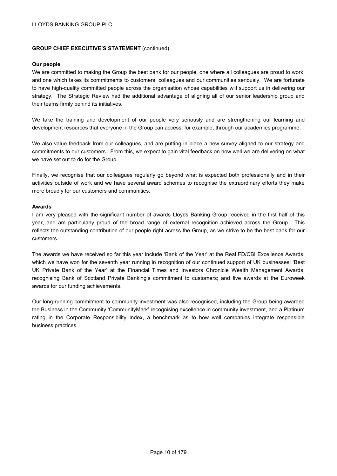# **Our people**

We are committed to making the Group the best bank for our people, one where all colleagues are proud to work, and one which takes its commitments to customers, colleagues and our communities seriously. We are fortunate to have high-quality committed people across the organisation whose capabilities will support us in delivering our strategy. The Strategic Review had the additional advantage of aligning all of our senior leadership group and their teams firmly behind its initiatives.

We take the training and development of our people very seriously and are strengthening our learning and development resources that everyone in the Group can access, for example, through our academies programme.

We also value feedback from our colleagues, and are putting in place a new survey aligned to our strategy and commitments to our customers. From this, we expect to gain vital feedback on how well we are delivering on what we have set out to do for the Group.

Finally, we recognise that our colleagues regularly go beyond what is expected both professionally and in their activities outside of work and we have several award schemes to recognise the extraordinary efforts they make more broadly for our customers and communities.

# **Awards**

I am very pleased with the significant number of awards Lloyds Banking Group received in the first half of this year, and am particularly proud of the broad range of external recognition achieved across the Group. This reflects the outstanding contribution of our people right across the Group, as we strive to be the best bank for our customers.

The awards we have received so far this year include 'Bank of the Year' at the Real FD/CBI Excellence Awards, which we have won for the seventh year running in recognition of our continued support of UK businesses; 'Best UK Private Bank of the Year' at the Financial Times and Investors Chronicle Wealth Management Awards, recognising Bank of Scotland Private Banking's commitment to customers; and five awards at the Euroweek awards for our funding achievements.

Our long-running commitment to community investment was also recognised, including the Group being awarded the Business in the Community 'CommunityMark' recognising excellence in community investment, and a Platinum rating in the Corporate Responsibility Index, a benchmark as to how well companies integrate responsible business practices.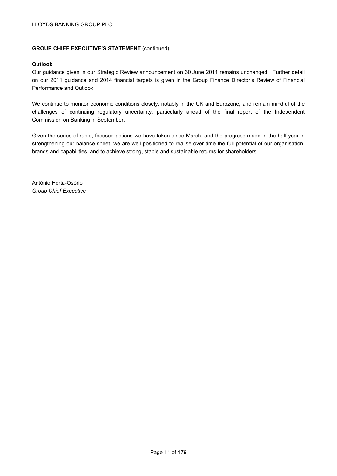# **Outlook**

Our guidance given in our Strategic Review announcement on 30 June 2011 remains unchanged. Further detail on our 2011 guidance and 2014 financial targets is given in the Group Finance Director's Review of Financial Performance and Outlook.

We continue to monitor economic conditions closely, notably in the UK and Eurozone, and remain mindful of the challenges of continuing regulatory uncertainty, particularly ahead of the final report of the Independent Commission on Banking in September.

Given the series of rapid, focused actions we have taken since March, and the progress made in the half-year in strengthening our balance sheet, we are well positioned to realise over time the full potential of our organisation, brands and capabilities, and to achieve strong, stable and sustainable returns for shareholders.

António Horta-Osório *Group Chief Executive*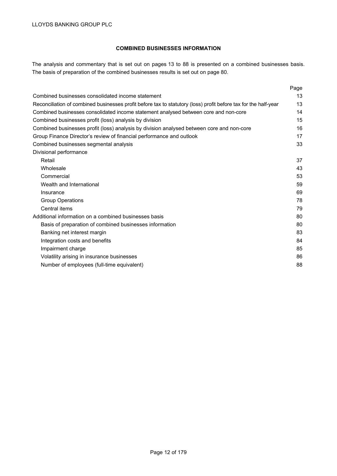# **COMBINED BUSINESSES INFORMATION**

The analysis and commentary that is set out on pages 13 to 88 is presented on a combined businesses basis. The basis of preparation of the combined businesses results is set out on page 80.

|                                                                                                                 | Page |
|-----------------------------------------------------------------------------------------------------------------|------|
| Combined businesses consolidated income statement                                                               | 13   |
| Reconciliation of combined businesses profit before tax to statutory (loss) profit before tax for the half-year | 13   |
| Combined businesses consolidated income statement analysed between core and non-core                            | 14   |
| Combined businesses profit (loss) analysis by division                                                          | 15   |
| Combined businesses profit (loss) analysis by division analysed between core and non-core                       | 16   |
| Group Finance Director's review of financial performance and outlook                                            | 17   |
| Combined businesses segmental analysis                                                                          | 33   |
| Divisional performance                                                                                          |      |
| Retail                                                                                                          | 37   |
| Wholesale                                                                                                       | 43   |
| Commercial                                                                                                      | 53   |
| Wealth and International                                                                                        | 59   |
| Insurance                                                                                                       | 69   |
| <b>Group Operations</b>                                                                                         | 78   |
| Central items                                                                                                   | 79   |
| Additional information on a combined businesses basis                                                           | 80   |
| Basis of preparation of combined businesses information                                                         | 80   |
| Banking net interest margin                                                                                     | 83   |
| Integration costs and benefits                                                                                  | 84   |
| Impairment charge                                                                                               | 85   |
| Volatility arising in insurance businesses                                                                      | 86   |
| Number of employees (full-time equivalent)                                                                      | 88   |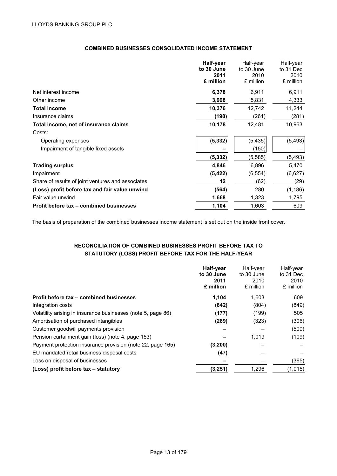|                                                   | Half-year  | Half-year  | Half-year |
|---------------------------------------------------|------------|------------|-----------|
|                                                   | to 30 June | to 30 June | to 31 Dec |
|                                                   | 2011       | 2010       | 2010      |
|                                                   | £ million  | £ million  | £ million |
| Net interest income                               | 6,378      | 6,911      | 6,911     |
| Other income                                      | 3,998      | 5,831      | 4,333     |
| <b>Total income</b>                               | 10,376     | 12,742     | 11,244    |
| Insurance claims                                  | (198)      | (261)      | (281)     |
| Total income, net of insurance claims             | 10,178     | 12,481     | 10,963    |
| Costs:                                            |            |            |           |
| Operating expenses                                | (5, 332)   | (5, 435)   | (5, 493)  |
| Impairment of tangible fixed assets               |            | (150)      |           |
|                                                   | (5, 332)   | (5,585)    | (5, 493)  |
| <b>Trading surplus</b>                            | 4,846      | 6,896      | 5,470     |
| Impairment                                        | (5, 422)   | (6, 554)   | (6,627)   |
| Share of results of joint ventures and associates | 12         | (62)       | (29)      |
| (Loss) profit before tax and fair value unwind    | (564)      | 280        | (1, 186)  |
| Fair value unwind                                 | 1,668      | 1,323      | 1,795     |
| Profit before tax - combined businesses           | 1,104      | 1,603      | 609       |
|                                                   |            |            |           |

The basis of preparation of the combined businesses income statement is set out on the inside front cover.

# **RECONCILIATION OF COMBINED BUSINESSES PROFIT BEFORE TAX TO STATUTORY (LOSS) PROFIT BEFORE TAX FOR THE HALF-YEAR**

|                                                              | Half-year<br>to 30 June<br>2011<br>£ million | Half-year<br>to 30 June<br>2010<br>£ million | Half-year<br>to 31 Dec<br>2010<br>£ million |
|--------------------------------------------------------------|----------------------------------------------|----------------------------------------------|---------------------------------------------|
| Profit before tax - combined businesses                      | 1.104                                        | 1.603                                        | 609                                         |
| Integration costs                                            | (642)                                        | (804)                                        | (849)                                       |
| Volatility arising in insurance businesses (note 5, page 86) | (177)                                        | (199)                                        | 505                                         |
| Amortisation of purchased intangibles                        | (289)                                        | (323)                                        | (306)                                       |
| Customer goodwill payments provision                         |                                              |                                              | (500)                                       |
| Pension curtailment gain (loss) (note 4, page 153)           |                                              | 1,019                                        | (109)                                       |
| Payment protection insurance provision (note 22, page 165)   | (3, 200)                                     |                                              |                                             |
| EU mandated retail business disposal costs                   | (47)                                         |                                              |                                             |
| Loss on disposal of businesses                               |                                              |                                              | (365)                                       |
| (Loss) profit before tax - statutory                         | (3,251)                                      | 1,296                                        | (1,015)                                     |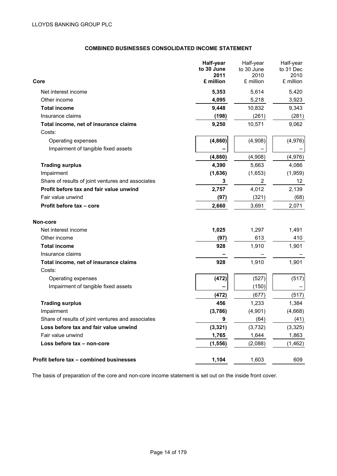# **COMBINED BUSINESSES CONSOLIDATED INCOME STATEMENT**

|                                                   | Half-year<br>to 30 June<br>2011 | Half-year<br>to 30 June<br>2010 | Half-year<br>to 31 Dec<br>2010 |
|---------------------------------------------------|---------------------------------|---------------------------------|--------------------------------|
| Core                                              | £ million                       | £ million                       | £ million                      |
| Net interest income                               | 5,353                           | 5,614                           | 5,420                          |
| Other income                                      | 4,095                           | 5,218                           | 3,923                          |
| <b>Total income</b>                               | 9,448                           | 10,832                          | 9,343                          |
| Insurance claims                                  | (198)                           | (261)                           | (281)                          |
| Total income, net of insurance claims<br>Costs:   | 9,250                           | 10,571                          | 9,062                          |
| Operating expenses                                | (4, 860)                        | (4,908)                         | (4,976)                        |
| Impairment of tangible fixed assets               |                                 |                                 |                                |
|                                                   | (4, 860)                        | (4,908)                         | (4,976)                        |
| <b>Trading surplus</b>                            | 4,390                           | 5,663                           | 4,086                          |
| Impairment                                        | (1,636)                         | (1,653)                         | (1,959)                        |
| Share of results of joint ventures and associates | 3                               | $\overline{\mathbf{c}}$         | 12                             |
| Profit before tax and fair value unwind           | 2,757                           | 4,012                           | 2,139                          |
| Fair value unwind                                 | (97)                            | (321)                           | (68)                           |
| Profit before tax - core                          | 2,660                           | 3,691                           | 2,071                          |
| Non-core                                          |                                 |                                 |                                |
| Net interest income                               | 1,025                           | 1,297                           | 1,491                          |
| Other income                                      | (97)                            | 613                             | 410                            |
| <b>Total income</b>                               | 928                             | 1,910                           | 1,901                          |
| Insurance claims                                  |                                 |                                 |                                |
| Total income, net of insurance claims<br>Costs:   | 928                             | 1,910                           | 1,901                          |
| Operating expenses                                | (472)                           | (527)                           | (517)                          |
| Impairment of tangible fixed assets               |                                 | (150)                           |                                |
|                                                   | (472)                           | (677)                           | (517)                          |
| <b>Trading surplus</b>                            | 456                             | 1,233                           | 1,384                          |
| Impairment                                        | (3,786)                         | (4,901)                         | (4,668)                        |
| Share of results of joint ventures and associates | 9                               | (64)                            | (41)                           |
| Loss before tax and fair value unwind             | (3, 321)                        | (3,732)                         | (3,325)                        |
| Fair value unwind                                 | 1,765                           | 1,644                           | 1,863                          |
| Loss before tax - non-core                        | (1, 556)                        | (2,088)                         | (1, 462)                       |
| Profit before tax - combined businesses           | 1,104                           | 1,603                           | 609                            |

The basis of preparation of the core and non-core income statement is set out on the inside front cover.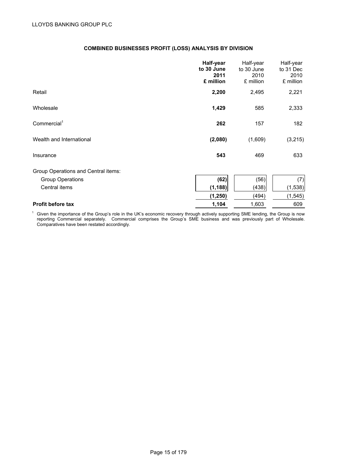# **COMBINED BUSINESSES PROFIT (LOSS) ANALYSIS BY DIVISION**

|                                     | Half-year<br>to 30 June<br>2011 | Half-year<br>to 30 June<br>2010 | Half-year<br>to 31 Dec<br>2010 |
|-------------------------------------|---------------------------------|---------------------------------|--------------------------------|
|                                     | £ million                       | £ million                       | £ million                      |
| Retail                              | 2,200                           | 2,495                           | 2,221                          |
| Wholesale                           | 1,429                           | 585                             | 2,333                          |
| Commercial <sup>1</sup>             | 262                             | 157                             | 182                            |
| Wealth and International            | (2,080)                         | (1,609)                         | (3, 215)                       |
| Insurance                           | 543                             | 469                             | 633                            |
| Group Operations and Central items: |                                 |                                 |                                |
| <b>Group Operations</b>             | (62)                            | (56)                            | (7)                            |
| Central items                       | (1, 188)                        | (438)                           | (1,538)                        |
|                                     | (1, 250)                        | (494)                           | (1, 545)                       |
| <b>Profit before tax</b>            | 1,104                           | 1,603                           | 609                            |

 $1$  Given the importance of the Group's role in the UK's economic recovery through actively supporting SME lending, the Group is now reporting Commercial separately. Commercial comprises the Group's SME business and was previously part of Wholesale. Comparatives have been restated accordingly.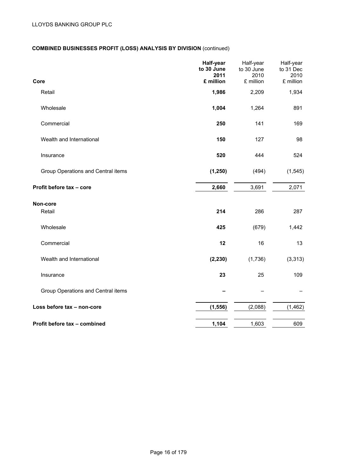# **COMBINED BUSINESSES PROFIT (LOSS) ANALYSIS BY DIVISION** (continued)

|                                    | Half-year<br>to 30 June<br>2011 | Half-year<br>to 30 June<br>2010 | Half-year<br>to 31 Dec<br>2010 |
|------------------------------------|---------------------------------|---------------------------------|--------------------------------|
| Core                               | £ million                       | £ million                       | £ million                      |
| Retail                             | 1,986                           | 2,209                           | 1,934                          |
| Wholesale                          | 1,004                           | 1,264                           | 891                            |
| Commercial                         | 250                             | 141                             | 169                            |
| Wealth and International           | 150                             | 127                             | 98                             |
| Insurance                          | 520                             | 444                             | 524                            |
| Group Operations and Central items | (1, 250)                        | (494)                           | (1, 545)                       |
| Profit before tax - core           | 2,660                           | 3,691                           | 2,071                          |
| Non-core                           |                                 |                                 |                                |
| Retail                             | 214                             | 286                             | 287                            |
| Wholesale                          | 425                             | (679)                           | 1,442                          |
| Commercial                         | 12                              | 16                              | 13                             |
| Wealth and International           | (2, 230)                        | (1,736)                         | (3, 313)                       |
| Insurance                          | 23                              | 25                              | 109                            |
| Group Operations and Central items |                                 |                                 |                                |
| Loss before tax - non-core         | (1, 556)                        | (2,088)                         | (1, 462)                       |
| Profit before tax - combined       | 1,104                           | 1,603                           | 609                            |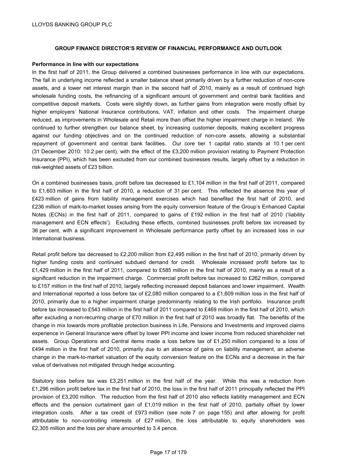#### **Performance in line with our expectations**

In the first half of 2011, the Group delivered a combined businesses performance in line with our expectations. The fall in underlying income reflected a smaller balance sheet primarily driven by a further reduction of non-core assets, and a lower net interest margin than in the second half of 2010, mainly as a result of continued high wholesale funding costs, the refinancing of a significant amount of government and central bank facilities and competitive deposit markets. Costs were slightly down, as further gains from integration were mostly offset by higher employers' National Insurance contributions, VAT, inflation and other costs. The impairment charge reduced, as improvements in Wholesale and Retail more than offset the higher impairment charge in Ireland. We continued to further strengthen our balance sheet, by increasing customer deposits, making excellent progress against our funding objectives and on the continued reduction of non-core assets, allowing a substantial repayment of government and central bank facilities. Our core tier 1 capital ratio stands at 10.1 per cent (31 December 2010: 10.2 per cent), with the effect of the £3,200 million provision relating to Payment Protection Insurance (PPI), which has been excluded from our combined businesses results, largely offset by a reduction in risk-weighted assets of £23 billion.

On a combined businesses basis, profit before tax decreased to £1,104 million in the first half of 2011, compared to £1,603 million in the first half of 2010, a reduction of 31 per cent. This reflected the absence this year of £423 million of gains from liability management exercises which had benefited the first half of 2010, and £236 million of mark-to-market losses arising from the equity conversion feature of the Group's Enhanced Capital Notes (ECNs) in the first half of 2011, compared to gains of £192 million in the first half of 2010 ('liability management and ECN effects'). Excluding these effects, combined businesses profit before tax increased by 36 per cent, with a significant improvement in Wholesale performance partly offset by an increased loss in our International business.

Retail profit before tax decreased to £2,200 million from £2,495 million in the first half of 2010, primarily driven by higher funding costs and continued subdued demand for credit. Wholesale increased profit before tax to £1,429 million in the first half of 2011, compared to £585 million in the first half of 2010, mainly as a result of a significant reduction in the impairment charge. Commercial profit before tax increased to £262 million, compared to £157 million in the first half of 2010, largely reflecting increased deposit balances and lower impairment. Wealth and International reported a loss before tax of £2,080 million compared to a £1,609 million loss in the first half of 2010, primarily due to a higher impairment charge predominantly relating to the Irish portfolio. Insurance profit before tax increased to £543 million in the first half of 2011 compared to £469 million in the first half of 2010, which after excluding a non-recurring charge of £70 million in the first half of 2010 was broadly flat. The benefits of the change in mix towards more profitable protection business in Life, Pensions and Investments and improved claims experience in General Insurance were offset by lower PPI income and lower income from reduced shareholder net assets. Group Operations and Central items made a loss before tax of £1,250 million compared to a loss of £494 million in the first half of 2010, primarily due to an absence of gains on liability management, an adverse change in the mark-to-market valuation of the equity conversion feature on the ECNs and a decrease in the fair value of derivatives not mitigated through hedge accounting.

Statutory loss before tax was £3,251 million in the first half of the year. While this was a reduction from £1,296 million profit before tax in the first half of 2010, the loss in the first half of 2011 principally reflected the PPI provision of £3,200 million. The reduction from the first half of 2010 also reflects liability management and ECN effects and the pension curtailment gain of £1,019 million in the first half of 2010, partially offset by lower integration costs. After a tax credit of £973 million (see note 7 on page 155) and after allowing for profit attributable to non-controlling interests of £27 million, the loss attributable to equity shareholders was £2,305 million and the loss per share amounted to 3.4 pence.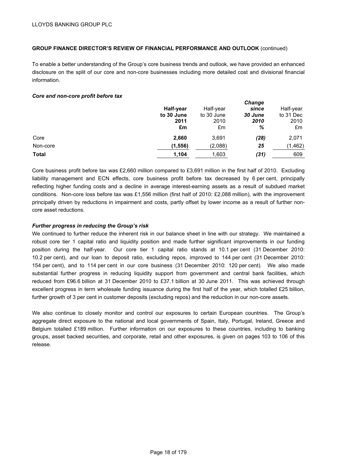To enable a better understanding of the Group's core business trends and outlook, we have provided an enhanced disclosure on the split of our core and non-core businesses including more detailed cost and divisional financial information.

# *Core and non-core profit before tax*

|          |            |            | <b>Change</b> |           |
|----------|------------|------------|---------------|-----------|
|          | Half-year  | Half-year  | since         | Half-year |
|          | to 30 June | to 30 June | 30 June       | to 31 Dec |
|          | 2011       | 2010       | 2010          | 2010      |
|          | £m         | £m         | %             | £m        |
| Core     | 2,660      | 3,691      | (28)          | 2,071     |
| Non-core | (1, 556)   | (2,088)    | 25            | (1, 462)  |
| Total    | 1,104      | 1,603      | (31)          | 609       |

Core business profit before tax was £2,660 million compared to £3,691 million in the first half of 2010. Excluding liability management and ECN effects, core business profit before tax decreased by 6 per cent, principally reflecting higher funding costs and a decline in average interest-earning assets as a result of subdued market conditions. Non-core loss before tax was £1,556 million (first half of 2010: £2,088 million), with the improvement principally driven by reductions in impairment and costs, partly offset by lower income as a result of further noncore asset reductions.

# *Further progress in reducing the Group's risk*

We continued to further reduce the inherent risk in our balance sheet in line with our strategy. We maintained a robust core tier 1 capital ratio and liquidity position and made further significant improvements in our funding position during the half-year. Our core tier 1 capital ratio stands at 10.1 per cent (31 December 2010: 10.2 per cent), and our loan to deposit ratio, excluding repos, improved to 144 per cent (31 December 2010: 154 per cent), and to 114 per cent in our core business (31 December 2010: 120 per cent). We also made substantial further progress in reducing liquidity support from government and central bank facilities, which reduced from £96.6 billion at 31 December 2010 to £37.1 billion at 30 June 2011. This was achieved through excellent progress in term wholesale funding issuance during the first half of the year, which totalled £25 billion, further growth of 3 per cent in customer deposits (excluding repos) and the reduction in our non-core assets.

We also continue to closely monitor and control our exposures to certain European countries. The Group's aggregate direct exposure to the national and local governments of Spain, Italy, Portugal, Ireland, Greece and Belgium totalled £189 million. Further information on our exposures to these countries, including to banking groups, asset backed securities, and corporate, retail and other exposures, is given on pages 103 to 106 of this release.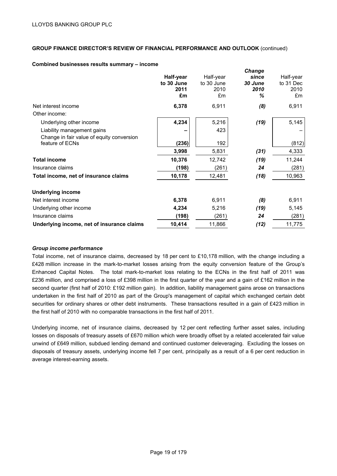#### **Combined businesses results summary – income**

|                                                              | Half-year<br>to 30 June<br>2011<br>£m | Half-year<br>to 30 June<br>2010<br>£m | Change<br>since<br>30 June<br>2010<br>℅ | Half-year<br>to 31 Dec<br>2010<br>£m |
|--------------------------------------------------------------|---------------------------------------|---------------------------------------|-----------------------------------------|--------------------------------------|
| Net interest income                                          | 6,378                                 | 6,911                                 | (8)                                     | 6,911                                |
| Other income:                                                |                                       |                                       |                                         |                                      |
| Underlying other income                                      | 4,234                                 | 5,216                                 | (19)                                    | 5,145                                |
| Liability management gains                                   |                                       | 423                                   |                                         |                                      |
| Change in fair value of equity conversion<br>feature of ECNs | (236)                                 | 192                                   |                                         | (812)                                |
|                                                              | 3,998                                 | 5,831                                 | (31)                                    | 4,333                                |
| <b>Total income</b>                                          | 10,376                                | 12,742                                | (19)                                    | 11,244                               |
| Insurance claims                                             | (198)                                 | (261)                                 | 24                                      | (281)                                |
| Total income, net of insurance claims                        | 10,178                                | 12,481                                | (18)                                    | 10,963                               |
| <b>Underlying income</b>                                     |                                       |                                       |                                         |                                      |
| Net interest income                                          | 6,378                                 | 6,911                                 | (8)                                     | 6,911                                |
| Underlying other income                                      | 4,234                                 | 5,216                                 | (19)                                    | 5,145                                |
| Insurance claims                                             | (198)                                 | (261)                                 | 24                                      | (281)                                |
| Underlying income, net of insurance claims                   | 10,414                                | 11,866                                | (12)                                    | 11,775                               |
|                                                              |                                       |                                       |                                         |                                      |

# *Group income performance*

Total income, net of insurance claims, decreased by 18 per cent to £10,178 million, with the change including a £428 million increase in the mark-to-market losses arising from the equity conversion feature of the Group's Enhanced Capital Notes. The total mark-to-market loss relating to the ECNs in the first half of 2011 was £236 million, and comprised a loss of £398 million in the first quarter of the year and a gain of £162 million in the second quarter (first half of 2010: £192 million gain). In addition, liability management gains arose on transactions undertaken in the first half of 2010 as part of the Group's management of capital which exchanged certain debt securities for ordinary shares or other debt instruments. These transactions resulted in a gain of £423 million in the first half of 2010 with no comparable transactions in the first half of 2011.

Underlying income, net of insurance claims, decreased by 12 per cent reflecting further asset sales, including losses on disposals of treasury assets of £670 million which were broadly offset by a related accelerated fair value unwind of £649 million, subdued lending demand and continued customer deleveraging. Excluding the losses on disposals of treasury assets, underlying income fell 7 per cent, principally as a result of a 6 per cent reduction in average interest-earning assets.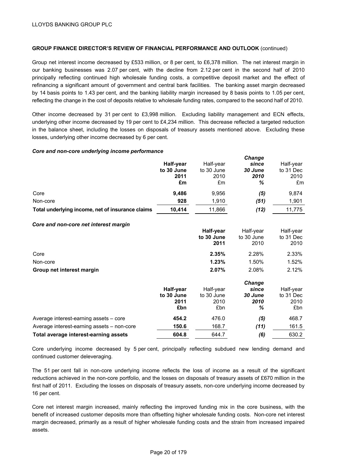Group net interest income decreased by £533 million, or 8 per cent, to £6,378 million. The net interest margin in our banking businesses was 2.07 per cent, with the decline from 2.12 per cent in the second half of 2010 principally reflecting continued high wholesale funding costs, a competitive deposit market and the effect of refinancing a significant amount of government and central bank facilities. The banking asset margin decreased by 14 basis points to 1.43 per cent, and the banking liability margin increased by 8 basis points to 1.05 per cent, reflecting the change in the cost of deposits relative to wholesale funding rates, compared to the second half of 2010.

Other income decreased by 31 per cent to £3,998 million. Excluding liability management and ECN effects, underlying other income decreased by 19 per cent to £4,234 million. This decrease reflected a targeted reduction in the balance sheet, including the losses on disposals of treasury assets mentioned above. Excluding these losses, underlying other income decreased by 6 per cent.

#### *Core and non-core underlying income performance*

|                                                  |            |            | Change  |           |
|--------------------------------------------------|------------|------------|---------|-----------|
|                                                  | Half-year  | Half-year  | since   | Half-year |
|                                                  | to 30 June | to 30 June | 30 June | to 31 Dec |
|                                                  | 2011       | 2010       | 2010    | 2010      |
|                                                  | £m         | £m         | %       | £m        |
| Core                                             | 9.486      | 9,956      | (5)     | 9,874     |
| Non-core                                         | 928        | 1,910      | (51)    | 1,901     |
| Total underlying income, net of insurance claims | 10.414     | 11,866     | (12)    | 11,775    |

#### *Core and non-core net interest margin*

|                                            |            | Half-year  | Half-year     | Half-year |
|--------------------------------------------|------------|------------|---------------|-----------|
|                                            |            | to 30 June | to 30 June    | to 31 Dec |
|                                            |            | 2011       | 2010          | 2010      |
| Core                                       |            | 2.35%      | 2.28%         | 2.33%     |
| Non-core                                   |            | 1.23%      | 1.50%         | 1.52%     |
| Group net interest margin                  |            | 2.07%      | 2.08%         | 2.12%     |
|                                            |            |            | <b>Change</b> |           |
|                                            | Half-year  | Half-year  | since         | Half-year |
|                                            | to 30 June | to 30 June | 30 June       | to 31 Dec |
|                                            | 2011       | 2010       | 2010          | 2010      |
|                                            | £bn        | £bn        | ℅             | £bn       |
| Average interest-earning assets – core     | 454.2      | 476.0      | (5)           | 468.7     |
| Average interest-earning assets – non-core | 150.6      | 168.7      | (11)          | 161.5     |
| Total average interest-earning assets      | 604.8      | 644.7      | (6)           | 630.2     |

Core underlying income decreased by 5 per cent, principally reflecting subdued new lending demand and continued customer deleveraging.

The 51 per cent fall in non-core underlying income reflects the loss of income as a result of the significant reductions achieved in the non-core portfolio, and the losses on disposals of treasury assets of £670 million in the first half of 2011. Excluding the losses on disposals of treasury assets, non-core underlying income decreased by 16 per cent.

Core net interest margin increased, mainly reflecting the improved funding mix in the core business, with the benefit of increased customer deposits more than offsetting higher wholesale funding costs. Non-core net interest margin decreased, primarily as a result of higher wholesale funding costs and the strain from increased impaired assets.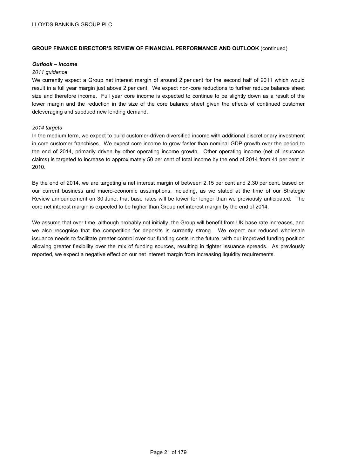#### *Outlook – income*

#### *2011 guidance*

We currently expect a Group net interest margin of around 2 per cent for the second half of 2011 which would result in a full year margin just above 2 per cent. We expect non-core reductions to further reduce balance sheet size and therefore income. Full year core income is expected to continue to be slightly down as a result of the lower margin and the reduction in the size of the core balance sheet given the effects of continued customer deleveraging and subdued new lending demand.

# *2014 targets*

In the medium term, we expect to build customer-driven diversified income with additional discretionary investment in core customer franchises. We expect core income to grow faster than nominal GDP growth over the period to the end of 2014, primarily driven by other operating income growth. Other operating income (net of insurance claims) is targeted to increase to approximately 50 per cent of total income by the end of 2014 from 41 per cent in 2010.

By the end of 2014, we are targeting a net interest margin of between 2.15 per cent and 2.30 per cent, based on our current business and macro-economic assumptions, including, as we stated at the time of our Strategic Review announcement on 30 June, that base rates will be lower for longer than we previously anticipated. The core net interest margin is expected to be higher than Group net interest margin by the end of 2014.

We assume that over time, although probably not initially, the Group will benefit from UK base rate increases, and we also recognise that the competition for deposits is currently strong. We expect our reduced wholesale issuance needs to facilitate greater control over our funding costs in the future, with our improved funding position allowing greater flexibility over the mix of funding sources, resulting in tighter issuance spreads. As previously reported, we expect a negative effect on our net interest margin from increasing liquidity requirements.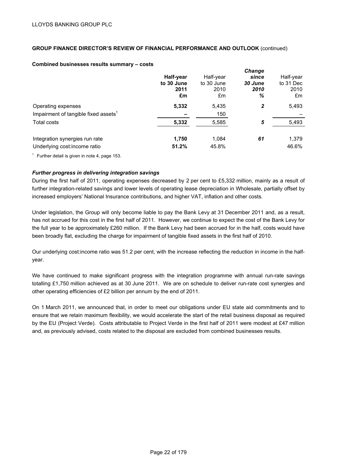#### **Combined businesses results summary – costs**

|                                                                        | Half-year<br>to 30 June<br>2011<br>£m | Half-year<br>to 30 June<br>2010<br>£m | <b>Change</b><br>since<br>30 June<br>2010<br>% | Half-year<br>to 31 Dec<br>2010<br>£m |
|------------------------------------------------------------------------|---------------------------------------|---------------------------------------|------------------------------------------------|--------------------------------------|
| Operating expenses<br>Impairment of tangible fixed assets <sup>1</sup> | 5,332                                 | 5,435<br>150                          | 2                                              | 5,493                                |
| <b>Total costs</b>                                                     | 5,332                                 | 5,585                                 | 5                                              | 5,493                                |
| Integration synergies run rate<br>Underlying cost: income ratio        | 1,750<br>51.2%                        | 1,084<br>45.8%                        | 61                                             | 1,379<br>46.6%                       |

 $1$  Further detail is given in note 4, page 153.

# *Further progress in delivering integration savings*

During the first half of 2011, operating expenses decreased by 2 per cent to £5,332 million, mainly as a result of further integration-related savings and lower levels of operating lease depreciation in Wholesale, partially offset by increased employers' National Insurance contributions, and higher VAT, inflation and other costs.

Under legislation, the Group will only become liable to pay the Bank Levy at 31 December 2011 and, as a result, has not accrued for this cost in the first half of 2011. However, we continue to expect the cost of the Bank Levy for the full year to be approximately £260 million. If the Bank Levy had been accrued for in the half, costs would have been broadly flat, excluding the charge for impairment of tangible fixed assets in the first half of 2010.

Our underlying cost:income ratio was 51.2 per cent, with the increase reflecting the reduction in income in the halfyear.

We have continued to make significant progress with the integration programme with annual run-rate savings totalling £1,750 million achieved as at 30 June 2011. We are on schedule to deliver run-rate cost synergies and other operating efficiencies of £2 billion per annum by the end of 2011.

On 1 March 2011, we announced that, in order to meet our obligations under EU state aid commitments and to ensure that we retain maximum flexibility, we would accelerate the start of the retail business disposal as required by the EU (Project Verde). Costs attributable to Project Verde in the first half of 2011 were modest at £47 million and, as previously advised, costs related to the disposal are excluded from combined businesses results.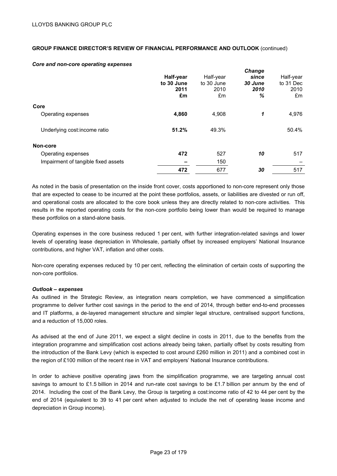#### *Core and non-core operating expenses*

|                                     | Half-year<br>to 30 June<br>2011<br>£m | Half-year<br>to 30 June<br>2010<br>£m | <b>Change</b><br>since<br>30 June<br>2010<br>℅ | Half-year<br>to 31 Dec<br>2010<br>£m |
|-------------------------------------|---------------------------------------|---------------------------------------|------------------------------------------------|--------------------------------------|
| Core                                |                                       |                                       |                                                |                                      |
| Operating expenses                  | 4,860                                 | 4,908                                 | 1                                              | 4,976                                |
| Underlying cost:income ratio        | 51.2%                                 | 49.3%                                 |                                                | 50.4%                                |
| Non-core                            |                                       |                                       |                                                |                                      |
| Operating expenses                  | 472                                   | 527                                   | 10                                             | 517                                  |
| Impairment of tangible fixed assets |                                       | 150                                   |                                                |                                      |
|                                     | 472                                   | 677                                   | 30                                             | 517                                  |

As noted in the basis of presentation on the inside front cover, costs apportioned to non-core represent only those that are expected to cease to be incurred at the point these portfolios, assets, or liabilities are divested or run off, and operational costs are allocated to the core book unless they are directly related to non-core activities. This results in the reported operating costs for the non-core portfolio being lower than would be required to manage these portfolios on a stand-alone basis.

Operating expenses in the core business reduced 1 per cent, with further integration-related savings and lower levels of operating lease depreciation in Wholesale, partially offset by increased employers' National Insurance contributions, and higher VAT, inflation and other costs.

Non-core operating expenses reduced by 10 per cent, reflecting the elimination of certain costs of supporting the non-core portfolios.

# *Outlook – expenses*

As outlined in the Strategic Review, as integration nears completion, we have commenced a simplification programme to deliver further cost savings in the period to the end of 2014, through better end-to-end processes and IT platforms, a de-layered management structure and simpler legal structure, centralised support functions, and a reduction of 15,000 roles.

As advised at the end of June 2011, we expect a slight decline in costs in 2011, due to the benefits from the integration programme and simplification cost actions already being taken, partially offset by costs resulting from the introduction of the Bank Levy (which is expected to cost around £260 million in 2011) and a combined cost in the region of £100 million of the recent rise in VAT and employers' National Insurance contributions.

In order to achieve positive operating jaws from the simplification programme, we are targeting annual cost savings to amount to £1.5 billion in 2014 and run-rate cost savings to be £1.7 billion per annum by the end of 2014. Including the cost of the Bank Levy, the Group is targeting a cost:income ratio of 42 to 44 per cent by the end of 2014 (equivalent to 39 to 41 per cent when adjusted to include the net of operating lease income and depreciation in Group income).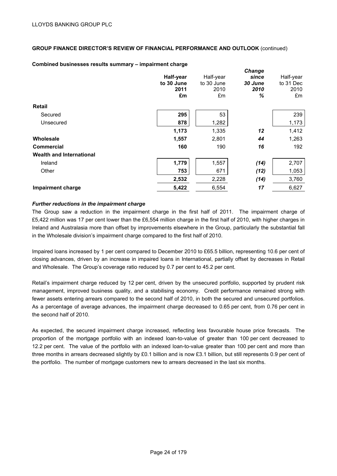#### **Combined businesses results summary – impairment charge**

|                                 | Half-year<br>to 30 June<br>2011<br>£m | Half-year<br>to 30 June<br>2010<br>£m | <b>Change</b><br>since<br>30 June<br>2010<br>% | Half-year<br>to 31 Dec<br>2010<br>£m |
|---------------------------------|---------------------------------------|---------------------------------------|------------------------------------------------|--------------------------------------|
| <b>Retail</b>                   |                                       |                                       |                                                |                                      |
| Secured                         | 295                                   | 53                                    |                                                | 239                                  |
| Unsecured                       | 878                                   | 1,282                                 |                                                | 1,173                                |
|                                 | 1,173                                 | 1,335                                 | 12                                             | 1,412                                |
| Wholesale                       | 1,557                                 | 2,801                                 | 44                                             | 1,263                                |
| <b>Commercial</b>               | 160                                   | 190                                   | 16                                             | 192                                  |
| <b>Wealth and International</b> |                                       |                                       |                                                |                                      |
| Ireland                         | 1,779                                 | 1,557                                 | (14)                                           | 2,707                                |
| Other                           | 753                                   | 671                                   | (12)                                           | 1,053                                |
|                                 | 2,532                                 | 2,228                                 | (14)                                           | 3,760                                |
| <b>Impairment charge</b>        | 5,422                                 | 6,554                                 | 17                                             | 6,627                                |
|                                 |                                       |                                       |                                                |                                      |

# *Further reductions in the impairment charge*

The Group saw a reduction in the impairment charge in the first half of 2011. The impairment charge of £5,422 million was 17 per cent lower than the £6,554 million charge in the first half of 2010, with higher charges in Ireland and Australasia more than offset by improvements elsewhere in the Group, particularly the substantial fall in the Wholesale division's impairment charge compared to the first half of 2010.

Impaired loans increased by 1 per cent compared to December 2010 to £65.5 billion, representing 10.6 per cent of closing advances, driven by an increase in impaired loans in International, partially offset by decreases in Retail and Wholesale. The Group's coverage ratio reduced by 0.7 per cent to 45.2 per cent.

Retail's impairment charge reduced by 12 per cent, driven by the unsecured portfolio, supported by prudent risk management, improved business quality, and a stabilising economy. Credit performance remained strong with fewer assets entering arrears compared to the second half of 2010, in both the secured and unsecured portfolios. As a percentage of average advances, the impairment charge decreased to 0.65 per cent, from 0.76 per cent in the second half of 2010.

As expected, the secured impairment charge increased, reflecting less favourable house price forecasts. The proportion of the mortgage portfolio with an indexed loan-to-value of greater than 100 per cent decreased to 12.2 per cent. The value of the portfolio with an indexed loan-to-value greater than 100 per cent and more than three months in arrears decreased slightly by £0.1 billion and is now £3.1 billion, but still represents 0.9 per cent of the portfolio. The number of mortgage customers new to arrears decreased in the last six months.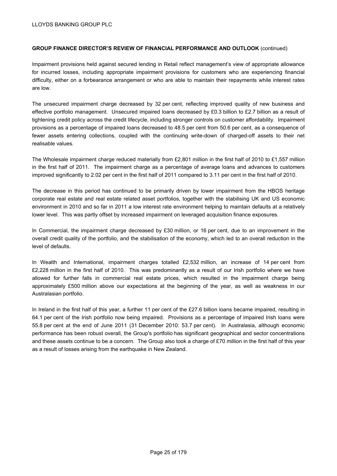Impairment provisions held against secured lending in Retail reflect management's view of appropriate allowance for incurred losses, including appropriate impairment provisions for customers who are experiencing financial difficulty, either on a forbearance arrangement or who are able to maintain their repayments while interest rates are low.

The unsecured impairment charge decreased by 32 per cent, reflecting improved quality of new business and effective portfolio management. Unsecured impaired loans decreased by £0.3 billion to £2.7 billion as a result of tightening credit policy across the credit lifecycle, including stronger controls on customer affordability. Impairment provisions as a percentage of impaired loans decreased to 48.5 per cent from 50.6 per cent, as a consequence of fewer assets entering collections, coupled with the continuing write-down of charged-off assets to their net realisable values.

The Wholesale impairment charge reduced materially from £2,801 million in the first half of 2010 to £1,557 million in the first half of 2011. The impairment charge as a percentage of average loans and advances to customers improved significantly to 2.02 per cent in the first half of 2011 compared to 3.11 per cent in the first half of 2010.

The decrease in this period has continued to be primarily driven by lower impairment from the HBOS heritage corporate real estate and real estate related asset portfolios, together with the stabilising UK and US economic environment in 2010 and so far in 2011 a low interest rate environment helping to maintain defaults at a relatively lower level. This was partly offset by increased impairment on leveraged acquisition finance exposures.

In Commercial, the impairment charge decreased by £30 million, or 16 per cent, due to an improvement in the overall credit quality of the portfolio, and the stabilisation of the economy, which led to an overall reduction in the level of defaults.

In Wealth and International, impairment charges totalled £2,532 million, an increase of 14 per cent from £2,228 million in the first half of 2010. This was predominantly as a result of our Irish portfolio where we have allowed for further falls in commercial real estate prices, which resulted in the impairment charge being approximately £500 million above our expectations at the beginning of the year, as well as weakness in our Australasian portfolio.

In Ireland in the first half of this year, a further 11 per cent of the £27.6 billion loans became impaired, resulting in 64.1 per cent of the Irish portfolio now being impaired. Provisions as a percentage of impaired Irish loans were 55.8 per cent at the end of June 2011 (31 December 2010: 53.7 per cent). In Australasia, although economic performance has been robust overall, the Group's portfolio has significant geographical and sector concentrations and these assets continue to be a concern. The Group also took a charge of £70 million in the first half of this year as a result of losses arising from the earthquake in New Zealand.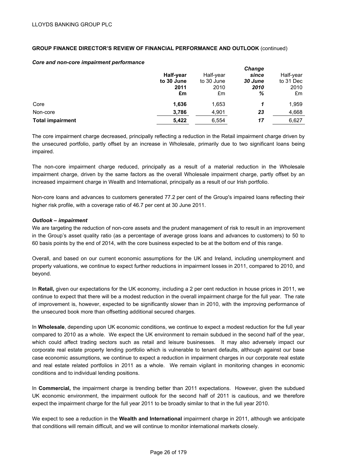#### *Core and non-core impairment performance*

|                         |            |            | Change  |           |  |  |
|-------------------------|------------|------------|---------|-----------|--|--|
|                         | Half-year  | Half-year  | since   | Half-year |  |  |
|                         | to 30 June | to 30 June | 30 June | to 31 Dec |  |  |
|                         | 2011       | 2010       | 2010    | 2010      |  |  |
|                         | £m         | £m         | %       | £m        |  |  |
| Core                    | 1,636      | 1,653      |         | 1,959     |  |  |
| Non-core                | 3,786      | 4,901      | 23      | 4,668     |  |  |
| <b>Total impairment</b> | 5,422      | 6,554      | 17      | 6,627     |  |  |

The core impairment charge decreased, principally reflecting a reduction in the Retail impairment charge driven by the unsecured portfolio, partly offset by an increase in Wholesale, primarily due to two significant loans being impaired.

The non-core impairment charge reduced, principally as a result of a material reduction in the Wholesale impairment charge, driven by the same factors as the overall Wholesale impairment charge, partly offset by an increased impairment charge in Wealth and International, principally as a result of our Irish portfolio.

Non-core loans and advances to customers generated 77.2 per cent of the Group's impaired loans reflecting their higher risk profile, with a coverage ratio of 46.7 per cent at 30 June 2011.

# *Outlook – impairment*

We are targeting the reduction of non-core assets and the prudent management of risk to result in an improvement in the Group's asset quality ratio (as a percentage of average gross loans and advances to customers) to 50 to 60 basis points by the end of 2014, with the core business expected to be at the bottom end of this range.

Overall, and based on our current economic assumptions for the UK and Ireland, including unemployment and property valuations, we continue to expect further reductions in impairment losses in 2011, compared to 2010, and beyond.

In **Retail,** given our expectations for the UK economy, including a 2 per cent reduction in house prices in 2011, we continue to expect that there will be a modest reduction in the overall impairment charge for the full year. The rate of improvement is, however, expected to be significantly slower than in 2010, with the improving performance of the unsecured book more than offsetting additional secured charges.

In **Wholesale**, depending upon UK economic conditions, we continue to expect a modest reduction for the full year compared to 2010 as a whole. We expect the UK environment to remain subdued in the second half of the year, which could affect trading sectors such as retail and leisure businesses. It may also adversely impact our corporate real estate property lending portfolio which is vulnerable to tenant defaults, although against our base case economic assumptions, we continue to expect a reduction in impairment charges in our corporate real estate and real estate related portfolios in 2011 as a whole. We remain vigilant in monitoring changes in economic conditions and to individual lending positions.

In **Commercial,** the impairment charge is trending better than 2011 expectations. However, given the subdued UK economic environment, the impairment outlook for the second half of 2011 is cautious, and we therefore expect the impairment charge for the full year 2011 to be broadly similar to that in the full year 2010.

We expect to see a reduction in the **Wealth and International** impairment charge in 2011, although we anticipate that conditions will remain difficult, and we will continue to monitor international markets closely.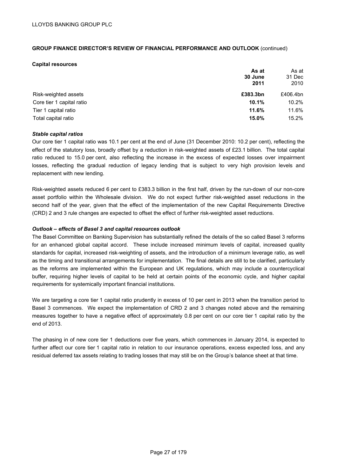#### **Capital resources**

|                           | As at    |          |
|---------------------------|----------|----------|
|                           | 30 June  | 31 Dec   |
|                           | 2011     | 2010     |
| Risk-weighted assets      | £383.3bn | £406.4bn |
| Core tier 1 capital ratio | 10.1%    | 10.2%    |
| Tier 1 capital ratio      | 11.6%    | 11.6%    |
| Total capital ratio       | 15.0%    | 15.2%    |

#### *Stable capital ratios*

Our core tier 1 capital ratio was 10.1 per cent at the end of June (31 December 2010: 10.2 per cent), reflecting the effect of the statutory loss, broadly offset by a reduction in risk-weighted assets of £23.1 billion. The total capital ratio reduced to 15.0 per cent, also reflecting the increase in the excess of expected losses over impairment losses, reflecting the gradual reduction of legacy lending that is subject to very high provision levels and replacement with new lending.

Risk-weighted assets reduced 6 per cent to £383.3 billion in the first half, driven by the run-down of our non-core asset portfolio within the Wholesale division. We do not expect further risk-weighted asset reductions in the second half of the year, given that the effect of the implementation of the new Capital Requirements Directive (CRD) 2 and 3 rule changes are expected to offset the effect of further risk-weighted asset reductions.

# *Outlook – effects of Basel 3 and capital resources outlook*

The Basel Committee on Banking Supervision has substantially refined the details of the so called Basel 3 reforms for an enhanced global capital accord. These include increased minimum levels of capital, increased quality standards for capital, increased risk-weighting of assets, and the introduction of a minimum leverage ratio, as well as the timing and transitional arrangements for implementation. The final details are still to be clarified, particularly as the reforms are implemented within the European and UK regulations, which may include a countercyclical buffer, requiring higher levels of capital to be held at certain points of the economic cycle, and higher capital requirements for systemically important financial institutions.

We are targeting a core tier 1 capital ratio prudently in excess of 10 per cent in 2013 when the transition period to Basel 3 commences. We expect the implementation of CRD 2 and 3 changes noted above and the remaining measures together to have a negative effect of approximately 0.8 per cent on our core tier 1 capital ratio by the end of 2013.

The phasing in of new core tier 1 deductions over five years, which commences in January 2014, is expected to further affect our core tier 1 capital ratio in relation to our insurance operations, excess expected loss, and any residual deferred tax assets relating to trading losses that may still be on the Group's balance sheet at that time.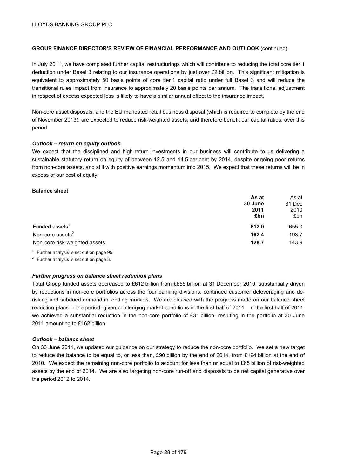In July 2011, we have completed further capital restructurings which will contribute to reducing the total core tier 1 deduction under Basel 3 relating to our insurance operations by just over £2 billion. This significant mitigation is equivalent to approximately 50 basis points of core tier 1 capital ratio under full Basel 3 and will reduce the transitional rules impact from insurance to approximately 20 basis points per annum. The transitional adjustment in respect of excess expected loss is likely to have a similar annual effect to the insurance impact.

Non-core asset disposals, and the EU mandated retail business disposal (which is required to complete by the end of November 2013), are expected to reduce risk-weighted assets, and therefore benefit our capital ratios, over this period.

# *Outlook – return on equity outlook*

We expect that the disciplined and high-return investments in our business will contribute to us delivering a sustainable statutory return on equity of between 12.5 and 14.5 per cent by 2014, despite ongoing poor returns from non-core assets, and still with positive earnings momentum into 2015. We expect that these returns will be in excess of our cost of equity.

# **Balance sheet**

|                               | As at   | As at  |
|-------------------------------|---------|--------|
|                               | 30 June | 31 Dec |
|                               | 2011    | 2010   |
|                               | £bn     | £bn    |
| Funded assets <sup>1</sup>    | 612.0   | 655.0  |
| Non-core assets <sup>2</sup>  | 162.4   | 193.7  |
| Non-core risk-weighted assets | 128.7   | 143.9  |
|                               |         |        |

 $1$  Further analysis is set out on page 95.

 $2$  Further analysis is set out on page 3.

# *Further progress on balance sheet reduction plans*

Total Group funded assets decreased to £612 billion from £655 billion at 31 December 2010, substantially driven by reductions in non-core portfolios across the four banking divisions, continued customer deleveraging and derisking and subdued demand in lending markets. We are pleased with the progress made on our balance sheet reduction plans in the period, given challenging market conditions in the first half of 2011. In the first half of 2011, we achieved a substantial reduction in the non-core portfolio of £31 billion, resulting in the portfolio at 30 June 2011 amounting to £162 billion.

# *Outlook – balance sheet*

On 30 June 2011, we updated our guidance on our strategy to reduce the non-core portfolio. We set a new target to reduce the balance to be equal to, or less than, £90 billion by the end of 2014, from £194 billion at the end of 2010. We expect the remaining non-core portfolio to account for less than or equal to £65 billion of risk-weighted assets by the end of 2014. We are also targeting non-core run-off and disposals to be net capital generative over the period 2012 to 2014.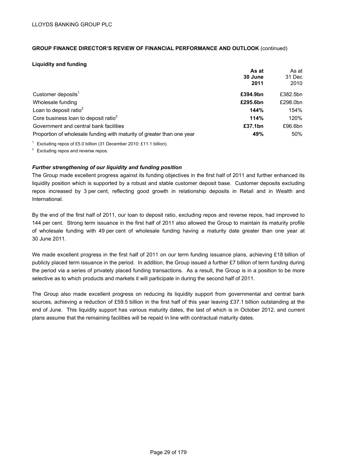# **Liquidity and funding**

|                                                                        | As at    | As at    |
|------------------------------------------------------------------------|----------|----------|
|                                                                        | 30 June  | 31 Dec   |
|                                                                        | 2011     | 2010     |
| Customer deposits <sup>1</sup>                                         | £394.9bn | £382.5bn |
| Wholesale funding                                                      | £295.6bn | £298.0bn |
| Loan to deposit ratio <sup>2</sup>                                     | 144%     | 154%     |
| Core business loan to deposit ratio <sup>2</sup>                       | 114%     | 120%     |
| Government and central bank facilities                                 | £37.1bn  | £96.6bn  |
| Proportion of wholesale funding with maturity of greater than one year | 49%      | 50%      |

<sup>1</sup> Excluding repos of £5.0 billion (31 December 2010: £11.1 billion).

<sup>2</sup> Excluding repos and reverse repos.

# *Further strengthening of our liquidity and funding position*

The Group made excellent progress against its funding objectives in the first half of 2011 and further enhanced its liquidity position which is supported by a robust and stable customer deposit base. Customer deposits excluding repos increased by 3 per cent, reflecting good growth in relationship deposits in Retail and in Wealth and International.

By the end of the first half of 2011, our loan to deposit ratio, excluding repos and reverse repos, had improved to 144 per cent. Strong term issuance in the first half of 2011 also allowed the Group to maintain its maturity profile of wholesale funding with 49 per cent of wholesale funding having a maturity date greater than one year at 30 June 2011.

We made excellent progress in the first half of 2011 on our term funding issuance plans, achieving £18 billion of publicly placed term issuance in the period. In addition, the Group issued a further £7 billion of term funding during the period via a series of privately placed funding transactions. As a result, the Group is in a position to be more selective as to which products and markets it will participate in during the second half of 2011.

The Group also made excellent progress on reducing its liquidity support from governmental and central bank sources, achieving a reduction of £59.5 billion in the first half of this year leaving £37.1 billion outstanding at the end of June. This liquidity support has various maturity dates, the last of which is in October 2012, and current plans assume that the remaining facilities will be repaid in line with contractual maturity dates.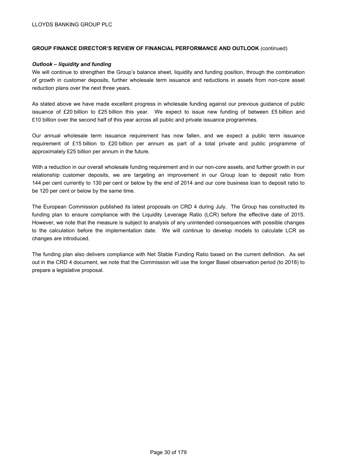# *Outlook – liquidity and funding*

We will continue to strengthen the Group's balance sheet, liquidity and funding position, through the combination of growth in customer deposits, further wholesale term issuance and reductions in assets from non-core asset reduction plans over the next three years.

As stated above we have made excellent progress in wholesale funding against our previous guidance of public issuance of £20 billion to £25 billion this year. We expect to issue new funding of between £5 billion and £10 billion over the second half of this year across all public and private issuance programmes.

Our annual wholesale term issuance requirement has now fallen, and we expect a public term issuance requirement of £15 billion to £20 billion per annum as part of a total private and public programme of approximately £25 billion per annum in the future.

With a reduction in our overall wholesale funding requirement and in our non-core assets, and further growth in our relationship customer deposits, we are targeting an improvement in our Group loan to deposit ratio from 144 per cent currently to 130 per cent or below by the end of 2014 and our core business loan to deposit ratio to be 120 per cent or below by the same time.

The European Commission published its latest proposals on CRD 4 during July. The Group has constructed its funding plan to ensure compliance with the Liquidity Leverage Ratio (LCR) before the effective date of 2015. However, we note that the measure is subject to analysis of any unintended consequences with possible changes to the calculation before the implementation date. We will continue to develop models to calculate LCR as changes are introduced.

The funding plan also delivers compliance with Net Stable Funding Ratio based on the current definition. As set out in the CRD 4 document, we note that the Commission will use the longer Basel observation period (to 2018) to prepare a legislative proposal.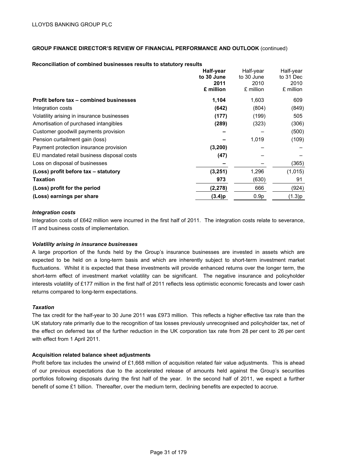|                                            | Half-year  | Half-year  | Half-year |
|--------------------------------------------|------------|------------|-----------|
|                                            | to 30 June | to 30 June | to 31 Dec |
|                                            | 2011       | 2010       | 2010      |
|                                            | £ million  | £ million  | £ million |
| Profit before tax – combined businesses    | 1,104      | 1,603      | 609       |
| Integration costs                          | (642)      | (804)      | (849)     |
| Volatility arising in insurance businesses | (177)      | (199)      | 505       |
| Amortisation of purchased intangibles      | (289)      | (323)      | (306)     |
| Customer goodwill payments provision       |            |            | (500)     |
| Pension curtailment gain (loss)            |            | 1,019      | (109)     |
| Payment protection insurance provision     | (3,200)    |            |           |
| EU mandated retail business disposal costs | (47)       |            |           |
| Loss on disposal of businesses             |            |            | (365)     |
| (Loss) profit before tax – statutory       | (3,251)    | 1,296      | (1,015)   |
| Taxation                                   | 973        | (630)      | 91        |
| (Loss) profit for the period               | (2, 278)   | 666        | (924)     |
| (Loss) earnings per share                  | (3.4)p     | 0.9p       | (1.3)p    |
|                                            |            |            |           |

#### **Reconciliation of combined businesses results to statutory results**

#### *Integration costs*

Integration costs of £642 million were incurred in the first half of 2011. The integration costs relate to severance, IT and business costs of implementation.

# *Volatility arising in insurance businesses*

A large proportion of the funds held by the Group's insurance businesses are invested in assets which are expected to be held on a long-term basis and which are inherently subject to short-term investment market fluctuations. Whilst it is expected that these investments will provide enhanced returns over the longer term, the short-term effect of investment market volatility can be significant. The negative insurance and policyholder interests volatility of £177 million in the first half of 2011 reflects less optimistic economic forecasts and lower cash returns compared to long-term expectations.

# *Taxation*

The tax credit for the half-year to 30 June 2011 was £973 million. This reflects a higher effective tax rate than the UK statutory rate primarily due to the recognition of tax losses previously unrecognised and policyholder tax, net of the effect on deferred tax of the further reduction in the UK corporation tax rate from 28 per cent to 26 per cent with effect from 1 April 2011.

# **Acquisition related balance sheet adjustments**

Profit before tax includes the unwind of £1,668 million of acquisition related fair value adjustments. This is ahead of our previous expectations due to the accelerated release of amounts held against the Group's securities portfolios following disposals during the first half of the year. In the second half of 2011, we expect a further benefit of some £1 billion. Thereafter, over the medium term, declining benefits are expected to accrue.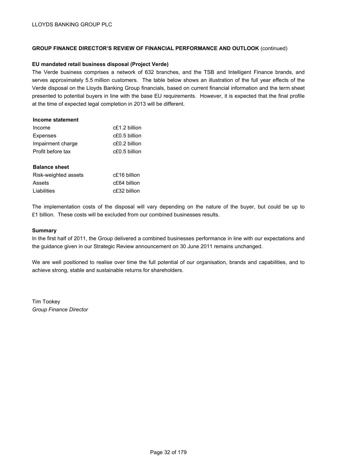# **EU mandated retail business disposal (Project Verde)**

The Verde business comprises a network of 632 branches, and the TSB and Intelligent Finance brands, and serves approximately 5.5 million customers. The table below shows an illustration of the full year effects of the Verde disposal on the Lloyds Banking Group financials, based on current financial information and the term sheet presented to potential buyers in line with the base EU requirements. However, it is expected that the final profile at the time of expected legal completion in 2013 will be different.

| Income statement     |                 |
|----------------------|-----------------|
| Income               | $c£1.2$ billion |
| Expenses             | $c£0.5$ billion |
| Impairment charge    | c£0.2 billion   |
| Profit before tax    | c£0.5 billion   |
|                      |                 |
| <b>Balance sheet</b> |                 |
| Risk-weighted assets | c£16 billion    |
| Assets               | c£64 billion    |
| Liabilities          | c£32 billion    |

The implementation costs of the disposal will vary depending on the nature of the buyer, but could be up to £1 billion. These costs will be excluded from our combined businesses results.

#### **Summary**

In the first half of 2011, the Group delivered a combined businesses performance in line with our expectations and the guidance given in our Strategic Review announcement on 30 June 2011 remains unchanged.

We are well positioned to realise over time the full potential of our organisation, brands and capabilities, and to achieve strong, stable and sustainable returns for shareholders.

Tim Tookey *Group Finance Director*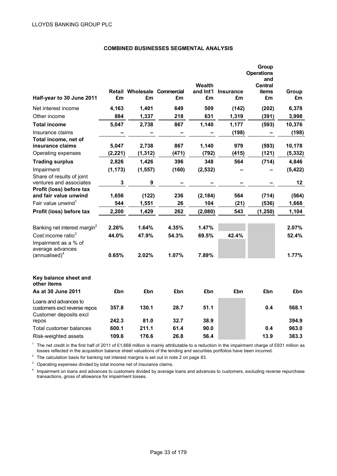# **COMBINED BUSINESSES SEGMENTAL ANALYSIS**

| Half-year to 30 June 2011                                                           | £m           | Retail Wholesale Commercial<br>£m | £m        | Wealth<br>and Int'l<br>£m | <b>Insurance</b><br>£m | Group<br><b>Operations</b><br>and<br><b>Central</b><br>items<br>£m | Group<br>£m    |
|-------------------------------------------------------------------------------------|--------------|-----------------------------------|-----------|---------------------------|------------------------|--------------------------------------------------------------------|----------------|
| Net interest income                                                                 | 4,163        | 1,401                             | 649       | 509                       | (142)                  | (202)                                                              | 6,378          |
| Other income                                                                        | 884          | 1,337                             | 218       | 631                       | 1,319                  | (391)                                                              | 3,998          |
| <b>Total income</b>                                                                 | 5,047        | 2,738                             | 867       | 1,140                     | 1,177                  | (593)                                                              | 10,376         |
| Insurance claims                                                                    |              |                                   |           |                           | (198)                  |                                                                    | (198)          |
| Total income, net of                                                                |              |                                   |           |                           |                        |                                                                    |                |
| insurance claims                                                                    | 5,047        | 2,738                             | 867       | 1,140                     | 979                    | (593)                                                              | 10,178         |
| Operating expenses                                                                  | (2, 221)     | (1, 312)                          | (471)     | (792)                     | (415)                  | (121)                                                              | (5, 332)       |
| <b>Trading surplus</b>                                                              | 2,826        | 1,426                             | 396       | 348                       | 564                    | (714)                                                              | 4,846          |
| Impairment                                                                          | (1, 173)     | (1, 557)                          | (160)     | (2, 532)                  |                        |                                                                    | (5, 422)       |
| Share of results of joint<br>ventures and associates                                | 3            | 9                                 |           |                           |                        |                                                                    | 12             |
| Profit (loss) before tax<br>and fair value unwind<br>Fair value unwind <sup>1</sup> | 1,656<br>544 | (122)<br>1,551                    | 236<br>26 | (2, 184)<br>104           | 564<br>(21)            | (714)<br>(536)                                                     | (564)<br>1,668 |
| Profit (loss) before tax                                                            | 2,200        | 1,429                             | 262       | (2,080)                   | 543                    | (1, 250)                                                           | 1,104          |
|                                                                                     |              |                                   |           |                           |                        |                                                                    |                |
| Banking net interest margin <sup>2</sup>                                            | 2.26%        | 1.64%                             | 4.35%     | 1.47%                     |                        |                                                                    | 2.07%          |
| Cost:income ratio <sup>3</sup>                                                      | 44.0%        | 47.9%                             | 54.3%     | 69.5%                     | 42.4%                  |                                                                    | 52.4%          |
| Impairment as a % of<br>average advances<br>(annualised) <sup>4</sup>               | 0.65%        | 2.02%                             | 1.07%     | 7.89%                     |                        |                                                                    | 1.77%          |
| Key balance sheet and<br>other items<br>As at 30 June 2011                          | £bn          | £bn                               | £bn       | £bn                       | £bn                    | £bn                                                                | £bn            |
| Loans and advances to                                                               |              |                                   |           |                           |                        |                                                                    |                |
| customers excl reverse repos<br>Customer deposits excl                              | 357.8        | 130.1                             | 28.7      | 51.1                      |                        | 0.4                                                                | 568.1          |
| repos                                                                               | 242.3        | 81.0                              | 32.7      | 38.9                      |                        |                                                                    | 394.9          |
| Total customer balances                                                             | 600.1        | 211.1                             | 61.4      | 90.0                      |                        | 0.4                                                                | 963.0          |
| Risk-weighted assets                                                                | 109.6        | 176.6                             | 26.8      | 56.4                      |                        | 13.9                                                               | 383.3          |

<sup>1</sup> The net credit in the first half of 2011 of £1,668 million is mainly attributable to a reduction in the impairment charge of £931 million as losses reflected in the acquisition balance sheet valuations of the lending and securities portfolios have been incurred.

<sup>2</sup> The calculation basis for banking net interest margins is set out in note 2 on page 83.<br><sup>3</sup> Operating expenses divided by tatal income not of insurance claims

<sup>3</sup> Operating expenses divided by total income net of insurance claims.

<sup>4</sup> Impairment on loans and advances to customers divided by average loans and advances to customers, excluding reverse repurchase transactions, gross of allowance for impairment losses.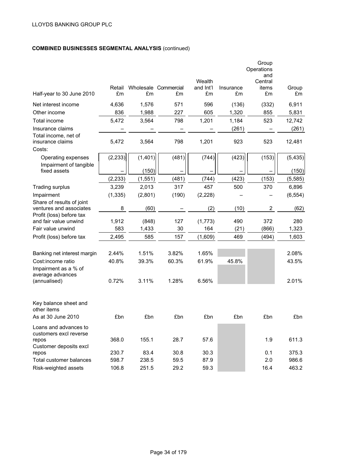# **COMBINED BUSINESSES SEGMENTAL ANALYSIS** (continued)

| Half-year to 30 June 2010                                                        | Retail<br>£m | £m       | Wholesale Commercial<br>£m | Wealth<br>and Int'l<br>£m | Insurance<br>£m | Group<br>Operations<br>and<br>Central<br>items<br>£m | Group<br>£m |
|----------------------------------------------------------------------------------|--------------|----------|----------------------------|---------------------------|-----------------|------------------------------------------------------|-------------|
| Net interest income                                                              | 4,636        | 1,576    | 571                        | 596                       | (136)           | (332)                                                | 6,911       |
| Other income                                                                     | 836          | 1,988    | 227                        | 605                       | 1,320           | 855                                                  | 5,831       |
| Total income                                                                     | 5,472        | 3,564    | 798                        | 1,201                     | 1,184           | 523                                                  | 12,742      |
| Insurance claims                                                                 |              |          |                            |                           | (261)           |                                                      | (261)       |
| Total income, net of<br>insurance claims                                         | 5,472        | 3,564    | 798                        | 1,201                     | 923             | 523                                                  | 12,481      |
| Costs:<br>Operating expenses<br>Impairment of tangible                           | (2, 233)     | (1,401)  | (481)                      | (744)                     | (423)           | (153)                                                | (5, 435)    |
| fixed assets                                                                     |              | (150)    |                            |                           |                 |                                                      | (150)       |
|                                                                                  | (2, 233)     | (1, 551) | (481)                      | (744)                     | (423)           | (153)                                                | (5, 585)    |
| <b>Trading surplus</b>                                                           | 3,239        | 2,013    | 317                        | 457                       | 500             | 370                                                  | 6,896       |
| Impairment                                                                       | (1, 335)     | (2,801)  | (190)                      | (2, 228)                  |                 |                                                      | (6, 554)    |
| Share of results of joint<br>ventures and associates<br>Profit (loss) before tax | 8            | (60)     |                            | (2)                       | (10)            | $\overline{2}$                                       | (62)        |
| and fair value unwind                                                            | 1,912        | (848)    | 127                        | (1, 773)                  | 490             | 372                                                  | 280         |
| Fair value unwind                                                                | 583          | 1,433    | 30                         | 164                       | (21)            | (866)                                                | 1,323       |
| Profit (loss) before tax                                                         | 2,495        | 585      | 157                        | (1,609)                   | 469             | (494)                                                | 1,603       |
| Banking net interest margin                                                      | 2.44%        | 1.51%    | 3.82%                      | 1.65%                     |                 |                                                      | 2.08%       |
| Cost:income ratio<br>Impairment as a % of<br>average advances                    | 40.8%        | 39.3%    | 60.3%                      | 61.9%                     | 45.8%           |                                                      | 43.5%       |
| (annualised)                                                                     | 0.72%        | 3.11%    | 1.28%                      | 6.56%                     |                 |                                                      | 2.01%       |
| Key balance sheet and<br>other items                                             |              |          |                            |                           |                 |                                                      |             |
| As at 30 June 2010                                                               | £bn          | £bn      | £bn                        | £bn                       | £bn             | £bn                                                  | £bn         |
| Loans and advances to<br>customers excl reverse                                  |              |          |                            |                           |                 |                                                      |             |
| repos<br>Customer deposits excl                                                  | 368.0        | 155.1    | 28.7                       | 57.6                      |                 | 1.9                                                  | 611.3       |
| repos                                                                            | 230.7        | 83.4     | 30.8                       | 30.3                      |                 | 0.1                                                  | 375.3       |
| <b>Total customer balances</b>                                                   | 598.7        | 238.5    | 59.5                       | 87.9                      |                 | 2.0                                                  | 986.6       |
| Risk-weighted assets                                                             | 106.8        | 251.5    | 29.2                       | 59.3                      |                 | 16.4                                                 | 463.2       |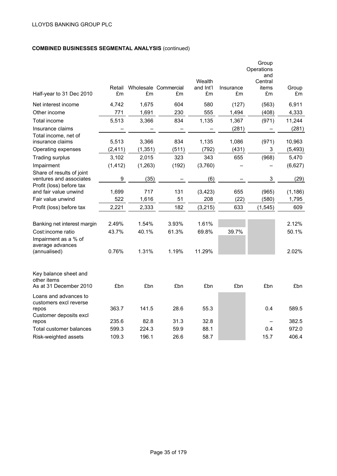# **COMBINED BUSINESSES SEGMENTAL ANALYSIS** (continued)

| Half-year to 31 Dec 2010                                                         | Retail<br>£m | £m       | Wholesale Commercial<br>£m | Wealth<br>and Int'l<br>£m | Insurance<br>£m | Group<br>Operations<br>and<br>Central<br>items<br>£m | Group<br>£m |
|----------------------------------------------------------------------------------|--------------|----------|----------------------------|---------------------------|-----------------|------------------------------------------------------|-------------|
| Net interest income                                                              | 4,742        | 1,675    | 604                        | 580                       | (127)           | (563)                                                | 6,911       |
| Other income                                                                     | 771          | 1,691    | 230                        | 555                       | 1,494           | (408)                                                | 4,333       |
| <b>Total income</b>                                                              | 5,513        | 3,366    | 834                        | 1,135                     | 1,367           | (971)                                                | 11,244      |
| Insurance claims                                                                 |              |          |                            |                           | (281)           |                                                      | (281)       |
| Total income, net of<br>insurance claims                                         | 5,513        | 3,366    | 834                        | 1,135                     | 1,086           | (971)                                                | 10,963      |
| Operating expenses                                                               | (2, 411)     | (1, 351) | (511)                      | (792)                     | (431)           | 3                                                    | (5, 493)    |
| <b>Trading surplus</b>                                                           | 3,102        | 2,015    | 323                        | 343                       | 655             | (968)                                                | 5,470       |
| Impairment                                                                       | (1, 412)     | (1, 263) | (192)                      | (3,760)                   |                 |                                                      | (6,627)     |
| Share of results of joint<br>ventures and associates<br>Profit (loss) before tax | 9            | (35)     |                            | (6)                       |                 | 3                                                    | (29)        |
| and fair value unwind                                                            | 1,699        | 717      | 131                        | (3, 423)                  | 655             | (965)                                                | (1, 186)    |
| Fair value unwind                                                                | 522          | 1,616    | 51                         | 208                       | (22)            | (580)                                                | 1,795       |
| Profit (loss) before tax                                                         | 2,221        | 2,333    | 182                        | (3, 215)                  | 633             | (1, 545)                                             | 609         |
| Banking net interest margin                                                      | 2.49%        | 1.54%    | 3.93%                      | 1.61%                     |                 |                                                      | 2.12%       |
| Cost:income ratio<br>Impairment as a % of                                        | 43.7%        | 40.1%    | 61.3%                      | 69.8%                     | 39.7%           |                                                      | 50.1%       |
| average advances<br>(annualised)                                                 | 0.76%        | 1.31%    | 1.19%                      | 11.29%                    |                 |                                                      | 2.02%       |
| Key balance sheet and<br>other items<br>As at 31 December 2010                   | £bn          | £bn      | £bn                        | £bn                       | £bn             | £bn                                                  | £bn         |
| Loans and advances to<br>customers excl reverse                                  |              |          |                            |                           |                 |                                                      |             |
| repos<br>Customer deposits excl                                                  | 363.7        | 141.5    | 28.6                       | 55.3                      |                 | 0.4                                                  | 589.5       |
| repos                                                                            | 235.6        | 82.8     | 31.3                       | 32.8                      |                 |                                                      | 382.5       |
| Total customer balances                                                          | 599.3        | 224.3    | 59.9                       | 88.1                      |                 | 0.4                                                  | 972.0       |
| Risk-weighted assets                                                             | 109.3        | 196.1    | 26.6                       | 58.7                      |                 | 15.7                                                 | 406.4       |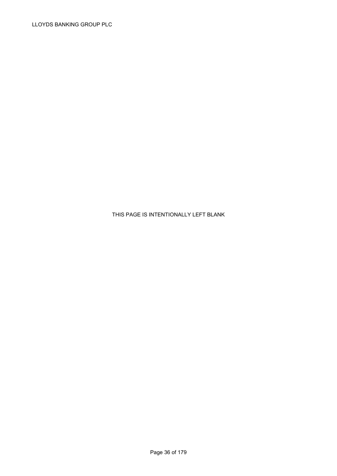THIS PAGE IS INTENTIONALLY LEFT BLANK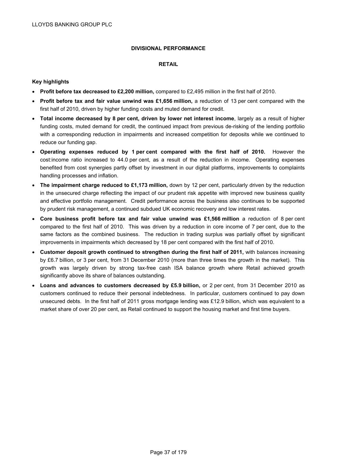# **DIVISIONAL PERFORMANCE**

# **RETAIL**

# **Key highlights**

- **Profit before tax decreased to £2,200 million,** compared to £2,495 million in the first half of 2010.
- **Profit before tax and fair value unwind was £1,656 million,** a reduction of 13 per cent compared with the first half of 2010, driven by higher funding costs and muted demand for credit.
- **Total income decreased by 8 per cent, driven by lower net interest income, largely as a result of higher** funding costs, muted demand for credit, the continued impact from previous de-risking of the lending portfolio with a corresponding reduction in impairments and increased competition for deposits while we continued to reduce our funding gap.
- x **Operating expenses reduced by 1 per cent compared with the first half of 2010.** However the cost:income ratio increased to 44.0 per cent, as a result of the reduction in income. Operating expenses benefited from cost synergies partly offset by investment in our digital platforms, improvements to complaints handling processes and inflation.
- The impairment charge reduced to £1,173 million, down by 12 per cent, particularly driven by the reduction in the unsecured charge reflecting the impact of our prudent risk appetite with improved new business quality and effective portfolio management. Credit performance across the business also continues to be supported by prudent risk management, a continued subdued UK economic recovery and low interest rates.
- x **Core business profit before tax and fair value unwind was £1,566 million** a reduction of 8 per cent compared to the first half of 2010. This was driven by a reduction in core income of 7 per cent, due to the same factors as the combined business. The reduction in trading surplus was partially offset by significant improvements in impairments which decreased by 18 per cent compared with the first half of 2010.
- x **Customer deposit growth continued to strengthen during the first half of 2011,** with balances increasing by £6.7 billion, or 3 per cent, from 31 December 2010 (more than three times the growth in the market). This growth was largely driven by strong tax-free cash ISA balance growth where Retail achieved growth significantly above its share of balances outstanding.
- x **Loans and advances to customers decreased by £5.9 billion,** or 2 per cent, from 31 December 2010 as customers continued to reduce their personal indebtedness. In particular, customers continued to pay down unsecured debts. In the first half of 2011 gross mortgage lending was £12.9 billion, which was equivalent to a market share of over 20 per cent, as Retail continued to support the housing market and first time buyers.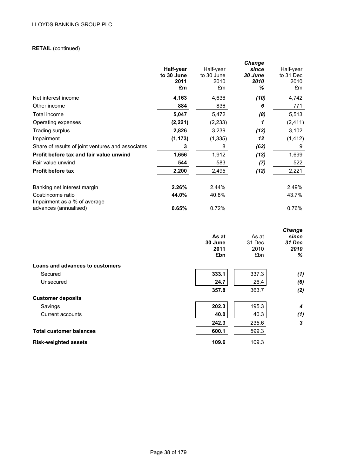|                                                   | Half-year<br>to 30 June<br>2011<br>£m | Half-year<br>to 30 June<br>2010<br>£m | Change<br>since<br>30 June<br>2010<br>℅ | Half-year<br>to 31 Dec<br>2010<br>£m |
|---------------------------------------------------|---------------------------------------|---------------------------------------|-----------------------------------------|--------------------------------------|
| Net interest income                               | 4,163                                 | 4,636                                 | (10)                                    | 4,742                                |
| Other income                                      | 884                                   | 836                                   | 6                                       | 771                                  |
| Total income                                      | 5,047                                 | 5,472                                 | (8)                                     | 5,513                                |
| Operating expenses                                | (2, 221)                              | (2,233)                               | 1                                       | (2, 411)                             |
| Trading surplus                                   | 2,826                                 | 3,239                                 | (13)                                    | 3,102                                |
| Impairment                                        | (1, 173)                              | (1, 335)                              | 12                                      | (1, 412)                             |
| Share of results of joint ventures and associates | 3                                     | 8                                     | (63)                                    | 9                                    |
| Profit before tax and fair value unwind           | 1,656                                 | 1,912                                 | (13)                                    | 1,699                                |
| Fair value unwind                                 | 544                                   | 583                                   | (7)                                     | 522                                  |
| <b>Profit before tax</b>                          | 2,200                                 | 2,495                                 | (12)                                    | 2,221                                |
| Banking net interest margin                       | 2.26%                                 | 2.44%                                 |                                         | 2.49%                                |
| Cost:income ratio<br>Impairment as a % of average | 44.0%                                 | 40.8%                                 |                                         | 43.7%                                |
| advances (annualised)                             | 0.65%                                 | 0.72%                                 |                                         | 0.76%                                |

|                                 | As at<br>30 June<br>2011<br>£bn | As at<br>31 Dec<br>2010<br>£bn | <b>Change</b><br>since<br>31 Dec<br>2010<br>% |
|---------------------------------|---------------------------------|--------------------------------|-----------------------------------------------|
| Loans and advances to customers |                                 |                                |                                               |
| Secured                         | 333.1                           | 337.3                          | (1)                                           |
| Unsecured                       | 24.7                            | 26.4                           | (6)                                           |
|                                 | 357.8                           | 363.7                          | (2)                                           |
| <b>Customer deposits</b>        |                                 |                                |                                               |
| Savings                         | 202.3                           | 195.3                          | 4                                             |
| Current accounts                | 40.0                            | 40.3                           | (1)                                           |
|                                 | 242.3                           | 235.6                          | 3                                             |
| <b>Total customer balances</b>  | 600.1                           | 599.3                          |                                               |
| <b>Risk-weighted assets</b>     | 109.6                           | 109.3                          |                                               |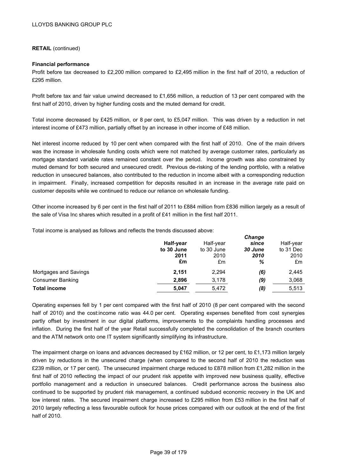### **Financial performance**

Profit before tax decreased to £2,200 million compared to £2,495 million in the first half of 2010, a reduction of £295 million.

Profit before tax and fair value unwind decreased to £1,656 million, a reduction of 13 per cent compared with the first half of 2010, driven by higher funding costs and the muted demand for credit.

Total income decreased by £425 million, or 8 per cent, to £5,047 million. This was driven by a reduction in net interest income of £473 million, partially offset by an increase in other income of £48 million.

Net interest income reduced by 10 per cent when compared with the first half of 2010. One of the main drivers was the increase in wholesale funding costs which were not matched by average customer rates, particularly as mortgage standard variable rates remained constant over the period. Income growth was also constrained by muted demand for both secured and unsecured credit. Previous de-risking of the lending portfolio, with a relative reduction in unsecured balances, also contributed to the reduction in income albeit with a corresponding reduction in impairment. Finally, increased competition for deposits resulted in an increase in the average rate paid on customer deposits while we continued to reduce our reliance on wholesale funding.

Other income increased by 6 per cent in the first half of 2011 to £884 million from £836 million largely as a result of the sale of Visa Inc shares which resulted in a profit of £41 million in the first half 2011.

Total income is analysed as follows and reflects the trends discussed above:

|                         |            |            | <b>Change</b> |           |
|-------------------------|------------|------------|---------------|-----------|
|                         | Half-year  | Half-year  | since         | Half-year |
|                         | to 30 June | to 30 June | 30 June       | to 31 Dec |
|                         | 2011       | 2010       | 2010          | 2010      |
|                         | £m         | £m         | %             | £m        |
| Mortgages and Savings   | 2,151      | 2,294      | (6)           | 2,445     |
| <b>Consumer Banking</b> | 2,896      | 3,178      | (9)           | 3,068     |
| <b>Total income</b>     | 5,047      | 5,472      | (8)           | 5,513     |

Operating expenses fell by 1 per cent compared with the first half of 2010 (8 per cent compared with the second half of 2010) and the cost:income ratio was 44.0 per cent. Operating expenses benefited from cost synergies partly offset by investment in our digital platforms, improvements to the complaints handling processes and inflation. During the first half of the year Retail successfully completed the consolidation of the branch counters and the ATM network onto one IT system significantly simplifying its infrastructure.

The impairment charge on loans and advances decreased by £162 million, or 12 per cent, to £1,173 million largely driven by reductions in the unsecured charge (when compared to the second half of 2010 the reduction was £239 million, or 17 per cent). The unsecured impairment charge reduced to £878 million from £1,282 million in the first half of 2010 reflecting the impact of our prudent risk appetite with improved new business quality, effective portfolio management and a reduction in unsecured balances. Credit performance across the business also continued to be supported by prudent risk management, a continued subdued economic recovery in the UK and low interest rates. The secured impairment charge increased to £295 million from £53 million in the first half of 2010 largely reflecting a less favourable outlook for house prices compared with our outlook at the end of the first half of 2010.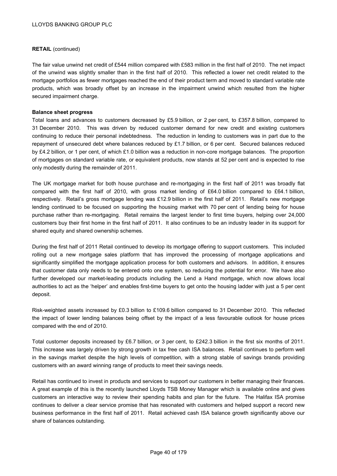The fair value unwind net credit of £544 million compared with £583 million in the first half of 2010. The net impact of the unwind was slightly smaller than in the first half of 2010. This reflected a lower net credit related to the mortgage portfolios as fewer mortgages reached the end of their product term and moved to standard variable rate products, which was broadly offset by an increase in the impairment unwind which resulted from the higher secured impairment charge.

#### **Balance sheet progress**

Total loans and advances to customers decreased by £5.9 billion, or 2 per cent, to £357.8 billion, compared to 31 December 2010. This was driven by reduced customer demand for new credit and existing customers continuing to reduce their personal indebtedness. The reduction in lending to customers was in part due to the repayment of unsecured debt where balances reduced by £1.7 billion, or 6 per cent. Secured balances reduced by £4.2 billion, or 1 per cent, of which £1.0 billion was a reduction in non-core mortgage balances. The proportion of mortgages on standard variable rate, or equivalent products, now stands at 52 per cent and is expected to rise only modestly during the remainder of 2011.

The UK mortgage market for both house purchase and re-mortgaging in the first half of 2011 was broadly flat compared with the first half of 2010, with gross market lending of £64.0 billion compared to £64.1 billion, respectively. Retail's gross mortgage lending was £12.9 billion in the first half of 2011. Retail's new mortgage lending continued to be focused on supporting the housing market with 70 per cent of lending being for house purchase rather than re-mortgaging. Retail remains the largest lender to first time buyers, helping over 24,000 customers buy their first home in the first half of 2011. It also continues to be an industry leader in its support for shared equity and shared ownership schemes.

During the first half of 2011 Retail continued to develop its mortgage offering to support customers. This included rolling out a new mortgage sales platform that has improved the processing of mortgage applications and significantly simplified the mortgage application process for both customers and advisors. In addition, it ensures that customer data only needs to be entered onto one system, so reducing the potential for error. We have also further developed our market-leading products including the Lend a Hand mortgage, which now allows local authorities to act as the 'helper' and enables first-time buyers to get onto the housing ladder with just a 5 per cent deposit.

Risk-weighted assets increased by £0.3 billion to £109.6 billion compared to 31 December 2010. This reflected the impact of lower lending balances being offset by the impact of a less favourable outlook for house prices compared with the end of 2010.

Total customer deposits increased by £6.7 billion, or 3 per cent, to £242.3 billion in the first six months of 2011. This increase was largely driven by strong growth in tax free cash ISA balances. Retail continues to perform well in the savings market despite the high levels of competition, with a strong stable of savings brands providing customers with an award winning range of products to meet their savings needs.

Retail has continued to invest in products and services to support our customers in better managing their finances. A great example of this is the recently launched Lloyds TSB Money Manager which is available online and gives customers an interactive way to review their spending habits and plan for the future. The Halifax ISA promise continues to deliver a clear service promise that has resonated with customers and helped support a record new business performance in the first half of 2011. Retail achieved cash ISA balance growth significantly above our share of balances outstanding.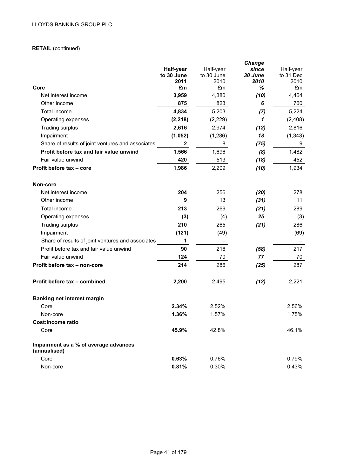|                                                       |                  |            | <b>Change</b> |               |
|-------------------------------------------------------|------------------|------------|---------------|---------------|
|                                                       | Half-year        | Half-year  | since         | Half-year     |
|                                                       | to 30 June       | to 30 June | 30 June       | to 31 Dec     |
| Core                                                  | 2011<br>£m       | 2010<br>£m | 2010<br>%     | 2010<br>£m    |
| Net interest income                                   | 3,959            | 4,380      | (10)          | 4,464         |
| Other income                                          | 875              | 823        | 6             | 760           |
| Total income                                          | 4,834            | 5,203      | (7)           | 5,224         |
| Operating expenses                                    | (2, 218)         | (2, 229)   | 1             | (2,408)       |
| <b>Trading surplus</b>                                | 2,616            | 2,974      | (12)          | 2,816         |
| Impairment                                            | (1, 052)         | (1,286)    | 18            |               |
| Share of results of joint ventures and associates     | $\boldsymbol{2}$ | 8          | (75)          | (1, 343)<br>9 |
| Profit before tax and fair value unwind               | 1,566            | 1,696      | (8)           | 1,482         |
| Fair value unwind                                     | 420              | 513        | (18)          | 452           |
| Profit before tax - core                              | 1,986            | 2,209      | (10)          | 1,934         |
|                                                       |                  |            |               |               |
| Non-core                                              |                  |            |               |               |
| Net interest income                                   | 204              | 256        | (20)          | 278           |
| Other income                                          | 9                | 13         | (31)          | 11            |
| Total income                                          | 213              | 269        | (21)          | 289           |
| Operating expenses                                    | (3)              | (4)        | 25            | (3)           |
| <b>Trading surplus</b>                                | 210              | 265        | (21)          | 286           |
| Impairment                                            | (121)            | (49)       |               | (69)          |
| Share of results of joint ventures and associates     | 1                |            |               |               |
| Profit before tax and fair value unwind               | 90               | 216        | (58)          | 217           |
| Fair value unwind                                     | 124              | 70         | 77            | 70            |
| Profit before tax - non-core                          | 214              | 286        | (25)          | 287           |
| Profit before tax - combined                          | 2,200            | 2,495      | (12)          | 2,221         |
| Banking net interest margin                           |                  |            |               |               |
| Core                                                  | 2.34%            | 2.52%      |               | 2.56%         |
| Non-core                                              | 1.36%            | 1.57%      |               | 1.75%         |
| <b>Cost:income ratio</b>                              |                  |            |               |               |
| Core                                                  | 45.9%            | 42.8%      |               | 46.1%         |
| Impairment as a % of average advances<br>(annualised) |                  |            |               |               |
| Core                                                  | 0.63%            | 0.76%      |               | 0.79%         |
| Non-core                                              | 0.81%            | 0.30%      |               | 0.43%         |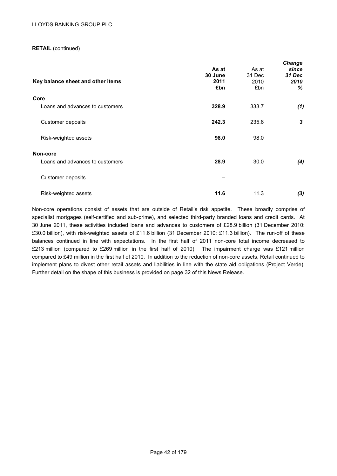| Key balance sheet and other items | As at<br>30 June<br>2011<br>£bn | As at<br>31 Dec<br>2010<br>£bn | <b>Change</b><br>since<br>31 Dec<br>2010<br>% |
|-----------------------------------|---------------------------------|--------------------------------|-----------------------------------------------|
| Core                              |                                 |                                |                                               |
| Loans and advances to customers   | 328.9                           | 333.7                          | (1)                                           |
| Customer deposits                 | 242.3                           | 235.6                          | 3                                             |
| Risk-weighted assets              | 98.0                            | 98.0                           |                                               |
| Non-core                          |                                 |                                |                                               |
| Loans and advances to customers   | 28.9                            | 30.0                           | (4)                                           |
| Customer deposits                 |                                 |                                |                                               |
| Risk-weighted assets              | 11.6                            | 11.3                           | (3)                                           |

Non-core operations consist of assets that are outside of Retail's risk appetite. These broadly comprise of specialist mortgages (self-certified and sub-prime), and selected third-party branded loans and credit cards. At 30 June 2011, these activities included loans and advances to customers of £28.9 billion (31 December 2010: £30.0 billion), with risk-weighted assets of £11.6 billion (31 December 2010: £11.3 billion). The run-off of these balances continued in line with expectations. In the first half of 2011 non-core total income decreased to £213 million (compared to £269 million in the first half of 2010). The impairment charge was £121 million compared to £49 million in the first half of 2010. In addition to the reduction of non-core assets, Retail continued to implement plans to divest other retail assets and liabilities in line with the state aid obligations (Project Verde). Further detail on the shape of this business is provided on page 32 of this News Release.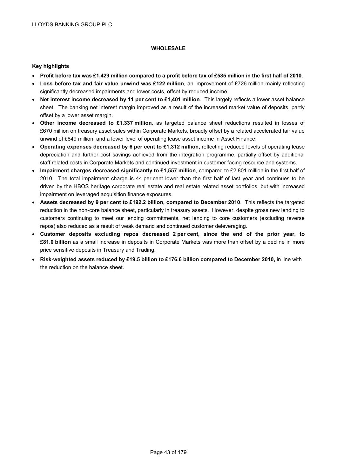### **WHOLESALE**

# **Key highlights**

- x **Profit before tax was £1,429 million compared to a profit before tax of £585 million in the first half of 2010**.
- **Loss before tax and fair value unwind was £122 million**, an improvement of £726 million mainly reflecting significantly decreased impairments and lower costs, offset by reduced income.
- **Net interest income decreased by 11 per cent to £1,401 million**. This largely reflects a lower asset balance sheet. The banking net interest margin improved as a result of the increased market value of deposits, partly offset by a lower asset margin.
- x **Other income decreased to £1,337 million**, as targeted balance sheet reductions resulted in losses of £670 million on treasury asset sales within Corporate Markets, broadly offset by a related accelerated fair value unwind of £649 million, and a lower level of operating lease asset income in Asset Finance.
- Operating expenses decreased by 6 per cent to £1,312 million, reflecting reduced levels of operating lease depreciation and further cost savings achieved from the integration programme, partially offset by additional staff related costs in Corporate Markets and continued investment in customer facing resource and systems.
- x **Impairment charges decreased significantly to £1,557 million**, compared to £2,801 million in the first half of 2010. The total impairment charge is 44 per cent lower than the first half of last year and continues to be driven by the HBOS heritage corporate real estate and real estate related asset portfolios, but with increased impairment on leveraged acquisition finance exposures.
- **Assets decreased by 9 per cent to £192.2 billion, compared to December 2010**. This reflects the targeted reduction in the non-core balance sheet, particularly in treasury assets. However, despite gross new lending to customers continuing to meet our lending commitments, net lending to core customers (excluding reverse repos) also reduced as a result of weak demand and continued customer deleveraging.
- x **Customer deposits excluding repos decreased 2 per cent, since the end of the prior year, to £81.0 billion** as a small increase in deposits in Corporate Markets was more than offset by a decline in more price sensitive deposits in Treasury and Trading.
- **Risk-weighted assets reduced by £19.5 billion to £176.6 billion compared to December 2010, in line with** the reduction on the balance sheet.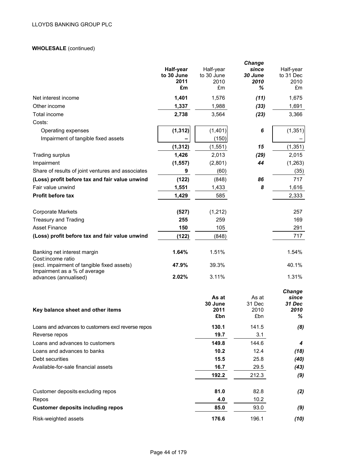|                                                       |            |            | <b>Change</b> |               |
|-------------------------------------------------------|------------|------------|---------------|---------------|
|                                                       | Half-year  | Half-year  | since         | Half-year     |
|                                                       | to 30 June | to 30 June | 30 June       | to 31 Dec     |
|                                                       | 2011       | 2010       | 2010          | 2010          |
|                                                       | £m         | £m         | %             | £m            |
| Net interest income                                   | 1,401      | 1,576      | (11)          | 1,675         |
| Other income                                          | 1,337      | 1,988      | (33)          | 1,691         |
| Total income                                          | 2,738      | 3,564      | (23)          | 3,366         |
| Costs:                                                |            |            |               |               |
| Operating expenses                                    | (1, 312)   | (1,401)    | 6             | (1, 351)      |
| Impairment of tangible fixed assets                   |            | (150)      |               |               |
|                                                       | (1, 312)   | (1, 551)   | 15            | (1, 351)      |
| Trading surplus                                       | 1,426      | 2,013      | (29)          | 2,015         |
| Impairment                                            | (1, 557)   | (2,801)    | 44            | (1, 263)      |
| Share of results of joint ventures and associates     | 9          | (60)       |               | (35)          |
| (Loss) profit before tax and fair value unwind        | (122)      | (848)      | 86            | 717           |
| Fair value unwind                                     | 1,551      | 1,433      | 8             | 1,616         |
| Profit before tax                                     | 1,429      | 585        |               | 2,333         |
|                                                       |            |            |               |               |
| <b>Corporate Markets</b>                              | (527)      | (1,212)    |               | 257           |
| <b>Treasury and Trading</b>                           | 255        | 259        |               | 169           |
| <b>Asset Finance</b>                                  | 150        | 105        |               | 291           |
| (Loss) profit before tax and fair value unwind        | (122)      | (848)      |               | 717           |
|                                                       |            |            |               |               |
| Banking net interest margin                           | 1.64%      | 1.51%      |               | 1.54%         |
| Cost:income ratio                                     |            |            |               |               |
| (excl. impairment of tangible fixed assets)           | 47.9%      | 39.3%      |               | 40.1%         |
| Impairment as a % of average<br>advances (annualised) | 2.02%      | 3.11%      |               | 1.31%         |
|                                                       |            |            |               |               |
|                                                       |            |            |               | <b>Change</b> |
|                                                       |            | As at      | As at         | since         |
|                                                       |            | 30 June    | 31 Dec        | 31 Dec        |
| Key balance sheet and other items                     |            | 2011       | 2010          | 2010          |
|                                                       |            | £bn        | £bn           | ℅             |
| Loans and advances to customers excl reverse repos    |            | 130.1      | 141.5         | (8)           |
| Reverse repos                                         |            | 19.7       | 3.1           |               |
| Loans and advances to customers                       |            | 149.8      | 144.6         | 4             |
| Loans and advances to banks                           |            | 10.2       | 12.4          | (18)          |
| Debt securities                                       |            | 15.5       | 25.8          | (40)          |
| Available-for-sale financial assets                   |            | 16.7       | 29.5          | (43)          |
|                                                       |            | 192.2      | 212.3         | (9)           |
|                                                       |            |            |               |               |
| Customer deposits excluding repos                     |            | 81.0       | 82.8          | (2)           |
| Repos                                                 |            | 4.0        | 10.2          |               |
| <b>Customer deposits including repos</b>              |            | 85.0       | 93.0          | (9)           |
|                                                       |            | 176.6      | 196.1         |               |
| Risk-weighted assets                                  |            |            |               | (10)          |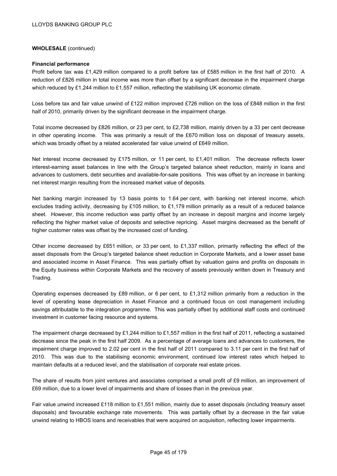### **Financial performance**

Profit before tax was £1,429 million compared to a profit before tax of £585 million in the first half of 2010. A reduction of £826 million in total income was more than offset by a significant decrease in the impairment charge which reduced by £1,244 million to £1,557 million, reflecting the stabilising UK economic climate.

Loss before tax and fair value unwind of £122 million improved £726 million on the loss of £848 million in the first half of 2010, primarily driven by the significant decrease in the impairment charge.

Total income decreased by £826 million, or 23 per cent, to £2,738 million, mainly driven by a 33 per cent decrease in other operating income. This was primarily a result of the £670 million loss on disposal of treasury assets, which was broadly offset by a related accelerated fair value unwind of £649 million.

Net interest income decreased by £175 million, or 11 per cent, to £1,401 million. The decrease reflects lower interest-earning asset balances in line with the Group's targeted balance sheet reduction, mainly in loans and advances to customers, debt securities and available-for-sale positions. This was offset by an increase in banking net interest margin resulting from the increased market value of deposits.

Net banking margin increased by 13 basis points to 1.64 per cent, with banking net interest income, which excludes trading activity, decreasing by £105 million, to £1,179 million primarily as a result of a reduced balance sheet. However, this income reduction was partly offset by an increase in deposit margins and income largely reflecting the higher market value of deposits and selective repricing. Asset margins decreased as the benefit of higher customer rates was offset by the increased cost of funding.

Other income decreased by £651 million, or 33 per cent, to £1,337 million, primarily reflecting the effect of the asset disposals from the Group's targeted balance sheet reduction in Corporate Markets, and a lower asset base and associated income in Asset Finance. This was partially offset by valuation gains and profits on disposals in the Equity business within Corporate Markets and the recovery of assets previously written down in Treasury and Trading.

Operating expenses decreased by £89 million, or 6 per cent, to £1,312 million primarily from a reduction in the level of operating lease depreciation in Asset Finance and a continued focus on cost management including savings attributable to the integration programme. This was partially offset by additional staff costs and continued investment in customer facing resource and systems.

The impairment charge decreased by £1,244 million to £1,557 million in the first half of 2011, reflecting a sustained decrease since the peak in the first half 2009. As a percentage of average loans and advances to customers, the impairment charge improved to 2.02 per cent in the first half of 2011 compared to 3.11 per cent in the first half of 2010. This was due to the stabilising economic environment, continued low interest rates which helped to maintain defaults at a reduced level, and the stabilisation of corporate real estate prices.

The share of results from joint ventures and associates comprised a small profit of £9 million, an improvement of £69 million, due to a lower level of impairments and share of losses than in the previous year.

Fair value unwind increased £118 million to £1,551 million, mainly due to asset disposals (including treasury asset disposals) and favourable exchange rate movements. This was partially offset by a decrease in the fair value unwind relating to HBOS loans and receivables that were acquired on acquisition, reflecting lower impairments.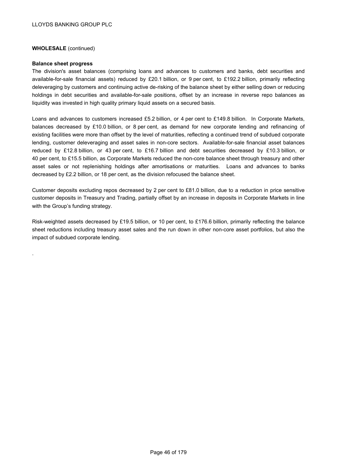#### **Balance sheet progress**

.

The division's asset balances (comprising loans and advances to customers and banks, debt securities and available-for-sale financial assets) reduced by £20.1 billion, or 9 per cent, to £192.2 billion, primarily reflecting deleveraging by customers and continuing active de-risking of the balance sheet by either selling down or reducing holdings in debt securities and available-for-sale positions, offset by an increase in reverse repo balances as liquidity was invested in high quality primary liquid assets on a secured basis.

Loans and advances to customers increased £5.2 billion, or 4 per cent to £149.8 billion. In Corporate Markets, balances decreased by £10.0 billion, or 8 per cent, as demand for new corporate lending and refinancing of existing facilities were more than offset by the level of maturities, reflecting a continued trend of subdued corporate lending, customer deleveraging and asset sales in non-core sectors. Available-for-sale financial asset balances reduced by £12.8 billion, or 43 per cent, to £16.7 billion and debt securities decreased by £10.3 billion, or 40 per cent, to £15.5 billion, as Corporate Markets reduced the non-core balance sheet through treasury and other asset sales or not replenishing holdings after amortisations or maturities. Loans and advances to banks decreased by £2.2 billion, or 18 per cent, as the division refocused the balance sheet.

Customer deposits excluding repos decreased by 2 per cent to £81.0 billion, due to a reduction in price sensitive customer deposits in Treasury and Trading, partially offset by an increase in deposits in Corporate Markets in line with the Group's funding strategy.

Risk-weighted assets decreased by £19.5 billion, or 10 per cent, to £176.6 billion, primarily reflecting the balance sheet reductions including treasury asset sales and the run down in other non-core asset portfolios, but also the impact of subdued corporate lending.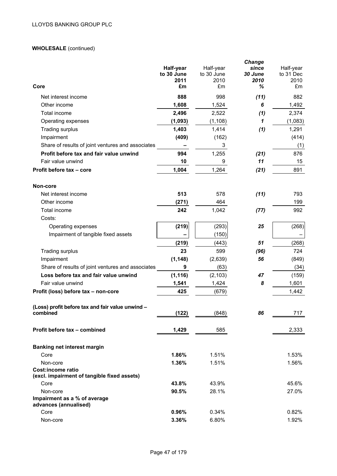|                                                                         | Half-year<br>to 30 June | Half-year<br>to 30 June | <b>Change</b><br>since<br>30 June | Half-year<br>to 31 Dec |
|-------------------------------------------------------------------------|-------------------------|-------------------------|-----------------------------------|------------------------|
| Core                                                                    | 2011<br>£m              | 2010<br>£m              | 2010<br>℅                         | 2010                   |
|                                                                         |                         |                         |                                   | £m                     |
| Net interest income                                                     | 888                     | 998                     | (11)                              | 882                    |
| Other income                                                            | 1,608                   | 1,524                   | 6                                 | 1,492                  |
| Total income                                                            | 2,496                   | 2,522                   | (1)                               | 2,374                  |
| Operating expenses                                                      | (1,093)                 | (1, 108)                | 1                                 | (1,083)                |
| Trading surplus                                                         | 1,403                   | 1,414                   | (1)                               | 1,291                  |
| Impairment                                                              | (409)                   | (162)                   |                                   | (414)                  |
| Share of results of joint ventures and associates                       |                         | 3                       |                                   | (1)                    |
| Profit before tax and fair value unwind                                 | 994                     | 1,255                   | (21)                              | 876                    |
| Fair value unwind                                                       | 10                      | 9                       | 11                                | 15                     |
| Profit before tax - core                                                | 1,004                   | 1,264                   | (21)                              | 891                    |
| Non-core                                                                |                         |                         |                                   |                        |
| Net interest income                                                     | 513                     | 578                     | (11)                              | 793                    |
| Other income                                                            | (271)                   | 464                     |                                   | 199                    |
| Total income                                                            | 242                     | 1,042                   | (77)                              | 992                    |
| Costs:                                                                  |                         |                         |                                   |                        |
| Operating expenses                                                      | (219)                   | (293)                   | 25                                | (268)                  |
| Impairment of tangible fixed assets                                     |                         | (150)                   |                                   |                        |
|                                                                         | (219)                   | (443)                   | 51                                | (268)                  |
| Trading surplus                                                         | 23                      | 599                     | (96)                              | 724                    |
| Impairment                                                              | (1, 148)                | (2,639)                 | 56                                | (849)                  |
| Share of results of joint ventures and associates                       | 9                       | (63)                    |                                   | (34)                   |
| Loss before tax and fair value unwind                                   | (1, 116)                | (2, 103)                | 47                                | (159)                  |
| Fair value unwind                                                       | 1,541                   | 1,424                   | 8                                 | 1,601                  |
| Profit (loss) before tax - non-core                                     | 425                     | (679)                   |                                   | 1,442                  |
| (Loss) profit before tax and fair value unwind -                        |                         |                         |                                   |                        |
| combined                                                                | (122)                   | (848)                   | 86                                | 717                    |
| Profit before tax - combined                                            | 1,429                   | 585                     |                                   | 2,333                  |
| Banking net interest margin                                             |                         |                         |                                   |                        |
| Core                                                                    | 1.86%                   | 1.51%                   |                                   | 1.53%                  |
| Non-core                                                                | 1.36%                   | 1.51%                   |                                   | 1.56%                  |
| <b>Cost:income ratio</b><br>(excl. impairment of tangible fixed assets) |                         |                         |                                   |                        |
| Core                                                                    | 43.8%                   | 43.9%                   |                                   | 45.6%                  |
| Non-core                                                                | 90.5%                   | 28.1%                   |                                   | 27.0%                  |
| Impairment as a % of average<br>advances (annualised)                   |                         |                         |                                   |                        |
| Core                                                                    | 0.96%                   | 0.34%                   |                                   | 0.82%                  |
| Non-core                                                                | 3.36%                   | 6.80%                   |                                   | 1.92%                  |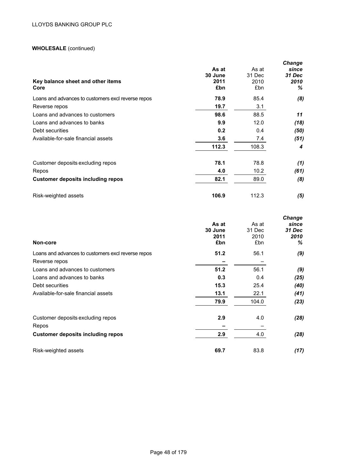|                                                    |         |        | <b>Change</b> |
|----------------------------------------------------|---------|--------|---------------|
|                                                    | As at   | As at  | since         |
|                                                    | 30 June | 31 Dec | 31 Dec        |
| Key balance sheet and other items                  | 2011    | 2010   | 2010          |
| Core                                               | £bn     | £bn    | ℅             |
| Loans and advances to customers excl reverse repos | 78.9    | 85.4   | (8)           |
| Reverse repos                                      | 19.7    | 3.1    |               |
| Loans and advances to customers                    | 98.6    | 88.5   | 11            |
| Loans and advances to banks                        | 9.9     | 12.0   | (18)          |
| Debt securities                                    | 0.2     | 0.4    | (50)          |
| Available-for-sale financial assets                | 3.6     | 7.4    | (51)          |
|                                                    | 112.3   | 108.3  | 4             |
| Customer deposits excluding repos                  | 78.1    | 78.8   | (1)           |
| Repos                                              | 4.0     | 10.2   | (61)          |
| <b>Customer deposits including repos</b>           | 82.1    | 89.0   | (8)           |
| Risk-weighted assets                               | 106.9   | 112.3  | (5)           |

|                                                    |         |        | <b>Change</b> |
|----------------------------------------------------|---------|--------|---------------|
|                                                    | As at   | As at  | since         |
|                                                    | 30 June | 31 Dec | 31 Dec        |
|                                                    | 2011    | 2010   | 2010          |
| Non-core                                           | £bn     | £bn    | %             |
| Loans and advances to customers excl reverse repos | 51.2    | 56.1   | (9)           |
| Reverse repos                                      |         |        |               |
| Loans and advances to customers                    | 51.2    | 56.1   | (9)           |
| Loans and advances to banks                        | 0.3     | 0.4    | (25)          |
| Debt securities                                    | 15.3    | 25.4   | (40)          |
| Available-for-sale financial assets                | 13.1    | 22.1   | (41)          |
|                                                    | 79.9    | 104.0  | (23)          |
| Customer deposits excluding repos                  | 2.9     | 4.0    | (28)          |
| Repos                                              |         |        |               |
| <b>Customer deposits including repos</b>           | 2.9     | 4.0    | (28)          |
| Risk-weighted assets                               | 69.7    | 83.8   | (17)          |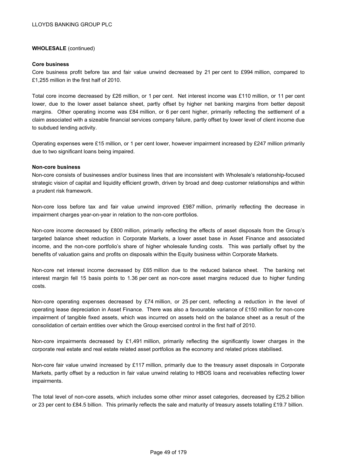### **Core business**

Core business profit before tax and fair value unwind decreased by 21 per cent to £994 million, compared to £1,255 million in the first half of 2010.

Total core income decreased by £26 million, or 1 per cent. Net interest income was £110 million, or 11 per cent lower, due to the lower asset balance sheet, partly offset by higher net banking margins from better deposit margins. Other operating income was £84 million, or 6 per cent higher, primarily reflecting the settlement of a claim associated with a sizeable financial services company failure, partly offset by lower level of client income due to subdued lending activity.

Operating expenses were £15 million, or 1 per cent lower, however impairment increased by £247 million primarily due to two significant loans being impaired.

### **Non-core business**

Non-core consists of businesses and/or business lines that are inconsistent with Wholesale's relationship-focused strategic vision of capital and liquidity efficient growth, driven by broad and deep customer relationships and within a prudent risk framework.

Non-core loss before tax and fair value unwind improved £987 million, primarily reflecting the decrease in impairment charges year-on-year in relation to the non-core portfolios.

Non-core income decreased by £800 million, primarily reflecting the effects of asset disposals from the Group's targeted balance sheet reduction in Corporate Markets, a lower asset base in Asset Finance and associated income, and the non-core portfolio's share of higher wholesale funding costs. This was partially offset by the benefits of valuation gains and profits on disposals within the Equity business within Corporate Markets.

Non-core net interest income decreased by £65 million due to the reduced balance sheet. The banking net interest margin fell 15 basis points to 1.36 per cent as non-core asset margins reduced due to higher funding costs.

Non-core operating expenses decreased by £74 million, or 25 per cent, reflecting a reduction in the level of operating lease depreciation in Asset Finance. There was also a favourable variance of £150 million for non-core impairment of tangible fixed assets, which was incurred on assets held on the balance sheet as a result of the consolidation of certain entities over which the Group exercised control in the first half of 2010.

Non-core impairments decreased by £1,491 million, primarily reflecting the significantly lower charges in the corporate real estate and real estate related asset portfolios as the economy and related prices stabilised.

Non-core fair value unwind increased by £117 million, primarily due to the treasury asset disposals in Corporate Markets, partly offset by a reduction in fair value unwind relating to HBOS loans and receivables reflecting lower impairments.

The total level of non-core assets, which includes some other minor asset categories, decreased by £25.2 billion or 23 per cent to £84.5 billion. This primarily reflects the sale and maturity of treasury assets totalling £19.7 billion.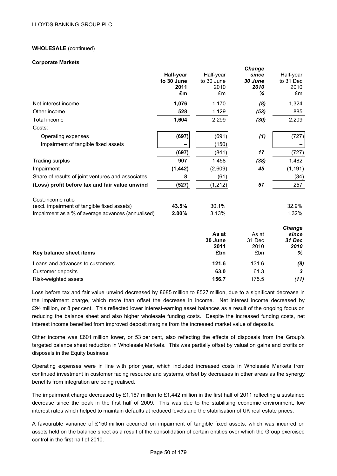#### **Corporate Markets**

|                                                    | Half-year<br>to 30 June<br>2011<br>£m | Half-year<br>to 30 June<br>2010<br>£m | <b>Change</b><br>since<br>30 June<br>2010<br>℅ | Half-year<br>to 31 Dec<br>2010<br>£m |
|----------------------------------------------------|---------------------------------------|---------------------------------------|------------------------------------------------|--------------------------------------|
| Net interest income                                | 1,076                                 | 1,170                                 | (8)                                            | 1,324                                |
| Other income                                       | 528                                   | 1,129                                 | (53)                                           | 885                                  |
| Total income                                       | 1,604                                 | 2,299                                 | (30)                                           | 2,209                                |
| Costs:                                             |                                       |                                       |                                                |                                      |
| Operating expenses                                 | (697)                                 | (691)                                 | (1)                                            | (727)                                |
| Impairment of tangible fixed assets                |                                       | (150)                                 |                                                |                                      |
|                                                    | (697)                                 | (841)                                 | 17                                             | (727)                                |
| <b>Trading surplus</b>                             | 907                                   | 1,458                                 | (38)                                           | 1,482                                |
| Impairment                                         | (1, 442)                              | (2,609)                               | 45                                             | (1, 191)                             |
| Share of results of joint ventures and associates  | 8                                     | (61)                                  |                                                | (34)                                 |
| (Loss) profit before tax and fair value unwind     | (527)                                 | (1, 212)                              | 57                                             | 257                                  |
| Cost:income ratio                                  |                                       |                                       |                                                |                                      |
| (excl. impairment of tangible fixed assets)        | 43.5%                                 | 30.1%                                 |                                                | 32.9%                                |
| Impairment as a % of average advances (annualised) | 2.00%                                 | 3.13%                                 |                                                | 1.32%                                |

|                 |                         | Change                  |     |
|-----------------|-------------------------|-------------------------|-----|
| As at           | As at<br>31 Dec<br>2010 | since<br>31 Dec<br>2010 |     |
| 30 June<br>2011 |                         |                         |     |
|                 |                         |                         | £bn |
| 121.6           | 131.6                   | (8)                     |     |
| 63.0            | 61.3                    | 3                       |     |
| 156.7           | 175.5                   | (11)                    |     |
|                 |                         |                         |     |

Loss before tax and fair value unwind decreased by £685 million to £527 million, due to a significant decrease in the impairment charge, which more than offset the decrease in income. Net interest income decreased by £94 million, or 8 per cent. This reflected lower interest-earning asset balances as a result of the ongoing focus on reducing the balance sheet and also higher wholesale funding costs. Despite the increased funding costs, net interest income benefited from improved deposit margins from the increased market value of deposits.

Other income was £601 million lower, or 53 per cent, also reflecting the effects of disposals from the Group's targeted balance sheet reduction in Wholesale Markets. This was partially offset by valuation gains and profits on disposals in the Equity business.

Operating expenses were in line with prior year, which included increased costs in Wholesale Markets from continued investment in customer facing resource and systems, offset by decreases in other areas as the synergy benefits from integration are being realised.

The impairment charge decreased by £1,167 million to £1,442 million in the first half of 2011 reflecting a sustained decrease since the peak in the first half of 2009. This was due to the stabilising economic environment, low interest rates which helped to maintain defaults at reduced levels and the stabilisation of UK real estate prices.

A favourable variance of £150 million occurred on impairment of tangible fixed assets, which was incurred on assets held on the balance sheet as a result of the consolidation of certain entities over which the Group exercised control in the first half of 2010.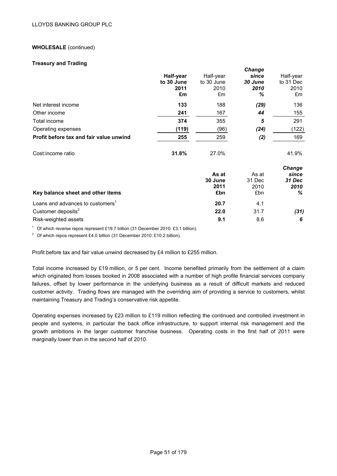### **Treasury and Trading**

|                                              | Half-year<br>to 30 June<br>2011<br>£m | Half-year<br>to 30 June<br>2010<br>£m | <b>Change</b><br>since<br>30 June<br>2010<br>℅ | Half-year<br>to 31 Dec<br>2010<br>£m |
|----------------------------------------------|---------------------------------------|---------------------------------------|------------------------------------------------|--------------------------------------|
| Net interest income                          | 133                                   | 188                                   | (29)                                           | 136                                  |
| Other income                                 | 241                                   | 167                                   | 44                                             | 155                                  |
| Total income                                 | 374                                   | 355                                   | 5                                              | 291                                  |
| Operating expenses                           | (119)                                 | (96)                                  | (24)                                           | (122)                                |
| Profit before tax and fair value unwind      | 255                                   | 259                                   | (2)                                            | 169                                  |
| Cost:income ratio                            | 31.8%                                 | 27.0%                                 |                                                | 41.9%                                |
|                                              |                                       | As at<br>30 June<br>2011              | As at<br>31 Dec<br>2010                        | Change<br>since<br>31 Dec<br>2010    |
| Key balance sheet and other items            |                                       | £bn                                   | £bn                                            | ℅                                    |
| Loans and advances to customers <sup>1</sup> |                                       | 20.7                                  | 4.1                                            |                                      |
| Customer deposits <sup>2</sup>               |                                       | 22.0                                  | 31.7                                           | (31)                                 |
| Risk-weighted assets                         |                                       | 9.1                                   | 8.6                                            | 6                                    |

<sup>1</sup> Of which reverse repos represent £19.7 billion (31 December 2010: £3.1 billion).

<sup>2</sup> Of which repos represent £4.0 billion (31 December 2010: £10.2 billion).

Profit before tax and fair value unwind decreased by £4 million to £255 million.

Total income increased by £19 million, or 5 per cent. Income benefited primarily from the settlement of a claim which originated from losses booked in 2008 associated with a number of high profile financial services company failures, offset by lower performance in the underlying business as a result of difficult markets and reduced customer activity. Trading flows are managed with the overriding aim of providing a service to customers, whilst maintaining Treasury and Trading's conservative risk appetite.

Operating expenses increased by £23 million to £119 million reflecting the continued and controlled investment in people and systems, in particular the back office infrastructure, to support internal risk management and the growth ambitions in the larger customer franchise business. Operating costs in the first half of 2011 were marginally lower than in the second half of 2010.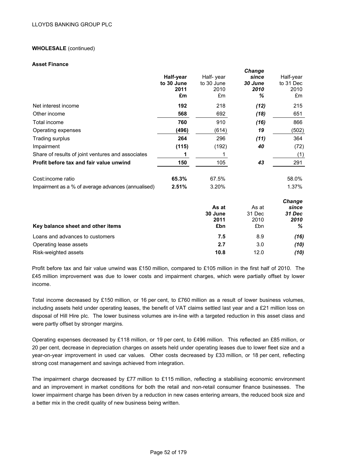#### **Asset Finance**

|                                                    |            |            | Change  |               |
|----------------------------------------------------|------------|------------|---------|---------------|
|                                                    | Half-year  | Half-year  | since   | Half-year     |
|                                                    | to 30 June | to 30 June | 30 June | to 31 Dec     |
|                                                    | 2011       | 2010       | 2010    | 2010          |
|                                                    | £m         | £m         | ℅       | £m            |
| Net interest income                                | 192        | 218        | (12)    | 215           |
| Other income                                       | 568        | 692        | (18)    | 651           |
| Total income                                       | 760        | 910        | (16)    | 866           |
| Operating expenses                                 | (496)      | (614)      | 19      | (502)         |
| Trading surplus                                    | 264        | 296        | (11)    | 364           |
| Impairment                                         | (115)      | (192)      | 40      | (72)          |
| Share of results of joint ventures and associates  | 1          | 1          |         | (1)           |
| Profit before tax and fair value unwind            | 150        | 105        | 43      | 291           |
| Cost:income ratio                                  | 65.3%      | 67.5%      |         | 58.0%         |
| Impairment as a % of average advances (annualised) | 2.51%      | 3.20%      |         | 1.37%         |
|                                                    |            |            |         | <b>Change</b> |
|                                                    |            | As at      | As at   | since         |
|                                                    |            | 30 June    | 31 Dec  | 31 Dec        |
|                                                    |            | 2011       | 2010    | 2010          |
| Key balance sheet and other items                  |            | £bn        | £bn     | ℅             |
| Loans and advances to customers                    |            | 7.5        | 8.9     | (16)          |
| Operating lease assets                             |            | 2.7        | 3.0     | (10)          |
| Risk-weighted assets                               |            | 10.8       | 12.0    | (10)          |

Profit before tax and fair value unwind was £150 million, compared to £105 million in the first half of 2010. The £45 million improvement was due to lower costs and impairment charges, which were partially offset by lower income.

Total income decreased by £150 million, or 16 per cent, to £760 million as a result of lower business volumes, including assets held under operating leases, the benefit of VAT claims settled last year and a £21 million loss on disposal of Hill Hire plc. The lower business volumes are in-line with a targeted reduction in this asset class and were partly offset by stronger margins.

Operating expenses decreased by £118 million, or 19 per cent, to £496 million. This reflected an £85 million, or 20 per cent, decrease in depreciation charges on assets held under operating leases due to lower fleet size and a year-on-year improvement in used car values. Other costs decreased by £33 million, or 18 per cent, reflecting strong cost management and savings achieved from integration.

The impairment charge decreased by £77 million to £115 million, reflecting a stabilising economic environment and an improvement in market conditions for both the retail and non-retail consumer finance businesses. The lower impairment charge has been driven by a reduction in new cases entering arrears, the reduced book size and a better mix in the credit quality of new business being written.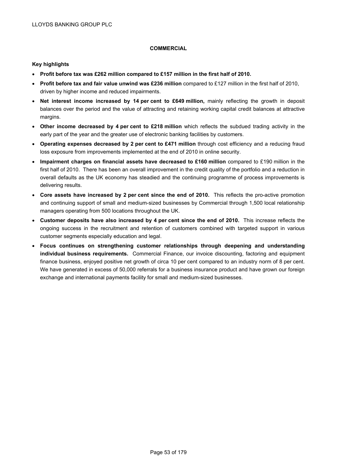# **COMMERCIAL**

## **Key highlights**

- Profit before tax was £262 million compared to £157 million in the first half of 2010.
- **Profit before tax and fair value unwind was £236 million** compared to £127 million in the first half of 2010, driven by higher income and reduced impairments.
- Net interest income increased by 14 per cent to £649 million, mainly reflecting the growth in deposit balances over the period and the value of attracting and retaining working capital credit balances at attractive margins.
- Other income decreased by 4 per cent to £218 million which reflects the subdued trading activity in the early part of the year and the greater use of electronic banking facilities by customers.
- Operating expenses decreased by 2 per cent to £471 million through cost efficiency and a reducing fraud loss exposure from improvements implemented at the end of 2010 in online security.
- Impairment charges on financial assets have decreased to £160 million compared to £190 million in the first half of 2010. There has been an overall improvement in the credit quality of the portfolio and a reduction in overall defaults as the UK economy has steadied and the continuing programme of process improvements is delivering results.
- Core assets have increased by 2 per cent since the end of 2010. This reflects the pro-active promotion and continuing support of small and medium-sized businesses by Commercial through 1,500 local relationship managers operating from 500 locations throughout the UK.
- x **Customer deposits have also increased by 4 per cent since the end of 2010.** This increase reflects the ongoing success in the recruitment and retention of customers combined with targeted support in various customer segments especially education and legal.
- x **Focus continues on strengthening customer relationships through deepening and understanding individual business requirements.** Commercial Finance, our invoice discounting, factoring and equipment finance business, enjoyed positive net growth of circa 10 per cent compared to an industry norm of 8 per cent. We have generated in excess of 50,000 referrals for a business insurance product and have grown our foreign exchange and international payments facility for small and medium-sized businesses.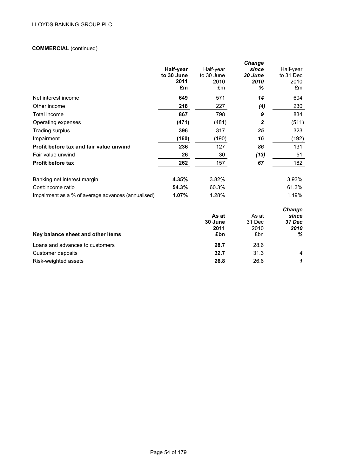|                                                    | Half-year<br>to 30 June<br>2011<br>£m | Half-year<br>to 30 June<br>2010<br>£m | <b>Change</b><br>since<br>30 June<br>2010<br>℅ | Half-year<br>to 31 Dec<br>2010<br>£m |
|----------------------------------------------------|---------------------------------------|---------------------------------------|------------------------------------------------|--------------------------------------|
| Net interest income                                | 649                                   | 571                                   | 14                                             | 604                                  |
| Other income                                       | 218                                   | 227                                   | (4)                                            | 230                                  |
| Total income                                       | 867                                   | 798                                   | 9                                              | 834                                  |
| Operating expenses                                 | (471)                                 | (481)                                 | 2                                              | (511)                                |
| Trading surplus                                    | 396                                   | 317                                   | 25                                             | 323                                  |
| Impairment                                         | (160)                                 | (190)                                 | 16                                             | (192)                                |
| Profit before tax and fair value unwind            | 236                                   | 127                                   | 86                                             | 131                                  |
| Fair value unwind                                  | 26                                    | 30                                    | (13)                                           | 51                                   |
| <b>Profit before tax</b>                           | 262                                   | 157                                   | 67                                             | 182                                  |
|                                                    |                                       |                                       |                                                |                                      |
| Banking net interest margin                        | 4.35%                                 | 3.82%                                 |                                                | 3.93%                                |
| Cost: income ratio                                 | 54.3%                                 | 60.3%                                 |                                                | 61.3%                                |
| Impairment as a % of average advances (annualised) | 1.07%                                 | 1.28%                                 |                                                | 1.19%                                |

| Key balance sheet and other items | As at<br>30 June<br>2011<br>£bn | As at<br>31 Dec<br>2010<br>£bn | Change<br>since<br>31 Dec<br>2010<br>% |
|-----------------------------------|---------------------------------|--------------------------------|----------------------------------------|
| Loans and advances to customers   | 28.7                            | 28.6                           |                                        |
| Customer deposits                 | 32.7                            | 31.3                           | 4                                      |
| Risk-weighted assets              | 26.8                            | 26.6                           | 1                                      |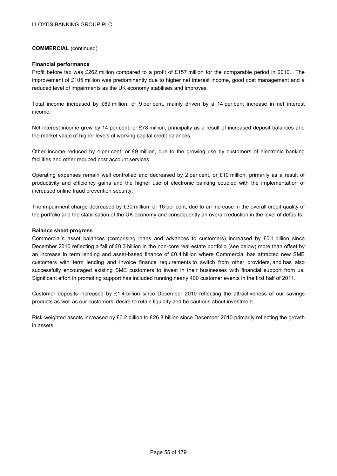### **Financial performance**

Profit before tax was £262 million compared to a profit of £157 million for the comparable period in 2010. The improvement of £105 million was predominantly due to higher net interest income, good cost management and a reduced level of impairments as the UK economy stabilises and improves.

Total income increased by £69 million, or 9 per cent, mainly driven by a 14 per cent increase in net interest income.

Net interest income grew by 14 per cent, or £78 million, principally as a result of increased deposit balances and the market value of higher levels of working capital credit balances.

Other income reduced by 4 per cent, or £9 million, due to the growing use by customers of electronic banking facilities and other reduced cost account services.

Operating expenses remain well controlled and decreased by 2 per cent, or £10 million, primarily as a result of productivity and efficiency gains and the higher use of electronic banking coupled with the implementation of increased online fraud prevention security.

The impairment charge decreased by £30 million, or 16 per cent, due to an increase in the overall credit quality of the portfolio and the stabilisation of the UK economy and consequently an overall reduction in the level of defaults.

#### **Balance sheet progress**

Commercial's asset balances (comprising loans and advances to customers) increased by £0.1 billion since December 2010 reflecting a fall of £0.3 billion in the non-core real estate portfolio (see below) more than offset by an increase in term lending and asset-based finance of £0.4 billion where Commercial has attracted new SME customers with term lending and invoice finance requirements to switch from other providers, and has also successfully encouraged existing SME customers to invest in their businesses with financial support from us. Significant effort in promoting support has included running nearly 400 customer events in the first half of 2011.

Customer deposits increased by £1.4 billion since December 2010 reflecting the attractiveness of our savings products as well as our customers' desire to retain liquidity and be cautious about investment.

Risk-weighted assets increased by £0.2 billion to £26.8 billion since December 2010 primarily reflecting the growth in assets.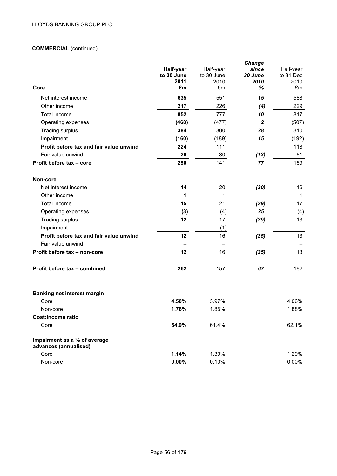|                                                       |            |            | Change           |              |  |
|-------------------------------------------------------|------------|------------|------------------|--------------|--|
|                                                       | Half-year  | Half-year  | since            | Half-year    |  |
|                                                       | to 30 June | to 30 June | 30 June          | to 31 Dec    |  |
| Core                                                  | 2011<br>£m | 2010<br>£m | 2010<br>%        | 2010<br>£m   |  |
|                                                       |            |            |                  |              |  |
| Net interest income                                   | 635        | 551        | 15               | 588          |  |
| Other income                                          | 217        | 226        | (4)              | 229          |  |
| Total income                                          | 852        | 777        | 10               | 817          |  |
| Operating expenses                                    | (468)      | (477)      | $\boldsymbol{2}$ | (507)        |  |
| <b>Trading surplus</b>                                | 384        | 300        | 28               | 310          |  |
| Impairment                                            | (160)      | (189)      | 15               | (192)        |  |
| Profit before tax and fair value unwind               | 224        | 111        |                  | 118          |  |
| Fair value unwind                                     | 26         | 30         | (13)             | 51           |  |
| Profit before tax - core                              | 250        | 141        | 77               | 169          |  |
| Non-core                                              |            |            |                  |              |  |
| Net interest income                                   | 14         | 20         | (30)             | 16           |  |
| Other income                                          | 1          | 1          |                  | $\mathbf{1}$ |  |
| Total income                                          | 15         | 21         | (29)             | 17           |  |
| Operating expenses                                    | (3)        | (4)        | 25               | (4)          |  |
| <b>Trading surplus</b>                                | 12         | 17         | (29)             | 13           |  |
| Impairment                                            |            | (1)        |                  |              |  |
| Profit before tax and fair value unwind               | 12         | 16         | (25)             | 13           |  |
| Fair value unwind                                     |            |            |                  |              |  |
| Profit before tax - non-core                          | 12         | 16         | (25)             | 13           |  |
| Profit before tax - combined                          | 262        | 157        | 67               | 182          |  |
|                                                       |            |            |                  |              |  |
| Banking net interest margin                           |            |            |                  |              |  |
| Core                                                  | 4.50%      | 3.97%      |                  | 4.06%        |  |
| Non-core                                              | 1.76%      | 1.85%      |                  | 1.88%        |  |
| <b>Cost:income ratio</b>                              |            |            |                  |              |  |
| Core                                                  | 54.9%      | 61.4%      |                  | 62.1%        |  |
| Impairment as a % of average<br>advances (annualised) |            |            |                  |              |  |
| Core                                                  | 1.14%      | 1.39%      |                  | 1.29%        |  |
| Non-core                                              | 0.00%      | 0.10%      |                  | 0.00%        |  |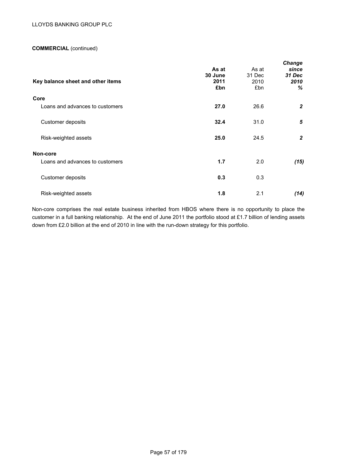| Key balance sheet and other items | As at<br>30 June<br>2011<br>£bn | As at<br>31 Dec<br>2010<br>£bn | <b>Change</b><br>since<br>31 Dec<br>2010<br>% |
|-----------------------------------|---------------------------------|--------------------------------|-----------------------------------------------|
| Core                              |                                 |                                |                                               |
| Loans and advances to customers   | 27.0                            | 26.6                           | $\overline{2}$                                |
| <b>Customer deposits</b>          | 32.4                            | 31.0                           | 5                                             |
| Risk-weighted assets              | 25.0                            | 24.5                           | $\boldsymbol{2}$                              |
| Non-core                          |                                 |                                |                                               |
| Loans and advances to customers   | 1.7                             | 2.0                            | (15)                                          |
| Customer deposits                 | 0.3                             | 0.3                            |                                               |
| Risk-weighted assets              | 1.8                             | 2.1                            | (14)                                          |

Non-core comprises the real estate business inherited from HBOS where there is no opportunity to place the customer in a full banking relationship. At the end of June 2011 the portfolio stood at £1.7 billion of lending assets down from £2.0 billion at the end of 2010 in line with the run-down strategy for this portfolio.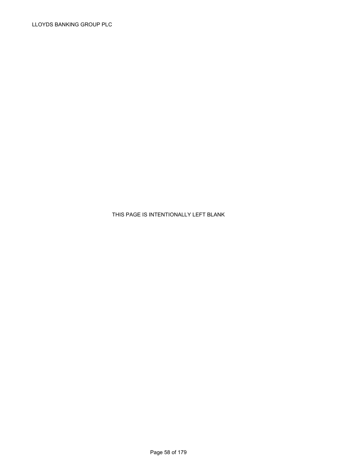THIS PAGE IS INTENTIONALLY LEFT BLANK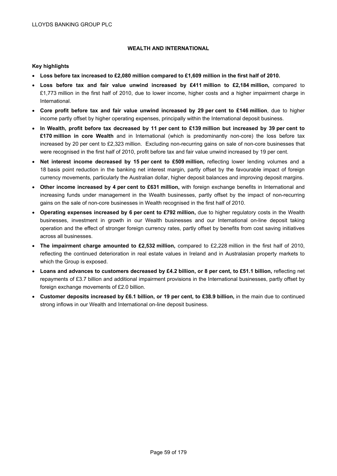#### **WEALTH AND INTERNATIONAL**

### **Key highlights**

- x **Loss before tax increased to £2,080 million compared to £1,609 million in the first half of 2010.**
- x **Loss before tax and fair value unwind increased by £411 million to £2,184 million,** compared to £1,773 million in the first half of 2010, due to lower income, higher costs and a higher impairment charge in International.
- Core profit before tax and fair value unwind increased by 29 per cent to £146 million, due to higher income partly offset by higher operating expenses, principally within the International deposit business.
- x **In Wealth, profit before tax decreased by 11 per cent to £139 million but increased by 39 per cent to £170 million in core Wealth** and in International (which is predominantly non-core) the loss before tax increased by 20 per cent to £2,323 million. Excluding non-recurring gains on sale of non-core businesses that were recognised in the first half of 2010, profit before tax and fair value unwind increased by 19 per cent.
- Net interest income decreased by 15 per cent to £509 million, reflecting lower lending volumes and a 18 basis point reduction in the banking net interest margin, partly offset by the favourable impact of foreign currency movements, particularly the Australian dollar, higher deposit balances and improving deposit margins.
- x **Other income increased by 4 per cent to £631 million,** with foreign exchange benefits in International and increasing funds under management in the Wealth businesses, partly offset by the impact of non-recurring gains on the sale of non-core businesses in Wealth recognised in the first half of 2010.
- **Operating expenses increased by 6 per cent to £792 million,** due to higher regulatory costs in the Wealth businesses, investment in growth in our Wealth businesses and our International on-line deposit taking operation and the effect of stronger foreign currency rates, partly offset by benefits from cost saving initiatives across all businesses.
- The impairment charge amounted to £2,532 million, compared to £2,228 million in the first half of 2010. reflecting the continued deterioration in real estate values in Ireland and in Australasian property markets to which the Group is exposed.
- Loans and advances to customers decreased by £4.2 billion, or 8 per cent, to £51.1 billion, reflecting net repayments of £3.7 billion and additional impairment provisions in the International businesses, partly offset by foreign exchange movements of £2.0 billion.
- x **Customer deposits increased by £6.1 billion, or 19 per cent, to £38.9 billion,** in the main due to continued strong inflows in our Wealth and International on-line deposit business.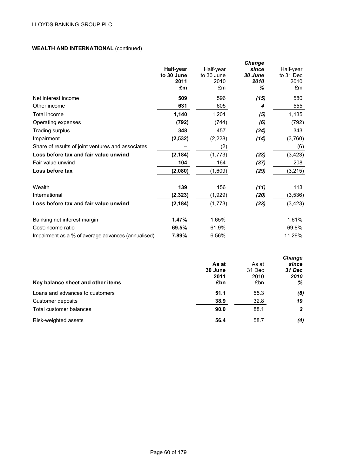|                                                    | Half-year<br>to 30 June<br>2011<br>£m | Half-year<br>to 30 June<br>2010<br>£m | <b>Change</b><br>since<br>30 June<br>2010<br>℅ | Half-year<br>to 31 Dec<br>2010<br>£m |
|----------------------------------------------------|---------------------------------------|---------------------------------------|------------------------------------------------|--------------------------------------|
| Net interest income                                | 509                                   | 596                                   | (15)                                           | 580                                  |
| Other income                                       | 631                                   | 605                                   | 4                                              | 555                                  |
| Total income                                       | 1,140                                 | 1,201                                 | (5)                                            | 1,135                                |
| Operating expenses                                 | (792)                                 | (744)                                 | (6)                                            | (792)                                |
| Trading surplus                                    | 348                                   | 457                                   | (24)                                           | 343                                  |
| Impairment                                         | (2, 532)                              | (2,228)                               | (14)                                           | (3,760)                              |
| Share of results of joint ventures and associates  |                                       | (2)                                   |                                                | (6)                                  |
| Loss before tax and fair value unwind              | (2, 184)                              | (1,773)                               | (23)                                           | (3, 423)                             |
| Fair value unwind                                  | 104                                   | 164                                   | (37)                                           | 208                                  |
| Loss before tax                                    | (2,080)                               | (1,609)                               | (29)                                           | (3, 215)                             |
| Wealth                                             | 139                                   | 156                                   | (11)                                           | 113                                  |
| International                                      | (2, 323)                              | (1,929)                               | (20)                                           | (3, 536)                             |
| Loss before tax and fair value unwind              | (2, 184)                              | (1,773)                               | (23)                                           | (3, 423)                             |
| Banking net interest margin                        | 1.47%                                 | 1.65%                                 |                                                | 1.61%                                |
| Cost:income ratio                                  | 69.5%                                 | 61.9%                                 |                                                | 69.8%                                |
| Impairment as a % of average advances (annualised) | 7.89%                                 | 6.56%                                 |                                                | 11.29%                               |

|         |        | <b>Change</b>  |
|---------|--------|----------------|
| As at   | As at  | since          |
| 30 June | 31 Dec | 31 Dec         |
| 2011    | 2010   | 2010           |
| £bn     | £bn    | %              |
| 51.1    | 55.3   | (8)            |
| 38.9    | 32.8   | 19             |
| 90.0    | 88.1   | $\overline{2}$ |
| 56.4    | 58.7   | (4)            |
|         |        |                |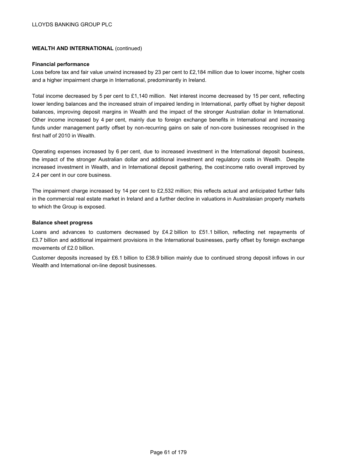### **Financial performance**

Loss before tax and fair value unwind increased by 23 per cent to £2,184 million due to lower income, higher costs and a higher impairment charge in International, predominantly in Ireland.

Total income decreased by 5 per cent to £1,140 million. Net interest income decreased by 15 per cent, reflecting lower lending balances and the increased strain of impaired lending in International, partly offset by higher deposit balances, improving deposit margins in Wealth and the impact of the stronger Australian dollar in International. Other income increased by 4 per cent, mainly due to foreign exchange benefits in International and increasing funds under management partly offset by non-recurring gains on sale of non-core businesses recognised in the first half of 2010 in Wealth.

Operating expenses increased by 6 per cent, due to increased investment in the International deposit business, the impact of the stronger Australian dollar and additional investment and regulatory costs in Wealth. Despite increased investment in Wealth, and in International deposit gathering, the cost:income ratio overall improved by 2.4 per cent in our core business.

The impairment charge increased by 14 per cent to £2,532 million; this reflects actual and anticipated further falls in the commercial real estate market in Ireland and a further decline in valuations in Australasian property markets to which the Group is exposed.

## **Balance sheet progress**

Loans and advances to customers decreased by £4.2 billion to £51.1 billion, reflecting net repayments of £3.7 billion and additional impairment provisions in the International businesses, partly offset by foreign exchange movements of £2.0 billion.

Customer deposits increased by £6.1 billion to £38.9 billion mainly due to continued strong deposit inflows in our Wealth and International on-line deposit businesses.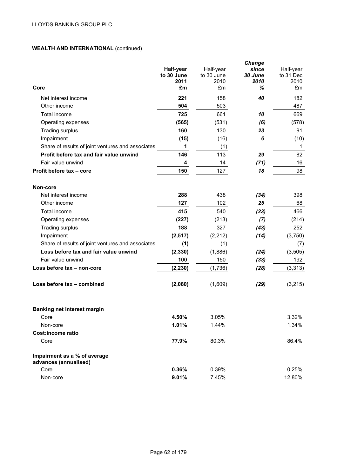|                                                   |                    |                    | Change          |                   |
|---------------------------------------------------|--------------------|--------------------|-----------------|-------------------|
|                                                   | Half-year          | Half-year          | since           | Half-year         |
|                                                   | to 30 June<br>2011 | to 30 June<br>2010 | 30 June<br>2010 | to 31 Dec<br>2010 |
| Core                                              | £m                 | £m                 | ℅               | £m                |
| Net interest income                               | 221                | 158                | 40              | 182               |
| Other income                                      | 504                | 503                |                 | 487               |
| Total income                                      | 725                | 661                | 10              | 669               |
| Operating expenses                                | (565)              | (531)              | (6)             | (578)             |
| Trading surplus                                   | 160                | 130                | 23              | 91                |
| Impairment                                        | (15)               | (16)               | 6               | (10)              |
| Share of results of joint ventures and associates | 1                  | (1)                |                 | -1                |
| Profit before tax and fair value unwind           | 146                | 113                | 29              | 82                |
| Fair value unwind                                 | 4                  | 14                 | (71)            | 16                |
| Profit before tax - core                          | 150                | 127                | 18              | 98                |
| Non-core                                          |                    |                    |                 |                   |
| Net interest income                               | 288                | 438                | (34)            | 398               |
| Other income                                      | 127                | 102                | 25              | 68                |
| Total income                                      | 415                | 540                | (23)            | 466               |
| Operating expenses                                | (227)              | (213)              | (7)             | (214)             |
| Trading surplus                                   | 188                | 327                | (43)            | 252               |
| Impairment                                        | (2, 517)           | (2, 212)           | (14)            | (3,750)           |
| Share of results of joint ventures and associates | (1)                | (1)                |                 | (7)               |
| Loss before tax and fair value unwind             | (2, 330)           | (1,886)            | (24)            | (3, 505)          |
| Fair value unwind                                 | 100                | 150                | (33)            | 192               |
| Loss before tax - non-core                        | (2, 230)           | (1,736)            | (28)            | (3,313)           |
| Loss before tax - combined                        |                    |                    |                 |                   |
|                                                   | (2,080)            | (1,609)            | (29)            | (3, 215)          |
|                                                   |                    |                    |                 |                   |
| <b>Banking net interest margin</b>                |                    |                    |                 |                   |
| Core                                              | 4.50%              | 3.05%              |                 | 3.32%             |
| Non-core                                          | 1.01%              | 1.44%              |                 | 1.34%             |
| <b>Cost:income ratio</b>                          |                    |                    |                 |                   |
| Core                                              | 77.9%              | 80.3%              |                 | 86.4%             |
| Impairment as a % of average                      |                    |                    |                 |                   |
| advances (annualised)<br>Core                     | 0.36%              | 0.39%              |                 | 0.25%             |
| Non-core                                          | 9.01%              | 7.45%              |                 | 12.80%            |
|                                                   |                    |                    |                 |                   |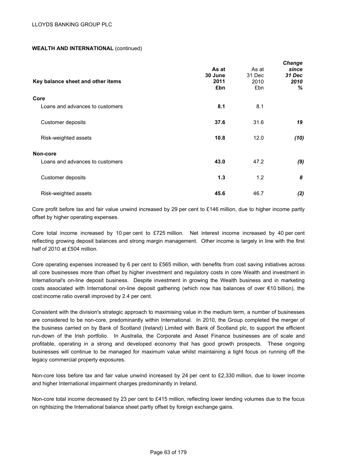| Key balance sheet and other items | As at<br>30 June<br>2011<br>£bn | As at<br>31 Dec<br>2010<br>£bn | <b>Change</b><br>since<br>31 Dec<br>2010<br>% |
|-----------------------------------|---------------------------------|--------------------------------|-----------------------------------------------|
| Core                              |                                 |                                |                                               |
| Loans and advances to customers   | 8.1                             | 8.1                            |                                               |
| <b>Customer deposits</b>          | 37.6                            | 31.6                           | 19                                            |
| Risk-weighted assets              | 10.8                            | 12.0                           | (10)                                          |
| Non-core                          |                                 |                                |                                               |
| Loans and advances to customers   | 43.0                            | 47.2                           | (9)                                           |
| <b>Customer deposits</b>          | 1.3                             | 1.2                            | 8                                             |
| Risk-weighted assets              | 45.6                            | 46.7                           | (2)                                           |

Core profit before tax and fair value unwind increased by 29 per cent to £146 million, due to higher income partly offset by higher operating expenses.

Core total income increased by 10 per cent to £725 million. Net interest income increased by 40 per cent reflecting growing deposit balances and strong margin management. Other income is largely in line with the first half of 2010 at £504 million.

Core operating expenses increased by 6 per cent to £565 million, with benefits from cost saving initiatives across all core businesses more than offset by higher investment and regulatory costs in core Wealth and investment in International's on-line deposit business. Despite investment in growing the Wealth business and in marketing costs associated with International on-line deposit gathering (which now has balances of over €10 billion), the cost:income ratio overall improved by 2.4 per cent.

Consistent with the division's strategic approach to maximising value in the medium term, a number of businesses are considered to be non-core, predominantly within International. In 2010, the Group completed the merger of the business carried on by Bank of Scotland (Ireland) Limited with Bank of Scotland plc, to support the efficient run-down of the Irish portfolio. In Australia, the Corporate and Asset Finance businesses are of scale and profitable, operating in a strong and developed economy that has good growth prospects. These ongoing businesses will continue to be managed for maximum value whilst maintaining a tight focus on running off the legacy commercial property exposures.

Non-core loss before tax and fair value unwind increased by 24 per cent to £2,330 million, due to lower income and higher International impairment charges predominantly in Ireland.

Non-core total income decreased by 23 per cent to £415 million, reflecting lower lending volumes due to the focus on rightsizing the International balance sheet partly offset by foreign exchange gains.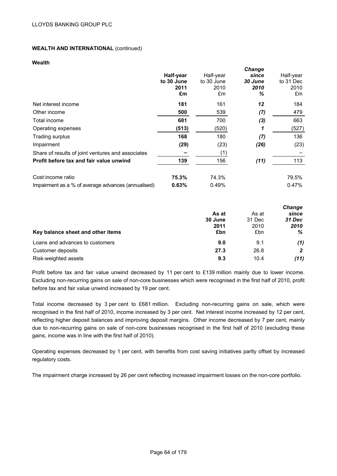#### **Wealth**

|                                                    | Half-year<br>to 30 June<br>2011<br>£m | Half-year<br>to 30 June<br>2010<br>£m | <b>Change</b><br>since<br>30 June<br>2010<br>℅ | Half-year<br>to 31 Dec<br>2010<br>£m |
|----------------------------------------------------|---------------------------------------|---------------------------------------|------------------------------------------------|--------------------------------------|
| Net interest income                                | 181                                   | 161                                   | 12                                             | 184                                  |
| Other income                                       | 500                                   | 539                                   | (7)                                            | 479                                  |
| Total income                                       | 681                                   | 700                                   | (3)                                            | 663                                  |
| Operating expenses                                 | (513)                                 | (520)                                 | 1                                              | (527)                                |
| Trading surplus                                    | 168                                   | 180                                   | (7)                                            | 136                                  |
| Impairment                                         | (29)                                  | (23)                                  | (26)                                           | (23)                                 |
| Share of results of joint ventures and associates  |                                       | (1)                                   |                                                |                                      |
| Profit before tax and fair value unwind            | 139                                   | 156                                   | (11)                                           | 113                                  |
| Cost: income ratio                                 | 75.3%                                 | 74.3%                                 |                                                | 79.5%                                |
| Impairment as a % of average advances (annualised) | 0.63%                                 | 0.49%                                 |                                                | 0.47%                                |

|                                   |         |        | Change         |
|-----------------------------------|---------|--------|----------------|
|                                   | As at   | As at  | since          |
|                                   | 30 June | 31 Dec | 31 Dec         |
|                                   | 2011    | 2010   | 2010           |
| Key balance sheet and other items | £bn     | £bn    | %              |
| Loans and advances to customers   | 9.0     | 9.1    | (1)            |
| Customer deposits                 | 27.3    | 26.8   | $\overline{2}$ |
| Risk-weighted assets              | 9.3     | 10.4   | (11)           |

Profit before tax and fair value unwind decreased by 11 per cent to £139 million mainly due to lower income. Excluding non-recurring gains on sale of non-core businesses which were recognised in the first half of 2010, profit before tax and fair value unwind increased by 19 per cent.

Total income decreased by 3 per cent to £681 million. Excluding non-recurring gains on sale, which were recognised in the first half of 2010, income increased by 3 per cent. Net interest income increased by 12 per cent, reflecting higher deposit balances and improving deposit margins. Other income decreased by 7 per cent, mainly due to non-recurring gains on sale of non-core businesses recognised in the first half of 2010 (excluding these gains, income was in line with the first half of 2010).

Operating expenses decreased by 1 per cent, with benefits from cost saving initiatives partly offset by increased regulatory costs.

The impairment charge increased by 26 per cent reflecting increased impairment losses on the non-core portfolio.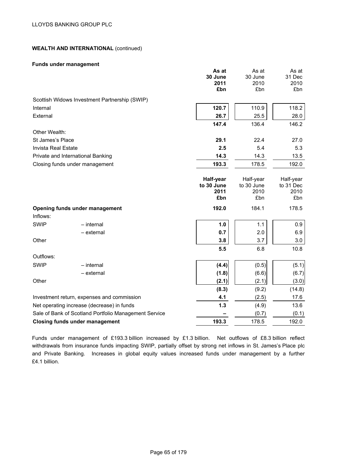### **Funds under management**

|                                       |                                                       | As at<br>30 June   | As at<br>30 June   | As at<br>31 Dec   |
|---------------------------------------|-------------------------------------------------------|--------------------|--------------------|-------------------|
|                                       |                                                       | 2011<br>£bn        | 2010<br>£bn        | 2010<br>£bn       |
|                                       | Scottish Widows Investment Partnership (SWIP)         |                    |                    |                   |
| Internal                              |                                                       | 120.7              | 110.9              | 118.2             |
| External                              |                                                       | 26.7               | 25.5               | 28.0              |
|                                       |                                                       | 147.4              | 136.4              | 146.2             |
| Other Wealth:                         |                                                       |                    |                    |                   |
| St James's Place                      |                                                       | 29.1               | 22.4               | 27.0              |
| <b>Invista Real Estate</b>            |                                                       | 2.5                | 5.4                | 5.3               |
|                                       | Private and International Banking                     | 14.3               | 14.3               | 13.5              |
|                                       | Closing funds under management                        | 193.3              | 178.5              | 192.0             |
|                                       |                                                       |                    |                    |                   |
|                                       |                                                       | Half-year          | Half-year          | Half-year         |
|                                       |                                                       | to 30 June<br>2011 | to 30 June<br>2010 | to 31 Dec<br>2010 |
|                                       |                                                       | £bn                | £bn                | £bn               |
| Inflows:                              | Opening funds under management                        | 192.0              | 184.1              | 178.5             |
| <b>SWIP</b>                           | $-$ internal                                          | 1.0                | 1.1                | 0.9               |
|                                       | - external                                            | 0.7                | 2.0                | 6.9               |
| Other                                 |                                                       | 3.8                | 3.7                | 3.0               |
|                                       |                                                       | 5.5                | 6.8                | 10.8              |
| Outflows:                             |                                                       |                    |                    |                   |
| <b>SWIP</b>                           | $-$ internal                                          | (4.4)              | (0.5)              | (5.1)             |
|                                       | - external                                            | (1.8)              | (6.6)              | (6.7)             |
| Other                                 |                                                       | (2.1)              | (2.1)              | (3.0)             |
|                                       |                                                       | (8.3)              | (9.2)              | (14.8)            |
|                                       | Investment return, expenses and commission            | 4.1                | (2.5)              | 17.6              |
|                                       | Net operating increase (decrease) in funds            | 1.3                | (4.9)              | 13.6              |
|                                       | Sale of Bank of Scotland Portfolio Management Service |                    | (0.7)              | (0.1)             |
| <b>Closing funds under management</b> |                                                       | 193.3              | 178.5              | 192.0             |

Funds under management of £193.3 billion increased by £1.3 billion. Net outflows of £8.3 billion reflect withdrawals from insurance funds impacting SWIP, partially offset by strong net inflows in St. James's Place plc and Private Banking. Increases in global equity values increased funds under management by a further £4.1 billion.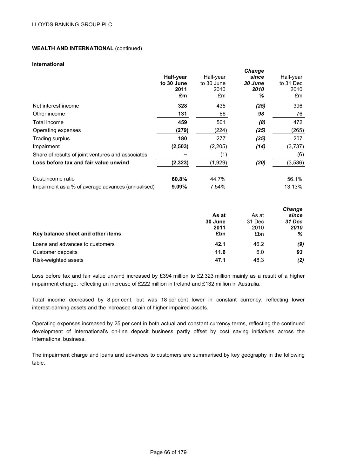#### **International**

|                                                    | Half-year<br>to 30 June<br>2011<br>£m | Half-year<br>to 30 June<br>2010<br>£m | <b>Change</b><br>since<br>30 June<br>2010<br>℅ | Half-year<br>to 31 Dec<br>2010<br>£m |
|----------------------------------------------------|---------------------------------------|---------------------------------------|------------------------------------------------|--------------------------------------|
| Net interest income                                | 328                                   | 435                                   | (25)                                           | 396                                  |
| Other income                                       | 131                                   | 66                                    | 98                                             | 76                                   |
| Total income                                       | 459                                   | 501                                   | (8)                                            | 472                                  |
| Operating expenses                                 | (279)                                 | (224)                                 | (25)                                           | (265)                                |
| Trading surplus                                    | 180                                   | 277                                   | (35)                                           | 207                                  |
| Impairment                                         | (2, 503)                              | (2,205)                               | (14)                                           | (3,737)                              |
| Share of results of joint ventures and associates  |                                       | (1)                                   |                                                | (6)                                  |
| Loss before tax and fair value unwind              | (2, 323)                              | (1,929)                               | (20)                                           | (3,536)                              |
| Cost:income ratio                                  | 60.8%                                 | 44.7%                                 |                                                | 56.1%                                |
| Impairment as a % of average advances (annualised) | 9.09%                                 | 7.54%                                 |                                                | 13.13%                               |

|         |        | Change |  |
|---------|--------|--------|--|
| As at   | As at  | since  |  |
| 30 June | 31 Dec | 31 Dec |  |
| 2011    | 2010   | 2010   |  |
| £bn     | £bn    | %      |  |
| 42.1    | 46.2   | (9)    |  |
| 11.6    | 6.0    | 93     |  |
| 47.1    | 48.3   | (2)    |  |
|         |        |        |  |

Loss before tax and fair value unwind increased by £394 million to £2,323 million mainly as a result of a higher impairment charge, reflecting an increase of £222 million in Ireland and £132 million in Australia.

Total income decreased by 8 per cent, but was 18 per cent lower in constant currency, reflecting lower interest-earning assets and the increased strain of higher impaired assets.

Operating expenses increased by 25 per cent in both actual and constant currency terms, reflecting the continued development of International's on-line deposit business partly offset by cost saving initiatives across the International business.

The impairment charge and loans and advances to customers are summarised by key geography in the following table.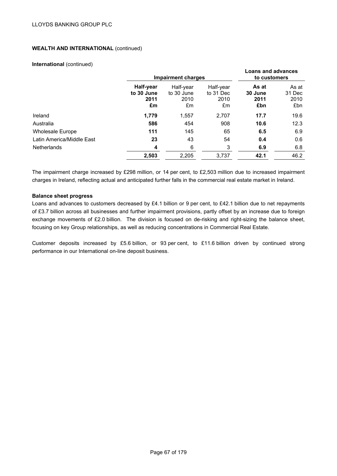### **International** (continued)

|                           | <b>Impairment charges</b>             |                                       |                                      | <b>Loans and advances</b><br>to customers |                                |
|---------------------------|---------------------------------------|---------------------------------------|--------------------------------------|-------------------------------------------|--------------------------------|
|                           | Half-year<br>to 30 June<br>2011<br>£m | Half-year<br>to 30 June<br>2010<br>£m | Half-year<br>to 31 Dec<br>2010<br>£m | As at<br>30 June<br>2011<br>£bn           | As at<br>31 Dec<br>2010<br>£bn |
| Ireland                   | 1,779                                 | 1,557                                 | 2,707                                | 17.7                                      | 19.6                           |
| Australia                 | 586                                   | 454                                   | 908                                  | 10.6                                      | 12.3                           |
| <b>Wholesale Europe</b>   | 111                                   | 145                                   | 65                                   | 6.5                                       | 6.9                            |
| Latin America/Middle East | 23                                    | 43                                    | 54                                   | 0.4                                       | 0.6                            |
| <b>Netherlands</b>        | 4                                     | 6                                     | 3                                    | 6.9                                       | 6.8                            |
|                           | 2,503                                 | 2,205                                 | 3,737                                | 42.1                                      | 46.2                           |

The impairment charge increased by £298 million, or 14 per cent, to £2,503 million due to increased impairment charges in Ireland, reflecting actual and anticipated further falls in the commercial real estate market in Ireland.

### **Balance sheet progress**

Loans and advances to customers decreased by £4.1 billion or 9 per cent, to £42.1 billion due to net repayments of £3.7 billion across all businesses and further impairment provisions, partly offset by an increase due to foreign exchange movements of £2.0 billion. The division is focused on de-risking and right-sizing the balance sheet, focusing on key Group relationships, as well as reducing concentrations in Commercial Real Estate.

Customer deposits increased by £5.6 billion, or 93 per cent, to £11.6 billion driven by continued strong performance in our International on-line deposit business.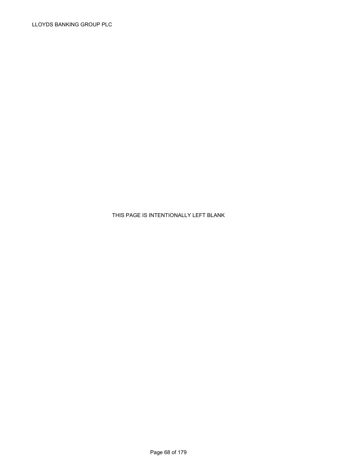THIS PAGE IS INTENTIONALLY LEFT BLANK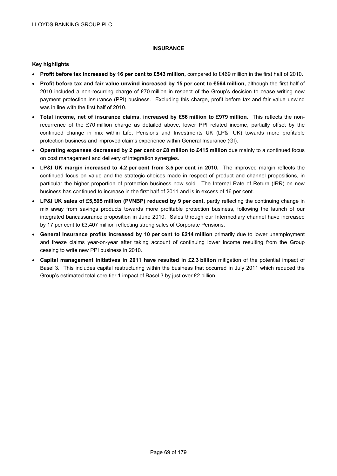### **INSURANCE**

# **Key highlights**

- **Profit before tax increased by 16 per cent to £543 million, compared to £469 million in the first half of 2010.**
- **Profit before tax and fair value unwind increased by 15 per cent to £564 million, although the first half of** 2010 included a non-recurring charge of £70 million in respect of the Group's decision to cease writing new payment protection insurance (PPI) business. Excluding this charge, profit before tax and fair value unwind was in line with the first half of 2010.
- x **Total income, net of insurance claims, increased by £56 million to £979 million.** This reflects the nonrecurrence of the £70 million charge as detailed above, lower PPI related income, partially offset by the continued change in mix within Life, Pensions and Investments UK (LP&I UK) towards more profitable protection business and improved claims experience within General Insurance (GI).
- x **Operating expenses decreased by 2 per cent or £8 million to £415 million** due mainly to a continued focus on cost management and delivery of integration synergies.
- LP&I UK margin increased to 4.2 per cent from 3.5 per cent in 2010. The improved margin reflects the continued focus on value and the strategic choices made in respect of product and channel propositions, in particular the higher proportion of protection business now sold. The Internal Rate of Return (IRR) on new business has continued to increase in the first half of 2011 and is in excess of 16 per cent.
- LP&I UK sales of £5,595 million (PVNBP) reduced by 9 per cent, partly reflecting the continuing change in mix away from savings products towards more profitable protection business, following the launch of our integrated bancassurance proposition in June 2010. Sales through our Intermediary channel have increased by 17 per cent to £3,407 million reflecting strong sales of Corporate Pensions.
- **General Insurance profits increased by 10 per cent to £214 million primarily due to lower unemployment** and freeze claims year-on-year after taking account of continuing lower income resulting from the Group ceasing to write new PPI business in 2010.
- x **Capital management initiatives in 2011 have resulted in £2.3 billion** mitigation of the potential impact of Basel 3. This includes capital restructuring within the business that occurred in July 2011 which reduced the Group's estimated total core tier 1 impact of Basel 3 by just over £2 billion.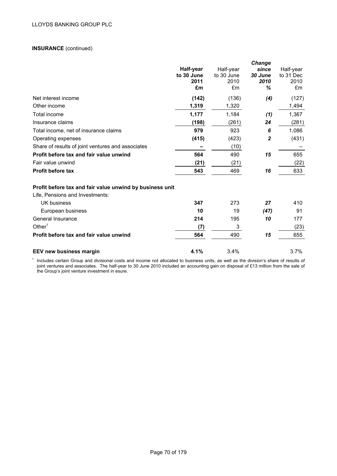|                                                          |            |            | <b>Change</b> |           |
|----------------------------------------------------------|------------|------------|---------------|-----------|
|                                                          | Half-year  | Half-year  | since         | Half-year |
|                                                          | to 30 June | to 30 June | 30 June       | to 31 Dec |
|                                                          | 2011       | 2010       | 2010          | 2010      |
|                                                          | £m         | £m         | %             | £m        |
| Net interest income                                      | (142)      | (136)      | (4)           | (127)     |
| Other income                                             | 1,319      | 1,320      |               | 1,494     |
| Total income                                             | 1,177      | 1,184      | (1)           | 1,367     |
| Insurance claims                                         | (198)      | (261)      | 24            | (281)     |
| Total income, net of insurance claims                    | 979        | 923        | 6             | 1,086     |
| Operating expenses                                       | (415)      | (423)      | $\mathbf{2}$  | (431)     |
| Share of results of joint ventures and associates        |            | (10)       |               |           |
| Profit before tax and fair value unwind                  | 564        | 490        | 15            | 655       |
| Fair value unwind                                        | (21)       | (21)       |               | (22)      |
| <b>Profit before tax</b>                                 | 543        | 469        | 16            | 633       |
| Profit before tax and fair value unwind by business unit |            |            |               |           |
| Life, Pensions and Investments:                          |            |            |               |           |
| UK business                                              | 347        | 273        | 27            | 410       |
| European business                                        | 10         | 19         | (47)          | 91        |
| General Insurance                                        | 214        | 195        | 10            | 177       |
| Other $1$                                                | (7)        | 3          |               | (23)      |
| Profit before tax and fair value unwind                  | 564        | 490        | 15            | 655       |
| EEV new business margin                                  | 4.1%       | 3.4%       |               | 3.7%      |

 $1$  Includes certain Group and divisional costs and income not allocated to business units, as well as the division's share of results of joint ventures and associates. The half-year to 30 June 2010 included an accounting gain on disposal of £13 million from the sale of the Group's joint venture investment in esure.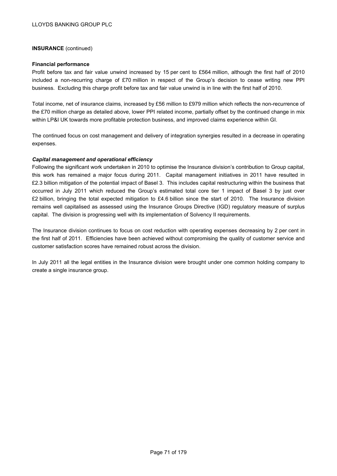### **Financial performance**

Profit before tax and fair value unwind increased by 15 per cent to £564 million, although the first half of 2010 included a non-recurring charge of £70 million in respect of the Group's decision to cease writing new PPI business. Excluding this charge profit before tax and fair value unwind is in line with the first half of 2010.

Total income, net of insurance claims, increased by £56 million to £979 million which reflects the non-recurrence of the £70 million charge as detailed above, lower PPI related income, partially offset by the continued change in mix within LP&I UK towards more profitable protection business, and improved claims experience within GI.

The continued focus on cost management and delivery of integration synergies resulted in a decrease in operating expenses.

## *Capital management and operational efficiency*

Following the significant work undertaken in 2010 to optimise the Insurance division's contribution to Group capital, this work has remained a major focus during 2011. Capital management initiatives in 2011 have resulted in £2.3 billion mitigation of the potential impact of Basel 3. This includes capital restructuring within the business that occurred in July 2011 which reduced the Group's estimated total core tier 1 impact of Basel 3 by just over £2 billion, bringing the total expected mitigation to £4.6 billion since the start of 2010. The Insurance division remains well capitalised as assessed using the Insurance Groups Directive (IGD) regulatory measure of surplus capital. The division is progressing well with its implementation of Solvency II requirements.

The Insurance division continues to focus on cost reduction with operating expenses decreasing by 2 per cent in the first half of 2011. Efficiencies have been achieved without compromising the quality of customer service and customer satisfaction scores have remained robust across the division.

In July 2011 all the legal entities in the Insurance division were brought under one common holding company to create a single insurance group.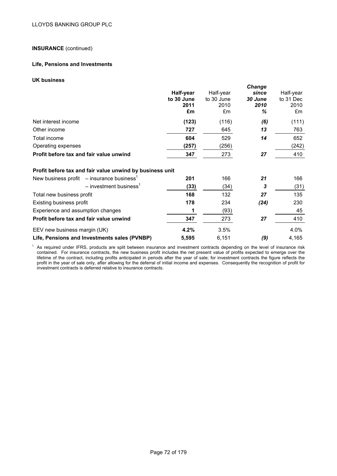### **Life, Pensions and Investments**

### **UK business**

|                                                          | Half-year<br>to 30 June<br>2011<br>£m | Half-year<br>to 30 June<br>2010<br>£m | Change<br>since<br>30 June<br>2010<br>℅ | Half-year<br>to 31 Dec<br>2010<br>£m |
|----------------------------------------------------------|---------------------------------------|---------------------------------------|-----------------------------------------|--------------------------------------|
| Net interest income                                      | (123)                                 | (116)                                 | (6)                                     | (111)                                |
| Other income                                             | 727                                   | 645                                   | 13                                      | 763                                  |
| Total income                                             | 604                                   | 529                                   | 14                                      | 652                                  |
| Operating expenses                                       | (257)                                 | (256)                                 |                                         | (242)                                |
| Profit before tax and fair value unwind                  | 347                                   | 273                                   | 27                                      | 410                                  |
| Profit before tax and fair value unwind by business unit |                                       |                                       |                                         |                                      |
| New business profit $-$ insurance business <sup>1</sup>  | 201                                   | 166                                   | 21                                      | 166                                  |
| $-$ investment business <sup>1</sup>                     | (33)                                  | (34)                                  | 3                                       | (31)                                 |
| Total new business profit                                | 168                                   | 132                                   | 27                                      | 135                                  |
| Existing business profit                                 | 178                                   | 234                                   | (24)                                    | 230                                  |
| Experience and assumption changes                        | 1                                     | (93)                                  |                                         | 45                                   |
| Profit before tax and fair value unwind                  | 347                                   | 273                                   | 27                                      | 410                                  |
| EEV new business margin (UK)                             | 4.2%                                  | 3.5%                                  |                                         | 4.0%                                 |
| Life, Pensions and Investments sales (PVNBP)             | 5,595                                 | 6,151                                 | (9)                                     | 4,165                                |

<sup>1</sup> As required under IFRS, products are split between insurance and investment contracts depending on the level of insurance risk contained. For insurance contracts, the new business profit includes the net present value of profits expected to emerge over the lifetime of the contract, including profits anticipated in periods after the year of sale; for investment contracts the figure reflects the profit in the year of sale only, after allowing for the deferral of initial income and expenses. Consequently the recognition of profit for investment contracts is deferred relative to insurance contracts.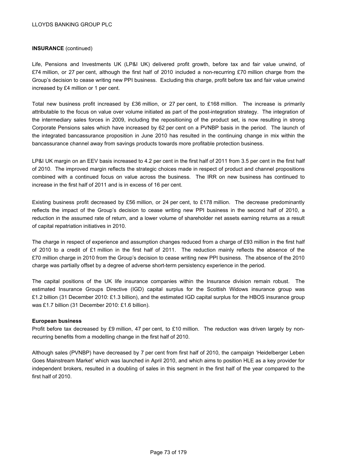Life, Pensions and Investments UK (LP&I UK) delivered profit growth, before tax and fair value unwind, of £74 million, or 27 per cent, although the first half of 2010 included a non-recurring £70 million charge from the Group's decision to cease writing new PPI business. Excluding this charge, profit before tax and fair value unwind increased by £4 million or 1 per cent.

Total new business profit increased by £36 million, or 27 per cent, to £168 million. The increase is primarily attributable to the focus on value over volume initiated as part of the post-integration strategy. The integration of the intermediary sales forces in 2009, including the repositioning of the product set, is now resulting in strong Corporate Pensions sales which have increased by 62 per cent on a PVNBP basis in the period. The launch of the integrated bancassurance proposition in June 2010 has resulted in the continuing change in mix within the bancassurance channel away from savings products towards more profitable protection business.

LP&I UK margin on an EEV basis increased to 4.2 per cent in the first half of 2011 from 3.5 per cent in the first half of 2010. The improved margin reflects the strategic choices made in respect of product and channel propositions combined with a continued focus on value across the business. The IRR on new business has continued to increase in the first half of 2011 and is in excess of 16 per cent.

Existing business profit decreased by £56 million, or 24 per cent, to £178 million. The decrease predominantly reflects the impact of the Group's decision to cease writing new PPI business in the second half of 2010, a reduction in the assumed rate of return, and a lower volume of shareholder net assets earning returns as a result of capital repatriation initiatives in 2010.

The charge in respect of experience and assumption changes reduced from a charge of £93 million in the first half of 2010 to a credit of £1 million in the first half of 2011. The reduction mainly reflects the absence of the £70 million charge in 2010 from the Group's decision to cease writing new PPI business. The absence of the 2010 charge was partially offset by a degree of adverse short-term persistency experience in the period.

The capital positions of the UK life insurance companies within the Insurance division remain robust. The estimated Insurance Groups Directive (IGD) capital surplus for the Scottish Widows insurance group was £1.2 billion (31 December 2010: £1.3 billion), and the estimated IGD capital surplus for the HBOS insurance group was £1.7 billion (31 December 2010: £1.6 billion).

#### **European business**

Profit before tax decreased by £9 million, 47 per cent, to £10 million. The reduction was driven largely by nonrecurring benefits from a modelling change in the first half of 2010.

Although sales (PVNBP) have decreased by 7 per cent from first half of 2010, the campaign 'Heidelberger Leben Goes Mainstream Market' which was launched in April 2010, and which aims to position HLE as a key provider for independent brokers, resulted in a doubling of sales in this segment in the first half of the year compared to the first half of 2010.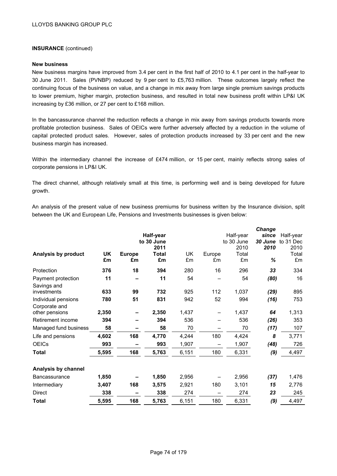#### **New business**

New business margins have improved from 3.4 per cent in the first half of 2010 to 4.1 per cent in the half-year to 30 June 2011. Sales (PVNBP) reduced by 9 per cent to £5,763 million. These outcomes largely reflect the continuing focus of the business on value, and a change in mix away from large single premium savings products to lower premium, higher margin, protection business, and resulted in total new business profit within LP&I UK increasing by £36 million, or 27 per cent to £168 million.

In the bancassurance channel the reduction reflects a change in mix away from savings products towards more profitable protection business. Sales of OEICs were further adversely affected by a reduction in the volume of capital protected product sales. However, sales of protection products increased by 33 per cent and the new business margin has increased.

Within the intermediary channel the increase of £474 million, or 15 per cent, mainly reflects strong sales of corporate pensions in LP&I UK.

The direct channel, although relatively small at this time, is performing well and is being developed for future growth.

An analysis of the present value of new business premiums for business written by the Insurance division, split between the UK and European Life, Pensions and Investments businesses is given below:

|                       |           |               | Half-year    |           |        | Half-year  | <b>Change</b><br>since | Half-year |
|-----------------------|-----------|---------------|--------------|-----------|--------|------------|------------------------|-----------|
|                       |           |               | to 30 June   |           |        | to 30 June | 30 June                | to 31 Dec |
|                       |           |               | 2011         |           |        | 2010       | 2010                   | 2010      |
| Analysis by product   | <b>UK</b> | <b>Europe</b> | <b>Total</b> | <b>UK</b> | Europe | Total      |                        | Total     |
|                       | £m        | £m            | £m           | £m        | £m     | £m         | %                      | £m        |
| Protection            | 376       | 18            | 394          | 280       | 16     | 296        | 33                     | 334       |
| Payment protection    | 11        |               | 11           | 54        |        | 54         | (80)                   | 16        |
| Savings and           |           |               |              |           |        |            |                        |           |
| investments           | 633       | 99            | 732          | 925       | 112    | 1,037      | (29)                   | 895       |
| Individual pensions   | 780       | 51            | 831          | 942       | 52     | 994        | (16)                   | 753       |
| Corporate and         |           |               |              |           |        |            |                        |           |
| other pensions        | 2,350     |               | 2,350        | 1,437     |        | 1,437      | 64                     | 1,313     |
| Retirement income     | 394       |               | 394          | 536       |        | 536        | (26)                   | 353       |
| Managed fund business | 58        |               | 58           | 70        | -      | 70         | (17)                   | 107       |
| Life and pensions     | 4,602     | 168           | 4,770        | 4,244     | 180    | 4,424      | 8                      | 3,771     |
| <b>OEICs</b>          | 993       |               | 993          | 1,907     |        | 1,907      | (48)                   | 726       |
| <b>Total</b>          | 5,595     | 168           | 5,763        | 6,151     | 180    | 6,331      | (9)                    | 4,497     |
|                       |           |               |              |           |        |            |                        |           |
| Analysis by channel   |           |               |              |           |        |            |                        |           |
| <b>Bancassurance</b>  | 1,850     |               | 1,850        | 2,956     |        | 2,956      | (37)                   | 1,476     |
| Intermediary          | 3,407     | 168           | 3,575        | 2,921     | 180    | 3,101      | 15                     | 2,776     |
| Direct                | 338       |               | 338          | 274       |        | 274        | 23                     | 245       |
| <b>Total</b>          | 5,595     | 168           | 5,763        | 6,151     | 180    | 6,331      | (9)                    | 4,497     |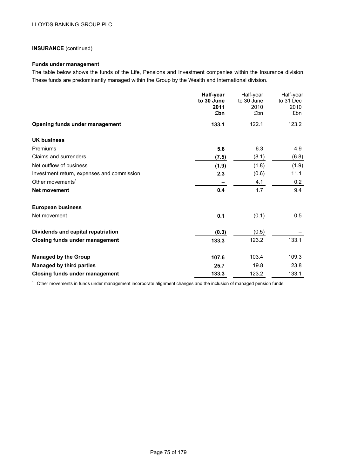#### **Funds under management**

The table below shows the funds of the Life, Pensions and Investment companies within the Insurance division. These funds are predominantly managed within the Group by the Wealth and International division.

|                                            | <b>Half-year</b><br>to 30 June<br>2011<br>£bn | Half-year<br>to 30 June<br>2010<br>£bn | Half-year<br>to 31 Dec<br>2010<br>£bn |
|--------------------------------------------|-----------------------------------------------|----------------------------------------|---------------------------------------|
| Opening funds under management             | 133.1                                         | 122.1                                  | 123.2                                 |
| <b>UK business</b>                         |                                               |                                        |                                       |
| Premiums                                   | 5.6                                           | 6.3                                    | 4.9                                   |
| Claims and surrenders                      | (7.5)                                         | (8.1)                                  | (6.8)                                 |
| Net outflow of business                    | (1.9)                                         | (1.8)                                  | (1.9)                                 |
| Investment return, expenses and commission | 2.3                                           | (0.6)                                  | 11.1                                  |
| Other movements <sup>1</sup>               |                                               | 4.1                                    | 0.2                                   |
| <b>Net movement</b>                        | 0.4                                           | 1.7                                    | 9.4                                   |
| <b>European business</b>                   |                                               |                                        |                                       |
| Net movement                               | 0.1                                           | (0.1)                                  | 0.5                                   |
| Dividends and capital repatriation         | (0.3)                                         | (0.5)                                  |                                       |
| <b>Closing funds under management</b>      | 133.3                                         | 123.2                                  | 133.1                                 |
| <b>Managed by the Group</b>                | 107.6                                         | 103.4                                  | 109.3                                 |
| <b>Managed by third parties</b>            | 25.7                                          | 19.8                                   | 23.8                                  |
| <b>Closing funds under management</b>      | 133.3                                         | 123.2                                  | 133.1                                 |

 $1$  Other movements in funds under management incorporate alignment changes and the inclusion of managed pension funds.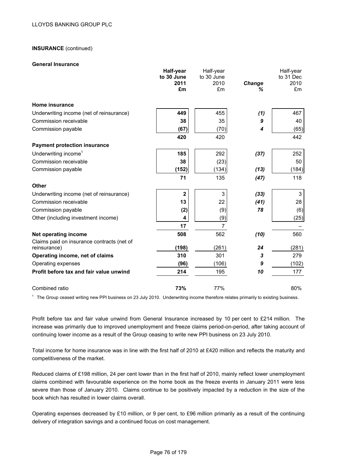#### **General Insurance**

|                                            | Half-year<br>to 30 June<br>2011<br>£m | Half-year<br>to 30 June<br>2010<br>£m | Change<br>℅ | Half-year<br>to 31 Dec<br>2010<br>£m |
|--------------------------------------------|---------------------------------------|---------------------------------------|-------------|--------------------------------------|
| Home insurance                             |                                       |                                       |             |                                      |
| Underwriting income (net of reinsurance)   | 449                                   | 455                                   | (1)         | 467                                  |
| Commission receivable                      | 38                                    | 35                                    | 9           | 40                                   |
| Commission payable                         | (67)                                  | (70)                                  | 4           | (65)                                 |
|                                            | 420                                   | 420                                   |             | 442                                  |
| <b>Payment protection insurance</b>        |                                       |                                       |             |                                      |
| Underwriting income <sup>1</sup>           | 185                                   | 292                                   | (37)        | 252                                  |
| Commission receivable                      | 38                                    | (23)                                  |             | 50                                   |
| Commission payable                         | (152)                                 | (134)                                 | (13)        | (184)                                |
|                                            | 71                                    | 135                                   | (47)        | 118                                  |
| Other                                      |                                       |                                       |             |                                      |
| Underwriting income (net of reinsurance)   | $\mathbf 2$                           | 3                                     | (33)        | 3                                    |
| Commission receivable                      | 13                                    | 22                                    | (41)        | 28                                   |
| Commission payable                         | (2)                                   | (9)                                   | 78          | (6)                                  |
| Other (including investment income)        | 4                                     | (9)                                   |             | (25)                                 |
|                                            | 17                                    | $\overline{7}$                        |             |                                      |
| Net operating income                       | 508                                   | 562                                   | (10)        | 560                                  |
| Claims paid on insurance contracts (net of |                                       |                                       |             |                                      |
| reinsurance)                               | (198)                                 | (261)                                 | 24          | (281)                                |
| Operating income, net of claims            | 310                                   | 301                                   | 3           | 279                                  |
| Operating expenses                         | (96)                                  | (106)                                 | 9           | (102)                                |
| Profit before tax and fair value unwind    | 214                                   | 195                                   | 10          | 177                                  |
| Combined ratio                             | 73%                                   | 77%                                   |             | 80%                                  |

 $1$  The Group ceased writing new PPI business on 23 July 2010. Underwriting income therefore relates primarily to existing business.

Profit before tax and fair value unwind from General Insurance increased by 10 per cent to £214 million. The increase was primarily due to improved unemployment and freeze claims period-on-period, after taking account of continuing lower income as a result of the Group ceasing to write new PPI business on 23 July 2010.

Total income for home insurance was in line with the first half of 2010 at £420 million and reflects the maturity and competitiveness of the market.

Reduced claims of £198 million, 24 per cent lower than in the first half of 2010, mainly reflect lower unemployment claims combined with favourable experience on the home book as the freeze events in January 2011 were less severe than those of January 2010. Claims continue to be positively impacted by a reduction in the size of the book which has resulted in lower claims overall.

Operating expenses decreased by £10 million, or 9 per cent, to £96 million primarily as a result of the continuing delivery of integration savings and a continued focus on cost management.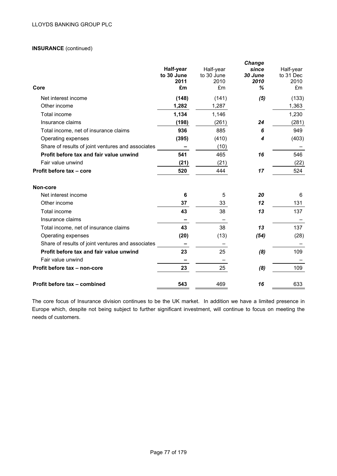| Core                                              | Half-year<br>to 30 June<br>2011<br>£m | Half-year<br>to 30 June<br>2010<br>£m | <b>Change</b><br>since<br>30 June<br>2010<br>℅ | Half-year<br>to 31 Dec<br>2010<br>£m |
|---------------------------------------------------|---------------------------------------|---------------------------------------|------------------------------------------------|--------------------------------------|
| Net interest income                               | (148)                                 | (141)                                 | (5)                                            | (133)                                |
| Other income                                      | 1,282                                 | 1,287                                 |                                                | 1,363                                |
| Total income                                      | 1,134                                 | 1,146                                 |                                                | 1,230                                |
| Insurance claims                                  | (198)                                 | (261)                                 | 24                                             | (281)                                |
| Total income, net of insurance claims             | 936                                   | 885                                   | 6                                              | 949                                  |
| Operating expenses                                | (395)                                 | (410)                                 | 4                                              | (403)                                |
| Share of results of joint ventures and associates |                                       | (10)                                  |                                                |                                      |
| Profit before tax and fair value unwind           | 541                                   | 465                                   | 16                                             | 546                                  |
| Fair value unwind                                 | (21)                                  | (21)                                  |                                                | (22)                                 |
| Profit before tax - core                          | 520                                   | 444                                   | 17                                             | 524                                  |
| Non-core                                          |                                       |                                       |                                                |                                      |
| Net interest income                               | 6                                     | 5                                     | 20                                             | 6                                    |
| Other income                                      | 37                                    | 33                                    | 12                                             | 131                                  |
| Total income                                      | 43                                    | 38                                    | 13                                             | 137                                  |
| Insurance claims                                  |                                       |                                       |                                                |                                      |
| Total income, net of insurance claims             | 43                                    | 38                                    | 13                                             | 137                                  |
| Operating expenses                                | (20)                                  | (13)                                  | (54)                                           | (28)                                 |
| Share of results of joint ventures and associates |                                       |                                       |                                                |                                      |
| Profit before tax and fair value unwind           | 23                                    | 25                                    | (8)                                            | 109                                  |
| Fair value unwind                                 |                                       |                                       |                                                |                                      |
| Profit before tax - non-core                      | 23                                    | 25                                    | (8)                                            | 109                                  |
| Profit before tax - combined                      | 543                                   | 469                                   | 16                                             | 633                                  |

The core focus of Insurance division continues to be the UK market. In addition we have a limited presence in Europe which, despite not being subject to further significant investment, will continue to focus on meeting the needs of customers.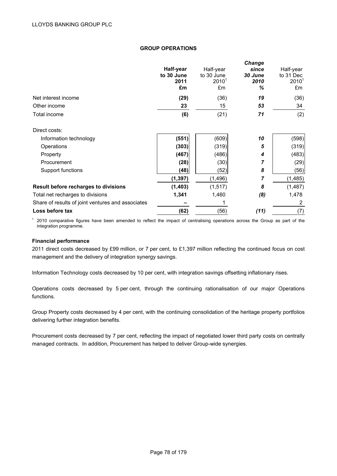#### **GROUP OPERATIONS**

|                                                   | Half-year<br>to 30 June<br>2011<br>£m | Half-year<br>to 30 June<br>$2010^{1}$<br>£m | Change<br>since<br>30 June<br>2010<br>℅ | Half-year<br>to 31 Dec<br>$2010^{1}$<br>£m |
|---------------------------------------------------|---------------------------------------|---------------------------------------------|-----------------------------------------|--------------------------------------------|
| Net interest income                               | (29)                                  | (36)                                        | 19                                      | (36)                                       |
| Other income                                      | 23                                    | 15                                          | 53                                      | 34                                         |
| Total income                                      | (6)                                   | (21)                                        | 71                                      | (2)                                        |
| Direct costs:                                     |                                       |                                             |                                         |                                            |
| Information technology                            | (551)                                 | (609)                                       | 10                                      | (598)                                      |
| Operations                                        | (303)                                 | (319)                                       | 5                                       | (319)                                      |
| Property                                          | (467)                                 | (486)                                       | 4                                       | (483)                                      |
| Procurement                                       | (28)                                  | (30)                                        | 7                                       | (29)                                       |
| Support functions                                 | (48)                                  | (52)                                        | 8                                       | (56)                                       |
|                                                   | (1, 397)                              | (1, 496)                                    | 7                                       | (1, 485)                                   |
| Result before recharges to divisions              | (1, 403)                              | (1, 517)                                    | 8                                       | (1, 487)                                   |
| Total net recharges to divisions                  | 1,341                                 | 1,460                                       | (8)                                     | 1,478                                      |
| Share of results of joint ventures and associates |                                       |                                             |                                         | 2                                          |
| Loss before tax                                   | (62)                                  | (56)                                        | (11)                                    | (7)                                        |

 $1$  2010 comparative figures have been amended to reflect the impact of centralising operations across the Group as part of the integration programme.

#### **Financial performance**

2011 direct costs decreased by £99 million, or 7 per cent, to £1,397 million reflecting the continued focus on cost management and the delivery of integration synergy savings.

Information Technology costs decreased by 10 per cent, with integration savings offsetting inflationary rises.

Operations costs decreased by 5 per cent, through the continuing rationalisation of our major Operations functions.

Group Property costs decreased by 4 per cent, with the continuing consolidation of the heritage property portfolios delivering further integration benefits.

Procurement costs decreased by 7 per cent, reflecting the impact of negotiated lower third party costs on centrally managed contracts. In addition, Procurement has helped to deliver Group-wide synergies.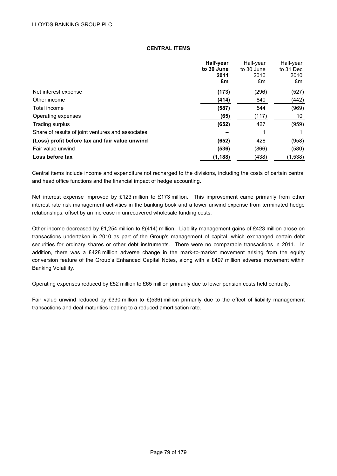## **CENTRAL ITEMS**

|                                                   | Half-year  | Half-year  | Half-year |
|---------------------------------------------------|------------|------------|-----------|
|                                                   | to 30 June | to 30 June | to 31 Dec |
|                                                   | 2011       | 2010       | 2010      |
|                                                   | £m         | £m         | £m        |
| Net interest expense                              | (173)      | (296)      | (527)     |
| Other income                                      | (414)      | 840        | (442)     |
| Total income                                      | (587)      | 544        | (969)     |
| Operating expenses                                | (65)       | (117)      | 10        |
| Trading surplus                                   | (652)      | 427        | (959)     |
| Share of results of joint ventures and associates |            |            |           |
| (Loss) profit before tax and fair value unwind    | (652)      | 428        | (958)     |
| Fair value unwind                                 | (536)      | (866)      | (580)     |
| Loss before tax                                   | (1, 188)   | (438)      | (1,538)   |

Central items include income and expenditure not recharged to the divisions, including the costs of certain central and head office functions and the financial impact of hedge accounting.

Net interest expense improved by £123 million to £173 million. This improvement came primarily from other interest rate risk management activities in the banking book and a lower unwind expense from terminated hedge relationships, offset by an increase in unrecovered wholesale funding costs.

Other income decreased by £1,254 million to £(414) million. Liability management gains of £423 million arose on transactions undertaken in 2010 as part of the Group's management of capital, which exchanged certain debt securities for ordinary shares or other debt instruments. There were no comparable transactions in 2011. In addition, there was a £428 million adverse change in the mark-to-market movement arising from the equity conversion feature of the Group's Enhanced Capital Notes, along with a £497 million adverse movement within Banking Volatility.

Operating expenses reduced by £52 million to £65 million primarily due to lower pension costs held centrally.

Fair value unwind reduced by £330 million to £(536) million primarily due to the effect of liability management transactions and deal maturities leading to a reduced amortisation rate.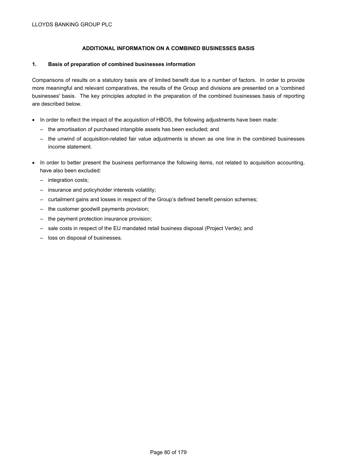# **ADDITIONAL INFORMATION ON A COMBINED BUSINESSES BASIS**

### **1. Basis of preparation of combined businesses information**

Comparisons of results on a statutory basis are of limited benefit due to a number of factors. In order to provide more meaningful and relevant comparatives, the results of the Group and divisions are presented on a 'combined businesses' basis. The key principles adopted in the preparation of the combined businesses basis of reporting are described below.

- In order to reflect the impact of the acquisition of HBOS, the following adjustments have been made:
	- the amortisation of purchased intangible assets has been excluded; and
	- the unwind of acquisition-related fair value adjustments is shown as one line in the combined businesses income statement.
- In order to better present the business performance the following items, not related to acquisition accounting, have also been excluded:
	- integration costs;
	- insurance and policyholder interests volatility;
	- curtailment gains and losses in respect of the Group's defined benefit pension schemes;
	- the customer goodwill payments provision;
	- the payment protection insurance provision;
	- sale costs in respect of the EU mandated retail business disposal (Project Verde); and
	- loss on disposal of businesses.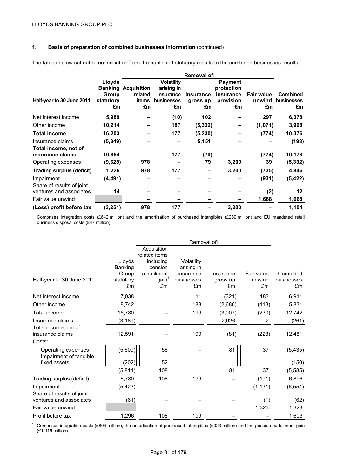# **1. Basis of preparation of combined businesses information** (continued)

The tables below set out a reconciliation from the published statutory results to the combined businesses results:

|                           | <b>Removal of:</b> |                    |                   |                  |                |                   |                 |
|---------------------------|--------------------|--------------------|-------------------|------------------|----------------|-------------------|-----------------|
|                           | Lloyds             |                    | <b>Volatility</b> |                  | <b>Payment</b> |                   |                 |
|                           | <b>Banking</b>     | <b>Acquisition</b> | arising in        |                  | protection     |                   |                 |
|                           | Group              | related            | insurance         | <b>Insurance</b> | insurance      | <b>Fair value</b> | <b>Combined</b> |
| Half-year to 30 June 2011 | statutory          | items <sup>1</sup> | businesses        | gross up         | provision      | unwind            | businesses      |
|                           | £m                 | £m                 | £m                | £m               | £m             | £m                | £m              |
| Net interest income       | 5,989              |                    | (10)              | 102              |                | 297               | 6,378           |
| Other income              | 10,214             |                    | 187               | (5, 332)         |                | (1,071)           | 3,998           |
| <b>Total income</b>       | 16,203             |                    | 177               | (5, 230)         |                | (774)             | 10,376          |
| Insurance claims          | (5, 349)           |                    |                   | 5,151            |                |                   | (198)           |
| Total income, net of      |                    |                    |                   |                  |                |                   |                 |
| insurance claims          | 10,854             |                    | 177               | (79)             |                | (774)             | 10,178          |
| Operating expenses        | (9,628)            | 978                |                   | 79               | 3,200          | 39                | (5, 332)        |
| Trading surplus (deficit) | 1,226              | 978                | 177               |                  | 3,200          | (735)             | 4,846           |
| Impairment                | (4, 491)           |                    |                   |                  |                | (931)             | (5, 422)        |
| Share of results of joint |                    |                    |                   |                  |                |                   |                 |
| ventures and associates   | 14                 |                    |                   |                  |                | (2)               | 12              |
| Fair value unwind         |                    |                    |                   |                  |                | 1,668             | 1,668           |
| (Loss) profit before tax  | (3, 251)           | 978                | 177               |                  | 3,200          |                   | 1,104           |

<sup>1</sup> Comprises integration costs (£642 million) and the amortisation of purchased intangibles (£289 million) and EU mandated retail business disposal costs (£47 million).

|                                                      | Removal of:                                          |                                                                                                |                                                           |                             |                            |                              |
|------------------------------------------------------|------------------------------------------------------|------------------------------------------------------------------------------------------------|-----------------------------------------------------------|-----------------------------|----------------------------|------------------------------|
| Half-year to 30 June 2010                            | Lloyds<br><b>Banking</b><br>Group<br>statutory<br>£m | Acquisition<br>related items<br>including<br>pension<br>curtailment<br>gain <sup>1</sup><br>£m | Volatility<br>arising in<br>insurance<br>businesses<br>£m | Insurance<br>gross up<br>£m | Fair value<br>unwind<br>£m | Combined<br>businesses<br>£m |
| Net interest income                                  | 7,038                                                |                                                                                                | 11                                                        | (321)                       | 183                        | 6,911                        |
| Other income                                         | 8,742                                                |                                                                                                | 188                                                       | (2,686)                     | (413)                      | 5,831                        |
| Total income                                         | 15,780                                               |                                                                                                | 199                                                       | (3,007)                     | (230)                      | 12,742                       |
| Insurance claims                                     | (3, 189)                                             |                                                                                                |                                                           | 2,926                       | $\overline{2}$             | (261)                        |
| Total income, net of<br>insurance claims<br>Costs:   | 12,591                                               |                                                                                                | 199                                                       | (81)                        | (228)                      | 12,481                       |
| Operating expenses<br>Impairment of tangible         | (5,609)                                              | 56                                                                                             |                                                           | 81                          | 37                         | (5, 435)                     |
| fixed assets                                         | (202)                                                | 52                                                                                             |                                                           |                             |                            | (150)                        |
|                                                      | (5, 811)                                             | 108                                                                                            |                                                           | 81                          | 37                         | (5, 585)                     |
| Trading surplus (deficit)                            | 6,780                                                | 108                                                                                            | 199                                                       |                             | (191)                      | 6,896                        |
| Impairment                                           | (5, 423)                                             |                                                                                                |                                                           |                             | (1, 131)                   | (6, 554)                     |
| Share of results of joint<br>ventures and associates | (61)                                                 |                                                                                                |                                                           |                             | (1)                        | (62)                         |
| Fair value unwind                                    |                                                      |                                                                                                |                                                           |                             | 1,323                      | 1,323                        |
| Profit before tax                                    | 1,296                                                | 108                                                                                            | 199                                                       |                             |                            | 1,603                        |

 $1$  Comprises integration costs (£804 million), the amortisation of purchased intangibles (£323 million) and the pension curtailment gain (£1,019 million).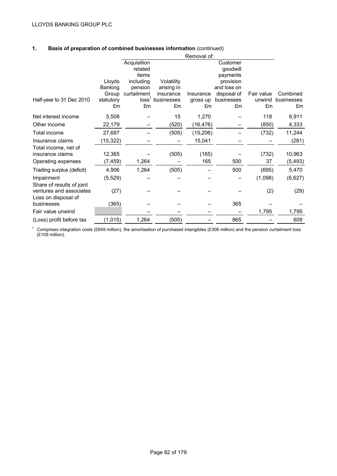# **1. Basis of preparation of combined businesses information** (continued)

|                                                      |           |             |                    | Removal of: |             |            |            |
|------------------------------------------------------|-----------|-------------|--------------------|-------------|-------------|------------|------------|
|                                                      |           | Acquisition |                    |             | Customer    |            |            |
|                                                      |           | related     |                    |             | goodwill    |            |            |
|                                                      |           | items       |                    |             | payments    |            |            |
|                                                      | Lloyds    | including   | Volatility         |             | provision   |            |            |
|                                                      | Banking   | pension     | arising in         |             | and loss on |            |            |
|                                                      | Group     | curtailment | insurance          | Insurance   | disposal of | Fair value | Combined   |
| Half-year to 31 Dec 2010                             | statutory |             | $loss1$ businesses | gross up    | businesses  | unwind     | businesses |
|                                                      | £m        | £m          | £m                 | £m          | £m          | £m         | £m         |
| Net interest income                                  | 5,508     |             | 15                 | 1,270       |             | 118        | 6,911      |
| Other income                                         | 22,179    |             | (520)              | (16, 476)   |             | (850)      | 4,333      |
| Total income                                         | 27,687    |             | (505)              | (15,206)    |             | (732)      | 11,244     |
| Insurance claims                                     | (15, 322) |             |                    | 15,041      |             |            | (281)      |
| Total income, net of                                 |           |             |                    |             |             |            |            |
| insurance claims                                     | 12,365    |             | (505)              | (165)       |             | (732)      | 10,963     |
| Operating expenses                                   | (7,459)   | 1,264       |                    | 165         | 500         | 37         | (5, 493)   |
| Trading surplus (deficit)                            | 4,906     | 1,264       | (505)              |             | 500         | (695)      | 5,470      |
| Impairment                                           | (5, 529)  |             |                    |             |             | (1,098)    | (6,627)    |
| Share of results of joint<br>ventures and associates | (27)      |             |                    |             |             | (2)        | (29)       |
| Loss on disposal of                                  |           |             |                    |             |             |            |            |
| businesses                                           | (365)     |             |                    |             | 365         |            |            |
| Fair value unwind                                    |           |             |                    |             |             | 1,795      | 1,795      |
| (Loss) profit before tax                             | (1, 015)  | 1,264       | (505)              |             | 865         |            | 609        |

 $1$  Comprises integration costs (£849 million), the amortisation of purchased intangibles (£306 million) and the pension curtailment loss (£109 million).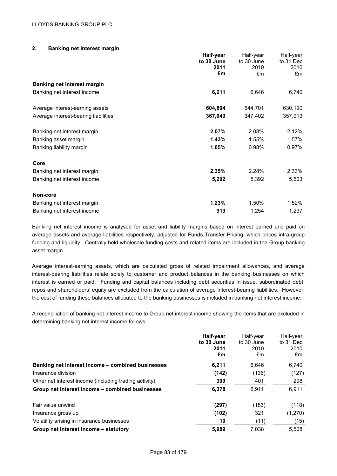## **2. Banking net interest margin**

|                                      | Half-year  | Half-year  | Half-year |
|--------------------------------------|------------|------------|-----------|
|                                      | to 30 June | to 30 June | to 31 Dec |
|                                      | 2011       | 2010       | 2010      |
|                                      | £m         | £m         | £m        |
| <b>Banking net interest margin</b>   |            |            |           |
| Banking net interest income          | 6,211      | 6,646      | 6,740     |
| Average interest-earning assets      | 604,804    | 644,701    | 630,190   |
| Average interest-bearing liabilities | 367,049    | 347,402    | 357,913   |
| Banking net interest margin          | 2.07%      | 2.08%      | 2.12%     |
| Banking asset margin                 | 1.43%      | 1.55%      | 1.57%     |
| Banking liability margin             | 1.05%      | 0.98%      | 0.97%     |
| Core                                 |            |            |           |
| Banking net interest margin          | 2.35%      | 2.28%      | 2.33%     |
| Banking net interest income          | 5,292      | 5,392      | 5,503     |
| Non-core                             |            |            |           |
| Banking net interest margin          | 1.23%      | 1.50%      | 1.52%     |
| Banking net interest income          | 919        | 1,254      | 1,237     |

Banking net interest income is analysed for asset and liability margins based on interest earned and paid on average assets and average liabilities respectively, adjusted for Funds Transfer Pricing, which prices intra-group funding and liquidity. Centrally held wholesale funding costs and related items are included in the Group banking asset margin.

Average interest-earning assets, which are calculated gross of related impairment allowances, and average interest-bearing liabilities relate solely to customer and product balances in the banking businesses on which interest is earned or paid. Funding and capital balances including debt securities in issue, subordinated debt, repos and shareholders' equity are excluded from the calculation of average interest-bearing liabilities. However, the cost of funding these balances allocated to the banking businesses is included in banking net interest income.

A reconciliation of banking net interest income to Group net interest income showing the items that are excluded in determining banking net interest income follows:

|                                                        | Half-year<br>to 30 June<br>2011<br>£m | Half-year<br>to 30 June<br>2010<br>£m | Half-year<br>to 31 Dec<br>2010<br>£m |
|--------------------------------------------------------|---------------------------------------|---------------------------------------|--------------------------------------|
|                                                        |                                       |                                       |                                      |
| Banking net interest income - combined businesses      | 6,211                                 | 6,646                                 | 6,740                                |
| Insurance division                                     | (142)                                 | (136)                                 | (127)                                |
| Other net interest income (including trading activity) | 309                                   | 401                                   | 298                                  |
| Group net interest income - combined businesses        | 6.378                                 | 6.911                                 | 6.911                                |
| Fair value unwind                                      | (297)                                 | (183)                                 | (118)                                |
| Insurance gross up                                     | (102)                                 | 321                                   | (1,270)                              |
| Volatility arising in insurance businesses             | 10                                    | (11)                                  | (15)                                 |
| Group net interest income – statutory                  | 5,989                                 | 7.038                                 | 5.508                                |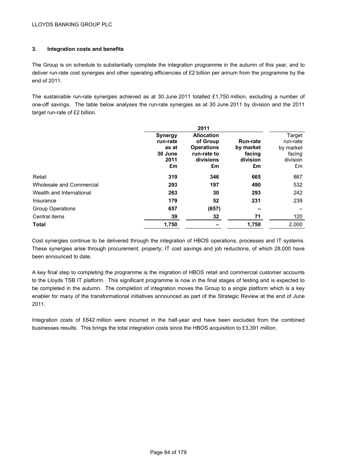## **3. Integration costs and benefits**

The Group is on schedule to substantially complete the integration programme in the autumn of this year, and to deliver run-rate cost synergies and other operating efficiencies of £2 billion per annum from the programme by the end of 2011.

The sustainable run-rate synergies achieved as at 30 June 2011 totalled £1,750 million, excluding a number of one-off savings. The table below analyses the run-rate synergies as at 30 June 2011 by division and the 2011 target run-rate of £2 billion.

|                          |                | 2011              |                 |           |
|--------------------------|----------------|-------------------|-----------------|-----------|
|                          | <b>Synergy</b> | <b>Allocation</b> |                 | Target    |
|                          | run-rate       | of Group          | <b>Run-rate</b> | run-rate  |
|                          | as at          | <b>Operations</b> | by market       | by market |
|                          | 30 June        | run-rate to       | facing          | facing    |
|                          | 2011           | divisions         | division        | division  |
|                          | £m             | £m                | £m              | £m        |
| Retail                   | 319            | 346               | 665             | 867       |
| Wholesale and Commercial | 293            | 197               | 490             | 532       |
| Wealth and International | 263            | 30                | 293             | 242       |
| Insurance                | 179            | 52                | 231             | 239       |
| <b>Group Operations</b>  | 657            | (657)             |                 |           |
| Central items            | 39             | 32                | 71              | 120       |
| <b>Total</b>             | 1,750          |                   | 1,750           | 2,000     |

Cost synergies continue to be delivered through the integration of HBOS operations, processes and IT systems. These synergies arise through procurement; property; IT cost savings and job reductions, of which 28,000 have been announced to date.

A key final step to completing the programme is the migration of HBOS retail and commercial customer accounts to the Lloyds TSB IT platform. This significant programme is now in the final stages of testing and is expected to be completed in the autumn. The completion of integration moves the Group to a single platform which is a key enabler for many of the transformational initiatives announced as part of the Strategic Review at the end of June 2011.

Integration costs of £642 million were incurred in the half-year and have been excluded from the combined businesses results. This brings the total integration costs since the HBOS acquisition to £3,391 million.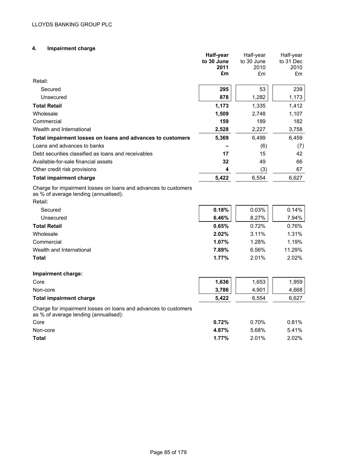# **4. Impairment charge**

|                                                                                                                     | Half-year  | Half-year              | Half-year  |
|---------------------------------------------------------------------------------------------------------------------|------------|------------------------|------------|
|                                                                                                                     | to 30 June | to 30 June             | to 31 Dec  |
|                                                                                                                     | 2011<br>£m | 2010<br>$\mathbf{f}$ m | 2010<br>£m |
| Retail:                                                                                                             |            |                        |            |
| Secured                                                                                                             | 295        | 53                     | 239        |
| Unsecured                                                                                                           | 878        | 1,282                  | 1,173      |
| <b>Total Retail</b>                                                                                                 | 1,173      | 1,335                  | 1,412      |
| Wholesale                                                                                                           | 1,509      | 2,748                  | 1,107      |
| Commercial                                                                                                          | 159        | 189                    | 182        |
| Wealth and International                                                                                            | 2,528      | 2,227                  | 3,758      |
| Total impairment losses on loans and advances to customers                                                          | 5,369      | 6,499                  | 6,459      |
| Loans and advances to banks                                                                                         |            | (6)                    | (7)        |
| Debt securities classified as loans and receivables                                                                 | 17         | 15                     | 42         |
| Available-for-sale financial assets                                                                                 | 32         | 49                     | 66         |
| Other credit risk provisions                                                                                        | 4          | (3)                    | 67         |
| <b>Total impairment charge</b>                                                                                      | 5,422      | 6,554                  | 6,627      |
| Charge for impairment losses on loans and advances to customers<br>as % of average lending (annualised):<br>Retail: |            |                        |            |
| Secured                                                                                                             | 0.18%      | 0.03%                  | 0.14%      |
| Unsecured                                                                                                           | 6.46%      | 8.27%                  | 7.94%      |
| <b>Total Retail</b>                                                                                                 | 0.65%      | 0.72%                  | 0.76%      |
| Wholesale                                                                                                           | 2.02%      | 3.11%                  | 1.31%      |
| Commercial                                                                                                          | 1.07%      | 1.28%                  | 1.19%      |
| Wealth and International                                                                                            | 7.89%      | 6.56%                  | 11.29%     |
| <b>Total</b>                                                                                                        | 1.77%      | 2.01%                  | 2.02%      |
| Impairment charge:                                                                                                  |            |                        |            |
| Core                                                                                                                | 1,636      | 1,653                  | 1,959      |
| Non-core                                                                                                            | 3,786      | 4,901                  | 4,668      |
| <b>Total impairment charge</b>                                                                                      | 5,422      | 6,554                  | 6,627      |
| Charge for impairment losses on loans and advances to customers<br>as % of average lending (annualised):            |            |                        |            |
| Core                                                                                                                | 0.72%      | 0.70%                  | 0.81%      |
| Non-core                                                                                                            | 4.87%      | 5.68%                  | 5.41%      |
| <b>Total</b>                                                                                                        | 1.77%      | 2.01%                  | 2.02%      |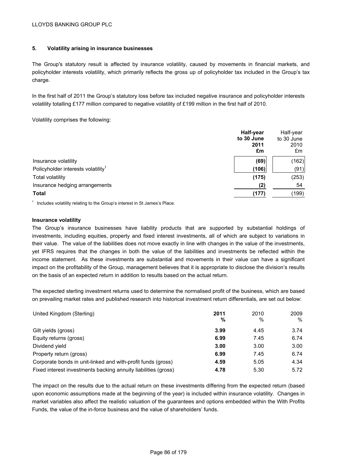## **5. Volatility arising in insurance businesses**

The Group's statutory result is affected by insurance volatility, caused by movements in financial markets, and policyholder interests volatility, which primarily reflects the gross up of policyholder tax included in the Group's tax charge.

In the first half of 2011 the Group's statutory loss before tax included negative insurance and policyholder interests volatility totalling £177 million compared to negative volatility of £199 million in the first half of 2010.

Volatility comprises the following:

|                                                | Half-year<br>to 30 June<br>2011<br>£m | Half-year<br>to 30 June<br>2010<br>£m |
|------------------------------------------------|---------------------------------------|---------------------------------------|
| Insurance volatility                           | (69)                                  | (162)                                 |
| Policyholder interests volatility <sup>1</sup> | (106)                                 | (91)                                  |
| Total volatility                               | (175)                                 | (253)                                 |
| Insurance hedging arrangements                 | (2)                                   | 54                                    |
| <b>Total</b>                                   | (177)                                 | (199)                                 |

 $1$  Includes volatility relating to the Group's interest in St James's Place.

#### **Insurance volatility**

The Group's insurance businesses have liability products that are supported by substantial holdings of investments, including equities, property and fixed interest investments, all of which are subject to variations in their value. The value of the liabilities does not move exactly in line with changes in the value of the investments, yet IFRS requires that the changes in both the value of the liabilities and investments be reflected within the income statement. As these investments are substantial and movements in their value can have a significant impact on the profitability of the Group, management believes that it is appropriate to disclose the division's results on the basis of an expected return in addition to results based on the actual return.

The expected sterling investment returns used to determine the normalised profit of the business, which are based on prevailing market rates and published research into historical investment return differentials, are set out below:

| United Kingdom (Sterling)                                      | 2011<br>% | 2010<br>$\frac{0}{0}$ | 2009<br>% |
|----------------------------------------------------------------|-----------|-----------------------|-----------|
| Gilt yields (gross)                                            | 3.99      | 4.45                  | 3.74      |
| Equity returns (gross)                                         | 6.99      | 7.45                  | 6.74      |
| Dividend yield                                                 | 3.00      | 3.00                  | 3.00      |
| Property return (gross)                                        | 6.99      | 7.45                  | 6.74      |
| Corporate bonds in unit-linked and with-profit funds (gross)   | 4.59      | 5.05                  | 4.34      |
| Fixed interest investments backing annuity liabilities (gross) | 4.78      | 5.30                  | 5.72      |

The impact on the results due to the actual return on these investments differing from the expected return (based upon economic assumptions made at the beginning of the year) is included within insurance volatility. Changes in market variables also affect the realistic valuation of the guarantees and options embedded within the With Profits Funds, the value of the in-force business and the value of shareholders' funds.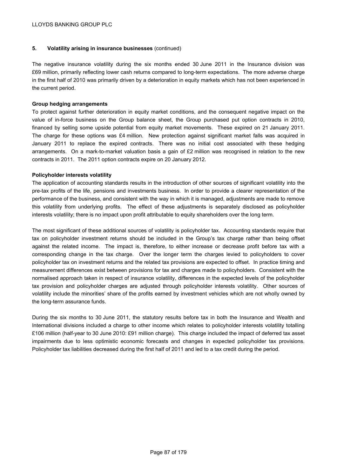## **5. Volatility arising in insurance businesses** (continued)

The negative insurance volatility during the six months ended 30 June 2011 in the Insurance division was £69 million, primarily reflecting lower cash returns compared to long-term expectations. The more adverse charge in the first half of 2010 was primarily driven by a deterioration in equity markets which has not been experienced in the current period.

## **Group hedging arrangements**

To protect against further deterioration in equity market conditions, and the consequent negative impact on the value of in-force business on the Group balance sheet, the Group purchased put option contracts in 2010, financed by selling some upside potential from equity market movements. These expired on 21 January 2011. The charge for these options was £4 million. New protection against significant market falls was acquired in January 2011 to replace the expired contracts. There was no initial cost associated with these hedging arrangements. On a mark-to-market valuation basis a gain of £2 million was recognised in relation to the new contracts in 2011. The 2011 option contracts expire on 20 January 2012.

## **Policyholder interests volatility**

The application of accounting standards results in the introduction of other sources of significant volatility into the pre-tax profits of the life, pensions and investments business. In order to provide a clearer representation of the performance of the business, and consistent with the way in which it is managed, adjustments are made to remove this volatility from underlying profits. The effect of these adjustments is separately disclosed as policyholder interests volatility; there is no impact upon profit attributable to equity shareholders over the long term.

The most significant of these additional sources of volatility is policyholder tax. Accounting standards require that tax on policyholder investment returns should be included in the Group's tax charge rather than being offset against the related income. The impact is, therefore, to either increase or decrease profit before tax with a corresponding change in the tax charge. Over the longer term the charges levied to policyholders to cover policyholder tax on investment returns and the related tax provisions are expected to offset. In practice timing and measurement differences exist between provisions for tax and charges made to policyholders. Consistent with the normalised approach taken in respect of insurance volatility, differences in the expected levels of the policyholder tax provision and policyholder charges are adjusted through policyholder interests volatility. Other sources of volatility include the minorities' share of the profits earned by investment vehicles which are not wholly owned by the long-term assurance funds.

During the six months to 30 June 2011, the statutory results before tax in both the Insurance and Wealth and International divisions included a charge to other income which relates to policyholder interests volatility totalling £106 million (half-year to 30 June 2010: £91 million charge). This charge included the impact of deferred tax asset impairments due to less optimistic economic forecasts and changes in expected policyholder tax provisions. Policyholder tax liabilities decreased during the first half of 2011 and led to a tax credit during the period.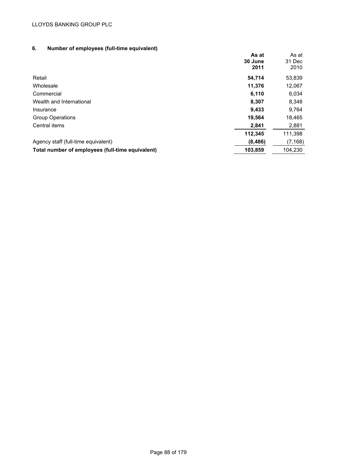# LLOYDS BANKING GROUP PLC

# **6. Number of employees (full-time equivalent)**

|                                                  | As at<br>30 June<br>2011 | As at<br>31 Dec<br>2010 |
|--------------------------------------------------|--------------------------|-------------------------|
| Retail                                           | 54,714                   | 53,839                  |
| Wholesale                                        | 11,376                   | 12,067                  |
| Commercial                                       | 6,110                    | 6,034                   |
| Wealth and International                         | 8,307                    | 8,348                   |
| Insurance                                        | 9,433                    | 9,764                   |
| <b>Group Operations</b>                          | 19,564                   | 18,465                  |
| Central items                                    | 2,841                    | 2,881                   |
|                                                  | 112,345                  | 111,398                 |
| Agency staff (full-time equivalent)              | (8, 486)                 | (7, 168)                |
| Total number of employees (full-time equivalent) | 103.859                  | 104.230                 |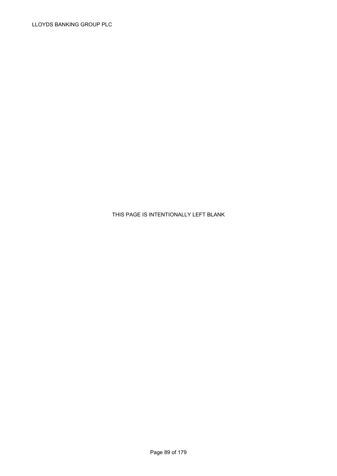THIS PAGE IS INTENTIONALLY LEFT BLANK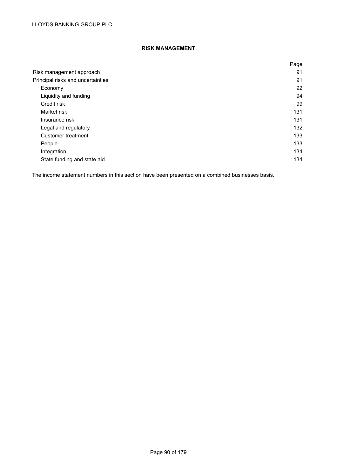# **RISK MANAGEMENT**

|                                   | Page |
|-----------------------------------|------|
| Risk management approach          | 91   |
| Principal risks and uncertainties | 91   |
| Economy                           | 92   |
| Liquidity and funding             | 94   |
| Credit risk                       | 99   |
| Market risk                       | 131  |
| Insurance risk                    | 131  |
| Legal and regulatory              | 132  |
| Customer treatment                | 133  |
| People                            | 133  |
| Integration                       | 134  |
| State funding and state aid       | 134  |

The income statement numbers in this section have been presented on a combined businesses basis.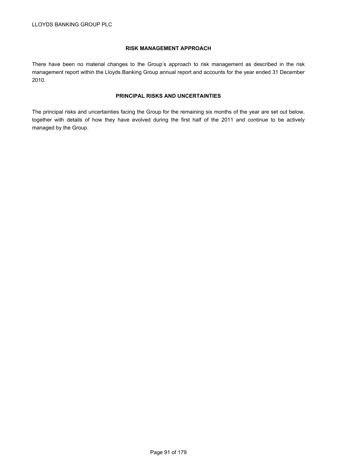# **RISK MANAGEMENT APPROACH**

There have been no material changes to the Group's approach to risk management as described in the risk management report within the Lloyds Banking Group annual report and accounts for the year ended 31 December 2010.

# **PRINCIPAL RISKS AND UNCERTAINTIES**

The principal risks and uncertainties facing the Group for the remaining six months of the year are set out below, together with details of how they have evolved during the first half of the 2011 and continue to be actively managed by the Group.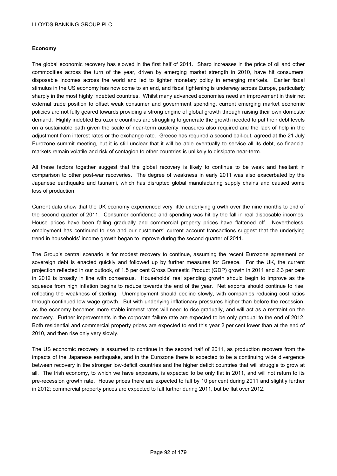## **Economy**

The global economic recovery has slowed in the first half of 2011. Sharp increases in the price of oil and other commodities across the turn of the year, driven by emerging market strength in 2010, have hit consumers' disposable incomes across the world and led to tighter monetary policy in emerging markets. Earlier fiscal stimulus in the US economy has now come to an end, and fiscal tightening is underway across Europe, particularly sharply in the most highly indebted countries. Whilst many advanced economies need an improvement in their net external trade position to offset weak consumer and government spending, current emerging market economic policies are not fully geared towards providing a strong engine of global growth through raising their own domestic demand. Highly indebted Eurozone countries are struggling to generate the growth needed to put their debt levels on a sustainable path given the scale of near-term austerity measures also required and the lack of help in the adjustment from interest rates or the exchange rate. Greece has required a second bail-out, agreed at the 21 July Eurozone summit meeting, but it is still unclear that it will be able eventually to service all its debt, so financial markets remain volatile and risk of contagion to other countries is unlikely to dissipate near-term.

All these factors together suggest that the global recovery is likely to continue to be weak and hesitant in comparison to other post-war recoveries. The degree of weakness in early 2011 was also exacerbated by the Japanese earthquake and tsunami, which has disrupted global manufacturing supply chains and caused some loss of production.

Current data show that the UK economy experienced very little underlying growth over the nine months to end of the second quarter of 2011. Consumer confidence and spending was hit by the fall in real disposable incomes. House prices have been falling gradually and commercial property prices have flattened off. Nevertheless, employment has continued to rise and our customers' current account transactions suggest that the underlying trend in households' income growth began to improve during the second quarter of 2011.

The Group's central scenario is for modest recovery to continue, assuming the recent Eurozone agreement on sovereign debt is enacted quickly and followed up by further measures for Greece. For the UK, the current projection reflected in our outlook, of 1.5 per cent Gross Domestic Product (GDP) growth in 2011 and 2.3 per cent in 2012 is broadly in line with consensus. Households' real spending growth should begin to improve as the squeeze from high inflation begins to reduce towards the end of the year. Net exports should continue to rise, reflecting the weakness of sterling. Unemployment should decline slowly, with companies reducing cost ratios through continued low wage growth. But with underlying inflationary pressures higher than before the recession, as the economy becomes more stable interest rates will need to rise gradually, and will act as a restraint on the recovery. Further improvements in the corporate failure rate are expected to be only gradual to the end of 2012. Both residential and commercial property prices are expected to end this year 2 per cent lower than at the end of 2010, and then rise only very slowly.

The US economic recovery is assumed to continue in the second half of 2011, as production recovers from the impacts of the Japanese earthquake, and in the Eurozone there is expected to be a continuing wide divergence between recovery in the stronger low-deficit countries and the higher deficit countries that will struggle to grow at all. The Irish economy, to which we have exposure, is expected to be only flat in 2011, and will not return to its pre-recession growth rate. House prices there are expected to fall by 10 per cent during 2011 and slightly further in 2012; commercial property prices are expected to fall further during 2011, but be flat over 2012.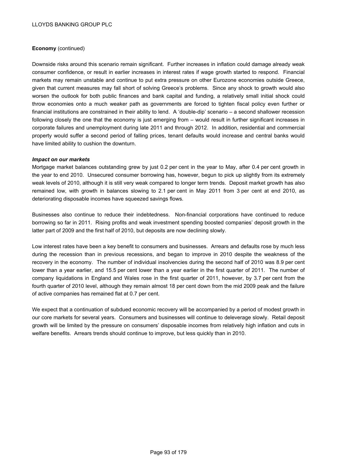## **Economy** (continued)

Downside risks around this scenario remain significant. Further increases in inflation could damage already weak consumer confidence, or result in earlier increases in interest rates if wage growth started to respond. Financial markets may remain unstable and continue to put extra pressure on other Eurozone economies outside Greece, given that current measures may fall short of solving Greece's problems. Since any shock to growth would also worsen the outlook for both public finances and bank capital and funding, a relatively small initial shock could throw economies onto a much weaker path as governments are forced to tighten fiscal policy even further or financial institutions are constrained in their ability to lend. A 'double-dip' scenario – a second shallower recession following closely the one that the economy is just emerging from – would result in further significant increases in corporate failures and unemployment during late 2011 and through 2012. In addition, residential and commercial property would suffer a second period of falling prices, tenant defaults would increase and central banks would have limited ability to cushion the downturn.

## *Impact on our markets*

Mortgage market balances outstanding grew by just 0.2 per cent in the year to May, after 0.4 per cent growth in the year to end 2010. Unsecured consumer borrowing has, however, begun to pick up slightly from its extremely weak levels of 2010, although it is still very weak compared to longer term trends. Deposit market growth has also remained low, with growth in balances slowing to 2.1 per cent in May 2011 from 3 per cent at end 2010, as deteriorating disposable incomes have squeezed savings flows.

Businesses also continue to reduce their indebtedness. Non-financial corporations have continued to reduce borrowing so far in 2011. Rising profits and weak investment spending boosted companies' deposit growth in the latter part of 2009 and the first half of 2010, but deposits are now declining slowly.

Low interest rates have been a key benefit to consumers and businesses. Arrears and defaults rose by much less during the recession than in previous recessions, and began to improve in 2010 despite the weakness of the recovery in the economy. The number of individual insolvencies during the second half of 2010 was 8.9 per cent lower than a year earlier, and 15.5 per cent lower than a year earlier in the first quarter of 2011. The number of company liquidations in England and Wales rose in the first quarter of 2011, however, by 3.7 per cent from the fourth quarter of 2010 level, although they remain almost 18 per cent down from the mid 2009 peak and the failure of active companies has remained flat at 0.7 per cent.

We expect that a continuation of subdued economic recovery will be accompanied by a period of modest growth in our core markets for several years. Consumers and businesses will continue to deleverage slowly. Retail deposit growth will be limited by the pressure on consumers' disposable incomes from relatively high inflation and cuts in welfare benefits. Arrears trends should continue to improve, but less quickly than in 2010.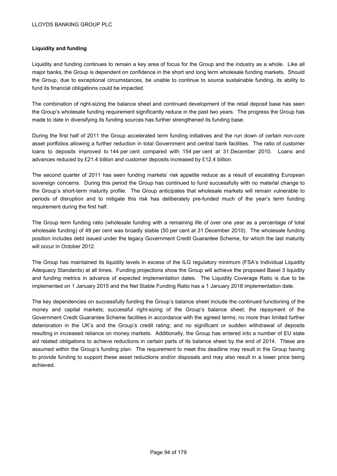## **Liquidity and funding**

Liquidity and funding continues to remain a key area of focus for the Group and the industry as a whole. Like all major banks, the Group is dependent on confidence in the short and long term wholesale funding markets. Should the Group, due to exceptional circumstances, be unable to continue to source sustainable funding, its ability to fund its financial obligations could be impacted.

The combination of right-sizing the balance sheet and continued development of the retail deposit base has seen the Group's wholesale funding requirement significantly reduce in the past two years. The progress the Group has made to date in diversifying its funding sources has further strengthened its funding base.

During the first half of 2011 the Group accelerated term funding initiatives and the run down of certain non-core asset portfolios allowing a further reduction in total Government and central bank facilities. The ratio of customer loans to deposits improved to 144 per cent compared with 154 per cent at 31 December 2010. Loans and advances reduced by £21.4 billion and customer deposits increased by £12.4 billion.

The second quarter of 2011 has seen funding markets' risk appetite reduce as a result of escalating European sovereign concerns. During this period the Group has continued to fund successfully with no material change to the Group's short-term maturity profile. The Group anticipates that wholesale markets will remain vulnerable to periods of disruption and to mitigate this risk has deliberately pre-funded much of the year's term funding requirement during the first half.

The Group term funding ratio (wholesale funding with a remaining life of over one year as a percentage of total wholesale funding) of 49 per cent was broadly stable (50 per cent at 31 December 2010). The wholesale funding position includes debt issued under the legacy Government Credit Guarantee Scheme, for which the last maturity will occur in October 2012.

The Group has maintained its liquidity levels in excess of the ILG regulatory minimum (FSA's Individual Liquidity Adequacy Standards) at all times. Funding projections show the Group will achieve the proposed Basel 3 liquidity and funding metrics in advance of expected implementation dates. The Liquidity Coverage Ratio is due to be implemented on 1 January 2015 and the Net Stable Funding Ratio has a 1 January 2018 implementation date.

The key dependencies on successfully funding the Group's balance sheet include the continued functioning of the money and capital markets; successful right-sizing of the Group's balance sheet; the repayment of the Government Credit Guarantee Scheme facilities in accordance with the agreed terms; no more than limited further deterioration in the UK's and the Group's credit rating; and no significant or sudden withdrawal of deposits resulting in increased reliance on money markets. Additionally, the Group has entered into a number of EU state aid related obligations to achieve reductions in certain parts of its balance sheet by the end of 2014. These are assumed within the Group's funding plan. The requirement to meet this deadline may result in the Group having to provide funding to support these asset reductions and/or disposals and may also result in a lower price being achieved.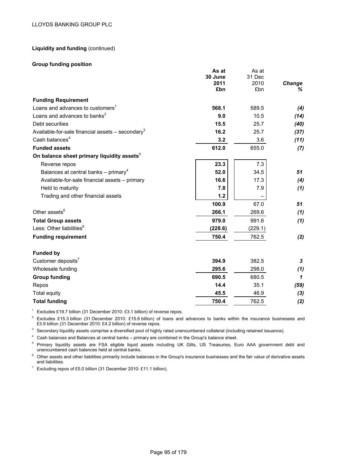## **Group funding position**

|                                                                | As at<br>30 June | As at<br>31 Dec |              |
|----------------------------------------------------------------|------------------|-----------------|--------------|
|                                                                | 2011             | 2010            | Change       |
|                                                                | £bn              | £bn             | ℅            |
| <b>Funding Requirement</b>                                     |                  |                 |              |
| Loans and advances to customers <sup>1</sup>                   | 568.1            | 589.5           | (4)          |
| Loans and advances to banks <sup>2</sup>                       | 9.0              | 10.5            | (14)         |
| Debt securities                                                | 15.5             | 25.7            | (40)         |
| Available-for-sale financial assets $-$ secondary <sup>3</sup> | 16.2             | 25.7            | (37)         |
| Cash balances <sup>4</sup>                                     | 3.2              | 3.6             | (11)         |
| <b>Funded assets</b>                                           | 612.0            | 655.0           | (7)          |
| On balance sheet primary liquidity assets <sup>5</sup>         |                  |                 |              |
| Reverse repos                                                  | 23.3             | 7.3             |              |
| Balances at central banks – primary <sup>4</sup>               | 52.0             | 34.5            | 51           |
| Available-for-sale financial assets - primary                  | 16.6             | 17.3            | (4)          |
| Held to maturity                                               | 7.8              | 7.9             | (1)          |
| Trading and other financial assets                             | 1.2              |                 |              |
|                                                                | 100.9            | 67.0            | 51           |
| Other assets <sup>6</sup>                                      | 266.1            | 269.6           | (1)          |
| <b>Total Group assets</b>                                      | 979.0            | 991.6           | (1)          |
| Less: Other liabilities <sup>6</sup>                           | (228.6)          | (229.1)         |              |
| <b>Funding requirement</b>                                     | 750.4            | 762.5           | (2)          |
| <b>Funded by</b>                                               |                  |                 |              |
| Customer deposits <sup>7</sup>                                 | 394.9            | 382.5           | 3            |
| Wholesale funding                                              | 295.6            | 298.0           | (1)          |
| <b>Group funding</b>                                           | 690.5            | 680.5           | $\mathbf{1}$ |
| Repos                                                          | 14.4             | 35.1            | (59)         |
| <b>Total equity</b>                                            | 45.5             | 46.9            | (3)          |
| <b>Total funding</b>                                           | 750.4            | 762.5           | (2)          |
|                                                                |                  |                 |              |

<sup>1</sup> Excludes £19.7 billion (31 December 2010: £3.1 billion) of reverse repos.

<sup>2</sup> Excludes £15.3 billion (31 December 2010: £15.6 billion) of loans and advances to banks within the insurance businesses and £3.9 billion (31 December 2010: £4.2 billion) of reverse repos.

<sup>3</sup> Secondary liquidity assets comprise a diversified pool of highly rated unencumbered collateral (including retained issuance).

<sup>4</sup> Cash balances and Balances at central banks – primary are combined in the Group's balance sheet.

<sup>5</sup> Primary liquidity assets are FSA eligible liquid assets including UK Gilts, US Treasuries, Euro AAA government debt and unencumbered cash balances held at central banks.

<sup>6</sup> Other assets and other liabilities primarily include balances in the Group's insurance businesses and the fair value of derivative assets and liabilities.

<sup>7</sup> Excluding repos of £5.0 billion (31 December 2010: £11.1 billion).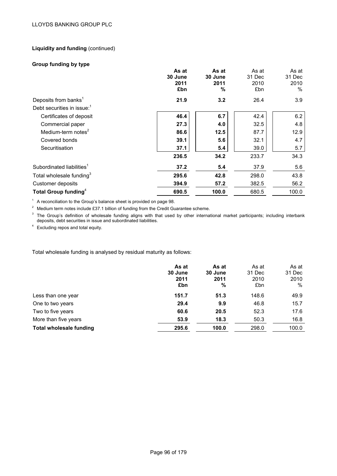# **Group funding by type**

|                                        | As at   | As at   | As at  | As at  |
|----------------------------------------|---------|---------|--------|--------|
|                                        | 30 June | 30 June | 31 Dec | 31 Dec |
|                                        | 2011    | 2011    | 2010   | 2010   |
|                                        | £bn     | %       | £bn    | $\%$   |
| Deposits from banks <sup>1</sup>       | 21.9    | 3.2     | 26.4   | 3.9    |
| Debt securities in issue: <sup>1</sup> |         |         |        |        |
| Certificates of deposit                | 46.4    | 6.7     | 42.4   | 6.2    |
| Commercial paper                       | 27.3    | 4.0     | 32.5   | 4.8    |
| Medium-term notes $2$                  | 86.6    | 12.5    | 87.7   | 12.9   |
| Covered bonds                          | 39.1    | 5.6     | 32.1   | 4.7    |
| Securitisation                         | 37.1    | 5.4     | 39.0   | 5.7    |
|                                        | 236.5   | 34.2    | 233.7  | 34.3   |
| Subordinated liabilities <sup>1</sup>  | 37.2    | 5.4     | 37.9   | 5.6    |
| Total wholesale funding <sup>3</sup>   | 295.6   | 42.8    | 298.0  | 43.8   |
| Customer deposits                      | 394.9   | 57.2    | 382.5  | 56.2   |
| Total Group funding <sup>4</sup>       | 690.5   | 100.0   | 680.5  | 100.0  |

 $1$  A reconciliation to the Group's balance sheet is provided on page 98.

<sup>2</sup> Medium term notes include £37.1 billion of funding from the Credit Guarantee scheme.

 $3$  The Group's definition of wholesale funding aligns with that used by other international market participants; including interbank deposits, debt securities in issue and subordinated liabilities.

<sup>4</sup> Excluding repos and total equity.

Total wholesale funding is analysed by residual maturity as follows:

|                                | As at<br>30 June<br>2011<br>£bn | As at<br>30 June<br>2011<br>% | As at<br>31 Dec<br>2010<br>£bn | As at<br>31 Dec<br>2010<br>% |
|--------------------------------|---------------------------------|-------------------------------|--------------------------------|------------------------------|
| Less than one year             | 151.7                           | 51.3                          | 148.6                          | 49.9                         |
| One to two years               | 29.4                            | 9.9                           | 46.8                           | 15.7                         |
| Two to five years              | 60.6                            | 20.5                          | 52.3                           | 17.6                         |
| More than five years           | 53.9                            | 18.3                          | 50.3                           | 16.8                         |
| <b>Total wholesale funding</b> | 295.6                           | 100.0                         | 298.0                          | 100.0                        |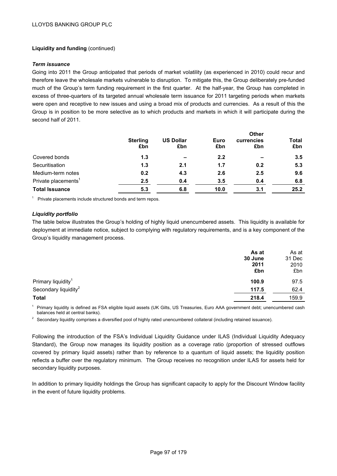### *Term issuance*

Going into 2011 the Group anticipated that periods of market volatility (as experienced in 2010) could recur and therefore leave the wholesale markets vulnerable to disruption. To mitigate this, the Group deliberately pre-funded much of the Group's term funding requirement in the first quarter. At the half-year, the Group has completed in excess of three-quarters of its targeted annual wholesale term issuance for 2011 targeting periods when markets were open and receptive to new issues and using a broad mix of products and currencies. As a result of this the Group is in position to be more selective as to which products and markets in which it will participate during the second half of 2011.

|                                 | <b>Sterling</b><br>£bn | <b>US Dollar</b><br>£bn  | Euro<br>£bn | <b>Other</b><br>currencies<br>£bn | <b>Total</b><br>£bn |
|---------------------------------|------------------------|--------------------------|-------------|-----------------------------------|---------------------|
| Covered bonds                   | 1.3                    | $\overline{\phantom{a}}$ | 2.2         | -                                 | 3.5                 |
| Securitisation                  | 1.3                    | 2.1                      | 1.7         | 0.2                               | 5.3                 |
| Medium-term notes               | 0.2                    | 4.3                      | 2.6         | 2.5                               | 9.6                 |
| Private placements <sup>1</sup> | 2.5                    | 0.4                      | 3.5         | 0.4                               | 6.8                 |
| <b>Total Issuance</b>           | 5.3                    | 6.8                      | 10.0        | 3.1                               | 25.2                |

 $1$  Private placements include structured bonds and term repos.

#### *Liquidity portfolio*

The table below illustrates the Group's holding of highly liquid unencumbered assets. This liquidity is available for deployment at immediate notice, subject to complying with regulatory requirements, and is a key component of the Group's liquidity management process.

|                                  | As at   | As at  |
|----------------------------------|---------|--------|
|                                  | 30 June | 31 Dec |
|                                  | 2011    | 2010   |
|                                  | £bn     | £bn    |
| Primary liquidity <sup>1</sup>   | 100.9   | 97.5   |
| Secondary liquidity <sup>2</sup> | 117.5   | 62.4   |
| <b>Total</b>                     | 218.4   | 159.9  |

 $1$  Primary liquidity is defined as FSA eligible liquid assets (UK Gilts, US Treasuries, Euro AAA government debt; unencumbered cash balances held at central banks).

<sup>2</sup> Secondary liquidity comprises a diversified pool of highly rated unencumbered collateral (including retained issuance).

Following the introduction of the FSA's Individual Liquidity Guidance under ILAS (Individual Liquidity Adequacy Standard), the Group now manages its liquidity position as a coverage ratio (proportion of stressed outflows covered by primary liquid assets) rather than by reference to a quantum of liquid assets; the liquidity position reflects a buffer over the regulatory minimum. The Group receives no recognition under ILAS for assets held for secondary liquidity purposes.

In addition to primary liquidity holdings the Group has significant capacity to apply for the Discount Window facility in the event of future liquidity problems.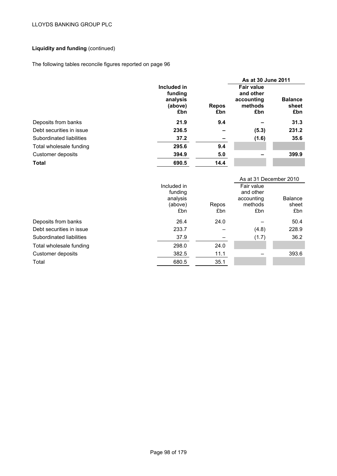The following tables reconcile figures reported on page 96

|                          |                                               |              | As at 30 June 2011                                      |                         |
|--------------------------|-----------------------------------------------|--------------|---------------------------------------------------------|-------------------------|
|                          | Included in<br>funding<br>analysis<br>(above) | <b>Repos</b> | <b>Fair value</b><br>and other<br>accounting<br>methods | <b>Balance</b><br>sheet |
|                          | £bn                                           | £bn          | £bn                                                     | £bn                     |
| Deposits from banks      | 21.9                                          | 9.4          |                                                         | 31.3                    |
| Debt securities in issue | 236.5                                         |              | (5.3)                                                   | 231.2                   |
| Subordinated liabilities | 37.2                                          |              | (1.6)                                                   | 35.6                    |
| Total wholesale funding  | 295.6                                         | 9.4          |                                                         |                         |
| Customer deposits        | 394.9                                         | 5.0          |                                                         | 399.9                   |
| Total                    | 690.5                                         | 14.4         |                                                         |                         |
|                          |                                               |              |                                                         |                         |
|                          |                                               |              |                                                         | As at 31 December 2010  |
|                          | Included in                                   |              | Fair value                                              |                         |
|                          | funding<br>analysis                           |              | and other<br>accounting                                 | <b>Balance</b>          |
|                          | (above)                                       | Repos        | methods                                                 | sheet                   |
|                          | £bn                                           | £bn          | £bn                                                     | £bn                     |
| Deposits from banks      | 26.4                                          | 24.0         |                                                         | 50.4                    |
| Debt securities in issue | 233.7                                         |              | (4.8)                                                   | 228.9                   |
| Subordinated liabilities | 37.9                                          |              | (1.7)                                                   | 36.2                    |
| Total wholesale funding  | 298.0                                         | 24.0         |                                                         |                         |

Customer deposits 382.5 11.1 – 393.6

Total 680.5 35.1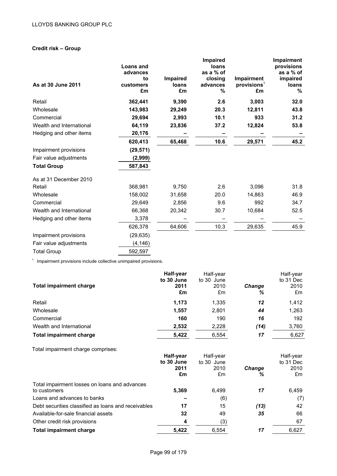# **Credit risk – Group**

|                          |           |          | <b>Impaired</b> |                         | Impairment |
|--------------------------|-----------|----------|-----------------|-------------------------|------------|
|                          | Loans and |          | loans           |                         | provisions |
|                          | advances  |          | as a % of       |                         | as a % of  |
|                          | to        | Impaired | closing         | Impairment              | impaired   |
| As at 30 June 2011       | customers | loans    | advances        | proxisions <sup>1</sup> | loans      |
|                          | £m        | £m       | %               | £m                      | %          |
| Retail                   | 362,441   | 9,390    | 2.6             | 3,003                   | 32.0       |
| Wholesale                | 143,983   | 29,249   | 20.3            | 12,811                  | 43.8       |
| Commercial               | 29,694    | 2,993    | 10.1            | 933                     | 31.2       |
| Wealth and International | 64,119    | 23,836   | 37.2            | 12,824                  | 53.8       |
| Hedging and other items  | 20,176    |          |                 |                         |            |
|                          | 620,413   | 65,468   | 10.6            | 29,571                  | 45.2       |
| Impairment provisions    | (29, 571) |          |                 |                         |            |
| Fair value adjustments   | (2,999)   |          |                 |                         |            |
| <b>Total Group</b>       | 587,843   |          |                 |                         |            |
| As at 31 December 2010   |           |          |                 |                         |            |
| Retail                   | 368,981   | 9,750    | 2.6             | 3,096                   | 31.8       |
| Wholesale                | 158,002   | 31,658   | 20.0            | 14,863                  | 46.9       |
| Commercial               | 29,649    | 2,856    | 9.6             | 992                     | 34.7       |
| Wealth and International | 66,368    | 20,342   | 30.7            | 10,684                  | 52.5       |
| Hedging and other items  | 3,378     |          |                 |                         |            |
|                          | 626,378   | 64,606   | 10.3            | 29,635                  | 45.9       |
| Impairment provisions    | (29, 635) |          |                 |                         |            |
| Fair value adjustments   | (4, 146)  |          |                 |                         |            |
| <b>Total Group</b>       | 592,597   |          |                 |                         |            |

 $1$  Impairment provisions include collective unimpaired provisions.

| <b>Total impairment charge</b> | Half-year<br>to 30 June<br>2011<br>£m | Half-year<br>to 30 June<br>2010<br>£m | <b>Change</b><br>% | Half-year<br>to 31 Dec<br>2010<br>£m |
|--------------------------------|---------------------------------------|---------------------------------------|--------------------|--------------------------------------|
| Retail                         | 1,173                                 | 1,335                                 | 12                 | 1,412                                |
| Wholesale                      | 1,557                                 | 2,801                                 | 44                 | 1,263                                |
| Commercial                     | 160                                   | 190                                   | 16                 | 192                                  |
| Wealth and International       | 2,532                                 | 2,228                                 | (14)               | 3,760                                |
| <b>Total impairment charge</b> | 5,422                                 | 6,554                                 | 17                 | 6,627                                |

Total impairment charge comprises:

|                                                     | Half-year<br>to 30 June<br>2011 | Half-year<br>to 30 June<br>2010 | Change | Half-year<br>to 31 Dec<br>2010 |
|-----------------------------------------------------|---------------------------------|---------------------------------|--------|--------------------------------|
|                                                     | £m                              | £m                              | %      | £m                             |
| Total impairment losses on loans and advances       |                                 |                                 |        |                                |
| to customers                                        | 5,369                           | 6,499                           | 17     | 6,459                          |
| Loans and advances to banks                         |                                 | (6)                             |        | (7)                            |
| Debt securities classified as loans and receivables | 17                              | 15                              | (13)   | 42                             |
| Available-for-sale financial assets                 | 32                              | 49                              | 35     | 66                             |
| Other credit risk provisions                        | 4                               | (3)                             |        | 67                             |
| <b>Total impairment charge</b>                      | 5,422                           | 6,554                           | 17     | 6,627                          |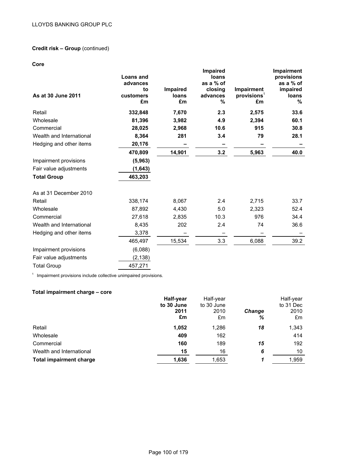**Core**

|                          |           |          | <b>Impaired</b> |                         | <b>Impairment</b> |
|--------------------------|-----------|----------|-----------------|-------------------------|-------------------|
|                          | Loans and |          | loans           |                         | provisions        |
|                          | advances  |          | as a % of       |                         | as a % of         |
|                          | to        | Impaired | closing         | Impairment              | impaired          |
| As at 30 June 2011       | customers | loans    | advances        | provisions <sup>1</sup> | loans             |
|                          | £m        | £m       | %               | £m                      | %                 |
| Retail                   | 332,848   | 7,670    | 2.3             | 2,575                   | 33.6              |
| Wholesale                | 81,396    | 3,982    | 4.9             | 2,394                   | 60.1              |
| Commercial               | 28,025    | 2,968    | 10.6            | 915                     | 30.8              |
| Wealth and International | 8,364     | 281      | 3.4             | 79                      | 28.1              |
| Hedging and other items  | 20,176    |          |                 |                         |                   |
|                          | 470,809   | 14,901   | 3.2             | 5,963                   | 40.0              |
| Impairment provisions    | (5,963)   |          |                 |                         |                   |
| Fair value adjustments   | (1, 643)  |          |                 |                         |                   |
| <b>Total Group</b>       | 463,203   |          |                 |                         |                   |
| As at 31 December 2010   |           |          |                 |                         |                   |
| Retail                   | 338,174   | 8,067    | 2.4             | 2,715                   | 33.7              |
| Wholesale                | 87,892    | 4,430    | 5.0             | 2,323                   | 52.4              |
| Commercial               | 27,618    | 2,835    | 10.3            | 976                     | 34.4              |
| Wealth and International | 8,435     | 202      | 2.4             | 74                      | 36.6              |
| Hedging and other items  | 3,378     |          |                 |                         |                   |
|                          | 465,497   | 15,534   | 3.3             | 6,088                   | 39.2              |
| Impairment provisions    | (6,088)   |          |                 |                         |                   |
| Fair value adjustments   | (2, 138)  |          |                 |                         |                   |
| <b>Total Group</b>       | 457,271   |          |                 |                         |                   |

<sup>1</sup> Impairment provisions include collective unimpaired provisions.

# **Total impairment charge – core**

|                                | Half-year  | Half-year  |               | Half-year |
|--------------------------------|------------|------------|---------------|-----------|
|                                | to 30 June | to 30 June |               | to 31 Dec |
|                                | 2011       | 2010       | <b>Change</b> | 2010      |
|                                | £m         | £m         | ℅             | £m        |
| Retail                         | 1,052      | 1,286      | 18            | 1,343     |
| Wholesale                      | 409        | 162        |               | 414       |
| Commercial                     | 160        | 189        | 15            | 192       |
| Wealth and International       | 15         | 16         | 6             | 10        |
| <b>Total impairment charge</b> | 1,636      | 1,653      |               | 1,959     |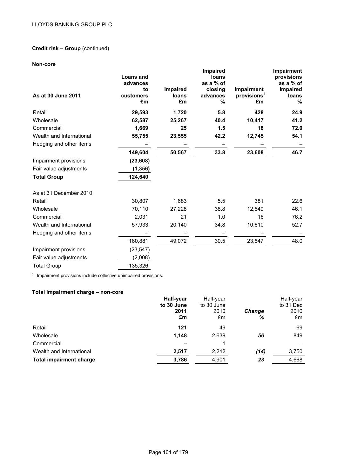# **Non-core**

|                          |                 |             | <b>Impaired</b> |                         | <b>Impairment</b> |
|--------------------------|-----------------|-------------|-----------------|-------------------------|-------------------|
|                          | Loans and       |             | loans           |                         | provisions        |
|                          | advances        |             | as a % of       |                         | as a % of         |
|                          | to              | Impaired    | closing         | Impairment              | impaired          |
| As at 30 June 2011       | customers<br>£m | loans<br>£m | advances<br>%   | prox <sup>1</sup><br>£m | loans<br>%        |
|                          |                 |             |                 |                         |                   |
| Retail                   | 29,593          | 1,720       | 5.8             | 428                     | 24.9              |
| Wholesale                | 62,587          | 25,267      | 40.4            | 10,417                  | 41.2              |
| Commercial               | 1,669           | 25          | 1.5             | 18                      | 72.0              |
| Wealth and International | 55,755          | 23,555      | 42.2            | 12,745                  | 54.1              |
| Hedging and other items  |                 |             |                 |                         |                   |
|                          | 149,604         | 50,567      | 33.8            | 23,608                  | 46.7              |
| Impairment provisions    | (23, 608)       |             |                 |                         |                   |
| Fair value adjustments   | (1, 356)        |             |                 |                         |                   |
| <b>Total Group</b>       | 124,640         |             |                 |                         |                   |
| As at 31 December 2010   |                 |             |                 |                         |                   |
| Retail                   | 30,807          | 1,683       | 5.5             | 381                     | 22.6              |
| Wholesale                | 70,110          | 27,228      | 38.8            | 12,540                  | 46.1              |
| Commercial               | 2,031           | 21          | 1.0             | 16                      | 76.2              |
| Wealth and International | 57,933          | 20,140      | 34.8            | 10,610                  | 52.7              |
| Hedging and other items  |                 |             |                 |                         |                   |
|                          | 160,881         | 49,072      | 30.5            | 23,547                  | 48.0              |
| Impairment provisions    | (23, 547)       |             |                 |                         |                   |
| Fair value adjustments   | (2,008)         |             |                 |                         |                   |
| <b>Total Group</b>       | 135,326         |             |                 |                         |                   |

<sup>1</sup> Impairment provisions include collective unimpaired provisions.

# **Total impairment charge – non-core**

|                                | Half-year  | Half-year  |               | Half-year |
|--------------------------------|------------|------------|---------------|-----------|
|                                | to 30 June | to 30 June |               | to 31 Dec |
|                                | 2011       | 2010       | <b>Change</b> | 2010      |
|                                | £m         | £m         | ℅             | £m        |
| Retail                         | 121        | 49         |               | 69        |
| Wholesale                      | 1,148      | 2,639      | 56            | 849       |
| Commercial                     |            |            |               |           |
| Wealth and International       | 2,517      | 2,212      | (14)          | 3,750     |
| <b>Total impairment charge</b> | 3,786      | 4,901      | 23            | 4,668     |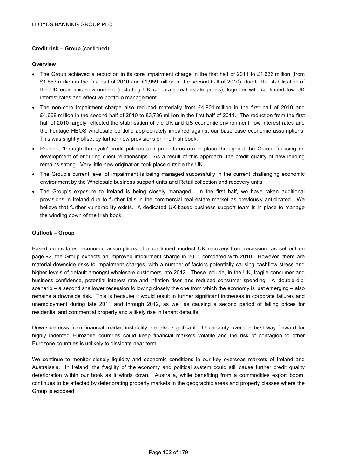#### **Overview**

- The Group achieved a reduction in its core impairment charge in the first half of 2011 to £1,636 million (from £1,653 million in the first half of 2010 and £1,959 million in the second half of 2010), due to the stabilisation of the UK economic environment (including UK corporate real estate prices), together with continued low UK interest rates and effective portfolio management.
- The non-core impairment charge also reduced materially from £4,901 million in the first half of 2010 and £4,668 million in the second half of 2010 to £3,786 million in the first half of 2011. The reduction from the first half of 2010 largely reflected the stabilisation of the UK and US economic environment, low interest rates and the heritage HBOS wholesale portfolio appropriately impaired against our base case economic assumptions. This was slightly offset by further new provisions on the Irish book.
- Prudent, 'through the cycle' credit policies and procedures are in place throughout the Group, focusing on development of enduring client relationships. As a result of this approach, the credit quality of new lending remains strong. Very little new origination took place outside the UK.
- The Group's current level of impairment is being managed successfully in the current challenging economic environment by the Wholesale business support units and Retail collection and recovery units.
- The Group's exposure to Ireland is being closely managed. In the first half, we have taken additional provisions in Ireland due to further falls in the commercial real estate market as previously anticipated. We believe that further vulnerability exists. A dedicated UK-based business support team is in place to manage the winding down of the Irish book.

#### **Outlook – Group**

Based on its latest economic assumptions of a continued modest UK recovery from recession, as set out on page 92, the Group expects an improved impairment charge in 2011 compared with 2010. However, there are material downside risks to impairment charges, with a number of factors potentially causing cashflow stress and higher levels of default amongst wholesale customers into 2012. These include, in the UK, fragile consumer and business confidence, potential interest rate and inflation rises and reduced consumer spending. A 'double-dip' scenario – a second shallower recession following closely the one from which the economy is just emerging – also remains a downside risk. This is because it would result in further significant increases in corporate failures and unemployment during late 2011 and through 2012, as well as causing a second period of falling prices for residential and commercial property and a likely rise in tenant defaults.

Downside risks from financial market instability are also significant. Uncertainty over the best way forward for highly indebted Eurozone countries could keep financial markets volatile and the risk of contagion to other Eurozone countries is unlikely to dissipate near term.

We continue to monitor closely liquidity and economic conditions in our key overseas markets of Ireland and Australasia. In Ireland, the fragility of the economy and political system could still cause further credit quality deterioration within our book as it winds down. Australia, while benefiting from a commodities export boom, continues to be affected by deteriorating property markets in the geographic areas and property classes where the Group is exposed.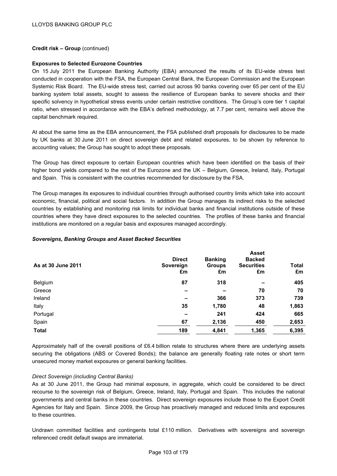#### **Exposures to Selected Eurozone Countries**

On 15 July 2011 the European Banking Authority (EBA) announced the results of its EU-wide stress test conducted in cooperation with the FSA, the European Central Bank, the European Commission and the European Systemic Risk Board. The EU-wide stress test, carried out across 90 banks covering over 65 per cent of the EU banking system total assets, sought to assess the resilience of European banks to severe shocks and their specific solvency in hypothetical stress events under certain restrictive conditions. The Group's core tier 1 capital ratio, when stressed in accordance with the EBA's defined methodology, at 7.7 per cent, remains well above the capital benchmark required.

At about the same time as the EBA announcement, the FSA published draft proposals for disclosures to be made by UK banks at 30 June 2011 on direct sovereign debt and related exposures, to be shown by reference to accounting values; the Group has sought to adopt these proposals.

The Group has direct exposure to certain European countries which have been identified on the basis of their higher bond yields compared to the rest of the Eurozone and the UK – Belgium, Greece, Ireland, Italy, Portugal and Spain. This is consistent with the countries recommended for disclosure by the FSA.

The Group manages its exposures to individual countries through authorised country limits which take into account economic, financial, political and social factors. In addition the Group manages its indirect risks to the selected countries by establishing and monitoring risk limits for individual banks and financial institutions outside of these countries where they have direct exposures to the selected countries. The profiles of these banks and financial institutions are monitored on a regular basis and exposures managed accordingly.

| As at 30 June 2011 | <b>Direct</b><br>Sovereign<br>£m | <b>Banking</b><br><b>Groups</b><br>£m | <b>Asset</b><br><b>Backed</b><br><b>Securities</b><br>£m | <b>Total</b><br>£m |
|--------------------|----------------------------------|---------------------------------------|----------------------------------------------------------|--------------------|
| Belgium            | 87                               | 318                                   |                                                          | 405                |
| Greece             | $\overline{\phantom{a}}$         | $\overline{\phantom{0}}$              | 70                                                       | 70                 |
| Ireland            | -                                | 366                                   | 373                                                      | 739                |
| Italy              | 35                               | 1,780                                 | 48                                                       | 1,863              |
| Portugal           | $\overline{\phantom{a}}$         | 241                                   | 424                                                      | 665                |
| Spain              | 67                               | 2,136                                 | 450                                                      | 2,653              |
| <b>Total</b>       | 189                              | 4,841                                 | 1,365                                                    | 6,395              |

#### *Sovereigns, Banking Groups and Asset Backed Securities*

Approximately half of the overall positions of £6.4 billion relate to structures where there are underlying assets securing the obligations (ABS or Covered Bonds); the balance are generally floating rate notes or short term unsecured money market exposures or general banking facilities.

#### *Direct Sovereign (including Central Banks)*

As at 30 June 2011, the Group had minimal exposure, in aggregate, which could be considered to be direct recourse to the sovereign risk of Belgium, Greece, Ireland, Italy, Portugal and Spain. This includes the national governments and central banks in these countries. Direct sovereign exposures include those to the Export Credit Agencies for Italy and Spain. Since 2009, the Group has proactively managed and reduced limits and exposures to these countries.

Undrawn committed facilities and contingents total £110 million. Derivatives with sovereigns and sovereign referenced credit default swaps are immaterial.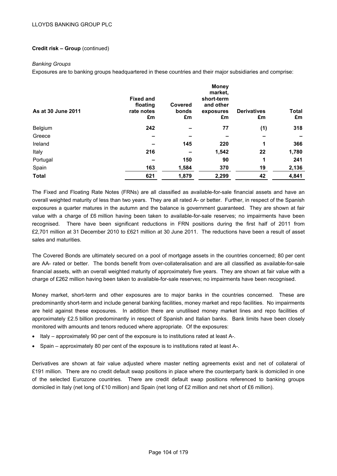#### *Banking Groups*

Exposures are to banking groups headquartered in these countries and their major subsidiaries and comprise:

| As at 30 June 2011 | <b>Fixed and</b><br>floating<br>rate notes<br>£m | Covered<br>bonds<br>£m | <b>Money</b><br>market,<br>short-term<br>and other<br>exposures<br>£m | <b>Derivatives</b><br>£m | <b>Total</b><br>£m |
|--------------------|--------------------------------------------------|------------------------|-----------------------------------------------------------------------|--------------------------|--------------------|
| Belgium            | 242                                              |                        | 77                                                                    | (1)                      | 318                |
| Greece             |                                                  |                        |                                                                       |                          |                    |
| Ireland            |                                                  | 145                    | 220                                                                   | 1                        | 366                |
| Italy              | 216                                              |                        | 1,542                                                                 | 22                       | 1,780              |
| Portugal           |                                                  | 150                    | 90                                                                    | 1                        | 241                |
| Spain              | 163                                              | 1,584                  | 370                                                                   | 19                       | 2,136              |
| <b>Total</b>       | 621                                              | 1,879                  | 2,299                                                                 | 42                       | 4,841              |

The Fixed and Floating Rate Notes (FRNs) are all classified as available-for-sale financial assets and have an overall weighted maturity of less than two years. They are all rated A- or better. Further, in respect of the Spanish exposures a quarter matures in the autumn and the balance is government guaranteed. They are shown at fair value with a charge of £6 million having been taken to available-for-sale reserves; no impairments have been recognised. There have been significant reductions in FRN positions during the first half of 2011 from £2,701 million at 31 December 2010 to £621 million at 30 June 2011. The reductions have been a result of asset sales and maturities.

The Covered Bonds are ultimately secured on a pool of mortgage assets in the countries concerned; 80 per cent are AA- rated or better. The bonds benefit from over-collateralisation and are all classified as available-for-sale financial assets, with an overall weighted maturity of approximately five years. They are shown at fair value with a charge of £262 million having been taken to available-for-sale reserves; no impairments have been recognised.

Money market, short-term and other exposures are to major banks in the countries concerned. These are predominantly short-term and include general banking facilities, money market and repo facilities. No impairments are held against these exposures. In addition there are unutilised money market lines and repo facilities of approximately £2.5 billion predominantly in respect of Spanish and Italian banks. Bank limits have been closely monitored with amounts and tenors reduced where appropriate. Of the exposures:

- Italy approximately 90 per cent of the exposure is to institutions rated at least A-.
- $\bullet$  Spain approximately 80 per cent of the exposure is to institutions rated at least A-.

Derivatives are shown at fair value adjusted where master netting agreements exist and net of collateral of £191 million. There are no credit default swap positions in place where the counterparty bank is domiciled in one of the selected Eurozone countries. There are credit default swap positions referenced to banking groups domiciled in Italy (net long of £10 million) and Spain (net long of £2 million and net short of £6 million).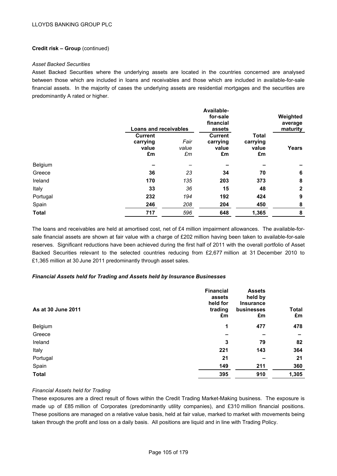#### *Asset Backed Securities*

Asset Backed Securities where the underlying assets are located in the countries concerned are analysed between those which are included in loans and receivables and those which are included in available-for-sale financial assets. In the majority of cases the underlying assets are residential mortgages and the securities are predominantly A rated or higher.

|              |                              |       | Available-     |              |              |
|--------------|------------------------------|-------|----------------|--------------|--------------|
|              |                              |       | for-sale       |              | Weighted     |
|              |                              |       | financial      |              | average      |
|              | <b>Loans and receivables</b> |       | assets         |              | maturity     |
|              | Current                      |       | <b>Current</b> | <b>Total</b> |              |
|              | carrying                     | Fair  | carrying       | carrying     |              |
|              | value                        | value | value          | value        | Years        |
|              | £m                           | £m    | £m             | £m           |              |
| Belgium      |                              |       | -              |              |              |
| Greece       | 36                           | 23    | 34             | 70           | 6            |
| Ireland      | 170                          | 135   | 203            | 373          | 8            |
| Italy        | 33                           | 36    | 15             | 48           | $\mathbf{2}$ |
| Portugal     | 232                          | 194   | 192            | 424          | 9            |
| Spain        | 246                          | 208   | 204            | 450          | 8            |
| <b>Total</b> | 717                          | 596   | 648            | 1,365        | 8            |

The loans and receivables are held at amortised cost, net of £4 million impairment allowances. The available-forsale financial assets are shown at fair value with a charge of £202 million having been taken to available-for-sale reserves. Significant reductions have been achieved during the first half of 2011 with the overall portfolio of Asset Backed Securities relevant to the selected countries reducing from £2,677 million at 31 December 2010 to £1,365 million at 30 June 2011 predominantly through asset sales.

#### *Financial Assets held for Trading and Assets held by Insurance Businesses*

|                    | <b>Financial</b><br>assets | <b>Assets</b><br>held by |              |
|--------------------|----------------------------|--------------------------|--------------|
| As at 30 June 2011 | held for                   | <b>Insurance</b>         | <b>Total</b> |
|                    | trading                    | businesses               |              |
|                    | £m                         | £m                       | £m           |
| Belgium            | 1                          | 477                      | 478          |
| Greece             | $\sim$                     |                          |              |
| Ireland            | 3                          | 79                       | 82           |
| Italy              | 221                        | 143                      | 364          |
| Portugal           | 21                         | -                        | 21           |
| Spain              | 149                        | 211                      | 360          |
| <b>Total</b>       | 395                        | 910                      | 1,305        |
|                    |                            |                          |              |

#### *Financial Assets held for Trading*

These exposures are a direct result of flows within the Credit Trading Market-Making business. The exposure is made up of £85 million of Corporates (predominantly utility companies), and £310 million financial positions. These positions are managed on a relative value basis, held at fair value, marked to market with movements being taken through the profit and loss on a daily basis. All positions are liquid and in line with Trading Policy.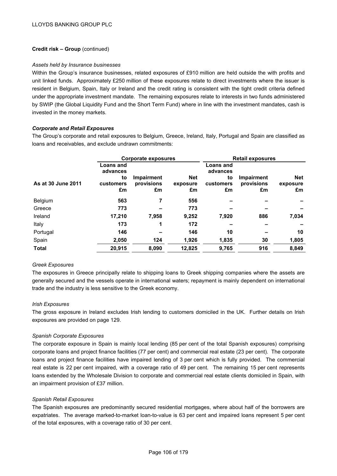#### **Credit risk – Group** (continued)

#### *Assets held by Insurance businesses*

Within the Group's insurance businesses, related exposures of £910 million are held outside the with profits and unit linked funds. Approximately £250 million of these exposures relate to direct investments where the issuer is resident in Belgium, Spain, Italy or Ireland and the credit rating is consistent with the tight credit criteria defined under the appropriate investment mandate. The remaining exposures relate to interests in two funds administered by SWIP (the Global Liquidity Fund and the Short Term Fund) where in line with the investment mandates, cash is invested in the money markets.

#### *Corporate and Retail Exposures*

The Group's corporate and retail exposures to Belgium, Greece, Ireland, Italy, Portugal and Spain are classified as loans and receivables, and exclude undrawn commitments:

|                    | <b>Corporate exposures</b> |            |            | <b>Retail exposures</b>      |            |            |  |
|--------------------|----------------------------|------------|------------|------------------------------|------------|------------|--|
|                    | Loans and<br>advances      |            |            | <b>Loans</b> and<br>advances |            |            |  |
|                    | to                         | Impairment | <b>Net</b> | to                           | Impairment | <b>Net</b> |  |
| As at 30 June 2011 | customers                  | provisions | exposure   | customers                    | provisions | exposure   |  |
|                    | £m                         | £m         | £m         | £m                           | £m         | £m         |  |
| Belgium            | 563                        |            | 556        |                              |            |            |  |
| Greece             | 773                        |            | 773        |                              |            |            |  |
| Ireland            | 17,210                     | 7,958      | 9,252      | 7,920                        | 886        | 7,034      |  |
| Italy              | 173                        | 1          | 172        |                              |            |            |  |
| Portugal           | 146                        |            | 146        | 10                           |            | 10         |  |
| Spain              | 2,050                      | 124        | 1,926      | 1,835                        | 30         | 1,805      |  |
| <b>Total</b>       | 20.915                     | 8,090      | 12.825     | 9,765                        | 916        | 8.849      |  |

#### *Greek Exposures*

The exposures in Greece principally relate to shipping loans to Greek shipping companies where the assets are generally secured and the vessels operate in international waters; repayment is mainly dependent on international trade and the industry is less sensitive to the Greek economy.

#### *Irish Exposures*

The gross exposure in Ireland excludes Irish lending to customers domiciled in the UK. Further details on Irish exposures are provided on page 129.

## *Spanish Corporate Exposures*

The corporate exposure in Spain is mainly local lending (85 per cent of the total Spanish exposures) comprising corporate loans and project finance facilities (77 per cent) and commercial real estate (23 per cent). The corporate loans and project finance facilities have impaired lending of 3 per cent which is fully provided. The commercial real estate is 22 per cent impaired, with a coverage ratio of 49 per cent. The remaining 15 per cent represents loans extended by the Wholesale Division to corporate and commercial real estate clients domiciled in Spain, with an impairment provision of £37 million.

#### *Spanish Retail Exposures*

The Spanish exposures are predominantly secured residential mortgages, where about half of the borrowers are expatriates. The average marked-to-market loan-to-value is 63 per cent and impaired loans represent 5 per cent of the total exposures, with a coverage ratio of 30 per cent.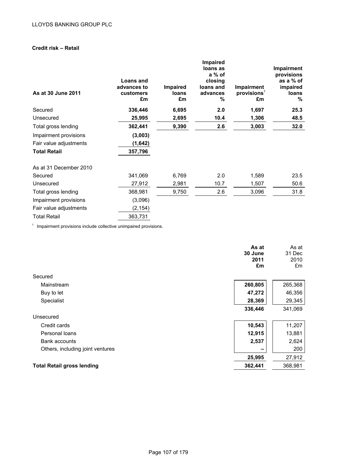## **Credit risk – Retail**

|                        |                  |                 | <b>Impaired</b> |                   |            |
|------------------------|------------------|-----------------|-----------------|-------------------|------------|
|                        |                  |                 | loans as        |                   | Impairment |
|                        |                  |                 | a % of          |                   | provisions |
|                        | <b>Loans and</b> |                 | closing         |                   | as a % of  |
|                        | advances to      | <b>Impaired</b> | loans and       | <b>Impairment</b> | impaired   |
| As at 30 June 2011     | customers        | loans           | advances        | prox <sup>1</sup> | loans      |
|                        | £m               | £m              | %               | £m                | %          |
| Secured                | 336,446          | 6,695           | 2.0             | 1,697             | 25.3       |
| Unsecured              | 25,995           | 2,695           | 10.4            | 1,306             | 48.5       |
| Total gross lending    | 362,441          | 9,390           | 2.6             | 3,003             | 32.0       |
| Impairment provisions  | (3,003)          |                 |                 |                   |            |
| Fair value adjustments | (1,642)          |                 |                 |                   |            |
| <b>Total Retail</b>    | 357,796          |                 |                 |                   |            |
| As at 31 December 2010 |                  |                 |                 |                   |            |
| Secured                | 341,069          | 6,769           | 2.0             | 1,589             | 23.5       |
| Unsecured              | 27,912           | 2,981           | 10.7            | 1,507             | 50.6       |
| Total gross lending    | 368,981          | 9,750           | 2.6             | 3,096             | 31.8       |
| Impairment provisions  | (3,096)          |                 |                 |                   |            |
| Fair value adjustments | (2, 154)         |                 |                 |                   |            |
| <b>Total Retail</b>    | 363,731          |                 |                 |                   |            |

<sup>1</sup> Impairment provisions include collective unimpaired provisions.

|                                   | As at<br>30 June<br>2011<br>£m | As at<br>31 Dec<br>2010<br>£m |
|-----------------------------------|--------------------------------|-------------------------------|
| Secured                           |                                |                               |
| Mainstream                        | 260,805                        | 265,368                       |
| Buy to let                        | 47,272                         | 46,356                        |
| Specialist                        | 28,369                         | 29,345                        |
|                                   | 336,446                        | 341,069                       |
| Unsecured                         |                                |                               |
| Credit cards                      | 10,543                         | 11,207                        |
| Personal loans                    | 12,915                         | 13,881                        |
| <b>Bank accounts</b>              | 2,537                          | 2,624                         |
| Others, including joint ventures  |                                | 200                           |
|                                   | 25,995                         | 27,912                        |
| <b>Total Retail gross lending</b> | 362,441                        | 368,981                       |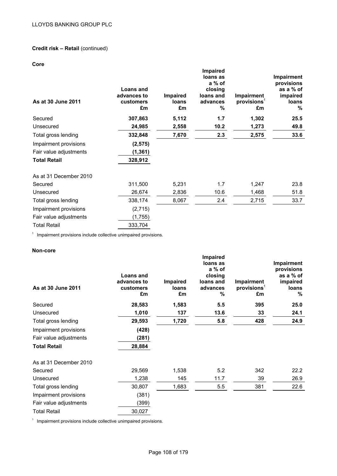#### **Core**

| As at 30 June 2011     | <b>Loans and</b><br>advances to<br>customers<br>£m | Impaired<br>loans<br>£m | Impaired<br>loans as<br>a % of<br>closing<br>loans and<br>advances<br>% | <b>Impairment</b><br>provisions <sup>1</sup><br>£m | Impairment<br>provisions<br>as a % of<br>impaired<br>loans<br>% |
|------------------------|----------------------------------------------------|-------------------------|-------------------------------------------------------------------------|----------------------------------------------------|-----------------------------------------------------------------|
| Secured                | 307,863                                            | 5,112                   | 1.7                                                                     | 1,302                                              | 25.5                                                            |
| Unsecured              | 24,985                                             | 2,558                   | 10.2                                                                    | 1,273                                              | 49.8                                                            |
| Total gross lending    | 332,848                                            | 7,670                   | 2.3                                                                     | 2,575                                              | 33.6                                                            |
| Impairment provisions  | (2, 575)                                           |                         |                                                                         |                                                    |                                                                 |
| Fair value adjustments | (1, 361)                                           |                         |                                                                         |                                                    |                                                                 |
| <b>Total Retail</b>    | 328,912                                            |                         |                                                                         |                                                    |                                                                 |
| As at 31 December 2010 |                                                    |                         |                                                                         |                                                    |                                                                 |
| Secured                | 311,500                                            | 5,231                   | 1.7                                                                     | 1,247                                              | 23.8                                                            |
| Unsecured              | 26,674                                             | 2,836                   | 10.6                                                                    | 1,468                                              | 51.8                                                            |
| Total gross lending    | 338,174                                            | 8,067                   | 2.4                                                                     | 2,715                                              | 33.7                                                            |
| Impairment provisions  | (2,715)                                            |                         |                                                                         |                                                    |                                                                 |
| Fair value adjustments | (1,755)                                            |                         |                                                                         |                                                    |                                                                 |
| <b>Total Retail</b>    | 333,704                                            |                         |                                                                         |                                                    |                                                                 |

<sup>1</sup> Impairment provisions include collective unimpaired provisions.

#### **Non-core**

| As at 30 June 2011     | Loans and<br>advances to<br>customers<br>£m | Impaired<br>loans<br>£m | Impaired<br>loans as<br>a % of<br>closing<br>loans and<br>advances<br>% | Impairment<br>prox <sup>1</sup><br>£m | Impairment<br>provisions<br>as a % of<br>impaired<br>loans<br>% |
|------------------------|---------------------------------------------|-------------------------|-------------------------------------------------------------------------|---------------------------------------|-----------------------------------------------------------------|
| Secured                | 28,583                                      | 1,583                   | 5.5                                                                     | 395                                   | 25.0                                                            |
| Unsecured              | 1,010                                       | 137                     | 13.6                                                                    | 33                                    | 24.1                                                            |
| Total gross lending    | 29,593                                      | 1,720                   | 5.8                                                                     | 428                                   | 24.9                                                            |
| Impairment provisions  | (428)                                       |                         |                                                                         |                                       |                                                                 |
| Fair value adjustments | (281)                                       |                         |                                                                         |                                       |                                                                 |
| <b>Total Retail</b>    | 28,884                                      |                         |                                                                         |                                       |                                                                 |
| As at 31 December 2010 |                                             |                         |                                                                         |                                       |                                                                 |
| Secured                | 29,569                                      | 1,538                   | 5.2                                                                     | 342                                   | 22.2                                                            |
| Unsecured              | 1,238                                       | 145                     | 11.7                                                                    | 39                                    | 26.9                                                            |
| Total gross lending    | 30,807                                      | 1,683                   | 5.5                                                                     | 381                                   | 22.6                                                            |
| Impairment provisions  | (381)                                       |                         |                                                                         |                                       |                                                                 |
| Fair value adjustments | (399)                                       |                         |                                                                         |                                       |                                                                 |
| Total Retail           | 30,027                                      |                         |                                                                         |                                       |                                                                 |

 $1$  Impairment provisions include collective unimpaired provisions.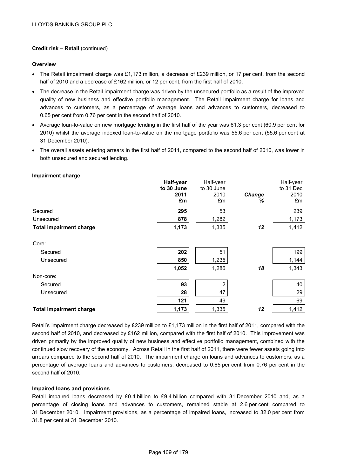#### **Overview**

**Impairment charge**

- The Retail impairment charge was £1,173 million, a decrease of £239 million, or 17 per cent, from the second half of 2010 and a decrease of £162 million, or 12 per cent, from the first half of 2010.
- The decrease in the Retail impairment charge was driven by the unsecured portfolio as a result of the improved quality of new business and effective portfolio management. The Retail impairment charge for loans and advances to customers, as a percentage of average loans and advances to customers, decreased to 0.65 per cent from 0.76 per cent in the second half of 2010.
- Average loan-to-value on new mortgage lending in the first half of the year was 61.3 per cent (60.9 per cent for 2010) whilst the average indexed loan-to-value on the mortgage portfolio was 55.6 per cent (55.6 per cent at 31 December 2010).
- The overall assets entering arrears in the first half of 2011, compared to the second half of 2010, was lower in both unsecured and secured lending.

|                                | Half-year<br>to 30 June<br>2011<br>£m | Half-year<br>to 30 June<br>2010<br>£m | <b>Change</b><br>℅ | Half-year<br>to 31 Dec<br>2010<br>£m |
|--------------------------------|---------------------------------------|---------------------------------------|--------------------|--------------------------------------|
| Secured                        | 295                                   | 53                                    |                    | 239                                  |
| Unsecured                      | 878                                   | 1,282                                 |                    | 1,173                                |
| <b>Total impairment charge</b> | 1,173                                 | 1,335                                 | 12                 | 1,412                                |
| Core:                          |                                       |                                       |                    |                                      |
| Secured                        | 202                                   | 51                                    |                    | 199                                  |
| Unsecured                      | 850                                   | 1,235                                 |                    | 1,144                                |
|                                | 1,052                                 | 1,286                                 | 18                 | 1,343                                |
| Non-core:                      |                                       |                                       |                    |                                      |
| Secured                        | 93                                    | 2                                     |                    | 40                                   |
| Unsecured                      | 28                                    | 47                                    |                    | 29                                   |
|                                | 121                                   | 49                                    |                    | 69                                   |
| <b>Total impairment charge</b> | 1,173                                 | 1,335                                 | 12                 | 1,412                                |

Retail's impairment charge decreased by £239 million to £1,173 million in the first half of 2011, compared with the second half of 2010, and decreased by £162 million, compared with the first half of 2010. This improvement was driven primarily by the improved quality of new business and effective portfolio management, combined with the continued slow recovery of the economy. Across Retail in the first half of 2011, there were fewer assets going into arrears compared to the second half of 2010. The impairment charge on loans and advances to customers, as a percentage of average loans and advances to customers, decreased to 0.65 per cent from 0.76 per cent in the second half of 2010.

#### **Impaired loans and provisions**

Retail impaired loans decreased by £0.4 billion to £9.4 billion compared with 31 December 2010 and, as a percentage of closing loans and advances to customers, remained stable at 2.6 per cent compared to 31 December 2010. Impairment provisions, as a percentage of impaired loans, increased to 32.0 per cent from 31.8 per cent at 31 December 2010.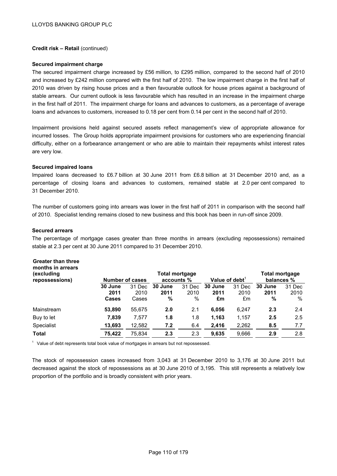#### **Secured impairment charge**

The secured impairment charge increased by £56 million, to £295 million, compared to the second half of 2010 and increased by £242 million compared with the first half of 2010. The low impairment charge in the first half of 2010 was driven by rising house prices and a then favourable outlook for house prices against a background of stable arrears. Our current outlook is less favourable which has resulted in an increase in the impairment charge in the first half of 2011. The impairment charge for loans and advances to customers, as a percentage of average loans and advances to customers, increased to 0.18 per cent from 0.14 per cent in the second half of 2010.

Impairment provisions held against secured assets reflect management's view of appropriate allowance for incurred losses. The Group holds appropriate impairment provisions for customers who are experiencing financial difficulty, either on a forbearance arrangement or who are able to maintain their repayments whilst interest rates are very low.

#### **Secured impaired loans**

Impaired loans decreased to £6.7 billion at 30 June 2011 from £6.8 billion at 31 December 2010 and, as a percentage of closing loans and advances to customers, remained stable at 2.0 per cent compared to 31 December 2010.

The number of customers going into arrears was lower in the first half of 2011 in comparison with the second half of 2010. Specialist lending remains closed to new business and this book has been in run-off since 2009.

#### **Secured arrears**

The percentage of mortgage cases greater than three months in arrears (excluding repossessions) remained stable at 2.3 per cent at 30 June 2011 compared to 31 December 2010.

| <b>Greater than three</b><br>months in arrears<br>(excluding<br>repossessions) | Number of cases |        | accounts % | Total mortgage | Value of debt <sup>1</sup> |        |         | Total mortgage<br>balances % |
|--------------------------------------------------------------------------------|-----------------|--------|------------|----------------|----------------------------|--------|---------|------------------------------|
|                                                                                | 30 June         | 31 Dec | 30 June    | 31 Dec         | 30 June                    | 31 Dec | 30 June | 31 Dec                       |
|                                                                                | 2011            | 2010   | 2011       | 2010           | 2011                       | 2010   | 2011    | 2010                         |
|                                                                                | <b>Cases</b>    | Cases  | $\%$       | %              | £m                         | £m     | %       | %                            |
| Mainstream                                                                     | 53,890          | 55,675 | 2.0        | 2.1            | 6,056                      | 6.247  | 2.3     | 2.4                          |
| Buy to let                                                                     | 7.839           | 7,577  | 1.8        | 1.8            | 1,163                      | 1,157  | 2.5     | 2.5                          |
| Specialist                                                                     | 13,693          | 12,582 | 7.2        | 6.4            | 2,416                      | 2,262  | 8.5     | 7.7                          |
| <b>Total</b>                                                                   | 75,422          | 75,834 | 2.3        | 2.3            | 9,635                      | 9,666  | 2.9     | 2.8                          |
|                                                                                |                 |        |            |                |                            |        |         |                              |

 $1$  Value of debt represents total book value of mortgages in arrears but not repossessed.

The stock of repossession cases increased from 3,043 at 31 December 2010 to 3,176 at 30 June 2011 but decreased against the stock of repossessions as at 30 June 2010 of 3,195. This still represents a relatively low proportion of the portfolio and is broadly consistent with prior years.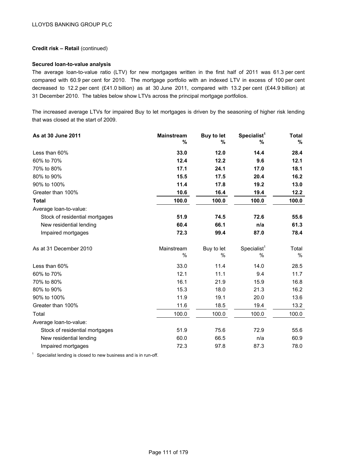#### **Secured loan-to-value analysis**

The average loan-to-value ratio (LTV) for new mortgages written in the first half of 2011 was 61.3 per cent compared with 60.9 per cent for 2010. The mortgage portfolio with an indexed LTV in excess of 100 per cent decreased to 12.2 per cent (£41.0 billion) as at 30 June 2011, compared with 13.2 per cent (£44.9 billion) at 31 December 2010. The tables below show LTVs across the principal mortgage portfolios.

The increased average LTVs for impaired Buy to let mortgages is driven by the seasoning of higher risk lending that was closed at the start of 2009.

| As at 30 June 2011             | <b>Mainstream</b><br>% | <b>Buy to let</b><br>% | Specialist <sup>1</sup><br>%    | <b>Total</b><br>% |
|--------------------------------|------------------------|------------------------|---------------------------------|-------------------|
| Less than 60%                  | 33.0                   | 12.0                   | 14.4                            | 28.4              |
| 60% to 70%                     | 12.4                   | 12.2                   | 9.6                             | 12.1              |
| 70% to 80%                     | 17.1                   | 24.1                   | 17.0                            | 18.1              |
| 80% to 90%                     | 15.5                   | 17.5                   | 20.4                            | 16.2              |
| 90% to 100%                    | 11.4                   | 17.8                   | 19.2                            | 13.0              |
| Greater than 100%              | 10.6                   | 16.4                   | 19.4                            | 12.2              |
| <b>Total</b>                   | 100.0                  | 100.0                  | 100.0                           | 100.0             |
| Average loan-to-value:         |                        |                        |                                 |                   |
| Stock of residential mortgages | 51.9                   | 74.5                   | 72.6                            | 55.6              |
| New residential lending        | 60.4                   | 66.1                   | n/a                             | 61.3              |
| Impaired mortgages             | 72.3                   | 99.4                   | 87.0                            | 78.4              |
| As at 31 December 2010         | Mainstream<br>%        | Buy to let<br>%        | Specialist <sup>1</sup><br>$\%$ | Total<br>%        |
| Less than 60%                  | 33.0                   | 11.4                   | 14.0                            | 28.5              |
| 60% to 70%                     | 12.1                   | 11.1                   | 9.4                             | 11.7              |
| 70% to 80%                     | 16.1                   | 21.9                   | 15.9                            | 16.8              |
| 80% to 90%                     | 15.3                   | 18.0                   | 21.3                            | 16.2              |
| 90% to 100%                    | 11.9                   | 19.1                   | 20.0                            | 13.6              |
| Greater than 100%              | 11.6                   | 18.5                   | 19.4                            | 13.2              |
| Total                          | 100.0                  | 100.0                  | 100.0                           | 100.0             |
| Average loan-to-value:         |                        |                        |                                 |                   |
| Stock of residential mortgages | 51.9                   | 75.6                   | 72.9                            | 55.6              |
| New residential lending        | 60.0                   | 66.5                   | n/a                             | 60.9              |
| Impaired mortgages             | 72.3                   | 97.8                   | 87.3                            | 78.0              |

 $1$  Specialist lending is closed to new business and is in run-off.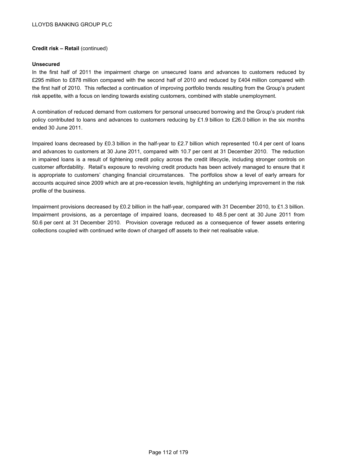#### **Unsecured**

In the first half of 2011 the impairment charge on unsecured loans and advances to customers reduced by £295 million to £878 million compared with the second half of 2010 and reduced by £404 million compared with the first half of 2010. This reflected a continuation of improving portfolio trends resulting from the Group's prudent risk appetite, with a focus on lending towards existing customers, combined with stable unemployment.

A combination of reduced demand from customers for personal unsecured borrowing and the Group's prudent risk policy contributed to loans and advances to customers reducing by £1.9 billion to £26.0 billion in the six months ended 30 June 2011.

Impaired loans decreased by £0.3 billion in the half-year to £2.7 billion which represented 10.4 per cent of loans and advances to customers at 30 June 2011, compared with 10.7 per cent at 31 December 2010. The reduction in impaired loans is a result of tightening credit policy across the credit lifecycle, including stronger controls on customer affordability. Retail's exposure to revolving credit products has been actively managed to ensure that it is appropriate to customers' changing financial circumstances. The portfolios show a level of early arrears for accounts acquired since 2009 which are at pre-recession levels, highlighting an underlying improvement in the risk profile of the business.

Impairment provisions decreased by £0.2 billion in the half-year, compared with 31 December 2010, to £1.3 billion. Impairment provisions, as a percentage of impaired loans, decreased to 48.5 per cent at 30 June 2011 from 50.6 per cent at 31 December 2010. Provision coverage reduced as a consequence of fewer assets entering collections coupled with continued write down of charged off assets to their net realisable value.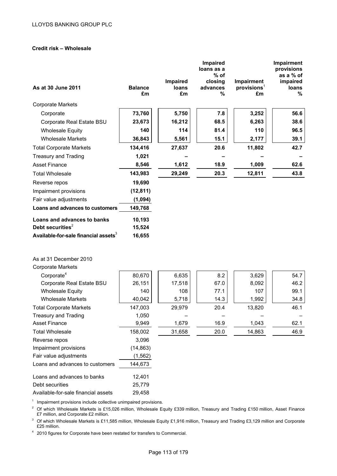## **Credit risk – Wholesale**

| As at 30 June 2011                               | <b>Balance</b><br>£m | <b>Impaired</b><br>loans<br>£m | <b>Impaired</b><br>loans as a<br>$%$ of<br>closing<br>advances<br>% | Impairment<br>provisions <sup>1</sup><br>£m | <b>Impairment</b><br>provisions<br>as a % of<br>impaired<br>loans<br>% |
|--------------------------------------------------|----------------------|--------------------------------|---------------------------------------------------------------------|---------------------------------------------|------------------------------------------------------------------------|
| <b>Corporate Markets</b>                         |                      |                                |                                                                     |                                             |                                                                        |
| Corporate                                        | 73,760               | 5,750                          | 7.8                                                                 | 3,252                                       | 56.6                                                                   |
| Corporate Real Estate BSU                        | 23,673               | 16,212                         | 68.5                                                                | 6,263                                       | 38.6                                                                   |
| <b>Wholesale Equity</b>                          | 140                  | 114                            | 81.4                                                                | 110                                         | 96.5                                                                   |
| <b>Wholesale Markets</b>                         | 36,843               | 5,561                          | 15.1                                                                | 2,177                                       | 39.1                                                                   |
| <b>Total Corporate Markets</b>                   | 134,416              | 27,637                         | 20.6                                                                | 11,802                                      | 42.7                                                                   |
| <b>Treasury and Trading</b>                      | 1,021                |                                |                                                                     |                                             |                                                                        |
| <b>Asset Finance</b>                             | 8,546                | 1,612                          | 18.9                                                                | 1,009                                       | 62.6                                                                   |
| <b>Total Wholesale</b>                           | 143,983              | 29,249                         | 20.3                                                                | 12,811                                      | 43.8                                                                   |
| Reverse repos                                    | 19,690               |                                |                                                                     |                                             |                                                                        |
| Impairment provisions                            | (12, 811)            |                                |                                                                     |                                             |                                                                        |
| Fair value adjustments                           | (1,094)              |                                |                                                                     |                                             |                                                                        |
| Loans and advances to customers                  | 149,768              |                                |                                                                     |                                             |                                                                        |
| Loans and advances to banks                      | 10,193               |                                |                                                                     |                                             |                                                                        |
| Debt securities <sup>2</sup>                     | 15,524               |                                |                                                                     |                                             |                                                                        |
| Available-for-sale financial assets <sup>3</sup> | 16,655               |                                |                                                                     |                                             |                                                                        |
|                                                  |                      |                                |                                                                     |                                             |                                                                        |

| As at 31 December 2010              |           |        |      |        |      |
|-------------------------------------|-----------|--------|------|--------|------|
| Corporate Markets                   |           |        |      |        |      |
| Corporate $4$                       | 80,670    | 6,635  | 8.2  | 3,629  | 54.7 |
| Corporate Real Estate BSU           | 26,151    | 17,518 | 67.0 | 8,092  | 46.2 |
| <b>Wholesale Equity</b>             | 140       | 108    | 77.1 | 107    | 99.1 |
| <b>Wholesale Markets</b>            | 40,042    | 5,718  | 14.3 | 1,992  | 34.8 |
| <b>Total Corporate Markets</b>      | 147,003   | 29,979 | 20.4 | 13,820 | 46.1 |
| Treasury and Trading                | 1,050     |        |      |        |      |
| <b>Asset Finance</b>                | 9,949     | 1,679  | 16.9 | 1,043  | 62.1 |
| <b>Total Wholesale</b>              | 158,002   | 31,658 | 20.0 | 14,863 | 46.9 |
| Reverse repos                       | 3,096     |        |      |        |      |
| Impairment provisions               | (14, 863) |        |      |        |      |
| Fair value adjustments              | (1, 562)  |        |      |        |      |
| Loans and advances to customers     | 144,673   |        |      |        |      |
| Loans and advances to banks         | 12,401    |        |      |        |      |
| Debt securities                     | 25,779    |        |      |        |      |
| Available-for-sale financial assets | 29,458    |        |      |        |      |

<sup>1</sup> Impairment provisions include collective unimpaired provisions.

<sup>2</sup> Of which Wholesale Markets is £15,026 million, Wholesale Equity £339 million, Treasury and Trading £150 million, Asset Finance £7 million, and Corporate £2 million.

<sup>3</sup> Of which Wholesale Markets is £11,585 million, Wholesale Equity £1,916 million, Treasury and Trading £3,129 million and Corporate £25 million.

<sup>4</sup> 2010 figures for Corporate have been restated for transfers to Commercial.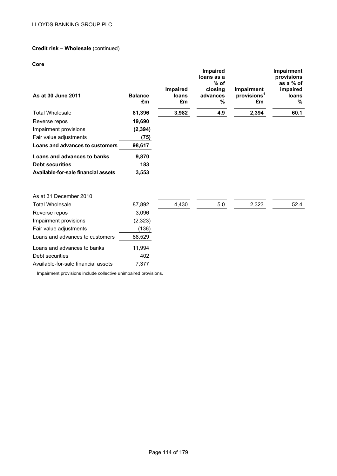**Core**

|                                     |                      |                         | Impaired<br>loans as a   |                                             | Impairment<br>provisions |
|-------------------------------------|----------------------|-------------------------|--------------------------|---------------------------------------------|--------------------------|
|                                     |                      |                         | $%$ of                   |                                             | as a % of                |
| As at 30 June 2011                  | <b>Balance</b><br>£m | Impaired<br>loans<br>£m | closing<br>advances<br>% | Impairment<br>provisions <sup>1</sup><br>£m | impaired<br>loans<br>%   |
| <b>Total Wholesale</b>              | 81,396               | 3,982                   | 4.9                      | 2,394                                       | 60.1                     |
| Reverse repos                       | 19,690               |                         |                          |                                             |                          |
| Impairment provisions               | (2, 394)             |                         |                          |                                             |                          |
| Fair value adjustments              | (75)                 |                         |                          |                                             |                          |
| Loans and advances to customers     | 98,617               |                         |                          |                                             |                          |
| Loans and advances to banks         | 9,870                |                         |                          |                                             |                          |
| <b>Debt securities</b>              | 183                  |                         |                          |                                             |                          |
| Available-for-sale financial assets | 3,553                |                         |                          |                                             |                          |
| As at 31 December 2010              |                      |                         |                          |                                             |                          |
| <b>Total Wholesale</b>              | 87,892               | 4,430                   | 5.0                      | 2,323                                       | 52.4                     |
| Reverse repos                       | 3,096                |                         |                          |                                             |                          |
| Impairment provisions               | (2,323)              |                         |                          |                                             |                          |
| Fair value adjustments              | (136)                |                         |                          |                                             |                          |
| Loans and advances to customers     | 88,529               |                         |                          |                                             |                          |
| Loans and advances to banks         | 11,994               |                         |                          |                                             |                          |
| Debt securities                     | 402                  |                         |                          |                                             |                          |
| Available-for-sale financial assets | 7,377                |                         |                          |                                             |                          |

 $1$  Impairment provisions include collective unimpaired provisions.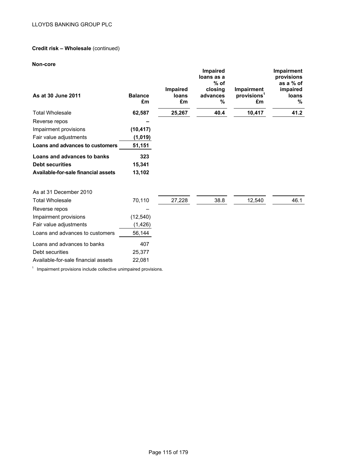## **Non-core**

| As at 30 June 2011                  | <b>Balance</b><br>£m | <b>Impaired</b><br>loans<br>£m | <b>Impaired</b><br>loans as a<br>$%$ of<br>closing<br>advances<br>% | <b>Impairment</b><br>provisions <sup>1</sup><br>£m | <b>Impairment</b><br>provisions<br>as a % of<br>impaired<br>loans<br>% |
|-------------------------------------|----------------------|--------------------------------|---------------------------------------------------------------------|----------------------------------------------------|------------------------------------------------------------------------|
| <b>Total Wholesale</b>              | 62,587               | 25,267                         | 40.4                                                                | 10,417                                             | 41.2                                                                   |
| Reverse repos                       |                      |                                |                                                                     |                                                    |                                                                        |
| Impairment provisions               | (10, 417)            |                                |                                                                     |                                                    |                                                                        |
| Fair value adjustments              | (1, 019)             |                                |                                                                     |                                                    |                                                                        |
| Loans and advances to customers     | 51,151               |                                |                                                                     |                                                    |                                                                        |
| Loans and advances to banks         | 323                  |                                |                                                                     |                                                    |                                                                        |
| <b>Debt securities</b>              | 15,341               |                                |                                                                     |                                                    |                                                                        |
| Available-for-sale financial assets | 13,102               |                                |                                                                     |                                                    |                                                                        |
| As at 31 December 2010              |                      |                                |                                                                     |                                                    |                                                                        |
| <b>Total Wholesale</b>              | 70,110               | 27,228                         | 38.8                                                                | 12,540                                             | 46.1                                                                   |
| Reverse repos                       |                      |                                |                                                                     |                                                    |                                                                        |
| Impairment provisions               | (12, 540)            |                                |                                                                     |                                                    |                                                                        |
| Fair value adjustments              | (1, 426)             |                                |                                                                     |                                                    |                                                                        |
| Loans and advances to customers     | 56,144               |                                |                                                                     |                                                    |                                                                        |
| Loans and advances to banks         | 407                  |                                |                                                                     |                                                    |                                                                        |
| Debt securities                     | 25,377               |                                |                                                                     |                                                    |                                                                        |
| Available-for-sale financial assets | 22,081               |                                |                                                                     |                                                    |                                                                        |

<sup>1</sup> Impairment provisions include collective unimpaired provisions.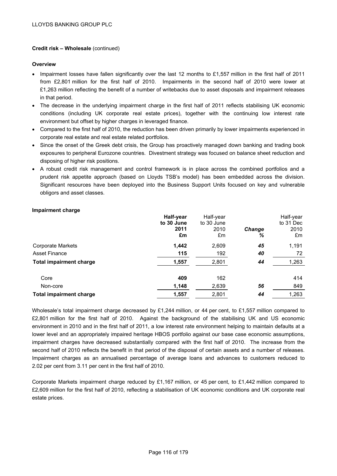#### **Overview**

- Impairment losses have fallen significantly over the last 12 months to £1,557 million in the first half of 2011 from £2,801 million for the first half of 2010. Impairments in the second half of 2010 were lower at £1,263 million reflecting the benefit of a number of writebacks due to asset disposals and impairment releases in that period.
- The decrease in the underlying impairment charge in the first half of 2011 reflects stabilising UK economic conditions (including UK corporate real estate prices), together with the continuing low interest rate environment but offset by higher charges in leveraged finance.
- Compared to the first half of 2010, the reduction has been driven primarily by lower impairments experienced in corporate real estate and real estate related portfolios.
- Since the onset of the Greek debt crisis, the Group has proactively managed down banking and trading book exposures to peripheral Eurozone countries. Divestment strategy was focused on balance sheet reduction and disposing of higher risk positions.
- A robust credit risk management and control framework is in place across the combined portfolios and a prudent risk appetite approach (based on Lloyds TSB's model) has been embedded across the division. Significant resources have been deployed into the Business Support Units focused on key and vulnerable obligors and asset classes.

#### **Impairment charge**

|                                | Half-year<br>to 30 June<br>2011<br>£m | Half-year<br>to 30 June<br>2010<br>£m | <b>Change</b><br>% | Half-year<br>to 31 Dec<br>2010<br>£m |
|--------------------------------|---------------------------------------|---------------------------------------|--------------------|--------------------------------------|
| <b>Corporate Markets</b>       | 1,442                                 | 2,609                                 | 45                 | 1,191                                |
| <b>Asset Finance</b>           | 115                                   | 192                                   | 40                 | 72                                   |
| <b>Total impairment charge</b> | 1,557                                 | 2,801                                 | 44                 | 1,263                                |
| Core                           | 409                                   | 162                                   |                    | 414                                  |
| Non-core                       | 1,148                                 | 2,639                                 | 56                 | 849                                  |
| <b>Total impairment charge</b> | 1,557                                 | 2,801                                 | 44                 | 1,263                                |

Wholesale's total impairment charge decreased by £1,244 million, or 44 per cent, to £1,557 million compared to £2,801 million for the first half of 2010. Against the background of the stabilising UK and US economic environment in 2010 and in the first half of 2011, a low interest rate environment helping to maintain defaults at a lower level and an appropriately impaired heritage HBOS portfolio against our base case economic assumptions, impairment charges have decreased substantially compared with the first half of 2010. The increase from the second half of 2010 reflects the benefit in that period of the disposal of certain assets and a number of releases. Impairment charges as an annualised percentage of average loans and advances to customers reduced to 2.02 per cent from 3.11 per cent in the first half of 2010.

Corporate Markets impairment charge reduced by £1,167 million, or 45 per cent, to £1,442 million compared to £2,609 million for the first half of 2010, reflecting a stabilisation of UK economic conditions and UK corporate real estate prices.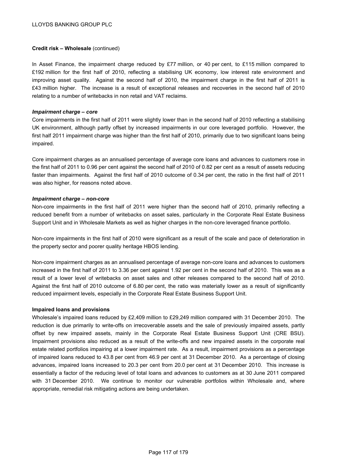In Asset Finance, the impairment charge reduced by £77 million, or 40 per cent, to £115 million compared to £192 million for the first half of 2010, reflecting a stabilising UK economy, low interest rate environment and improving asset quality. Against the second half of 2010, the impairment charge in the first half of 2011 is £43 million higher. The increase is a result of exceptional releases and recoveries in the second half of 2010 relating to a number of writebacks in non retail and VAT reclaims.

#### *Impairment charge – core*

Core impairments in the first half of 2011 were slightly lower than in the second half of 2010 reflecting a stabilising UK environment, although partly offset by increased impairments in our core leveraged portfolio. However, the first half 2011 impairment charge was higher than the first half of 2010, primarily due to two significant loans being impaired.

Core impairment charges as an annualised percentage of average core loans and advances to customers rose in the first half of 2011 to 0.96 per cent against the second half of 2010 of 0.82 per cent as a result of assets reducing faster than impairments. Against the first half of 2010 outcome of 0.34 per cent, the ratio in the first half of 2011 was also higher, for reasons noted above.

#### *Impairment charge – non-core*

Non-core impairments in the first half of 2011 were higher than the second half of 2010, primarily reflecting a reduced benefit from a number of writebacks on asset sales, particularly in the Corporate Real Estate Business Support Unit and in Wholesale Markets as well as higher charges in the non-core leveraged finance portfolio.

Non-core impairments in the first half of 2010 were significant as a result of the scale and pace of deterioration in the property sector and poorer quality heritage HBOS lending.

Non-core impairment charges as an annualised percentage of average non-core loans and advances to customers increased in the first half of 2011 to 3.36 per cent against 1.92 per cent in the second half of 2010. This was as a result of a lower level of writebacks on asset sales and other releases compared to the second half of 2010. Against the first half of 2010 outcome of 6.80 per cent, the ratio was materially lower as a result of significantly reduced impairment levels, especially in the Corporate Real Estate Business Support Unit.

#### **Impaired loans and provisions**

Wholesale's impaired loans reduced by £2,409 million to £29,249 million compared with 31 December 2010. The reduction is due primarily to write-offs on irrecoverable assets and the sale of previously impaired assets, partly offset by new impaired assets, mainly in the Corporate Real Estate Business Support Unit (CRE BSU). Impairment provisions also reduced as a result of the write-offs and new impaired assets in the corporate real estate related portfolios impairing at a lower impairment rate. As a result, impairment provisions as a percentage of impaired loans reduced to 43.8 per cent from 46.9 per cent at 31 December 2010. As a percentage of closing advances, impaired loans increased to 20.3 per cent from 20.0 per cent at 31 December 2010. This increase is essentially a factor of the reducing level of total loans and advances to customers as at 30 June 2011 compared with 31 December 2010. We continue to monitor our vulnerable portfolios within Wholesale and, where appropriate, remedial risk mitigating actions are being undertaken.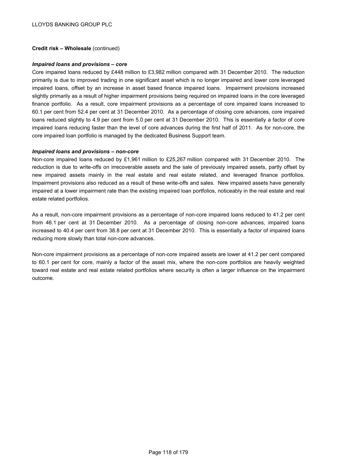#### *Impaired loans and provisions – core*

Core impaired loans reduced by £448 million to £3,982 million compared with 31 December 2010. The reduction primarily is due to improved trading in one significant asset which is no longer impaired and lower core leveraged impaired loans, offset by an increase in asset based finance impaired loans. Impairment provisions increased slightly primarily as a result of higher impairment provisions being required on impaired loans in the core leveraged finance portfolio. As a result, core impairment provisions as a percentage of core impaired loans increased to 60.1 per cent from 52.4 per cent at 31 December 2010. As a percentage of closing core advances, core impaired loans reduced slightly to 4.9 per cent from 5.0 per cent at 31 December 2010. This is essentially a factor of core impaired loans reducing faster than the level of core advances during the first half of 2011. As for non-core, the core impaired loan portfolio is managed by the dedicated Business Support team.

#### *Impaired loans and provisions – non-core*

Non-core impaired loans reduced by £1,961 million to £25,267 million compared with 31 December 2010. The reduction is due to write-offs on irrecoverable assets and the sale of previously impaired assets, partly offset by new impaired assets mainly in the real estate and real estate related, and leveraged finance portfolios. Impairment provisions also reduced as a result of these write-offs and sales. New impaired assets have generally impaired at a lower impairment rate than the existing impaired loan portfolios, noticeably in the real estate and real estate related portfolios.

As a result, non-core impairment provisions as a percentage of non-core impaired loans reduced to 41.2 per cent from 46.1 per cent at 31 December 2010. As a percentage of closing non-core advances, impaired loans increased to 40.4 per cent from 38.8 per cent at 31 December 2010. This is essentially a factor of impaired loans reducing more slowly than total non-core advances.

Non-core impairment provisions as a percentage of non-core impaired assets are lower at 41.2 per cent compared to 60.1 per cent for core, mainly a factor of the asset mix, where the non-core portfolios are heavily weighted toward real estate and real estate related portfolios where security is often a larger influence on the impairment outcome.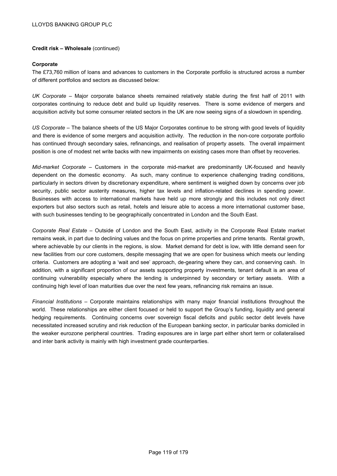#### **Corporate**

The £73,760 million of loans and advances to customers in the Corporate portfolio is structured across a number of different portfolios and sectors as discussed below:

*UK Corporate* – Major corporate balance sheets remained relatively stable during the first half of 2011 with corporates continuing to reduce debt and build up liquidity reserves. There is some evidence of mergers and acquisition activity but some consumer related sectors in the UK are now seeing signs of a slowdown in spending.

*US Corporate –* The balance sheets of the US Major Corporates continue to be strong with good levels of liquidity and there is evidence of some mergers and acquisition activity. The reduction in the non-core corporate portfolio has continued through secondary sales, refinancings, and realisation of property assets. The overall impairment position is one of modest net write backs with new impairments on existing cases more than offset by recoveries.

*Mid-market Corporate* – Customers in the corporate mid-market are predominantly UK-focused and heavily dependent on the domestic economy. As such, many continue to experience challenging trading conditions, particularly in sectors driven by discretionary expenditure, where sentiment is weighed down by concerns over job security, public sector austerity measures, higher tax levels and inflation-related declines in spending power. Businesses with access to international markets have held up more strongly and this includes not only direct exporters but also sectors such as retail, hotels and leisure able to access a more international customer base, with such businesses tending to be geographically concentrated in London and the South East.

*Corporate Real Estate* – Outside of London and the South East, activity in the Corporate Real Estate market remains weak, in part due to declining values and the focus on prime properties and prime tenants. Rental growth, where achievable by our clients in the regions, is slow. Market demand for debt is low, with little demand seen for new facilities from our core customers, despite messaging that we are open for business which meets our lending criteria. Customers are adopting a 'wait and see' approach, de-gearing where they can, and conserving cash. In addition, with a significant proportion of our assets supporting property investments, tenant default is an area of continuing vulnerability especially where the lending is underpinned by secondary or tertiary assets. With a continuing high level of loan maturities due over the next few years, refinancing risk remains an issue.

*Financial Institutions* – Corporate maintains relationships with many major financial institutions throughout the world. These relationships are either client focused or held to support the Group's funding, liquidity and general hedging requirements. Continuing concerns over sovereign fiscal deficits and public sector debt levels have necessitated increased scrutiny and risk reduction of the European banking sector, in particular banks domiciled in the weaker eurozone peripheral countries. Trading exposures are in large part either short term or collateralised and inter bank activity is mainly with high investment grade counterparties.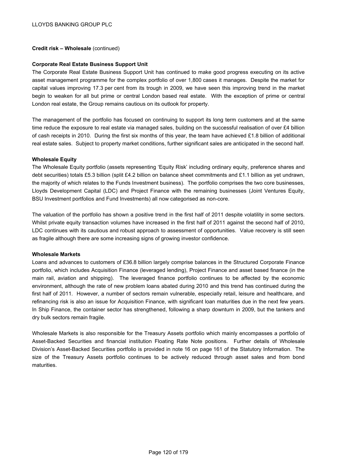#### **Corporate Real Estate Business Support Unit**

The Corporate Real Estate Business Support Unit has continued to make good progress executing on its active asset management programme for the complex portfolio of over 1,800 cases it manages. Despite the market for capital values improving 17.3 per cent from its trough in 2009, we have seen this improving trend in the market begin to weaken for all but prime or central London based real estate. With the exception of prime or central London real estate, the Group remains cautious on its outlook for property.

The management of the portfolio has focused on continuing to support its long term customers and at the same time reduce the exposure to real estate via managed sales, building on the successful realisation of over £4 billion of cash receipts in 2010. During the first six months of this year, the team have achieved £1.8 billion of additional real estate sales. Subject to property market conditions, further significant sales are anticipated in the second half.

#### **Wholesale Equity**

The Wholesale Equity portfolio (assets representing 'Equity Risk' including ordinary equity, preference shares and debt securities) totals £5.3 billion (split £4.2 billion on balance sheet commitments and £1.1 billion as yet undrawn, the majority of which relates to the Funds Investment business). The portfolio comprises the two core businesses, Lloyds Development Capital (LDC) and Project Finance with the remaining businesses (Joint Ventures Equity, BSU Investment portfolios and Fund Investments) all now categorised as non-core.

The valuation of the portfolio has shown a positive trend in the first half of 2011 despite volatility in some sectors. Whilst private equity transaction volumes have increased in the first half of 2011 against the second half of 2010, LDC continues with its cautious and robust approach to assessment of opportunities. Value recovery is still seen as fragile although there are some increasing signs of growing investor confidence.

#### **Wholesale Markets**

Loans and advances to customers of £36.8 billion largely comprise balances in the Structured Corporate Finance portfolio, which includes Acquisition Finance (leveraged lending), Project Finance and asset based finance (in the main rail, aviation and shipping). The leveraged finance portfolio continues to be affected by the economic environment, although the rate of new problem loans abated during 2010 and this trend has continued during the first half of 2011. However, a number of sectors remain vulnerable, especially retail, leisure and healthcare, and refinancing risk is also an issue for Acquisition Finance, with significant loan maturities due in the next few years. In Ship Finance, the container sector has strengthened, following a sharp downturn in 2009, but the tankers and dry bulk sectors remain fragile.

Wholesale Markets is also responsible for the Treasury Assets portfolio which mainly encompasses a portfolio of Asset-Backed Securities and financial institution Floating Rate Note positions. Further details of Wholesale Division's Asset-Backed Securities portfolio is provided in note 16 on page 161 of the Statutory Information. The size of the Treasury Assets portfolio continues to be actively reduced through asset sales and from bond maturities.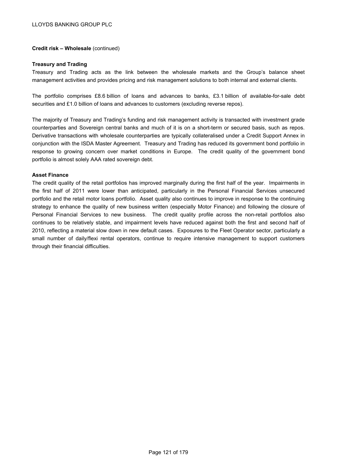#### **Treasury and Trading**

Treasury and Trading acts as the link between the wholesale markets and the Group's balance sheet management activities and provides pricing and risk management solutions to both internal and external clients.

The portfolio comprises £8.6 billion of loans and advances to banks, £3.1 billion of available-for-sale debt securities and £1.0 billion of loans and advances to customers (excluding reverse repos).

The majority of Treasury and Trading's funding and risk management activity is transacted with investment grade counterparties and Sovereign central banks and much of it is on a short-term or secured basis, such as repos. Derivative transactions with wholesale counterparties are typically collateralised under a Credit Support Annex in conjunction with the ISDA Master Agreement. Treasury and Trading has reduced its government bond portfolio in response to growing concern over market conditions in Europe. The credit quality of the government bond portfolio is almost solely AAA rated sovereign debt.

#### **Asset Finance**

The credit quality of the retail portfolios has improved marginally during the first half of the year. Impairments in the first half of 2011 were lower than anticipated, particularly in the Personal Financial Services unsecured portfolio and the retail motor loans portfolio. Asset quality also continues to improve in response to the continuing strategy to enhance the quality of new business written (especially Motor Finance) and following the closure of Personal Financial Services to new business. The credit quality profile across the non-retail portfolios also continues to be relatively stable, and impairment levels have reduced against both the first and second half of 2010, reflecting a material slow down in new default cases. Exposures to the Fleet Operator sector, particularly a small number of daily/flexi rental operators, continue to require intensive management to support customers through their financial difficulties.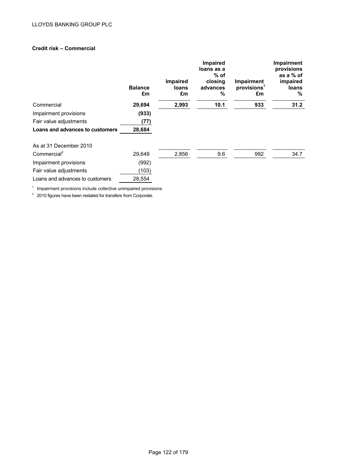## **Credit risk – Commercial**

|                                 | <b>Balance</b><br>£m | <b>Impaired</b><br>loans<br>£m | Impaired<br>loans as a<br>$%$ of<br>closing<br>advances<br>% | Impairment<br>provisions <sup>1</sup><br>£m | Impairment<br>provisions<br>as a % of<br>impaired<br>loans<br>% |
|---------------------------------|----------------------|--------------------------------|--------------------------------------------------------------|---------------------------------------------|-----------------------------------------------------------------|
| Commercial                      | 29,694               | 2,993                          | 10.1                                                         | 933                                         | 31.2                                                            |
| Impairment provisions           | (933)                |                                |                                                              |                                             |                                                                 |
| Fair value adjustments          | (77)                 |                                |                                                              |                                             |                                                                 |
| Loans and advances to customers | 28,684               |                                |                                                              |                                             |                                                                 |
| As at 31 December 2010          |                      |                                |                                                              |                                             |                                                                 |
| Commercial <sup>2</sup>         | 29,649               | 2,856                          | 9.6                                                          | 992                                         | 34.7                                                            |
| Impairment provisions           | (992)                |                                |                                                              |                                             |                                                                 |
| Fair value adjustments          | (103)                |                                |                                                              |                                             |                                                                 |
| Loans and advances to customers | 28,554               |                                |                                                              |                                             |                                                                 |

 $1$  Impairment provisions include collective unimpaired provisions.

 $2$  2010 figures have been restated for transfers from Corporate.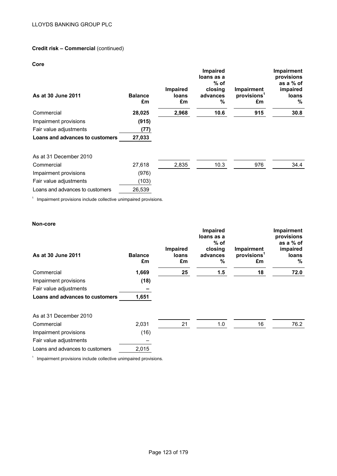## **Credit risk – Commercial** (continued)

**Core** 

| As at 30 June 2011              | <b>Balance</b><br>£m | <b>Impaired</b><br>loans<br>£m | Impaired<br>loans as a<br>$%$ of<br>closing<br>advances<br>% | Impairment<br>provisions <sup>1</sup><br>£m | Impairment<br>provisions<br>as a % of<br>impaired<br><b>loans</b><br>% |
|---------------------------------|----------------------|--------------------------------|--------------------------------------------------------------|---------------------------------------------|------------------------------------------------------------------------|
| Commercial                      | 28,025               | 2,968                          | 10.6                                                         | 915                                         | 30.8                                                                   |
| Impairment provisions           | (915)                |                                |                                                              |                                             |                                                                        |
| Fair value adjustments          | (77)                 |                                |                                                              |                                             |                                                                        |
| Loans and advances to customers | 27,033               |                                |                                                              |                                             |                                                                        |
| As at 31 December 2010          |                      |                                |                                                              |                                             |                                                                        |
| Commercial                      | 27,618               | 2,835                          | 10.3                                                         | 976                                         | 34.4                                                                   |
| Impairment provisions           | (976)                |                                |                                                              |                                             |                                                                        |
| Fair value adjustments          | (103)                |                                |                                                              |                                             |                                                                        |
| Loans and advances to customers | 26,539               |                                |                                                              |                                             |                                                                        |

<sup>1</sup> Impairment provisions include collective unimpaired provisions.

#### **Non-core**

| As at 30 June 2011              | <b>Balance</b><br>£m | Impaired<br><b>loans</b><br>£m | Impaired<br>loans as a<br>$%$ of<br>closing<br>advances<br>% | Impairment<br>provisions <sup>1</sup><br>£m | Impairment<br>provisions<br>as a % of<br>impaired<br>loans<br>℅ |
|---------------------------------|----------------------|--------------------------------|--------------------------------------------------------------|---------------------------------------------|-----------------------------------------------------------------|
| Commercial                      | 1,669                | 25                             | 1.5                                                          | 18                                          | 72.0                                                            |
| Impairment provisions           | (18)                 |                                |                                                              |                                             |                                                                 |
| Fair value adjustments          |                      |                                |                                                              |                                             |                                                                 |
| Loans and advances to customers | 1,651                |                                |                                                              |                                             |                                                                 |
| As at 31 December 2010          |                      |                                |                                                              |                                             |                                                                 |
| Commercial                      | 2,031                | 21                             | 1.0                                                          | 16                                          | 76.2                                                            |
| Impairment provisions           | (16)                 |                                |                                                              |                                             |                                                                 |
| Fair value adjustments          |                      |                                |                                                              |                                             |                                                                 |
| Loans and advances to customers | 2,015                |                                |                                                              |                                             |                                                                 |

<sup>1</sup> Impairment provisions include collective unimpaired provisions.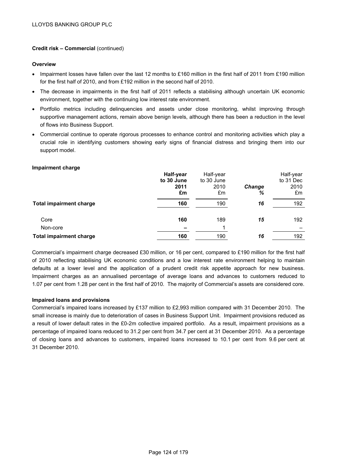#### **Credit risk – Commercial** (continued)

#### **Overview**

- Impairment losses have fallen over the last 12 months to £160 million in the first half of 2011 from £190 million for the first half of 2010, and from £192 million in the second half of 2010.
- The decrease in impairments in the first half of 2011 reflects a stabilising although uncertain UK economic environment, together with the continuing low interest rate environment.
- Portfolio metrics including delinquencies and assets under close monitoring, whilst improving through supportive management actions, remain above benign levels, although there has been a reduction in the level of flows into Business Support.
- Commercial continue to operate rigorous processes to enhance control and monitoring activities which play a crucial role in identifying customers showing early signs of financial distress and bringing them into our support model.

#### **Impairment charge**

|                                | Half-year<br>to 30 June<br>2011<br>£m | Half-year<br>to 30 June<br>2010<br>£m | Change<br>% | Half-year<br>to 31 Dec<br>2010<br>£m |
|--------------------------------|---------------------------------------|---------------------------------------|-------------|--------------------------------------|
| <b>Total impairment charge</b> | 160                                   | 190                                   | 16          | 192                                  |
| Core                           | 160                                   | 189                                   | 15          | 192                                  |
| Non-core                       |                                       |                                       |             |                                      |
| <b>Total impairment charge</b> | 160                                   | 190                                   | 16          | 192                                  |

Commercial's impairment charge decreased £30 million, or 16 per cent, compared to £190 million for the first half of 2010 reflecting stabilising UK economic conditions and a low interest rate environment helping to maintain defaults at a lower level and the application of a prudent credit risk appetite approach for new business. Impairment charges as an annualised percentage of average loans and advances to customers reduced to 1.07 per cent from 1.28 per cent in the first half of 2010. The majority of Commercial's assets are considered core.

#### **Impaired loans and provisions**

Commercial's impaired loans increased by £137 million to £2,993 million compared with 31 December 2010. The small increase is mainly due to deterioration of cases in Business Support Unit. Impairment provisions reduced as a result of lower default rates in the £0-2m collective impaired portfolio. As a result, impairment provisions as a percentage of impaired loans reduced to 31.2 per cent from 34.7 per cent at 31 December 2010. As a percentage of closing loans and advances to customers, impaired loans increased to 10.1 per cent from 9.6 per cent at 31 December 2010.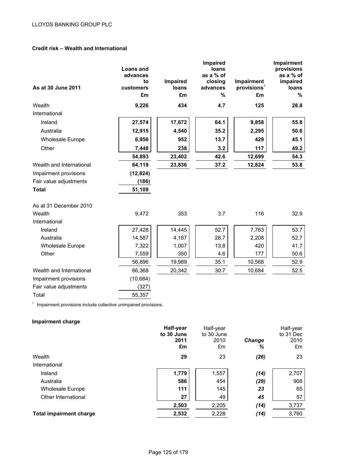## **Credit risk – Wealth and International**

|                          | <b>Loans and</b> |              | Impaired<br>loans |                         | Impairment<br>provisions |
|--------------------------|------------------|--------------|-------------------|-------------------------|--------------------------|
|                          | advances         |              | as a % of         |                         | as a % of                |
|                          | to               | Impaired     | closing           | Impairment              | impaired                 |
| As at 30 June 2011       | customers        | <b>loans</b> | advances          | provisions <sup>1</sup> | <b>loans</b>             |
|                          | £m               | £m           | %                 | £m                      | $\frac{0}{0}$            |
| Wealth                   | 9,226            | 434          | 4.7               | 125                     | 28.8                     |
| International            |                  |              |                   |                         |                          |
| Ireland                  | 27,574           | 17,672       | 64.1              | 9,858                   | 55.8                     |
| Australia                | 12,915           | 4,540        | 35.2              | 2,295                   | 50.6                     |
| <b>Wholesale Europe</b>  | 6,956            | 952          | 13.7              | 429                     | 45.1                     |
| Other                    | 7,448            | 238          | 3.2               | 117                     | 49.2                     |
|                          | 54,893           | 23,402       | 42.6              | 12,699                  | 54.3                     |
| Wealth and International | 64,119           | 23,836       | 37.2              | 12,824                  | 53.8                     |
| Impairment provisions    | (12, 824)        |              |                   |                         |                          |
| Fair value adjustments   | (186)            |              |                   |                         |                          |
| <b>Total</b>             | 51,109           |              |                   |                         |                          |
| As at 31 December 2010   |                  |              |                   |                         |                          |
| Wealth                   | 9,472            | 353          | 3.7               | 116                     | 32.9                     |
| International            |                  |              |                   |                         |                          |
| Ireland                  | 27,428           | 14,445       | 52.7              | 7,763                   | 53.7                     |
| Australia                | 14,587           | 4,187        | 28.7              | 2,208                   | 52.7                     |
| <b>Wholesale Europe</b>  | 7,322            | 1,007        | 13.8              | 420                     | 41.7                     |
| Other                    | 7,559            | 350          | 4.6               | 177                     | 50.6                     |
|                          | 56,896           | 19,989       | 35.1              | 10,568                  | 52.9                     |
| Wealth and International | 66,368           | 20,342       | 30.7              | 10,684                  | 52.5                     |
| Impairment provisions    | (10, 684)        |              |                   |                         |                          |
| Fair value adjustments   | (327)            |              |                   |                         |                          |
| Total                    | 55,357           |              |                   |                         |                          |

 $1$  Impairment provisions include collective unimpaired provisions.

# **Impairment charge**

|                                | Half-year<br>to 30 June | Half-year<br>to 30 June |                    | Half-year<br>to 31 Dec |
|--------------------------------|-------------------------|-------------------------|--------------------|------------------------|
|                                | 2011<br>£m              | 2010<br>£m              | <b>Change</b><br>% | 2010<br>£m             |
| Wealth                         | 29                      | 23                      | (26)               | 23                     |
| International                  |                         |                         |                    |                        |
| Ireland                        | 1,779                   | 1,557                   | (14)               | 2,707                  |
| Australia                      | 586                     | 454                     | (29)               | 908                    |
| <b>Wholesale Europe</b>        | 111                     | 145                     | 23                 | 65                     |
| Other International            | 27                      | 49                      | 45                 | 57                     |
|                                | 2,503                   | 2,205                   | (14)               | 3,737                  |
| <b>Total impairment charge</b> | 2,532                   | 2,228                   | (14)               | 3,760                  |
|                                |                         |                         |                    |                        |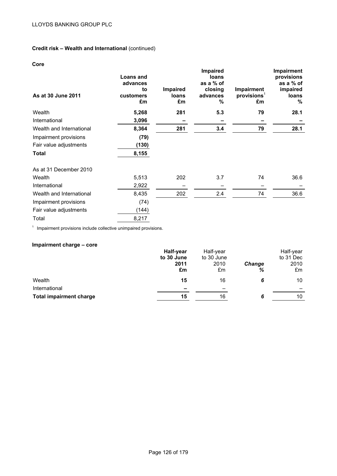#### **Core**

|                          |                  |          | <b>Impaired</b> |                   | <b>Impairment</b> |
|--------------------------|------------------|----------|-----------------|-------------------|-------------------|
|                          | <b>Loans and</b> |          | loans           |                   | provisions        |
|                          | advances         |          | as a % of       |                   | as a % of         |
|                          | to               | Impaired | closing         | <b>Impairment</b> | impaired          |
| As at 30 June 2011       | customers        | loans    | advances        | prox <sup>1</sup> | loans             |
|                          | £m               | £m       | %               | £m                | %                 |
| Wealth                   | 5,268            | 281      | 5.3             | 79                | 28.1              |
| International            | 3,096            |          | -               |                   |                   |
| Wealth and International | 8,364            | 281      | 3.4             | 79                | 28.1              |
| Impairment provisions    | (79)             |          |                 |                   |                   |
| Fair value adjustments   | (130)            |          |                 |                   |                   |
| <b>Total</b>             | 8,155            |          |                 |                   |                   |
| As at 31 December 2010   |                  |          |                 |                   |                   |
| Wealth                   | 5,513            | 202      | 3.7             | 74                | 36.6              |
| International            | 2,922            |          |                 |                   |                   |
| Wealth and International | 8,435            | 202      | 2.4             | 74                | 36.6              |
| Impairment provisions    | (74)             |          |                 |                   |                   |
| Fair value adjustments   | (144)            |          |                 |                   |                   |
| Total                    | 8,217            |          |                 |                   |                   |

<sup>1</sup> Impairment provisions include collective unimpaired provisions.

## **Impairment charge – core**

|                                | Half-year  | Half-year  |               | Half-year |
|--------------------------------|------------|------------|---------------|-----------|
|                                | to 30 June | to 30 June |               | to 31 Dec |
|                                | 2011       | 2010       | <b>Change</b> | 2010      |
|                                | £m         | £m         | %             | £m        |
| Wealth                         | 15         | 16         |               | 10        |
| International                  | -          |            |               |           |
| <b>Total impairment charge</b> | 15         | 16         | O             | 10        |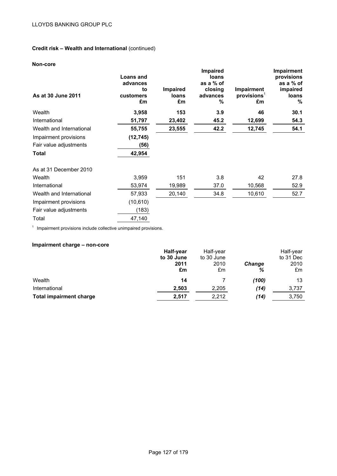## **Non-core**

| As at 30 June 2011<br>Wealth<br>International | <b>Loans and</b><br>advances<br>to<br>customers<br>£m<br>3,958<br>51,797 | Impaired<br>loans<br>£m<br>153<br>23,402 | Impaired<br>loans<br>as a % of<br>closing<br>advances<br>%<br>3.9<br>45.2 | Impairment<br>prox <sup>1</sup><br>£m<br>46<br>12,699 | Impairment<br>provisions<br>as a % of<br>impaired<br>loans<br>%<br>30.1<br>54.3 |
|-----------------------------------------------|--------------------------------------------------------------------------|------------------------------------------|---------------------------------------------------------------------------|-------------------------------------------------------|---------------------------------------------------------------------------------|
| Wealth and International                      | 55,755                                                                   | 23,555                                   | 42.2                                                                      | 12,745                                                | 54.1                                                                            |
| Impairment provisions                         | (12, 745)                                                                |                                          |                                                                           |                                                       |                                                                                 |
| Fair value adjustments                        | (56)                                                                     |                                          |                                                                           |                                                       |                                                                                 |
| <b>Total</b>                                  | 42,954                                                                   |                                          |                                                                           |                                                       |                                                                                 |
| As at 31 December 2010                        |                                                                          |                                          |                                                                           |                                                       |                                                                                 |
| Wealth                                        | 3,959                                                                    | 151                                      | 3.8                                                                       | 42                                                    | 27.8                                                                            |
| International                                 | 53,974                                                                   | 19,989                                   | 37.0                                                                      | 10,568                                                | 52.9                                                                            |
| Wealth and International                      | 57,933                                                                   | 20,140                                   | 34.8                                                                      | 10,610                                                | 52.7                                                                            |
| Impairment provisions                         | (10, 610)                                                                |                                          |                                                                           |                                                       |                                                                                 |
| Fair value adjustments                        | (183)                                                                    |                                          |                                                                           |                                                       |                                                                                 |
| Total                                         | 47,140                                                                   |                                          |                                                                           |                                                       |                                                                                 |

<sup>1</sup> Impairment provisions include collective unimpaired provisions.

## **Impairment charge – non-core**

|                                | Half-year  | Half-year  |               | Half-year |
|--------------------------------|------------|------------|---------------|-----------|
|                                | to 30 June | to 30 June |               | to 31 Dec |
|                                | 2011       | 2010       | <b>Change</b> | 2010      |
|                                | £m         | £m         | %             | £m        |
| Wealth                         | 14         |            | (100)         | 13        |
| International                  | 2.503      | 2,205      | (14)          | 3,737     |
| <b>Total impairment charge</b> | 2,517      | 2,212      | (14)          | 3,750     |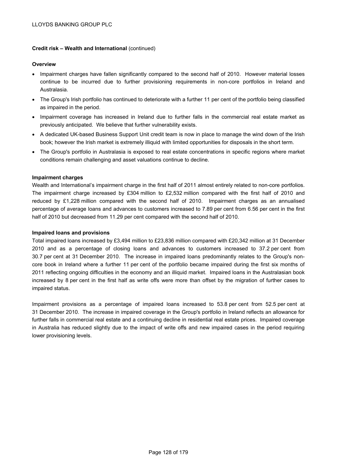#### **Overview**

- Impairment charges have fallen significantly compared to the second half of 2010. However material losses continue to be incurred due to further provisioning requirements in non-core portfolios in Ireland and Australasia.
- The Group's Irish portfolio has continued to deteriorate with a further 11 per cent of the portfolio being classified as impaired in the period.
- Impairment coverage has increased in Ireland due to further falls in the commercial real estate market as previously anticipated. We believe that further vulnerability exists.
- A dedicated UK-based Business Support Unit credit team is now in place to manage the wind down of the Irish book; however the Irish market is extremely illiquid with limited opportunities for disposals in the short term.
- The Group's portfolio in Australasia is exposed to real estate concentrations in specific regions where market conditions remain challenging and asset valuations continue to decline.

#### **Impairment charges**

Wealth and International's impairment charge in the first half of 2011 almost entirely related to non-core portfolios. The impairment charge increased by £304 million to £2,532 million compared with the first half of 2010 and reduced by £1,228 million compared with the second half of 2010. Impairment charges as an annualised percentage of average loans and advances to customers increased to 7.89 per cent from 6.56 per cent in the first half of 2010 but decreased from 11.29 per cent compared with the second half of 2010.

#### **Impaired loans and provisions**

Total impaired loans increased by £3,494 million to £23,836 million compared with £20,342 million at 31 December 2010 and as a percentage of closing loans and advances to customers increased to 37.2 per cent from 30.7 per cent at 31 December 2010. The increase in impaired loans predominantly relates to the Group's noncore book in Ireland where a further 11 per cent of the portfolio became impaired during the first six months of 2011 reflecting ongoing difficulties in the economy and an illiquid market. Impaired loans in the Australasian book increased by 8 per cent in the first half as write offs were more than offset by the migration of further cases to impaired status.

Impairment provisions as a percentage of impaired loans increased to 53.8 per cent from 52.5 per cent at 31 December 2010. The increase in impaired coverage in the Group's portfolio in Ireland reflects an allowance for further falls in commercial real estate and a continuing decline in residential real estate prices. Impaired coverage in Australia has reduced slightly due to the impact of write offs and new impaired cases in the period requiring lower provisioning levels.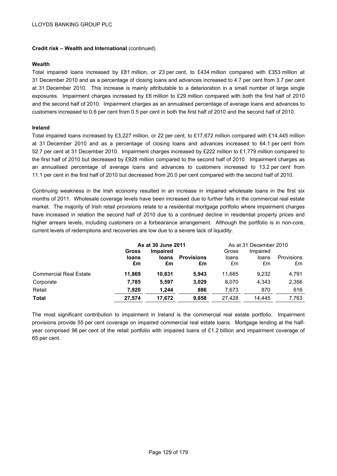#### **Wealth**

Total impaired loans increased by £81 million, or 23 per cent, to £434 million compared with £353 million at 31 December 2010 and as a percentage of closing loans and advances increased to 4.7 per cent from 3.7 per cent at 31 December 2010. This increase is mainly attributable to a deterioration in a small number of large single exposures. Impairment charges increased by £6 million to £29 million compared with both the first half of 2010 and the second half of 2010. Impairment charges as an annualised percentage of average loans and advances to customers increased to 0.6 per cent from 0.5 per cent in both the first half of 2010 and the second half of 2010.

#### **Ireland**

Total impaired loans increased by £3,227 million, or 22 per cent, to £17,672 million compared with £14,445 million at 31 December 2010 and as a percentage of closing loans and advances increased to 64.1 per cent from 52.7 per cent at 31 December 2010. Impairment charges increased by £222 million to £1,779 million compared to the first half of 2010 but decreased by £928 million compared to the second half of 2010. Impairment charges as an annualised percentage of average loans and advances to customers increased to 13.2 per cent from 11.1 per cent in the first half of 2010 but decreased from 20.0 per cent compared with the second half of 2010.

Continuing weakness in the Irish economy resulted in an increase in impaired wholesale loans in the first six months of 2011. Wholesale coverage levels have been increased due to further falls in the commercial real estate market. The majority of Irish retail provisions relate to a residential mortgage portfolio where impairment charges have increased in relation the second half of 2010 due to a continued decline in residential property prices and higher arrears levels, including customers on a forbearance arrangement. Although the portfolio is in non-core, current levels of redemptions and recoveries are low due to a severe lack of liquidity.

|                               | As at 30 June 2011 |          |                   | As at 31 December 2010 |          |            |
|-------------------------------|--------------------|----------|-------------------|------------------------|----------|------------|
|                               | Gross              | Impaired |                   | Gross                  | Impaired |            |
|                               | <b>loans</b>       | loans    | <b>Provisions</b> | loans                  | loans    | Provisions |
|                               | £m                 | £m       | £m                | £m                     | £m       | £m         |
| <b>Commercial Real Estate</b> | 11.869             | 10.831   | 5.943             | 11.685                 | 9.232    | 4,791      |
| Corporate                     | 7,785              | 5.597    | 3,029             | 8.070                  | 4.343    | 2,356      |
| Retail                        | 7.920              | 1.244    | 886               | 7.673                  | 870      | 616        |
| <b>Total</b>                  | 27.574             | 17.672   | 9,858             | 27.428                 | 14.445   | 7.763      |

The most significant contribution to impairment in Ireland is the commercial real estate portfolio. Impairment provisions provide 55 per cent coverage on impaired commercial real estate loans. Mortgage lending at the halfyear comprised 96 per cent of the retail portfolio with impaired loans of £1.2 billion and impairment coverage of 65 per cent.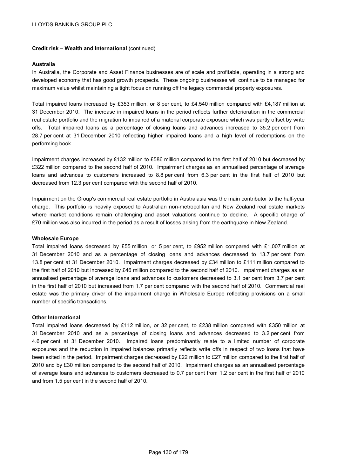#### **Australia**

In Australia, the Corporate and Asset Finance businesses are of scale and profitable, operating in a strong and developed economy that has good growth prospects. These ongoing businesses will continue to be managed for maximum value whilst maintaining a tight focus on running off the legacy commercial property exposures.

Total impaired loans increased by £353 million, or 8 per cent, to £4,540 million compared with £4,187 million at 31 December 2010. The increase in impaired loans in the period reflects further deterioration in the commercial real estate portfolio and the migration to impaired of a material corporate exposure which was partly offset by write offs. Total impaired loans as a percentage of closing loans and advances increased to 35.2 per cent from 28.7 per cent at 31 December 2010 reflecting higher impaired loans and a high level of redemptions on the performing book.

Impairment charges increased by £132 million to £586 million compared to the first half of 2010 but decreased by £322 million compared to the second half of 2010. Impairment charges as an annualised percentage of average loans and advances to customers increased to 8.8 per cent from 6.3 per cent in the first half of 2010 but decreased from 12.3 per cent compared with the second half of 2010.

Impairment on the Group's commercial real estate portfolio in Australasia was the main contributor to the half-year charge. This portfolio is heavily exposed to Australian non-metropolitan and New Zealand real estate markets where market conditions remain challenging and asset valuations continue to decline. A specific charge of £70 million was also incurred in the period as a result of losses arising from the earthquake in New Zealand.

#### **Wholesale Europe**

Total impaired loans decreased by £55 million, or 5 per cent, to £952 million compared with £1,007 million at 31 December 2010 and as a percentage of closing loans and advances decreased to 13.7 per cent from 13.8 per cent at 31 December 2010. Impairment charges decreased by £34 million to £111 million compared to the first half of 2010 but increased by £46 million compared to the second half of 2010. Impairment charges as an annualised percentage of average loans and advances to customers decreased to 3.1 per cent from 3.7 per cent in the first half of 2010 but increased from 1.7 per cent compared with the second half of 2010. Commercial real estate was the primary driver of the impairment charge in Wholesale Europe reflecting provisions on a small number of specific transactions.

#### **Other International**

Total impaired loans decreased by £112 million, or 32 per cent, to £238 million compared with £350 million at 31 December 2010 and as a percentage of closing loans and advances decreased to 3.2 per cent from 4.6 per cent at 31 December 2010. Impaired loans predominantly relate to a limited number of corporate exposures and the reduction in impaired balances primarily reflects write offs in respect of two loans that have been exited in the period. Impairment charges decreased by £22 million to £27 million compared to the first half of 2010 and by £30 million compared to the second half of 2010. Impairment charges as an annualised percentage of average loans and advances to customers decreased to 0.7 per cent from 1.2 per cent in the first half of 2010 and from 1.5 per cent in the second half of 2010.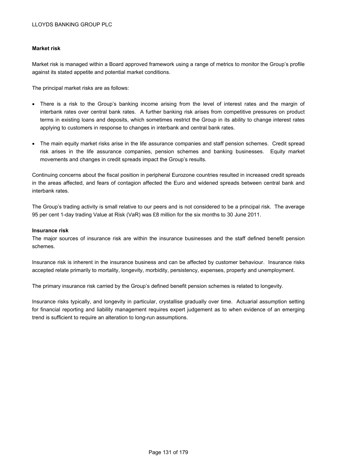## **Market risk**

Market risk is managed within a Board approved framework using a range of metrics to monitor the Group's profile against its stated appetite and potential market conditions.

The principal market risks are as follows:

- There is a risk to the Group's banking income arising from the level of interest rates and the margin of interbank rates over central bank rates. A further banking risk arises from competitive pressures on product terms in existing loans and deposits, which sometimes restrict the Group in its ability to change interest rates applying to customers in response to changes in interbank and central bank rates.
- The main equity market risks arise in the life assurance companies and staff pension schemes. Credit spread risk arises in the life assurance companies, pension schemes and banking businesses. Equity market movements and changes in credit spreads impact the Group's results.

Continuing concerns about the fiscal position in peripheral Eurozone countries resulted in increased credit spreads in the areas affected, and fears of contagion affected the Euro and widened spreads between central bank and interbank rates.

The Group's trading activity is small relative to our peers and is not considered to be a principal risk. The average 95 per cent 1-day trading Value at Risk (VaR) was £8 million for the six months to 30 June 2011.

#### **Insurance risk**

The major sources of insurance risk are within the insurance businesses and the staff defined benefit pension schemes.

Insurance risk is inherent in the insurance business and can be affected by customer behaviour. Insurance risks accepted relate primarily to mortality, longevity, morbidity, persistency, expenses, property and unemployment.

The primary insurance risk carried by the Group's defined benefit pension schemes is related to longevity.

Insurance risks typically, and longevity in particular, crystallise gradually over time. Actuarial assumption setting for financial reporting and liability management requires expert judgement as to when evidence of an emerging trend is sufficient to require an alteration to long-run assumptions.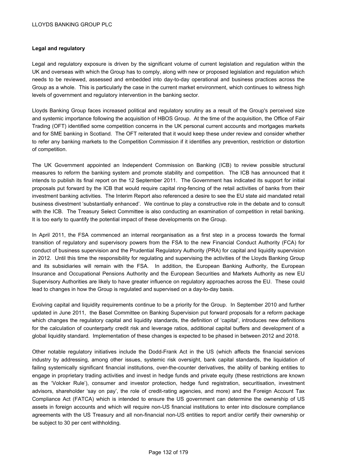## **Legal and regulatory**

Legal and regulatory exposure is driven by the significant volume of current legislation and regulation within the UK and overseas with which the Group has to comply, along with new or proposed legislation and regulation which needs to be reviewed, assessed and embedded into day-to-day operational and business practices across the Group as a whole. This is particularly the case in the current market environment, which continues to witness high levels of government and regulatory intervention in the banking sector.

Lloyds Banking Group faces increased political and regulatory scrutiny as a result of the Group's perceived size and systemic importance following the acquisition of HBOS Group. At the time of the acquisition, the Office of Fair Trading (OFT) identified some competition concerns in the UK personal current accounts and mortgages markets and for SME banking in Scotland. The OFT reiterated that it would keep these under review and consider whether to refer any banking markets to the Competition Commission if it identifies any prevention, restriction or distortion of competition.

The UK Government appointed an Independent Commission on Banking (ICB) to review possible structural measures to reform the banking system and promote stability and competition. The ICB has announced that it intends to publish its final report on the 12 September 2011. The Government has indicated its support for initial proposals put forward by the ICB that would require capital ring-fencing of the retail activities of banks from their investment banking activities. The Interim Report also referenced a desire to see the EU state aid mandated retail business divestment 'substantially enhanced'. We continue to play a constructive role in the debate and to consult with the ICB. The Treasury Select Committee is also conducting an examination of competition in retail banking. It is too early to quantify the potential impact of these developments on the Group.

In April 2011, the FSA commenced an internal reorganisation as a first step in a process towards the formal transition of regulatory and supervisory powers from the FSA to the new Financial Conduct Authority (FCA) for conduct of business supervision and the Prudential Regulatory Authority (PRA) for capital and liquidity supervision in 2012. Until this time the responsibility for regulating and supervising the activities of the Lloyds Banking Group and its subsidiaries will remain with the FSA. In addition, the European Banking Authority, the European Insurance and Occupational Pensions Authority and the European Securities and Markets Authority as new EU Supervisory Authorities are likely to have greater influence on regulatory approaches across the EU. These could lead to changes in how the Group is regulated and supervised on a day-to-day basis.

Evolving capital and liquidity requirements continue to be a priority for the Group. In September 2010 and further updated in June 2011, the Basel Committee on Banking Supervision put forward proposals for a reform package which changes the regulatory capital and liquidity standards, the definition of 'capital', introduces new definitions for the calculation of counterparty credit risk and leverage ratios, additional capital buffers and development of a global liquidity standard. Implementation of these changes is expected to be phased in between 2012 and 2018.

Other notable regulatory initiatives include the Dodd-Frank Act in the US (which affects the financial services industry by addressing, among other issues, systemic risk oversight, bank capital standards, the liquidation of failing systemically significant financial institutions, over-the-counter derivatives, the ability of banking entities to engage in proprietary trading activities and invest in hedge funds and private equity (these restrictions are known as the 'Volcker Rule'), consumer and investor protection, hedge fund registration, securitisation, investment advisors, shareholder 'say on pay', the role of credit-rating agencies, and more) and the Foreign Account Tax Compliance Act (FATCA) which is intended to ensure the US government can determine the ownership of US assets in foreign accounts and which will require non-US financial institutions to enter into disclosure compliance agreements with the US Treasury and all non-financial non-US entities to report and/or certify their ownership or be subject to 30 per cent withholding.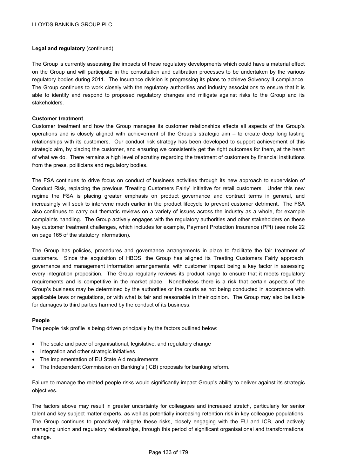#### **Legal and regulatory** (continued)

The Group is currently assessing the impacts of these regulatory developments which could have a material effect on the Group and will participate in the consultation and calibration processes to be undertaken by the various regulatory bodies during 2011. The Insurance division is progressing its plans to achieve Solvency II compliance. The Group continues to work closely with the regulatory authorities and industry associations to ensure that it is able to identify and respond to proposed regulatory changes and mitigate against risks to the Group and its stakeholders.

#### **Customer treatment**

Customer treatment and how the Group manages its customer relationships affects all aspects of the Group's operations and is closely aligned with achievement of the Group's strategic aim – to create deep long lasting relationships with its customers. Our conduct risk strategy has been developed to support achievement of this strategic aim, by placing the customer, and ensuring we consistently get the right outcomes for them, at the heart of what we do. There remains a high level of scrutiny regarding the treatment of customers by financial institutions from the press, politicians and regulatory bodies.

The FSA continues to drive focus on conduct of business activities through its new approach to supervision of Conduct Risk, replacing the previous 'Treating Customers Fairly' initiative for retail customers. Under this new regime the FSA is placing greater emphasis on product governance and contract terms in general, and increasingly will seek to intervene much earlier in the product lifecycle to prevent customer detriment. The FSA also continues to carry out thematic reviews on a variety of issues across the industry as a whole, for example complaints handling. The Group actively engages with the regulatory authorities and other stakeholders on these key customer treatment challenges, which includes for example, Payment Protection Insurance (PPI) (see note 22 on page 165 of the statutory information).

The Group has policies, procedures and governance arrangements in place to facilitate the fair treatment of customers. Since the acquisition of HBOS, the Group has aligned its Treating Customers Fairly approach, governance and management information arrangements, with customer impact being a key factor in assessing every integration proposition. The Group regularly reviews its product range to ensure that it meets regulatory requirements and is competitive in the market place. Nonetheless there is a risk that certain aspects of the Group's business may be determined by the authorities or the courts as not being conducted in accordance with applicable laws or regulations, or with what is fair and reasonable in their opinion. The Group may also be liable for damages to third parties harmed by the conduct of its business.

#### **People**

The people risk profile is being driven principally by the factors outlined below:

- The scale and pace of organisational, legislative, and regulatory change
- Integration and other strategic initiatives
- The implementation of EU State Aid requirements
- The Independent Commission on Banking's (ICB) proposals for banking reform.

Failure to manage the related people risks would significantly impact Group's ability to deliver against its strategic objectives.

The factors above may result in greater uncertainty for colleagues and increased stretch, particularly for senior talent and key subject matter experts, as well as potentially increasing retention risk in key colleague populations. The Group continues to proactively mitigate these risks, closely engaging with the EU and ICB, and actively managing union and regulatory relationships, through this period of significant organisational and transformational change.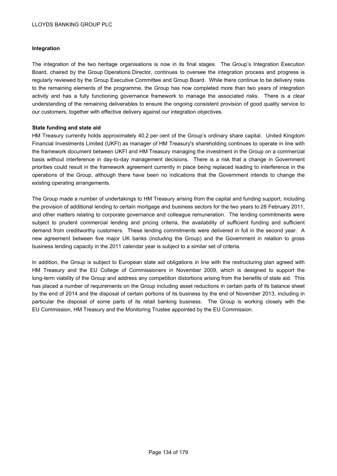#### **Integration**

The integration of the two heritage organisations is now in its final stages. The Group's Integration Execution Board, chaired by the Group Operations Director, continues to oversee the integration process and progress is regularly reviewed by the Group Executive Committee and Group Board. While there continue to be delivery risks to the remaining elements of the programme, the Group has now completed more than two years of integration activity and has a fully functioning governance framework to manage the associated risks. There is a clear understanding of the remaining deliverables to ensure the ongoing consistent provision of good quality service to our customers, together with effective delivery against our integration objectives.

#### **State funding and state aid**

HM Treasury currently holds approximately 40.2 per cent of the Group's ordinary share capital. United Kingdom Financial Investments Limited (UKFI) as manager of HM Treasury's shareholding continues to operate in line with the framework document between UKFI and HM Treasury managing the investment in the Group on a commercial basis without interference in day-to-day management decisions. There is a risk that a change in Government priorities could result in the framework agreement currently in place being replaced leading to interference in the operations of the Group, although there have been no indications that the Government intends to change the existing operating arrangements.

The Group made a number of undertakings to HM Treasury arising from the capital and funding support, including the provision of additional lending to certain mortgage and business sectors for the two years to 28 February 2011, and other matters relating to corporate governance and colleague remuneration. The lending commitments were subject to prudent commercial lending and pricing criteria, the availability of sufficient funding and sufficient demand from creditworthy customers. These lending commitments were delivered in full in the second year. A new agreement between five major UK banks (including the Group) and the Government in relation to gross business lending capacity in the 2011 calendar year is subject to a similar set of criteria.

In addition, the Group is subject to European state aid obligations in line with the restructuring plan agreed with HM Treasury and the EU College of Commissioners in November 2009, which is designed to support the long-term viability of the Group and address any competition distortions arising from the benefits of state aid. This has placed a number of requirements on the Group including asset reductions in certain parts of its balance sheet by the end of 2014 and the disposal of certain portions of its business by the end of November 2013, including in particular the disposal of some parts of its retail banking business. The Group is working closely with the EU Commission, HM Treasury and the Monitoring Trustee appointed by the EU Commission.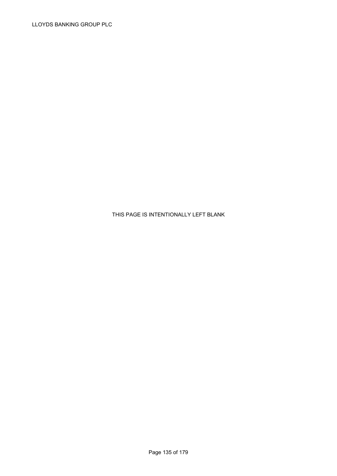THIS PAGE IS INTENTIONALLY LEFT BLANK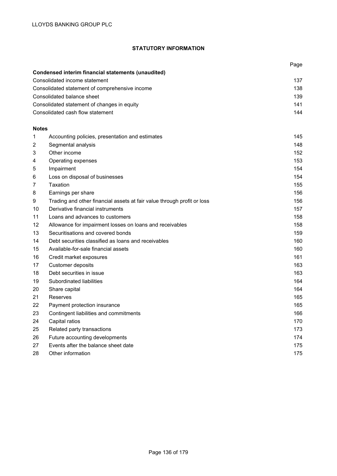## **STATUTORY INFORMATION**

|                                                |                                                                         | Page |
|------------------------------------------------|-------------------------------------------------------------------------|------|
|                                                | Condensed interim financial statements (unaudited)                      |      |
| Consolidated income statement                  | 137                                                                     |      |
| Consolidated statement of comprehensive income |                                                                         | 138  |
| Consolidated balance sheet                     | 139                                                                     |      |
| Consolidated statement of changes in equity    | 141                                                                     |      |
|                                                | Consolidated cash flow statement                                        | 144  |
| <b>Notes</b>                                   |                                                                         |      |
| 1                                              | Accounting policies, presentation and estimates                         | 145  |
| 2                                              | Segmental analysis                                                      | 148  |
| 3                                              | Other income                                                            | 152  |
| 4                                              | Operating expenses                                                      | 153  |
| 5                                              | Impairment                                                              | 154  |
| 6                                              | Loss on disposal of businesses                                          | 154  |
| 7                                              | Taxation                                                                | 155  |
| 8                                              | Earnings per share                                                      | 156  |
| 9                                              | Trading and other financial assets at fair value through profit or loss | 156  |
| 10                                             | Derivative financial instruments                                        | 157  |
| 11                                             | Loans and advances to customers                                         | 158  |
| 12                                             | Allowance for impairment losses on loans and receivables                | 158  |
| 13                                             | Securitisations and covered bonds                                       | 159  |
| 14                                             | Debt securities classified as loans and receivables                     | 160  |
| 15                                             | Available-for-sale financial assets                                     | 160  |
| 16                                             | Credit market exposures                                                 | 161  |
| 17                                             | Customer deposits                                                       | 163  |
| 18                                             | Debt securities in issue                                                | 163  |
| 19                                             | Subordinated liabilities                                                | 164  |
| 20                                             | Share capital                                                           | 164  |
| 21                                             | Reserves                                                                | 165  |
| 22                                             | Payment protection insurance                                            | 165  |
| 23                                             | Contingent liabilities and commitments                                  | 166  |
| 24                                             | Capital ratios                                                          | 170  |
| 25                                             | Related party transactions                                              | 173  |
| 26                                             | Future accounting developments                                          | 174  |
| 27                                             | Events after the balance sheet date                                     | 175  |
| 28                                             | Other information                                                       | 175  |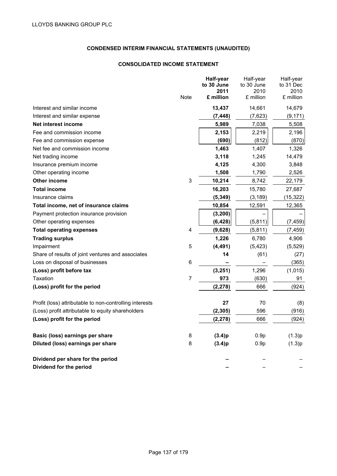## **CONDENSED INTERIM FINANCIAL STATEMENTS (UNAUDITED)**

## **CONSOLIDATED INCOME STATEMENT**

|                                                         |                         | Half-year         | Half-year         | Half-year         |
|---------------------------------------------------------|-------------------------|-------------------|-------------------|-------------------|
|                                                         |                         | to 30 June        | to 30 June        | to 31 Dec         |
|                                                         | Note                    | 2011<br>£ million | 2010<br>£ million | 2010<br>£ million |
|                                                         |                         |                   |                   |                   |
| Interest and similar income                             |                         | 13,437            | 14,661            | 14,679            |
| Interest and similar expense                            |                         | (7, 448)          | (7,623)           | (9, 171)          |
| Net interest income                                     |                         | 5,989             | 7,038             | 5,508             |
| Fee and commission income                               |                         | 2,153             | 2,219             | 2,196             |
| Fee and commission expense                              |                         | (690)             | (812)             | (870)             |
| Net fee and commission income                           |                         | 1,463             | 1,407             | 1,326             |
| Net trading income                                      |                         | 3,118             | 1,245             | 14,479            |
| Insurance premium income                                |                         | 4,125             | 4,300             | 3,848             |
| Other operating income                                  |                         | 1,508             | 1,790             | 2,526             |
| <b>Other income</b>                                     | 3                       | 10,214            | 8,742             | 22,179            |
| <b>Total income</b>                                     |                         | 16,203            | 15,780            | 27,687            |
| Insurance claims                                        |                         | (5, 349)          | (3, 189)          | (15, 322)         |
| Total income, net of insurance claims                   |                         | 10,854            | 12,591            | 12,365            |
| Payment protection insurance provision                  |                         | (3, 200)          |                   |                   |
| Other operating expenses                                |                         | (6, 428)          | (5, 811)          | (7, 459)          |
| <b>Total operating expenses</b>                         | $\overline{\mathbf{4}}$ | (9,628)           | (5,811)           | (7, 459)          |
| <b>Trading surplus</b>                                  |                         | 1,226             | 6,780             | 4,906             |
| Impairment                                              | 5                       | (4, 491)          | (5, 423)          | (5, 529)          |
| Share of results of joint ventures and associates       |                         | 14                | (61)              | (27)              |
| Loss on disposal of businesses                          | 6                       |                   |                   | (365)             |
| (Loss) profit before tax                                |                         | (3, 251)          | 1,296             | (1,015)           |
| Taxation                                                | $\overline{7}$          | 973               | (630)             | 91                |
| (Loss) profit for the period                            |                         | (2, 278)          | 666               | (924)             |
|                                                         |                         |                   |                   |                   |
| Profit (loss) attributable to non-controlling interests |                         | 27                | 70                | (8)               |
| (Loss) profit attributable to equity shareholders       |                         | (2, 305)          | 596               | (916)             |
| (Loss) profit for the period                            |                         | (2, 278)          | 666               | (924)             |
| Basic (loss) earnings per share                         | 8                       | (3.4)p            | 0.9p              | (1.3)p            |
| Diluted (loss) earnings per share                       | 8                       | (3.4)p            | 0.9p              | (1.3)p            |
| Dividend per share for the period                       |                         |                   |                   |                   |
| Dividend for the period                                 |                         |                   |                   |                   |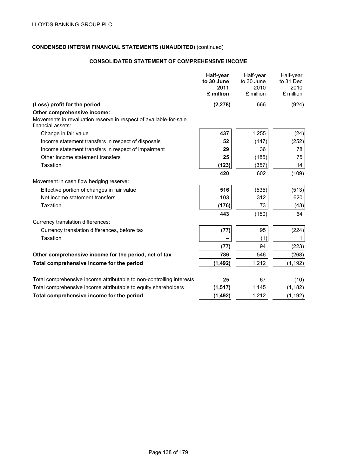# **CONSOLIDATED STATEMENT OF COMPREHENSIVE INCOME**

|                                                                                        | Half-year<br>to 30 June<br>2011<br>£ million | Half-year<br>to 30 June<br>2010<br>£ million | Half-year<br>to 31 Dec<br>2010<br>£ million |
|----------------------------------------------------------------------------------------|----------------------------------------------|----------------------------------------------|---------------------------------------------|
| (Loss) profit for the period                                                           | (2, 278)                                     | 666                                          | (924)                                       |
| Other comprehensive income:                                                            |                                              |                                              |                                             |
| Movements in revaluation reserve in respect of available-for-sale<br>financial assets: |                                              |                                              |                                             |
| Change in fair value                                                                   | 437                                          | 1,255                                        | (24)                                        |
| Income statement transfers in respect of disposals                                     | 52                                           | (147)                                        | (252)                                       |
| Income statement transfers in respect of impairment                                    | 29                                           | 36                                           | 78                                          |
| Other income statement transfers                                                       | 25                                           | (185)                                        | 75                                          |
| <b>Taxation</b>                                                                        | (123)                                        | (357)                                        | 14                                          |
|                                                                                        | 420                                          | 602                                          | (109)                                       |
| Movement in cash flow hedging reserve:                                                 |                                              |                                              |                                             |
| Effective portion of changes in fair value                                             | 516                                          | (535)                                        | (513)                                       |
| Net income statement transfers                                                         | 103                                          | 312                                          | 620                                         |
| Taxation                                                                               | (176)                                        | 73                                           | (43)                                        |
|                                                                                        | 443                                          | (150)                                        | 64                                          |
| Currency translation differences:                                                      |                                              |                                              |                                             |
| Currency translation differences, before tax                                           | (77)                                         | 95                                           | (224)                                       |
| <b>Taxation</b>                                                                        |                                              | (1)                                          | 1                                           |
|                                                                                        | (77)                                         | 94                                           | (223)                                       |
| Other comprehensive income for the period, net of tax                                  | 786                                          | 546                                          | (268)                                       |
| Total comprehensive income for the period                                              | (1, 492)                                     | 1,212                                        | (1, 192)                                    |
| Total comprehensive income attributable to non-controlling interests                   | 25                                           | 67                                           | (10)                                        |
| Total comprehensive income attributable to equity shareholders                         | (1, 517)                                     | 1,145                                        | (1, 182)                                    |
| Total comprehensive income for the period                                              | (1, 492)                                     | 1,212                                        | (1, 192)                                    |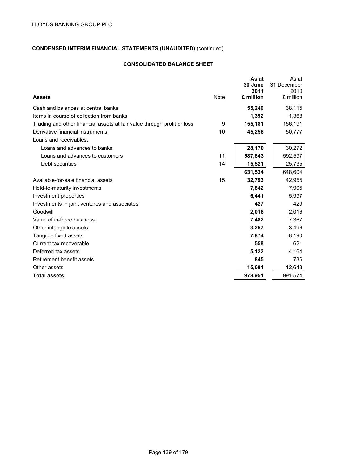#### **CONSOLIDATED BALANCE SHEET**

| £ million |
|-----------|
|           |
| 38,115    |
| 1,368     |
| 156,191   |
| 50,777    |
|           |
| 30,272    |
| 592,597   |
| 25,735    |
| 648,604   |
| 42,955    |
| 7,905     |
| 5,997     |
| 429       |
| 2,016     |
| 7,367     |
| 3,496     |
| 8,190     |
| 621       |
| 4,164     |
| 736       |
| 12,643    |
| 991,574   |
|           |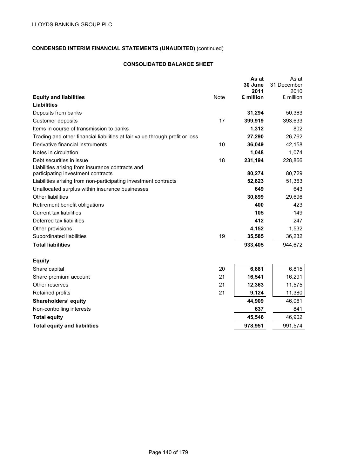## **CONSOLIDATED BALANCE SHEET**

|                                                                              |      | As at<br>30 June<br>2011 | As at<br>31 December<br>2010 |
|------------------------------------------------------------------------------|------|--------------------------|------------------------------|
| <b>Equity and liabilities</b>                                                | Note | £ million                | £ million                    |
| Liabilities                                                                  |      |                          |                              |
| Deposits from banks                                                          |      | 31,294                   | 50,363                       |
| Customer deposits                                                            | 17   | 399,919                  | 393,633                      |
| Items in course of transmission to banks                                     |      | 1,312                    | 802                          |
| Trading and other financial liabilities at fair value through profit or loss |      | 27,290                   | 26,762                       |
| Derivative financial instruments                                             | 10   | 36,049                   | 42,158                       |
| Notes in circulation                                                         |      | 1,048                    | 1,074                        |
| Debt securities in issue                                                     | 18   | 231,194                  | 228,866                      |
| Liabilities arising from insurance contracts and                             |      |                          |                              |
| participating investment contracts                                           |      | 80,274                   | 80,729                       |
| Liabilities arising from non-participating investment contracts              |      | 52,823                   | 51,363                       |
| Unallocated surplus within insurance businesses                              |      | 649                      | 643                          |
| <b>Other liabilities</b>                                                     |      | 30,899                   | 29,696                       |
| Retirement benefit obligations                                               |      | 400                      | 423                          |
| <b>Current tax liabilities</b>                                               |      | 105                      | 149                          |
| Deferred tax liabilities                                                     |      | 412                      | 247                          |
| Other provisions                                                             |      | 4,152                    | 1,532                        |
| Subordinated liabilities                                                     | 19   | 35,585                   | 36,232                       |
| <b>Total liabilities</b>                                                     |      | 933,405                  | 944,672                      |
| <b>Equity</b>                                                                |      |                          |                              |
| Share capital                                                                | 20   | 6,881                    | 6,815                        |
| Share premium account                                                        | 21   | 16,541                   | 16,291                       |
| Other reserves                                                               | 21   | 12,363                   | 11,575                       |
| <b>Retained profits</b>                                                      | 21   | 9,124                    | 11,380                       |
| <b>Shareholders' equity</b>                                                  |      | 44,909                   | 46,061                       |
| Non-controlling interests                                                    |      | 637                      | 841                          |
| <b>Total equity</b>                                                          |      | 45,546                   | 46,902                       |
| <b>Total equity and liabilities</b>                                          |      | 978,951                  | 991,574                      |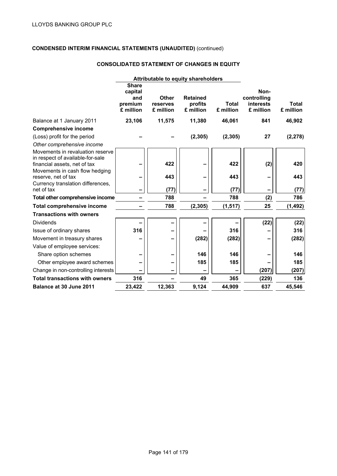# **CONSOLIDATED STATEMENT OF CHANGES IN EQUITY**

|                                                                                                      | Attributable to equity shareholders                    |                                       |                                         |                           |                                               |                    |
|------------------------------------------------------------------------------------------------------|--------------------------------------------------------|---------------------------------------|-----------------------------------------|---------------------------|-----------------------------------------------|--------------------|
|                                                                                                      | <b>Share</b><br>capital<br>and<br>premium<br>£ million | <b>Other</b><br>reserves<br>£ million | <b>Retained</b><br>profits<br>£ million | <b>Total</b><br>£ million | Non-<br>controlling<br>interests<br>£ million | Total<br>£ million |
| Balance at 1 January 2011                                                                            | 23,106                                                 | 11,575                                | 11,380                                  | 46,061                    | 841                                           | 46,902             |
| <b>Comprehensive income</b>                                                                          |                                                        |                                       |                                         |                           |                                               |                    |
| (Loss) profit for the period                                                                         |                                                        |                                       | (2, 305)                                | (2, 305)                  | 27                                            | (2, 278)           |
| Other comprehensive income                                                                           |                                                        |                                       |                                         |                           |                                               |                    |
| Movements in revaluation reserve<br>in respect of available-for-sale<br>financial assets, net of tax |                                                        | 422                                   |                                         | 422                       | (2)                                           | 420                |
| Movements in cash flow hedging<br>reserve, net of tax                                                |                                                        | 443                                   |                                         | 443                       |                                               | 443                |
| Currency translation differences,<br>net of tax                                                      |                                                        | (77)                                  |                                         | (77)                      |                                               | (77)               |
| Total other comprehensive income                                                                     |                                                        | 788                                   |                                         | 788                       | (2)                                           | 786                |
| <b>Total comprehensive income</b>                                                                    |                                                        | 788                                   | (2, 305)                                | (1, 517)                  | 25                                            | (1, 492)           |
| <b>Transactions with owners</b>                                                                      |                                                        |                                       |                                         |                           |                                               |                    |
| <b>Dividends</b>                                                                                     |                                                        |                                       |                                         |                           | (22)                                          | (22)               |
| Issue of ordinary shares                                                                             | 316                                                    |                                       |                                         | 316                       |                                               | 316                |
| Movement in treasury shares                                                                          |                                                        |                                       | (282)                                   | (282)                     |                                               | (282)              |
| Value of employee services:                                                                          |                                                        |                                       |                                         |                           |                                               |                    |
| Share option schemes                                                                                 |                                                        | -                                     | 146                                     | 146                       |                                               | 146                |
| Other employee award schemes                                                                         |                                                        |                                       | 185                                     | 185                       |                                               | 185                |
| Change in non-controlling interests                                                                  |                                                        |                                       |                                         |                           | (207)                                         | (207)              |
| <b>Total transactions with owners</b>                                                                | 316                                                    |                                       | 49                                      | 365                       | (229)                                         | 136                |
| Balance at 30 June 2011                                                                              | 23,422                                                 | 12,363                                | 9,124                                   | 44,909                    | 637                                           | 45,546             |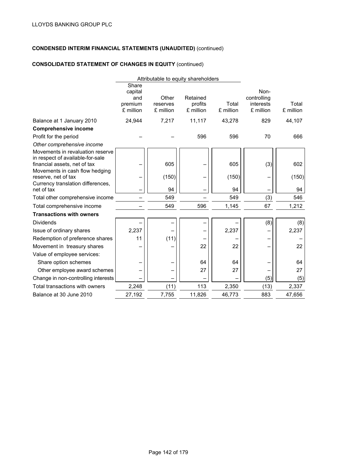# **CONDENSED INTERIM FINANCIAL STATEMENTS (UNAUDITED)** (continued)

# **CONSOLIDATED STATEMENT OF CHANGES IN EQUITY** (continued)

|                                                                                                      |                                                 | Attributable to equity shareholders |                                  |                    |                                               |                    |
|------------------------------------------------------------------------------------------------------|-------------------------------------------------|-------------------------------------|----------------------------------|--------------------|-----------------------------------------------|--------------------|
|                                                                                                      | Share<br>capital<br>and<br>premium<br>£ million | Other<br>reserves<br>£ million      | Retained<br>profits<br>£ million | Total<br>£ million | Non-<br>controlling<br>interests<br>£ million | Total<br>£ million |
| Balance at 1 January 2010                                                                            | 24,944                                          | 7,217                               | 11,117                           | 43,278             | 829                                           | 44,107             |
| <b>Comprehensive income</b>                                                                          |                                                 |                                     |                                  |                    |                                               |                    |
| Profit for the period                                                                                |                                                 |                                     | 596                              | 596                | 70                                            | 666                |
| Other comprehensive income                                                                           |                                                 |                                     |                                  |                    |                                               |                    |
| Movements in revaluation reserve<br>in respect of available-for-sale<br>financial assets, net of tax |                                                 | 605                                 |                                  | 605                | (3)                                           | 602                |
| Movements in cash flow hedging<br>reserve, net of tax<br>Currency translation differences,           |                                                 | (150)                               |                                  | (150)              |                                               | (150)              |
| net of tax                                                                                           |                                                 | 94                                  |                                  | 94                 |                                               | 94                 |
| Total other comprehensive income                                                                     |                                                 | 549                                 |                                  | 549                | (3)                                           | 546                |
| Total comprehensive income                                                                           |                                                 | 549                                 | 596                              | 1,145              | 67                                            | 1,212              |
| <b>Transactions with owners</b>                                                                      |                                                 |                                     |                                  |                    |                                               |                    |
| <b>Dividends</b>                                                                                     |                                                 |                                     |                                  |                    | (8)                                           | (8)                |
| Issue of ordinary shares                                                                             | 2,237                                           |                                     |                                  | 2,237              |                                               | 2,237              |
| Redemption of preference shares                                                                      | 11                                              | (11)                                |                                  |                    |                                               |                    |
| Movement in treasury shares                                                                          |                                                 |                                     | 22                               | 22                 |                                               | 22                 |
| Value of employee services:                                                                          |                                                 |                                     |                                  |                    |                                               |                    |
| Share option schemes                                                                                 |                                                 |                                     | 64                               | 64                 |                                               | 64                 |
| Other employee award schemes                                                                         |                                                 |                                     | 27                               | 27                 |                                               | 27                 |
| Change in non-controlling interests                                                                  |                                                 |                                     |                                  |                    | (5)                                           | (5)                |
| Total transactions with owners                                                                       | 2,248                                           | (11)                                | 113                              | 2,350              | (13)                                          | 2,337              |
| Balance at 30 June 2010                                                                              | 27,192                                          | 7,755                               | 11,826                           | 46,773             | 883                                           | 47,656             |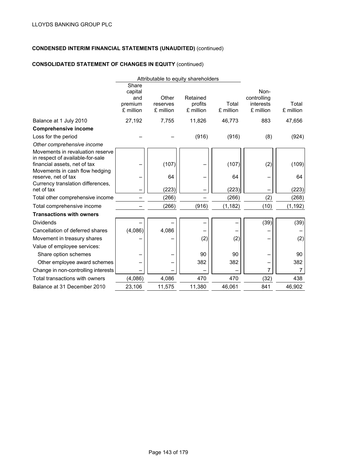# **CONDENSED INTERIM FINANCIAL STATEMENTS (UNAUDITED)** (continued)

# **CONSOLIDATED STATEMENT OF CHANGES IN EQUITY** (continued)

|                                                                                                      | Attributable to equity shareholders |                   |                     |           |                                  |           |
|------------------------------------------------------------------------------------------------------|-------------------------------------|-------------------|---------------------|-----------|----------------------------------|-----------|
|                                                                                                      | Share<br>capital<br>and<br>premium  | Other<br>reserves | Retained<br>profits | Total     | Non-<br>controlling<br>interests | Total     |
|                                                                                                      | £ million                           | £ million         | £ million           | £ million | £ million                        | £ million |
| Balance at 1 July 2010                                                                               | 27,192                              | 7,755             | 11,826              | 46,773    | 883                              | 47,656    |
| <b>Comprehensive income</b>                                                                          |                                     |                   |                     |           |                                  |           |
| Loss for the period                                                                                  |                                     |                   | (916)               | (916)     | (8)                              | (924)     |
| Other comprehensive income                                                                           |                                     |                   |                     |           |                                  |           |
| Movements in revaluation reserve<br>in respect of available-for-sale<br>financial assets, net of tax |                                     | (107)             |                     | (107)     | (2)                              | (109)     |
| Movements in cash flow hedging<br>reserve, net of tax<br>Currency translation differences,           |                                     | 64                |                     | 64        |                                  | 64        |
| net of tax                                                                                           |                                     | (223)             |                     | (223)     |                                  | (223)     |
| Total other comprehensive income                                                                     |                                     | (266)             |                     | (266)     | (2)                              | (268)     |
| Total comprehensive income                                                                           |                                     | (266)             | (916)               | (1, 182)  | (10)                             | (1, 192)  |
| <b>Transactions with owners</b>                                                                      |                                     |                   |                     |           |                                  |           |
| <b>Dividends</b>                                                                                     |                                     |                   |                     |           | (39)                             | (39)      |
| Cancellation of deferred shares                                                                      | (4,086)                             | 4,086             |                     |           |                                  |           |
| Movement in treasury shares                                                                          |                                     |                   | (2)                 | (2)       |                                  | (2)       |
| Value of employee services:                                                                          |                                     |                   |                     |           |                                  |           |
| Share option schemes                                                                                 |                                     |                   | 90                  | 90        |                                  | 90        |
| Other employee award schemes                                                                         |                                     |                   | 382                 | 382       |                                  | 382       |
| Change in non-controlling interests                                                                  |                                     |                   |                     |           | 7                                | 7         |
| Total transactions with owners                                                                       | (4,086)                             | 4,086             | 470                 | 470       | (32)                             | 438       |
| Balance at 31 December 2010                                                                          | 23,106                              | 11,575            | 11,380              | 46,061    | 841                              | 46,902    |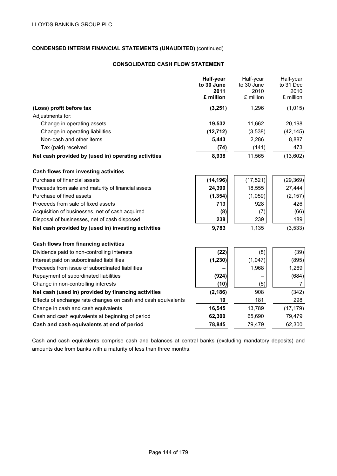## **CONDENSED INTERIM FINANCIAL STATEMENTS (UNAUDITED)** (continued)

## **CONSOLIDATED CASH FLOW STATEMENT**

|                                                               | Half-year<br>to 30 June<br>2011<br>£ million | Half-year<br>to 30 June<br>2010<br>£ million | Half-year<br>to 31 Dec<br>2010<br>£ million |
|---------------------------------------------------------------|----------------------------------------------|----------------------------------------------|---------------------------------------------|
| (Loss) profit before tax                                      | (3, 251)                                     | 1,296                                        | (1,015)                                     |
| Adjustments for:                                              |                                              |                                              |                                             |
| Change in operating assets                                    | 19,532                                       | 11,662                                       | 20,198                                      |
| Change in operating liabilities                               | (12, 712)                                    | (3,538)                                      | (42, 145)                                   |
| Non-cash and other items                                      | 5,443                                        | 2,286                                        | 8,887                                       |
| Tax (paid) received                                           | (74)                                         | (141)                                        | 473                                         |
| Net cash provided by (used in) operating activities           | 8,938                                        | 11,565                                       | (13,602)                                    |
| Cash flows from investing activities                          |                                              |                                              |                                             |
| Purchase of financial assets                                  | (14, 196)                                    | (17, 521)                                    | (29, 369)                                   |
| Proceeds from sale and maturity of financial assets           | 24,390                                       | 18,555                                       | 27,444                                      |
| Purchase of fixed assets                                      | (1, 354)                                     | (1,059)                                      | (2, 157)                                    |
| Proceeds from sale of fixed assets                            | 713                                          | 928                                          | 426                                         |
| Acquisition of businesses, net of cash acquired               | (8)                                          | (7)                                          | (66)                                        |
| Disposal of businesses, net of cash disposed                  | 238                                          | 239                                          | 189                                         |
| Net cash provided by (used in) investing activities           | 9,783                                        | 1,135                                        | (3,533)                                     |
| Cash flows from financing activities                          |                                              |                                              |                                             |
| Dividends paid to non-controlling interests                   | (22)                                         | (8)                                          | (39)                                        |
| Interest paid on subordinated liabilities                     | (1, 230)                                     | (1,047)                                      | (895)                                       |
| Proceeds from issue of subordinated liabilities               |                                              | 1,968                                        | 1,269                                       |
| Repayment of subordinated liabilities                         | (924)                                        |                                              | (684)                                       |
| Change in non-controlling interests                           | (10)                                         | (5)                                          | $\overline{7}$                              |
| Net cash (used in) provided by financing activities           | (2, 186)                                     | 908                                          | (342)                                       |
| Effects of exchange rate changes on cash and cash equivalents | 10                                           | 181                                          | 298                                         |
| Change in cash and cash equivalents                           | 16,545                                       | 13,789                                       | (17, 179)                                   |
| Cash and cash equivalents at beginning of period              | 62,300                                       | 65,690                                       | 79,479                                      |
| Cash and cash equivalents at end of period                    | 78,845                                       | 79,479                                       | 62,300                                      |

Cash and cash equivalents comprise cash and balances at central banks (excluding mandatory deposits) and amounts due from banks with a maturity of less than three months.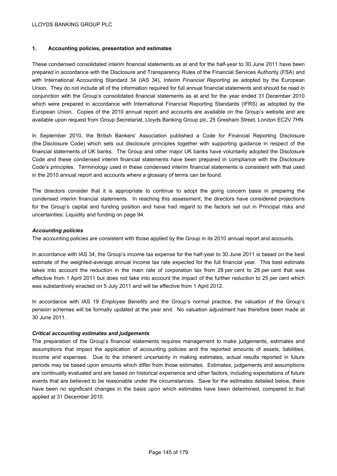### **1. Accounting policies, presentation and estimates**

These condensed consolidated interim financial statements as at and for the half-year to 30 June 2011 have been prepared in accordance with the Disclosure and Transparency Rules of the Financial Services Authority (FSA) and with International Accounting Standard 34 (IAS 34), *Interim Financial Reporting* as adopted by the European Union. They do not include all of the information required for full annual financial statements and should be read in conjunction with the Group's consolidated financial statements as at and for the year ended 31 December 2010 which were prepared in accordance with International Financial Reporting Standards (IFRS) as adopted by the European Union. Copies of the 2010 annual report and accounts are available on the Group's website and are available upon request from Group Secretariat, Lloyds Banking Group plc, 25 Gresham Street, London EC2V 7HN.

In September 2010, the British Bankers' Association published a Code for Financial Reporting Disclosure (the Disclosure Code) which sets out disclosure principles together with supporting guidance in respect of the financial statements of UK banks. The Group and other major UK banks have voluntarily adopted the Disclosure Code and these condensed interim financial statements have been prepared in compliance with the Disclosure Code's principles. Terminology used in these condensed interim financial statements is consistent with that used in the 2010 annual report and accounts where a glossary of terms can be found.

The directors consider that it is appropriate to continue to adopt the going concern basis in preparing the condensed interim financial statements. In reaching this assessment, the directors have considered projections for the Group's capital and funding position and have had regard to the factors set out in Principal risks and uncertainties: Liquidity and funding on page 94.

### *Accounting policies*

The accounting policies are consistent with those applied by the Group in its 2010 annual report and accounts.

In accordance with IAS 34, the Group's income tax expense for the half-year to 30 June 2011 is based on the best estimate of the weighted-average annual income tax rate expected for the full financial year. This best estimate takes into account the reduction in the main rate of corporation tax from 28 per cent to 26 per cent that was effective from 1 April 2011 but does not take into account the impact of the further reduction to 25 per cent which was substantively enacted on 5 July 2011 and will be effective from 1 April 2012.

In accordance with IAS 19 *Employee Benefits* and the Group's normal practice, the valuation of the Group's pension schemes will be formally updated at the year end. No valuation adjustment has therefore been made at 30 June 2011.

## *Critical accounting estimates and judgements*

The preparation of the Group's financial statements requires management to make judgements, estimates and assumptions that impact the application of accounting policies and the reported amounts of assets, liabilities, income and expenses. Due to the inherent uncertainty in making estimates, actual results reported in future periods may be based upon amounts which differ from those estimates. Estimates, judgements and assumptions are continually evaluated and are based on historical experience and other factors, including expectations of future events that are believed to be reasonable under the circumstances. Save for the estimates detailed below, there have been no significant changes in the basis upon which estimates have been determined, compared to that applied at 31 December 2010.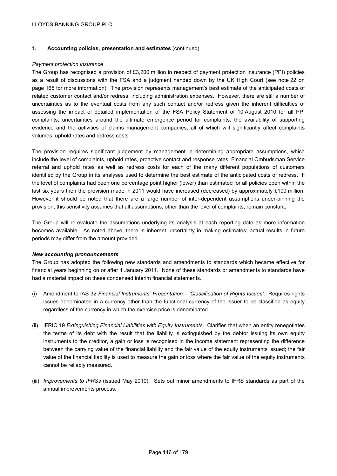### **1. Accounting policies, presentation and estimates** (continued)

### *Payment protection insurance*

The Group has recognised a provision of £3,200 million in respect of payment protection insurance (PPI) policies as a result of discussions with the FSA and a judgment handed down by the UK High Court (see note 22 on page 165 for more information). The provision represents management's best estimate of the anticipated costs of related customer contact and/or redress, including administration expenses. However, there are still a number of uncertainties as to the eventual costs from any such contact and/or redress given the inherent difficulties of assessing the impact of detailed implementation of the FSA Policy Statement of 10 August 2010 for all PPI complaints, uncertainties around the ultimate emergence period for complaints, the availability of supporting evidence and the activities of claims management companies, all of which will significantly affect complaints volumes, uphold rates and redress costs.

The provision requires significant judgement by management in determining appropriate assumptions, which include the level of complaints, uphold rates, proactive contact and response rates, Financial Ombudsman Service referral and uphold rates as well as redress costs for each of the many different populations of customers identified by the Group in its analyses used to determine the best estimate of the anticipated costs of redress. If the level of complaints had been one percentage point higher (lower) than estimated for all policies open within the last six years then the provision made in 2011 would have increased (decreased) by approximately £100 million. However it should be noted that there are a large number of inter-dependent assumptions under-pinning the provision; this sensitivity assumes that all assumptions, other than the level of complaints, remain constant.

The Group will re-evaluate the assumptions underlying its analysis at each reporting date as more information becomes available. As noted above, there is inherent uncertainty in making estimates; actual results in future periods may differ from the amount provided.

#### *New accounting pronouncements*

The Group has adopted the following new standards and amendments to standards which became effective for financial years beginning on or after 1 January 2011. None of these standards or amendments to standards have had a material impact on these condensed interim financial statements.

- (i) Amendment to IAS 32 *Financial Instruments: Presentation 'Classification of Rights Issues'*. Requires rights issues denominated in a currency other than the functional currency of the issuer to be classified as equity regardless of the currency in which the exercise price is denominated.
- (ii) IFRIC 19 *Extinguishing Financial Liabilities with Equity Instruments*. Clarifies that when an entity renegotiates the terms of its debt with the result that the liability is extinguished by the debtor issuing its own equity instruments to the creditor, a gain or loss is recognised in the income statement representing the difference between the carrying value of the financial liability and the fair value of the equity instruments issued; the fair value of the financial liability is used to measure the gain or loss where the fair value of the equity instruments cannot be reliably measured.
- (iii) *Improvements to IFRSs* (issued May 2010). Sets out minor amendments to IFRS standards as part of the annual improvements process.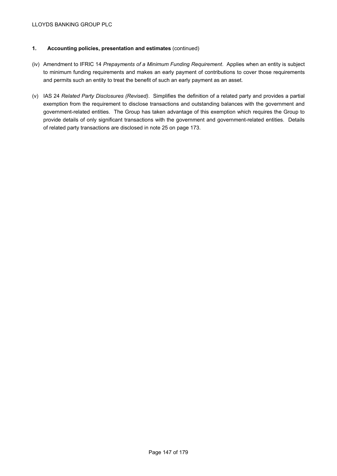## **1. Accounting policies, presentation and estimates** (continued)

- (iv) Amendment to IFRIC 14 *Prepayments of a Minimum Funding Requirement*. Applies when an entity is subject to minimum funding requirements and makes an early payment of contributions to cover those requirements and permits such an entity to treat the benefit of such an early payment as an asset.
- (v) IAS 24 *Related Party Disclosures (Revised)*. Simplifies the definition of a related party and provides a partial exemption from the requirement to disclose transactions and outstanding balances with the government and government-related entities. The Group has taken advantage of this exemption which requires the Group to provide details of only significant transactions with the government and government-related entities. Details of related party transactions are disclosed in note 25 on page 173.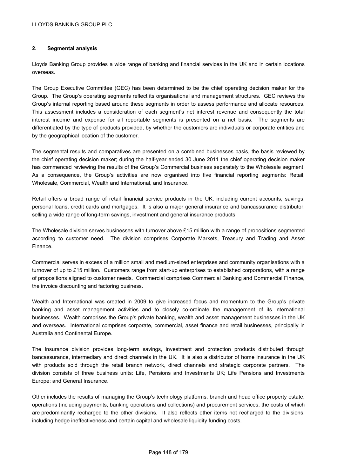## **2. Segmental analysis**

Lloyds Banking Group provides a wide range of banking and financial services in the UK and in certain locations overseas.

The Group Executive Committee (GEC) has been determined to be the chief operating decision maker for the Group. The Group's operating segments reflect its organisational and management structures. GEC reviews the Group's internal reporting based around these segments in order to assess performance and allocate resources. This assessment includes a consideration of each segment's net interest revenue and consequently the total interest income and expense for all reportable segments is presented on a net basis. The segments are differentiated by the type of products provided, by whether the customers are individuals or corporate entities and by the geographical location of the customer.

The segmental results and comparatives are presented on a combined businesses basis, the basis reviewed by the chief operating decision maker; during the half-year ended 30 June 2011 the chief operating decision maker has commenced reviewing the results of the Group's Commercial business separately to the Wholesale segment. As a consequence, the Group's activities are now organised into five financial reporting segments: Retail, Wholesale, Commercial, Wealth and International, and Insurance.

Retail offers a broad range of retail financial service products in the UK, including current accounts, savings, personal loans, credit cards and mortgages. It is also a major general insurance and bancassurance distributor, selling a wide range of long-term savings, investment and general insurance products.

The Wholesale division serves businesses with turnover above £15 million with a range of propositions segmented according to customer need. The division comprises Corporate Markets, Treasury and Trading and Asset Finance.

Commercial serves in excess of a million small and medium-sized enterprises and community organisations with a turnover of up to £15 million. Customers range from start-up enterprises to established corporations, with a range of propositions aligned to customer needs. Commercial comprises Commercial Banking and Commercial Finance, the invoice discounting and factoring business.

Wealth and International was created in 2009 to give increased focus and momentum to the Group's private banking and asset management activities and to closely co-ordinate the management of its international businesses. Wealth comprises the Group's private banking, wealth and asset management businesses in the UK and overseas. International comprises corporate, commercial, asset finance and retail businesses, principally in Australia and Continental Europe.

The Insurance division provides long-term savings, investment and protection products distributed through bancassurance, intermediary and direct channels in the UK. It is also a distributor of home insurance in the UK with products sold through the retail branch network, direct channels and strategic corporate partners. The division consists of three business units: Life, Pensions and Investments UK; Life Pensions and Investments Europe; and General Insurance.

Other includes the results of managing the Group's technology platforms, branch and head office property estate, operations (including payments, banking operations and collections) and procurement services, the costs of which are predominantly recharged to the other divisions. It also reflects other items not recharged to the divisions, including hedge ineffectiveness and certain capital and wholesale liquidity funding costs.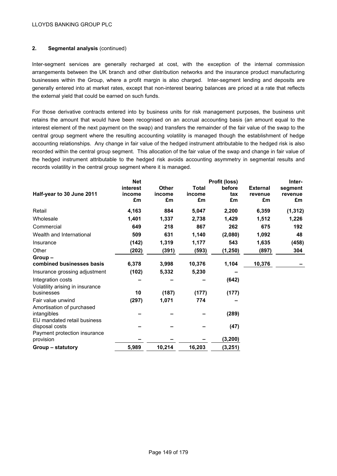## **2. Segmental analysis** (continued)

Inter-segment services are generally recharged at cost, with the exception of the internal commission arrangements between the UK branch and other distribution networks and the insurance product manufacturing businesses within the Group, where a profit margin is also charged. Inter-segment lending and deposits are generally entered into at market rates, except that non-interest bearing balances are priced at a rate that reflects the external yield that could be earned on such funds.

For those derivative contracts entered into by business units for risk management purposes, the business unit retains the amount that would have been recognised on an accrual accounting basis (an amount equal to the interest element of the next payment on the swap) and transfers the remainder of the fair value of the swap to the central group segment where the resulting accounting volatility is managed though the establishment of hedge accounting relationships. Any change in fair value of the hedged instrument attributable to the hedged risk is also recorded within the central group segment. This allocation of the fair value of the swap and change in fair value of the hedged instrument attributable to the hedged risk avoids accounting asymmetry in segmental results and records volatility in the central group segment where it is managed.

|                                 | <b>Net</b> |              |        | Profit (loss) |                 | Inter-   |
|---------------------------------|------------|--------------|--------|---------------|-----------------|----------|
|                                 | interest   | <b>Other</b> | Total  | before        | <b>External</b> | segment  |
| Half-year to 30 June 2011       | income     | income       | income | tax           | revenue         | revenue  |
|                                 | £m         | £m           | £m     | £m            | £m              | £m       |
| Retail                          | 4,163      | 884          | 5,047  | 2,200         | 6,359           | (1, 312) |
| Wholesale                       | 1,401      | 1,337        | 2,738  | 1,429         | 1,512           | 1,226    |
| Commercial                      | 649        | 218          | 867    | 262           | 675             | 192      |
| Wealth and International        | 509        | 631          | 1,140  | (2,080)       | 1,092           | 48       |
| Insurance                       | (142)      | 1,319        | 1,177  | 543           | 1,635           | (458)    |
| Other                           | (202)      | (391)        | (593)  | (1, 250)      | (897)           | 304      |
| $Group-$                        |            |              |        |               |                 |          |
| combined businesses basis       | 6,378      | 3,998        | 10,376 | 1,104         | 10,376          |          |
| Insurance grossing adjustment   | (102)      | 5,332        | 5,230  |               |                 |          |
| Integration costs               |            |              |        | (642)         |                 |          |
| Volatility arising in insurance |            |              |        |               |                 |          |
| businesses                      | 10         | (187)        | (177)  | (177)         |                 |          |
| Fair value unwind               | (297)      | 1,071        | 774    |               |                 |          |
| Amortisation of purchased       |            |              |        |               |                 |          |
| intangibles                     |            |              |        | (289)         |                 |          |
| EU mandated retail business     |            |              |        |               |                 |          |
| disposal costs                  |            |              |        | (47)          |                 |          |
| Payment protection insurance    |            |              |        |               |                 |          |
| provision                       |            |              |        | (3, 200)      |                 |          |
| Group – statutory               | 5,989      | 10,214       | 16,203 | (3, 251)      |                 |          |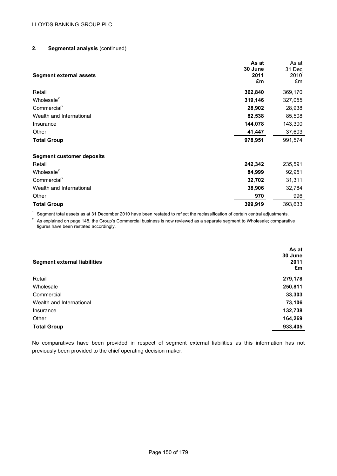## **2. Segmental analysis** (continued)

| <b>Segment external assets</b>   | As at<br>30 June<br>2011<br>£m | As at<br>31 Dec<br>2010 <sup>1</sup><br>£m |
|----------------------------------|--------------------------------|--------------------------------------------|
| Retail                           | 362,840                        | 369,170                                    |
| Wholesale $2$                    | 319,146                        | 327,055                                    |
| Commercial <sup>2</sup>          | 28,902                         | 28,938                                     |
| Wealth and International         | 82,538                         | 85,508                                     |
| Insurance                        | 144,078                        | 143,300                                    |
| Other                            | 41,447                         | 37,603                                     |
| <b>Total Group</b>               | 978,951                        | 991,574                                    |
| <b>Segment customer deposits</b> |                                |                                            |
| Retail                           | 242,342                        | 235,591                                    |
| $1.11 \t1.2$                     | $\sim$ $\sim$ $\sim$           | $\sim$ $\sim$ $\sim$ $\sim$                |

| <b>Total Group</b>       | 399,919 | 393,633 |
|--------------------------|---------|---------|
| Other                    | 970     | 996     |
| Wealth and International | 38,906  | 32.784  |
| Commercial <sup>2</sup>  | 32.702  | 31.311  |
| Wholesale $2$            | 84.999  | 92.951  |

 $1$  Segment total assets as at 31 December 2010 have been restated to reflect the reclassification of certain central adjustments.

 $2^2$  As explained on page 148, the Group's Commercial business is now reviewed as a separate segment to Wholesale; comparative figures have been restated accordingly.

| <b>Segment external liabilities</b> | As at<br>30 June<br>2011<br>£m |
|-------------------------------------|--------------------------------|
| Retail                              | 279,178                        |
| Wholesale                           | 250,811                        |
| Commercial                          | 33,303                         |
| Wealth and International            | 73,106                         |
| Insurance                           | 132,738                        |
| Other                               | 164,269                        |
| <b>Total Group</b>                  | 933,405                        |
|                                     |                                |

No comparatives have been provided in respect of segment external liabilities as this information has not previously been provided to the chief operating decision maker.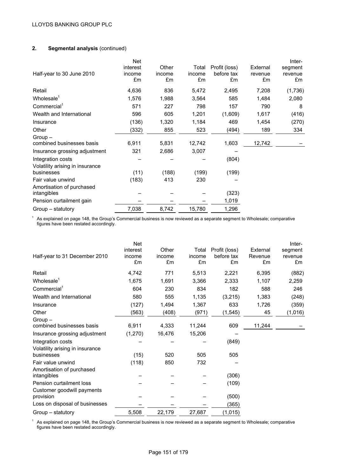## **2. Segmental analysis** (continued)

|                                 | <b>Net</b> |        |        |               |          | Inter-  |
|---------------------------------|------------|--------|--------|---------------|----------|---------|
|                                 | interest   | Other  | Total  | Profit (loss) | External | segment |
| Half-year to 30 June 2010       | income     | income | income | before tax    | revenue  | revenue |
|                                 | £m         | £m     | £m     | £m            | £m       | £m      |
| Retail                          | 4,636      | 836    | 5,472  | 2,495         | 7,208    | (1,736) |
| Wholesale <sup>1</sup>          | 1,576      | 1,988  | 3,564  | 585           | 1,484    | 2,080   |
| Commercial <sup>1</sup>         | 571        | 227    | 798    | 157           | 790      | 8       |
| Wealth and International        | 596        | 605    | 1,201  | (1,609)       | 1,617    | (416)   |
| Insurance                       | (136)      | 1,320  | 1,184  | 469           | 1,454    | (270)   |
| Other                           | (332)      | 855    | 523    | (494)         | 189      | 334     |
| $Group-$                        |            |        |        |               |          |         |
| combined businesses basis       | 6,911      | 5,831  | 12,742 | 1,603         | 12,742   |         |
| Insurance grossing adjustment   | 321        | 2,686  | 3,007  |               |          |         |
| Integration costs               |            |        |        | (804)         |          |         |
| Volatility arising in insurance |            |        |        |               |          |         |
| businesses                      | (11)       | (188)  | (199)  | (199)         |          |         |
| Fair value unwind               | (183)      | 413    | 230    |               |          |         |
| Amortisation of purchased       |            |        |        |               |          |         |
| intangibles                     |            |        |        | (323)         |          |         |
| Pension curtailment gain        |            |        |        | 1,019         |          |         |
| Group – statutory               | 7,038      | 8,742  | 15,780 | 1,296         |          |         |

 $1$  As explained on page 148, the Group's Commercial business is now reviewed as a separate segment to Wholesale; comparative figures have been restated accordingly.

| Half-year to 31 December 2010   | Net<br>interest<br>income<br>£m | Other<br>income<br>£m | Total<br>income<br>£m | Profit (loss)<br>before tax<br>£m | External<br>Revenue<br>£m | Inter-<br>segment<br>revenue<br>£m |
|---------------------------------|---------------------------------|-----------------------|-----------------------|-----------------------------------|---------------------------|------------------------------------|
| Retail                          | 4,742                           | 771                   | 5,513                 | 2,221                             | 6,395                     | (882)                              |
| Wholesale <sup>1</sup>          | 1,675                           | 1,691                 | 3,366                 | 2,333                             | 1,107                     | 2,259                              |
| Commercial <sup>1</sup>         | 604                             | 230                   | 834                   | 182                               | 588                       | 246                                |
| Wealth and International        | 580                             | 555                   | 1,135                 | (3,215)                           | 1,383                     | (248)                              |
| Insurance                       | (127)                           | 1,494                 | 1,367                 | 633                               | 1,726                     | (359)                              |
| Other                           | (563)                           | (408)                 | (971)                 | (1, 545)                          | 45                        | (1,016)                            |
| $Group-$                        |                                 |                       |                       |                                   |                           |                                    |
| combined businesses basis       | 6,911                           | 4,333                 | 11,244                | 609                               | 11,244                    |                                    |
| Insurance grossing adjustment   | (1, 270)                        | 16,476                | 15,206                |                                   |                           |                                    |
| Integration costs               |                                 |                       |                       | (849)                             |                           |                                    |
| Volatility arising in insurance |                                 |                       |                       |                                   |                           |                                    |
| businesses                      | (15)                            | 520                   | 505                   | 505                               |                           |                                    |
| Fair value unwind               | (118)                           | 850                   | 732                   |                                   |                           |                                    |
| Amortisation of purchased       |                                 |                       |                       |                                   |                           |                                    |
| intangibles                     |                                 |                       |                       | (306)                             |                           |                                    |
| Pension curtailment loss        |                                 |                       |                       | (109)                             |                           |                                    |
| Customer goodwill payments      |                                 |                       |                       |                                   |                           |                                    |
| provision                       |                                 |                       |                       | (500)                             |                           |                                    |
| Loss on disposal of businesses  |                                 |                       |                       | (365)                             |                           |                                    |
| Group - statutory               | 5,508                           | 22,179                | 27,687                | (1, 015)                          |                           |                                    |

 $1$  As explained on page 148, the Group's Commercial business is now reviewed as a separate segment to Wholesale; comparative figures have been restated accordingly.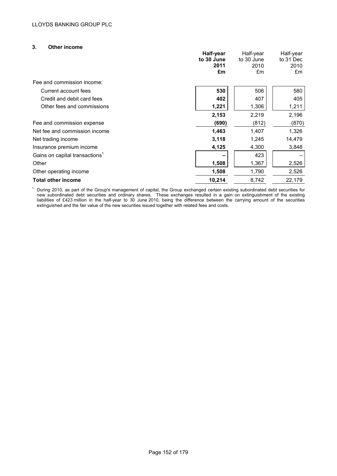## **3. Other income**

|                                            | Half-year          | Half-year          | Half-year         |
|--------------------------------------------|--------------------|--------------------|-------------------|
|                                            | to 30 June<br>2011 | to 30 June<br>2010 | to 31 Dec<br>2010 |
|                                            | £m                 | £m                 | £m                |
| Fee and commission income:                 |                    |                    |                   |
| Current account fees                       | 530                | 506                | 580               |
| Credit and debit card fees                 | 402                | 407                | 405               |
| Other fees and commissions                 | 1,221              | 1,306              | 1,211             |
|                                            | 2,153              | 2,219              | 2,196             |
| Fee and commission expense                 | (690)              | (812)              | (870)             |
| Net fee and commission income              | 1,463              | 1,407              | 1,326             |
| Net trading income                         | 3,118              | 1,245              | 14,479            |
| Insurance premium income                   | 4,125              | 4,300              | 3,848             |
| Gains on capital transactions <sup>1</sup> |                    | 423                |                   |
| Other                                      | 1,508              | 1,367              | 2,526             |
| Other operating income                     | 1,508              | 1,790              | 2,526             |
| <b>Total other income</b>                  | 10,214             | 8,742              | 22,179            |

 $1$  During 2010, as part of the Group's management of capital, the Group exchanged certain existing subordinated debt securities for new subordinated debt securities and ordinary shares. These exchanges resulted in a gain on extinguishment of the existing liabilities of £423 million in the half-year to 30 June 2010, being the difference between the carrying amount of the securities extinguished and the fair value of the new securities issued together with related fees and costs.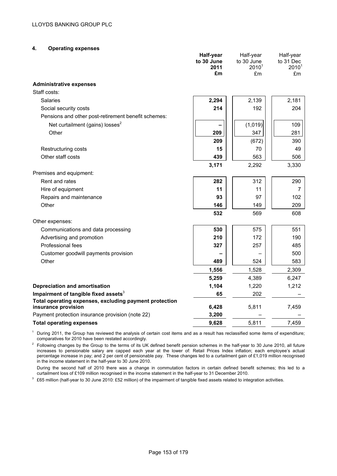| LLOYDS BANKING GROUP PLC |  |
|--------------------------|--|
|--------------------------|--|

#### **4. Operating expenses**

|                                                        | Half-year<br>to 30 June<br>2011<br>£m | Half-year<br>to 30 June<br>$2010^{1}$<br>£m | Half-year<br>to 31 Dec<br>$2010^{1}$<br>£m |
|--------------------------------------------------------|---------------------------------------|---------------------------------------------|--------------------------------------------|
| <b>Administrative expenses</b>                         |                                       |                                             |                                            |
| Staff costs:                                           |                                       |                                             |                                            |
| Salaries                                               | 2,294                                 | 2,139                                       | 2,181                                      |
| Social security costs                                  | 214                                   | 192                                         | 204                                        |
| Pensions and other post-retirement benefit schemes:    |                                       |                                             |                                            |
| Net curtailment (gains) losses <sup>2</sup>            |                                       | (1,019)                                     | 109                                        |
| Other                                                  | 209                                   | 347                                         | 281                                        |
|                                                        | 209                                   | (672)                                       | 390                                        |
| Restructuring costs                                    | 15                                    | 70                                          | 49                                         |
| Other staff costs                                      | 439                                   | 563                                         | 506                                        |
|                                                        | 3,171                                 | 2,292                                       | 3,330                                      |
| Premises and equipment:                                |                                       |                                             |                                            |
| Rent and rates                                         | 282                                   | 312                                         | 290                                        |
| Hire of equipment                                      | 11                                    | 11                                          | 7                                          |
| Repairs and maintenance                                | 93                                    | 97                                          | 102                                        |
| Other                                                  | 146                                   | 149                                         | 209                                        |
|                                                        | 532                                   | 569                                         | 608                                        |
| Other expenses:                                        |                                       |                                             |                                            |
| Communications and data processing                     | 530                                   | 575                                         | 551                                        |
| Advertising and promotion                              | 210                                   | 172                                         | 190                                        |
| Professional fees                                      | 327                                   | 257                                         | 485                                        |
| Customer goodwill payments provision                   |                                       |                                             | 500                                        |
| Other                                                  | 489                                   | 524                                         | 583                                        |
|                                                        | 1,556                                 | 1,528                                       | 2,309                                      |
|                                                        | 5,259                                 | 4,389                                       | 6,247                                      |
| <b>Depreciation and amortisation</b>                   | 1,104                                 | 1,220                                       | 1,212                                      |
| Impairment of tangible fixed assets <sup>3</sup>       | 65                                    | 202                                         |                                            |
| Total operating expenses, excluding payment protection |                                       |                                             |                                            |
| insurance provision                                    | 6,428                                 | 5,811                                       | 7,459                                      |
| Payment protection insurance provision (note 22)       | 3,200                                 |                                             |                                            |
| <b>Total operating expenses</b>                        | 9,628                                 | 5,811                                       | 7,459                                      |

 $<sup>1</sup>$  During 2011, the Group has reviewed the analysis of certain cost items and as a result has reclassified some items of expenditure;</sup> comparatives for 2010 have been restated accordingly.

<sup>2</sup> Following changes by the Group to the terms of its UK defined benefit pension schemes in the half-year to 30 June 2010, all future increases to pensionable salary are capped each year at the lower of: Retail Prices Index inflation; each employee's actual percentage increase in pay; and 2 per cent of pensionable pay. These changes led to a curtailment gain of £1,019 million recognised in the income statement in the half-year to 30 June 2010.

During the second half of 2010 there was a change in commutation factors in certain defined benefit schemes; this led to a curtailment loss of £109 million recognised in the income statement in the half-year to 31 December 2010.

 $3$  £65 million (half-year to 30 June 2010: £52 million) of the impairment of tangible fixed assets related to integration activities.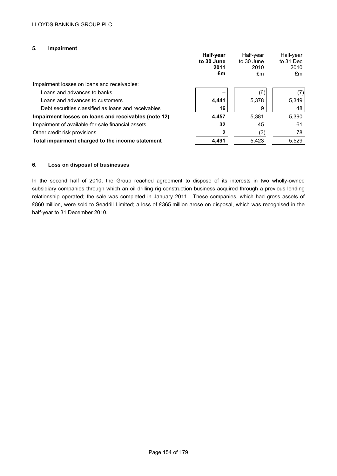## **5. Impairment**

|                                                      | Half-year  | Half-year  | Half-year |
|------------------------------------------------------|------------|------------|-----------|
|                                                      | to 30 June | to 30 June | to 31 Dec |
|                                                      | 2011       | 2010       | 2010      |
|                                                      | £m         | £m         | £m        |
| Impairment losses on loans and receivables:          |            |            |           |
| Loans and advances to banks                          |            | (6)        | (7)       |
| Loans and advances to customers                      | 4.441      | 5.378      | 5,349     |
| Debt securities classified as loans and receivables  | 16         | 9          | 48        |
| Impairment losses on loans and receivables (note 12) | 4.457      | 5.381      | 5,390     |
| Impairment of available-for-sale financial assets    | 32         | 45         | 61        |
| Other credit risk provisions                         | 2          | (3)        | 78        |
| Total impairment charged to the income statement     | 4.491      | 5.423      | 5,529     |

## **6. Loss on disposal of businesses**

In the second half of 2010, the Group reached agreement to dispose of its interests in two wholly-owned subsidiary companies through which an oil drilling rig construction business acquired through a previous lending relationship operated; the sale was completed in January 2011. These companies, which had gross assets of £860 million, were sold to Seadrill Limited; a loss of £365 million arose on disposal, which was recognised in the half-year to 31 December 2010.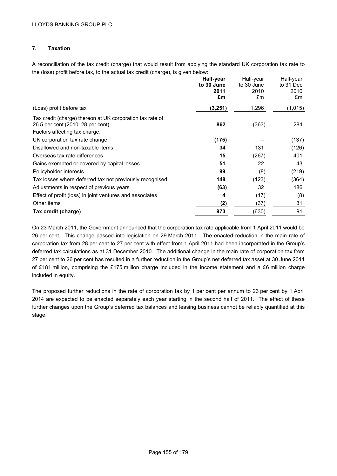## **7. Taxation**

A reconciliation of the tax credit (charge) that would result from applying the standard UK corporation tax rate to the (loss) profit before tax, to the actual tax credit (charge), is given below:

|                                                           | Half-year  | Half-year  | Half-year |
|-----------------------------------------------------------|------------|------------|-----------|
|                                                           | to 30 June | to 30 June | to 31 Dec |
|                                                           | 2011       | 2010       | 2010      |
|                                                           | £m         | £m         | £m        |
| (Loss) profit before tax                                  | (3, 251)   | 1,296      | (1,015)   |
| Tax credit (charge) thereon at UK corporation tax rate of |            |            |           |
| 26.5 per cent (2010: 28 per cent)                         | 862        | (363)      | 284       |
| Factors affecting tax charge:                             |            |            |           |
| UK corporation tax rate change                            | (175)      |            | (137)     |
| Disallowed and non-taxable items                          | 34         | 131        | (126)     |
| Overseas tax rate differences                             | 15         | (267)      | 401       |
| Gains exempted or covered by capital losses               | 51         | 22         | 43        |
| Policyholder interests                                    | 99         | (8)        | (219)     |
| Tax losses where deferred tax not previously recognised   | 148        | (123)      | (364)     |
| Adjustments in respect of previous years                  | (63)       | 32         | 186       |
| Effect of profit (loss) in joint ventures and associates  | 4          | (17)       | (8)       |
| Other items                                               | (2)        | (37)       | 31        |
| Tax credit (charge)                                       | 973        | (630)      | 91        |

On 23 March 2011, the Government announced that the corporation tax rate applicable from 1 April 2011 would be 26 per cent. This change passed into legislation on 29 March 2011. The enacted reduction in the main rate of corporation tax from 28 per cent to 27 per cent with effect from 1 April 2011 had been incorporated in the Group's deferred tax calculations as at 31 December 2010. The additional change in the main rate of corporation tax from 27 per cent to 26 per cent has resulted in a further reduction in the Group's net deferred tax asset at 30 June 2011 of £181 million, comprising the £175 million charge included in the income statement and a £6 million charge included in equity.

The proposed further reductions in the rate of corporation tax by 1 per cent per annum to 23 per cent by 1 April 2014 are expected to be enacted separately each year starting in the second half of 2011. The effect of these further changes upon the Group's deferred tax balances and leasing business cannot be reliably quantified at this stage.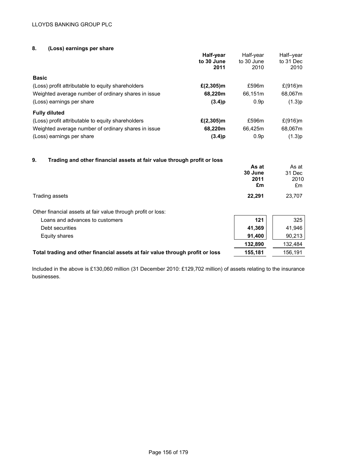## **8. (Loss) earnings per share**

|                                                     | Half-year<br>to 30 June | Half-year<br>to 30 June | Half-year<br>to 31 Dec |
|-----------------------------------------------------|-------------------------|-------------------------|------------------------|
| <b>Basic</b>                                        | 2011                    | 2010                    | 2010                   |
| (Loss) profit attributable to equity shareholders   | £ $(2,305)$ m           | £596m                   | $£(916)$ m             |
| Weighted average number of ordinary shares in issue | 68,220m                 | 66.151m                 | 68,067m                |
| (Loss) earnings per share                           | (3.4)p                  | 0.9 <sub>D</sub>        | (1.3)p                 |
| <b>Fully diluted</b>                                |                         |                         |                        |
| (Loss) profit attributable to equity shareholders   | £ $(2,305)$ m           | £596m                   | $£(916)$ m             |
| Weighted average number of ordinary shares in issue | 68,220m                 | 66.425m                 | 68,067m                |
| (Loss) earnings per share                           | (3.4)p                  | 0.9 <sub>p</sub>        | (1.3)p                 |

## **9. Trading and other financial assets at fair value through profit or loss**

|                | As at   | As at  |
|----------------|---------|--------|
|                | 30 June | 31 Dec |
|                | 2011    | 2010   |
|                | £m      | £m     |
| Trading assets | 22,291  | 23,707 |

Other financial assets at fair value through profit or loss:

| Loans and advances to customers                                               | 121     | 325     |
|-------------------------------------------------------------------------------|---------|---------|
| Debt securities                                                               | 41.369  | 41.946  |
| Equity shares                                                                 | 91.400  | 90.213  |
|                                                                               | 132.890 | 132.484 |
| Total trading and other financial assets at fair value through profit or loss | 155.181 | 156.191 |

Included in the above is £130,060 million (31 December 2010: £129,702 million) of assets relating to the insurance businesses.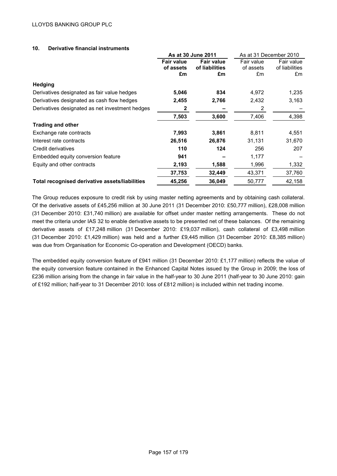## **10. Derivative financial instruments**

|                                                 | As at 30 June 2011 |                   | As at 31 December 2010 |                |
|-------------------------------------------------|--------------------|-------------------|------------------------|----------------|
|                                                 | <b>Fair value</b>  | <b>Fair value</b> | Fair value             | Fair value     |
|                                                 | of assets          | of liabilities    | of assets              | of liabilities |
|                                                 | £m                 | £m                | £m                     | £m             |
| <b>Hedging</b>                                  |                    |                   |                        |                |
| Derivatives designated as fair value hedges     | 5,046              | 834               | 4,972                  | 1,235          |
| Derivatives designated as cash flow hedges      | 2,455              | 2,766             | 2,432                  | 3,163          |
| Derivatives designated as net investment hedges | 2                  |                   | 2                      |                |
|                                                 | 7,503              | 3,600             | 7,406                  | 4,398          |
| <b>Trading and other</b>                        |                    |                   |                        |                |
| Exchange rate contracts                         | 7,993              | 3,861             | 8,811                  | 4,551          |
| Interest rate contracts                         | 26,516             | 26,876            | 31,131                 | 31,670         |
| Credit derivatives                              | 110                | 124               | 256                    | 207            |
| Embedded equity conversion feature              | 941                |                   | 1,177                  |                |
| Equity and other contracts                      | 2,193              | 1,588             | 1,996                  | 1,332          |
|                                                 | 37,753             | 32,449            | 43,371                 | 37,760         |
| Total recognised derivative assets/liabilities  | 45,256             | 36,049            | 50,777                 | 42,158         |

The Group reduces exposure to credit risk by using master netting agreements and by obtaining cash collateral. Of the derivative assets of £45,256 million at 30 June 2011 (31 December 2010: £50,777 million), £28,008 million (31 December 2010: £31,740 million) are available for offset under master netting arrangements. These do not meet the criteria under IAS 32 to enable derivative assets to be presented net of these balances. Of the remaining derivative assets of £17,248 million (31 December 2010: £19,037 million), cash collateral of £3,498 million (31 December 2010: £1,429 million) was held and a further £9,445 million (31 December 2010: £8,385 million) was due from Organisation for Economic Co-operation and Development (OECD) banks.

The embedded equity conversion feature of £941 million (31 December 2010: £1,177 million) reflects the value of the equity conversion feature contained in the Enhanced Capital Notes issued by the Group in 2009; the loss of £236 million arising from the change in fair value in the half-year to 30 June 2011 (half-year to 30 June 2010: gain of £192 million; half-year to 31 December 2010: loss of £812 million) is included within net trading income.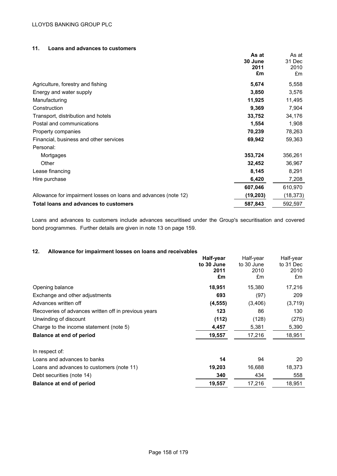## **11. Loans and advances to customers**

|                                                                 | As at     | As at     |
|-----------------------------------------------------------------|-----------|-----------|
|                                                                 | 30 June   | 31 Dec    |
|                                                                 | 2011      | 2010      |
|                                                                 | £m        | £m        |
| Agriculture, forestry and fishing                               | 5,674     | 5,558     |
| Energy and water supply                                         | 3,850     | 3,576     |
| Manufacturing                                                   | 11,925    | 11,495    |
| Construction                                                    | 9,369     | 7,904     |
| Transport, distribution and hotels                              | 33,752    | 34,176    |
| Postal and communications                                       | 1,554     | 1,908     |
| Property companies                                              | 70,239    | 78,263    |
| Financial, business and other services                          | 69,942    | 59,363    |
| Personal:                                                       |           |           |
| Mortgages                                                       | 353,724   | 356,261   |
| Other                                                           | 32,452    | 36,967    |
| Lease financing                                                 | 8,145     | 8,291     |
| Hire purchase                                                   | 6,420     | 7,208     |
|                                                                 | 607,046   | 610,970   |
| Allowance for impairment losses on loans and advances (note 12) | (19, 203) | (18, 373) |
| Total loans and advances to customers                           | 587,843   | 592,597   |

Loans and advances to customers include advances securitised under the Group's securitisation and covered bond programmes. Further details are given in note 13 on page 159.

## **12. Allowance for impairment losses on loans and receivables**

|                                                      | Half-year  | Half-year  | Half-year |
|------------------------------------------------------|------------|------------|-----------|
|                                                      | to 30 June | to 30 June | to 31 Dec |
|                                                      | 2011       | 2010       | 2010      |
|                                                      | £m         | £m         | £m        |
| Opening balance                                      | 18,951     | 15,380     | 17,216    |
| Exchange and other adjustments                       | 693        | (97)       | 209       |
| Advances written off                                 | (4, 555)   | (3, 406)   | (3,719)   |
| Recoveries of advances written off in previous years | 123        | 86         | 130       |
| Unwinding of discount                                | (112)      | (128)      | (275)     |
| Charge to the income statement (note 5)              | 4,457      | 5,381      | 5,390     |
| Balance at end of period                             | 19,557     | 17,216     | 18,951    |
| In respect of:                                       |            |            |           |
| Loans and advances to banks                          | 14         | 94         | 20        |
| Loans and advances to customers (note 11)            | 19,203     | 16,688     | 18,373    |
| Debt securities (note 14)                            | 340        | 434        | 558       |
| <b>Balance at end of period</b>                      | 19,557     | 17,216     | 18,951    |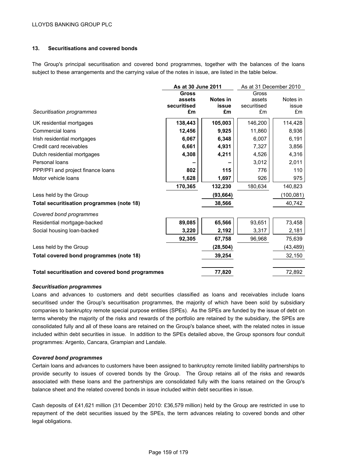### **13. Securitisations and covered bonds**

The Group's principal securitisation and covered bond programmes, together with the balances of the loans subject to these arrangements and the carrying value of the notes in issue, are listed in the table below.

|                                                  | As at 30 June 2011 |           | As at 31 December 2010 |            |
|--------------------------------------------------|--------------------|-----------|------------------------|------------|
|                                                  | <b>Gross</b>       |           | Gross                  |            |
|                                                  | assets             | Notes in  | assets                 | Notes in   |
|                                                  | securitised        | issue     | securitised            | issue      |
| Securitisation programmes                        | £m                 | £m        | £m                     | £m         |
| UK residential mortgages                         | 138,443            | 105,003   | 146,200                | 114,428    |
| <b>Commercial loans</b>                          | 12,456             | 9,925     | 11,860                 | 8,936      |
| Irish residential mortgages                      | 6,067              | 6,348     | 6,007                  | 6,191      |
| Credit card receivables                          | 6,661              | 4,931     | 7,327                  | 3,856      |
| Dutch residential mortgages                      | 4,308              | 4,211     | 4,526                  | 4,316      |
| Personal loans                                   |                    |           | 3,012                  | 2,011      |
| PPP/PFI and project finance loans                | 802                | 115       | 776                    | 110        |
| Motor vehicle loans                              | 1,628              | 1,697     | 926                    | 975        |
|                                                  | 170,365            | 132,230   | 180,634                | 140,823    |
| Less held by the Group                           |                    | (93, 664) |                        | (100, 081) |
| <b>Total securitisation programmes (note 18)</b> |                    | 38,566    |                        | 40,742     |
| Covered bond programmes                          |                    |           |                        |            |
| Residential mortgage-backed                      | 89,085             | 65,566    | 93,651                 | 73,458     |
| Social housing loan-backed                       | 3,220              | 2,192     | 3,317                  | 2,181      |
|                                                  | 92,305             | 67,758    | 96,968                 | 75,639     |
| Less held by the Group                           |                    | (28, 504) |                        | (43, 489)  |
| Total covered bond programmes (note 18)          |                    | 39,254    |                        | 32,150     |
| Total securitisation and covered bond programmes |                    | 77,820    |                        | 72,892     |

#### *Securitisation programmes*

Loans and advances to customers and debt securities classified as loans and receivables include loans securitised under the Group's securitisation programmes, the majority of which have been sold by subsidiary companies to bankruptcy remote special purpose entities (SPEs). As the SPEs are funded by the issue of debt on terms whereby the majority of the risks and rewards of the portfolio are retained by the subsidiary, the SPEs are consolidated fully and all of these loans are retained on the Group's balance sheet, with the related notes in issue included within debt securities in issue. In addition to the SPEs detailed above, the Group sponsors four conduit programmes: Argento, Cancara, Grampian and Landale.

#### *Covered bond programmes*

Certain loans and advances to customers have been assigned to bankruptcy remote limited liability partnerships to provide security to issues of covered bonds by the Group. The Group retains all of the risks and rewards associated with these loans and the partnerships are consolidated fully with the loans retained on the Group's balance sheet and the related covered bonds in issue included within debt securities in issue.

Cash deposits of £41,621 million (31 December 2010: £36,579 million) held by the Group are restricted in use to repayment of the debt securities issued by the SPEs, the term advances relating to covered bonds and other legal obligations.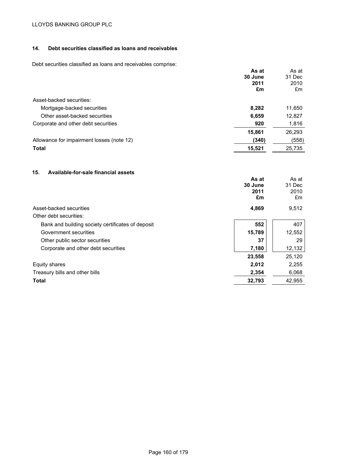## **14. Debt securities classified as loans and receivables**

Debt securities classified as loans and receivables comprise:

|                                           | As at   | As at  |
|-------------------------------------------|---------|--------|
|                                           | 30 June | 31 Dec |
|                                           | 2011    | 2010   |
|                                           | £m      | £m     |
| Asset-backed securities:                  |         |        |
| Mortgage-backed securities                | 8,282   | 11,650 |
| Other asset-backed securities             | 6,659   | 12,827 |
| Corporate and other debt securities       | 920     | 1,816  |
|                                           | 15,861  | 26,293 |
| Allowance for impairment losses (note 12) | (340)   | (558)  |
| Total                                     | 15,521  | 25,735 |

## **15. Available-for-sale financial assets**

|                                                   | As at<br>30 June<br>2011<br>£m | As at<br>31 Dec<br>2010<br>£m |
|---------------------------------------------------|--------------------------------|-------------------------------|
| Asset-backed securities                           | 4,869                          | 9,512                         |
| Other debt securities:                            |                                |                               |
| Bank and building society certificates of deposit | 552                            | 407                           |
| Government securities                             | 15,789                         | 12,552                        |
| Other public sector securities                    | 37                             | 29                            |
| Corporate and other debt securities               | 7,180                          | 12,132                        |
|                                                   | 23,558                         | 25,120                        |
| Equity shares                                     | 2,012                          | 2,255                         |
| Treasury bills and other bills                    | 2,354                          | 6,068                         |
| <b>Total</b>                                      | 32,793                         | 42,955                        |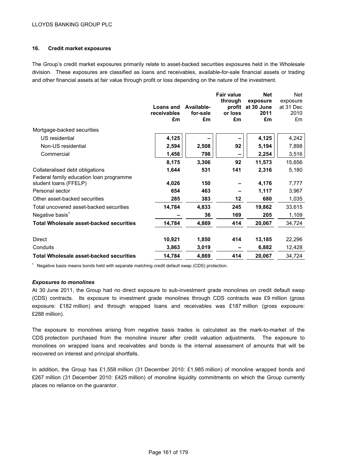## **16. Credit market exposures**

The Group's credit market exposures primarily relate to asset-backed securities exposures held in the Wholesale division. These exposures are classified as loans and receivables, available-for-sale financial assets or trading and other financial assets at fair value through profit or loss depending on the nature of the investment.

|        |                                | <b>Fair value</b>            | <b>Net</b>               | Net                                |
|--------|--------------------------------|------------------------------|--------------------------|------------------------------------|
|        |                                |                              | exposure                 | exposure                           |
|        |                                |                              |                          | at 31 Dec                          |
|        |                                |                              |                          | 2010                               |
|        |                                |                              |                          | £m                                 |
|        |                                |                              |                          |                                    |
| 4,125  |                                |                              | 4,125                    | 4,242                              |
| 2,594  | 2,508                          | 92                           | 5,194                    | 7,898                              |
| 1,456  | 798                            |                              | 2,254                    | 3,516                              |
| 8,175  | 3,306                          | 92                           | 11,573                   | 15,656                             |
| 1,644  | 531                            | 141                          | 2,316                    | 5,180                              |
|        |                                |                              |                          |                                    |
| 4,026  | 150                            |                              | 4,176                    | 7,777                              |
| 654    | 463                            |                              | 1,117                    | 3,967                              |
| 285    | 383                            | 12                           | 680                      | 1,035                              |
| 14,784 | 4,833                          | 245                          | 19,862                   | 33,615                             |
|        | 36                             | 169                          | 205                      | 1,109                              |
| 14,784 | 4,869                          | 414                          | 20,067                   | 34,724                             |
|        |                                |                              |                          |                                    |
| 10,921 | 1,850                          | 414                          | 13,185                   | 22,296                             |
| 3,863  | 3,019                          |                              | 6,882                    | 12,428                             |
| 14,784 | 4,869                          | 414                          | 20,067                   | 34,724                             |
|        | Loans and<br>receivables<br>£m | Available-<br>for-sale<br>£m | through<br>or loss<br>£m | profit<br>at 30 June<br>2011<br>£m |

 $1$  Negative basis means bonds held with separate matching credit default swap (CDS) protection.

#### *Exposures to monolines*

At 30 June 2011, the Group had no direct exposure to sub-investment grade monolines on credit default swap (CDS) contracts. Its exposure to investment grade monolines through CDS contracts was £9 million (gross exposure: £182 million) and through wrapped loans and receivables was £187 million (gross exposure: £288 million).

The exposure to monolines arising from negative basis trades is calculated as the mark-to-market of the CDS protection purchased from the monoline insurer after credit valuation adjustments. The exposure to monolines on wrapped loans and receivables and bonds is the internal assessment of amounts that will be recovered on interest and principal shortfalls.

In addition, the Group has £1,558 million (31 December 2010: £1,985 million) of monoline wrapped bonds and £267 million (31 December 2010: £425 million) of monoline liquidity commitments on which the Group currently places no reliance on the guarantor.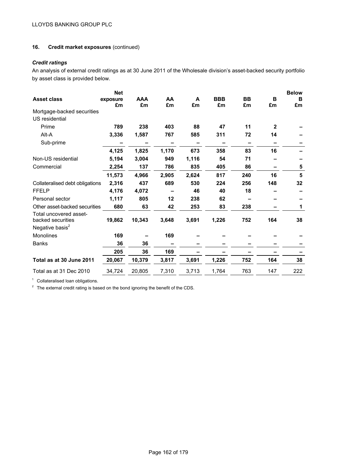## **16. Credit market exposures** (continued)

## *Credit ratings*

An analysis of external credit ratings as at 30 June 2011 of the Wholesale division's asset-backed security portfolio by asset class is provided below.

| <b>Asset class</b>                                                | <b>Net</b>     | <b>AAA</b> | AA    | A     | <b>BBB</b> | <b>BB</b> | B            | <b>Below</b><br>В |
|-------------------------------------------------------------------|----------------|------------|-------|-------|------------|-----------|--------------|-------------------|
|                                                                   | exposure<br>£m | £m         | £m    | £m    | £m         | £m        | £m           | £m                |
| Mortgage-backed securities                                        |                |            |       |       |            |           |              |                   |
| US residential                                                    |                |            |       |       |            |           |              |                   |
| Prime                                                             | 789            | 238        | 403   | 88    | 47         | 11        | $\mathbf{2}$ |                   |
| Alt-A                                                             | 3,336          | 1,587      | 767   | 585   | 311        | 72        | 14           |                   |
| Sub-prime                                                         |                |            |       |       |            | -         |              |                   |
|                                                                   | 4,125          | 1,825      | 1,170 | 673   | 358        | 83        | 16           |                   |
| Non-US residential                                                | 5,194          | 3,004      | 949   | 1,116 | 54         | 71        |              |                   |
| Commercial                                                        | 2,254          | 137        | 786   | 835   | 405        | 86        |              | 5                 |
|                                                                   | 11,573         | 4,966      | 2,905 | 2,624 | 817        | 240       | 16           | 5                 |
| Collateralised debt obligations                                   | 2,316          | 437        | 689   | 530   | 224        | 256       | 148          | 32                |
| <b>FFELP</b>                                                      | 4,176          | 4,072      |       | 46    | 40         | 18        |              |                   |
| Personal sector                                                   | 1,117          | 805        | 12    | 238   | 62         |           |              |                   |
| Other asset-backed securities                                     | 680            | 63         | 42    | 253   | 83         | 238       |              | 1                 |
| Total uncovered asset-<br>backed securities<br>Negative basis $2$ | 19,862         | 10,343     | 3,648 | 3,691 | 1,226      | 752       | 164          | 38                |
| Monolines                                                         | 169            |            | 169   |       |            |           |              |                   |
| <b>Banks</b>                                                      | 36             | 36         |       |       |            |           |              |                   |
|                                                                   | 205            | 36         | 169   |       |            |           |              |                   |
| Total as at 30 June 2011                                          | 20,067         | 10,379     | 3,817 | 3,691 | 1,226      | 752       | 164          | 38                |
| Total as at 31 Dec 2010                                           | 34,724         | 20,805     | 7,310 | 3,713 | 1,764      | 763       | 147          | 222               |

<sup>1</sup> Collateralised loan obligations.

<sup>2</sup> The external credit rating is based on the bond ignoring the benefit of the CDS.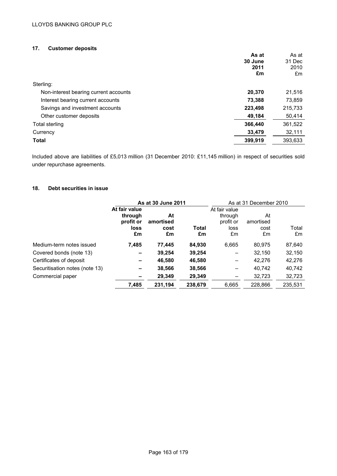## **17. Customer deposits**

|                                       | As at<br>30 June<br>2011 | As at<br>31 Dec<br>2010 |
|---------------------------------------|--------------------------|-------------------------|
|                                       | £m                       | £m                      |
| Sterling:                             |                          |                         |
| Non-interest bearing current accounts | 20,370                   | 21,516                  |
| Interest bearing current accounts     | 73.388                   | 73,859                  |
| Savings and investment accounts       | 223,498                  | 215,733                 |
| Other customer deposits               | 49,184                   | 50,414                  |
| Total sterling                        | 366,440                  | 361,522                 |
| Currency                              | 33,479                   | 32,111                  |
| <b>Total</b>                          | 399,919                  | 393,633                 |

Included above are liabilities of £5,013 million (31 December 2010: £11,145 million) in respect of securities sold under repurchase agreements.

## **18. Debt securities in issue**

|                                | As at 30 June 2011                                  |                               |             | As at 31 December 2010                              |                               |             |
|--------------------------------|-----------------------------------------------------|-------------------------------|-------------|-----------------------------------------------------|-------------------------------|-------------|
|                                | At fair value<br>through<br>profit or<br>loss<br>£m | At<br>amortised<br>cost<br>£m | Total<br>£m | At fair value<br>through<br>profit or<br>loss<br>£m | At<br>amortised<br>cost<br>£m | Total<br>£m |
| Medium-term notes issued       | 7,485                                               | 77.445                        | 84.930      | 6,665                                               | 80,975                        | 87,640      |
| Covered bonds (note 13)        |                                                     | 39,254                        | 39.254      |                                                     | 32,150                        | 32,150      |
| Certificates of deposit        |                                                     | 46,580                        | 46,580      |                                                     | 42.276                        | 42,276      |
| Securitisation notes (note 13) | $\overline{\phantom{a}}$                            | 38,566                        | 38,566      |                                                     | 40.742                        | 40,742      |
| Commercial paper               | -                                                   | 29,349                        | 29,349      |                                                     | 32,723                        | 32,723      |
|                                | 7,485                                               | 231,194                       | 238,679     | 6.665                                               | 228,866                       | 235.531     |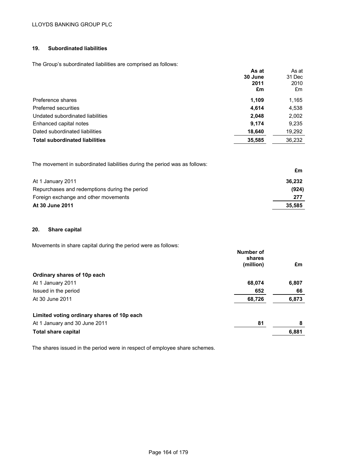## **19. Subordinated liabilities**

The Group's subordinated liabilities are comprised as follows:

|                                       | As at<br>30 June<br>2011<br>£m | As at<br>31 Dec<br>2010<br>£m |
|---------------------------------------|--------------------------------|-------------------------------|
| Preference shares                     | 1,109                          | 1,165                         |
| Preferred securities                  | 4,614                          | 4,538                         |
| Undated subordinated liabilities      | 2,048                          | 2,002                         |
| Enhanced capital notes                | 9,174                          | 9,235                         |
| Dated subordinated liabilities        | 18,640                         | 19,292                        |
| <b>Total subordinated liabilities</b> | 35,585                         | 36,232                        |

The movement in subordinated liabilities during the period was as follows:

| At 30 June 2011                               | 35,585 |
|-----------------------------------------------|--------|
| Foreign exchange and other movements          | 277    |
| Repurchases and redemptions during the period | (924)  |
| At 1 January 2011                             | 36.232 |
|                                               | £m     |

## **20. Share capital**

Movements in share capital during the period were as follows:

| <b>MOVEMENTO IN SHARE CAPITAL QUILITY THE PERIOD WERE AS TONOWS.</b> | Number of<br>shares |       |
|----------------------------------------------------------------------|---------------------|-------|
|                                                                      | (million)           | £m    |
| Ordinary shares of 10p each                                          |                     |       |
| At 1 January 2011                                                    | 68,074              | 6,807 |
| Issued in the period                                                 | 652                 | 66    |
| At 30 June 2011                                                      | 68,726              | 6,873 |
| Limited voting ordinary shares of 10p each                           |                     |       |
| At 1 January and 30 June 2011                                        | 81                  | 8     |
| <b>Total share capital</b>                                           |                     | 6,881 |

The shares issued in the period were in respect of employee share schemes.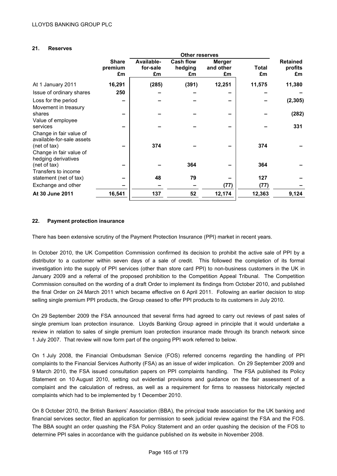### **21. Reserves**

|                                                                  | <b>Share</b><br>premium<br>£m | Available-<br>for-sale<br>£m | <b>Cash flow</b><br>hedging<br>£m | <b>Merger</b><br>and other<br>£m | <b>Total</b><br>£m | <b>Retained</b><br>profits<br>£m |
|------------------------------------------------------------------|-------------------------------|------------------------------|-----------------------------------|----------------------------------|--------------------|----------------------------------|
| At 1 January 2011                                                | 16,291                        | (285)                        | (391)                             | 12,251                           | 11,575             | 11,380                           |
| Issue of ordinary shares                                         | 250                           |                              |                                   |                                  |                    |                                  |
| Loss for the period<br>Movement in treasury                      |                               |                              |                                   | -                                |                    | (2, 305)                         |
| shares<br>Value of employee                                      |                               |                              |                                   | -                                |                    | (282)                            |
| services<br>Change in fair value of<br>available-for-sale assets |                               |                              |                                   |                                  |                    | 331                              |
| (net of tax)<br>Change in fair value of<br>hedging derivatives   |                               | 374                          |                                   |                                  | 374                |                                  |
| (net of tax)<br>Transfers to income                              |                               |                              | 364                               |                                  | 364                |                                  |
| statement (net of tax)                                           |                               | 48                           | 79                                | -                                | 127                |                                  |
| Exchange and other                                               |                               |                              |                                   | (77)                             | (77)               |                                  |
| At 30 June 2011                                                  | 16,541                        | 137                          | 52                                | 12,174                           | 12,363             | 9,124                            |

## **22. Payment protection insurance**

There has been extensive scrutiny of the Payment Protection Insurance (PPI) market in recent years.

In October 2010, the UK Competition Commission confirmed its decision to prohibit the active sale of PPI by a distributor to a customer within seven days of a sale of credit. This followed the completion of its formal investigation into the supply of PPI services (other than store card PPI) to non-business customers in the UK in January 2009 and a referral of the proposed prohibition to the Competition Appeal Tribunal. The Competition Commission consulted on the wording of a draft Order to implement its findings from October 2010, and published the final Order on 24 March 2011 which became effective on 6 April 2011. Following an earlier decision to stop selling single premium PPI products, the Group ceased to offer PPI products to its customers in July 2010.

On 29 September 2009 the FSA announced that several firms had agreed to carry out reviews of past sales of single premium loan protection insurance. Lloyds Banking Group agreed in principle that it would undertake a review in relation to sales of single premium loan protection insurance made through its branch network since 1 July 2007. That review will now form part of the ongoing PPI work referred to below.

On 1 July 2008, the Financial Ombudsman Service (FOS) referred concerns regarding the handling of PPI complaints to the Financial Services Authority (FSA) as an issue of wider implication. On 29 September 2009 and 9 March 2010, the FSA issued consultation papers on PPI complaints handling. The FSA published its Policy Statement on 10 August 2010, setting out evidential provisions and guidance on the fair assessment of a complaint and the calculation of redress, as well as a requirement for firms to reassess historically rejected complaints which had to be implemented by 1 December 2010.

On 8 October 2010, the British Bankers' Association (BBA), the principal trade association for the UK banking and financial services sector, filed an application for permission to seek judicial review against the FSA and the FOS. The BBA sought an order quashing the FSA Policy Statement and an order quashing the decision of the FOS to determine PPI sales in accordance with the guidance published on its website in November 2008.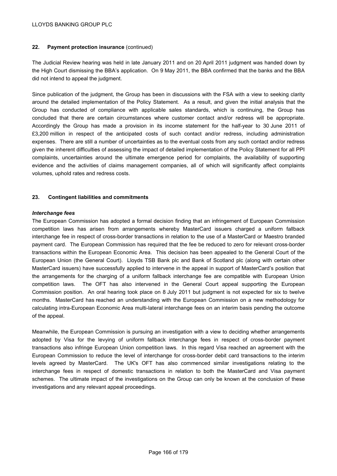## **22. Payment protection insurance** (continued)

The Judicial Review hearing was held in late January 2011 and on 20 April 2011 judgment was handed down by the High Court dismissing the BBA's application. On 9 May 2011, the BBA confirmed that the banks and the BBA did not intend to appeal the judgment.

Since publication of the judgment, the Group has been in discussions with the FSA with a view to seeking clarity around the detailed implementation of the Policy Statement. As a result, and given the initial analysis that the Group has conducted of compliance with applicable sales standards, which is continuing, the Group has concluded that there are certain circumstances where customer contact and/or redress will be appropriate. Accordingly the Group has made a provision in its income statement for the half-year to 30 June 2011 of £3,200 million in respect of the anticipated costs of such contact and/or redress, including administration expenses. There are still a number of uncertainties as to the eventual costs from any such contact and/or redress given the inherent difficulties of assessing the impact of detailed implementation of the Policy Statement for all PPI complaints, uncertainties around the ultimate emergence period for complaints, the availability of supporting evidence and the activities of claims management companies, all of which will significantly affect complaints volumes, uphold rates and redress costs.

### **23. Contingent liabilities and commitments**

### *Interchange fees*

The European Commission has adopted a formal decision finding that an infringement of European Commission competition laws has arisen from arrangements whereby MasterCard issuers charged a uniform fallback interchange fee in respect of cross-border transactions in relation to the use of a MasterCard or Maestro branded payment card. The European Commission has required that the fee be reduced to zero for relevant cross-border transactions within the European Economic Area. This decision has been appealed to the General Court of the European Union (the General Court). Lloyds TSB Bank plc and Bank of Scotland plc (along with certain other MasterCard issuers) have successfully applied to intervene in the appeal in support of MasterCard's position that the arrangements for the charging of a uniform fallback interchange fee are compatible with European Union competition laws. The OFT has also intervened in the General Court appeal supporting the European Commission position. An oral hearing took place on 8 July 2011 but judgment is not expected for six to twelve months. MasterCard has reached an understanding with the European Commission on a new methodology for calculating intra-European Economic Area multi-lateral interchange fees on an interim basis pending the outcome of the appeal.

Meanwhile, the European Commission is pursuing an investigation with a view to deciding whether arrangements adopted by Visa for the levying of uniform fallback interchange fees in respect of cross-border payment transactions also infringe European Union competition laws. In this regard Visa reached an agreement with the European Commission to reduce the level of interchange for cross-border debit card transactions to the interim levels agreed by MasterCard. The UK's OFT has also commenced similar investigations relating to the interchange fees in respect of domestic transactions in relation to both the MasterCard and Visa payment schemes. The ultimate impact of the investigations on the Group can only be known at the conclusion of these investigations and any relevant appeal proceedings.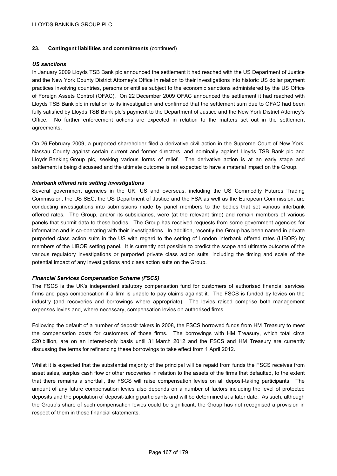## **23. Contingent liabilities and commitments** (continued)

### *US sanctions*

In January 2009 Lloyds TSB Bank plc announced the settlement it had reached with the US Department of Justice and the New York County District Attorney's Office in relation to their investigations into historic US dollar payment practices involving countries, persons or entities subject to the economic sanctions administered by the US Office of Foreign Assets Control (OFAC). On 22 December 2009 OFAC announced the settlement it had reached with Lloyds TSB Bank plc in relation to its investigation and confirmed that the settlement sum due to OFAC had been fully satisfied by Lloyds TSB Bank plc's payment to the Department of Justice and the New York District Attorney's Office. No further enforcement actions are expected in relation to the matters set out in the settlement agreements.

On 26 February 2009, a purported shareholder filed a derivative civil action in the Supreme Court of New York, Nassau County against certain current and former directors, and nominally against Lloyds TSB Bank plc and Lloyds Banking Group plc, seeking various forms of relief. The derivative action is at an early stage and settlement is being discussed and the ultimate outcome is not expected to have a material impact on the Group.

#### *Interbank offered rate setting investigations*

Several government agencies in the UK, US and overseas, including the US Commodity Futures Trading Commission, the US SEC, the US Department of Justice and the FSA as well as the European Commission, are conducting investigations into submissions made by panel members to the bodies that set various interbank offered rates. The Group, and/or its subsidiaries, were (at the relevant time) and remain members of various panels that submit data to these bodies. The Group has received requests from some government agencies for information and is co-operating with their investigations. In addition, recently the Group has been named in private purported class action suits in the US with regard to the setting of London interbank offered rates (LIBOR) by members of the LIBOR setting panel. It is currently not possible to predict the scope and ultimate outcome of the various regulatory investigations or purported private class action suits, including the timing and scale of the potential impact of any investigations and class action suits on the Group.

## *Financial Services Compensation Scheme (FSCS)*

The FSCS is the UK's independent statutory compensation fund for customers of authorised financial services firms and pays compensation if a firm is unable to pay claims against it. The FSCS is funded by levies on the industry (and recoveries and borrowings where appropriate). The levies raised comprise both management expenses levies and, where necessary, compensation levies on authorised firms.

Following the default of a number of deposit takers in 2008, the FSCS borrowed funds from HM Treasury to meet the compensation costs for customers of those firms. The borrowings with HM Treasury, which total circa £20 billion, are on an interest-only basis until 31 March 2012 and the FSCS and HM Treasury are currently discussing the terms for refinancing these borrowings to take effect from 1 April 2012.

Whilst it is expected that the substantial majority of the principal will be repaid from funds the FSCS receives from asset sales, surplus cash flow or other recoveries in relation to the assets of the firms that defaulted, to the extent that there remains a shortfall, the FSCS will raise compensation levies on all deposit-taking participants. The amount of any future compensation levies also depends on a number of factors including the level of protected deposits and the population of deposit-taking participants and will be determined at a later date. As such, although the Group's share of such compensation levies could be significant, the Group has not recognised a provision in respect of them in these financial statements.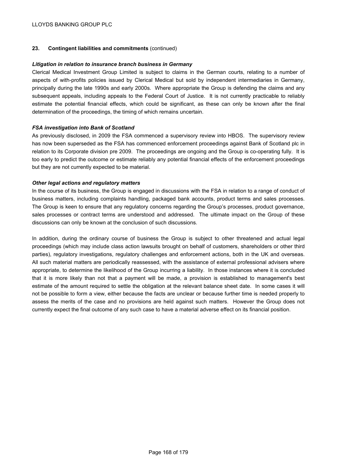## **23. Contingent liabilities and commitments** (continued)

#### *Litigation in relation to insurance branch business in Germany*

Clerical Medical Investment Group Limited is subject to claims in the German courts, relating to a number of aspects of with-profits policies issued by Clerical Medical but sold by independent intermediaries in Germany, principally during the late 1990s and early 2000s. Where appropriate the Group is defending the claims and any subsequent appeals, including appeals to the Federal Court of Justice. It is not currently practicable to reliably estimate the potential financial effects, which could be significant, as these can only be known after the final determination of the proceedings, the timing of which remains uncertain.

### *FSA investigation into Bank of Scotland*

As previously disclosed, in 2009 the FSA commenced a supervisory review into HBOS. The supervisory review has now been superseded as the FSA has commenced enforcement proceedings against Bank of Scotland plc in relation to its Corporate division pre 2009. The proceedings are ongoing and the Group is co-operating fully. It is too early to predict the outcome or estimate reliably any potential financial effects of the enforcement proceedings but they are not currently expected to be material.

### *Other legal actions and regulatory matters*

In the course of its business, the Group is engaged in discussions with the FSA in relation to a range of conduct of business matters, including complaints handling, packaged bank accounts, product terms and sales processes. The Group is keen to ensure that any regulatory concerns regarding the Group's processes, product governance, sales processes or contract terms are understood and addressed. The ultimate impact on the Group of these discussions can only be known at the conclusion of such discussions.

In addition, during the ordinary course of business the Group is subject to other threatened and actual legal proceedings (which may include class action lawsuits brought on behalf of customers, shareholders or other third parties), regulatory investigations, regulatory challenges and enforcement actions, both in the UK and overseas. All such material matters are periodically reassessed, with the assistance of external professional advisers where appropriate, to determine the likelihood of the Group incurring a liability. In those instances where it is concluded that it is more likely than not that a payment will be made, a provision is established to management's best estimate of the amount required to settle the obligation at the relevant balance sheet date. In some cases it will not be possible to form a view, either because the facts are unclear or because further time is needed properly to assess the merits of the case and no provisions are held against such matters. However the Group does not currently expect the final outcome of any such case to have a material adverse effect on its financial position.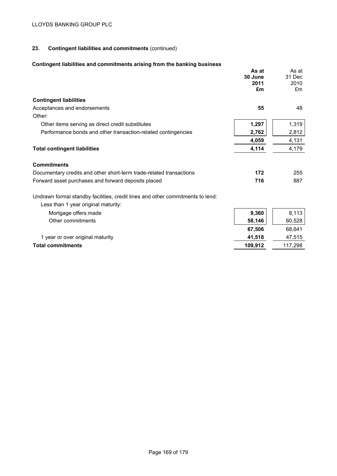# **23. Contingent liabilities and commitments** (continued)

# **Contingent liabilities and commitments arising from the banking business**

|                                                                                                                       | As at<br>30 June<br>2011<br>£m | As at<br>31 Dec<br>2010<br>£m |
|-----------------------------------------------------------------------------------------------------------------------|--------------------------------|-------------------------------|
| <b>Contingent liabilities</b>                                                                                         |                                |                               |
| Acceptances and endorsements                                                                                          | 55                             | 48                            |
| Other:                                                                                                                |                                |                               |
| Other items serving as direct credit substitutes                                                                      | 1,297                          | 1,319                         |
| Performance bonds and other transaction-related contingencies                                                         | 2,762                          | 2,812                         |
|                                                                                                                       | 4,059                          | 4,131                         |
| <b>Total contingent liabilities</b>                                                                                   | 4,114                          | 4,179                         |
| <b>Commitments</b>                                                                                                    |                                |                               |
| Documentary credits and other short-term trade-related transactions                                                   | 172                            | 255                           |
| Forward asset purchases and forward deposits placed                                                                   | 716                            | 887                           |
| Undrawn formal standby facilities, credit lines and other commitments to lend:<br>Less than 1 year original maturity: |                                |                               |
| Mortgage offers made                                                                                                  | 9,360                          | 8,113                         |
| Other commitments                                                                                                     | 58,146                         | 60,528                        |
|                                                                                                                       | 67,506                         | 68,641                        |
| 1 year or over original maturity                                                                                      | 41,518                         | 47,515                        |
| <b>Total commitments</b>                                                                                              | 109,912                        | 117,298                       |
|                                                                                                                       |                                |                               |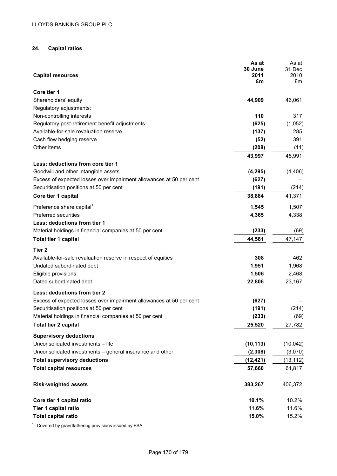## **24. Capital ratios**

| <b>Capital resources</b>                                            | As at<br>30 June<br>2011<br>£m | As at<br>31 Dec<br>2010<br>£m |
|---------------------------------------------------------------------|--------------------------------|-------------------------------|
| Core tier 1                                                         |                                |                               |
| Shareholders' equity                                                | 44,909                         | 46,061                        |
| Regulatory adjustments:                                             |                                |                               |
| Non-controlling interests                                           | 110                            | 317                           |
| Regulatory post-retirement benefit adjustments                      | (625)                          | (1,052)                       |
| Available-for-sale revaluation reserve                              | (137)                          | 285                           |
| Cash flow hedging reserve                                           | (52)                           | 391                           |
| Other items                                                         | (208)                          | (11)                          |
|                                                                     | 43,997                         | 45,991                        |
| Less: deductions from core tier 1                                   |                                |                               |
| Goodwill and other intangible assets                                | (4, 295)                       | (4, 406)                      |
| Excess of expected losses over impairment allowances at 50 per cent | (627)                          |                               |
| Securitisation positions at 50 per cent<br>Core tier 1 capital      | (191)<br>38,884                | (214)<br>41,371               |
|                                                                     |                                |                               |
| Preference share capital <sup>1</sup>                               | 1,545                          | 1,507                         |
| Preferred securities <sup>1</sup>                                   | 4,365                          | 4,338                         |
| Less: deductions from tier 1                                        |                                |                               |
| Material holdings in financial companies at 50 per cent             | (233)                          | (69)                          |
| Total tier 1 capital                                                | 44,561                         | 47,147                        |
| Tier <sub>2</sub>                                                   |                                |                               |
| Available-for-sale revaluation reserve in respect of equities       | 308                            | 462                           |
| Undated subordinated debt                                           | 1,951                          | 1,968                         |
| Eligible provisions                                                 | 1,506                          | 2,468                         |
| Dated subordinated debt                                             | 22,806                         | 23,167                        |
| Less: deductions from tier 2                                        |                                |                               |
| Excess of expected losses over impairment allowances at 50 per cent | (627)                          |                               |
| Securitisation positions at 50 per cent                             | (191)                          | (214)                         |
| Material holdings in financial companies at 50 per cent             | (233)                          | (69)                          |
| <b>Total tier 2 capital</b>                                         | 25,520                         | 27,782                        |
| <b>Supervisory deductions</b>                                       |                                |                               |
| Unconsolidated investments - life                                   | (10, 113)                      | (10, 042)                     |
| Unconsolidated investments - general insurance and other            | (2, 308)                       | (3,070)                       |
| <b>Total supervisory deductions</b>                                 | (12, 421)                      | (13, 112)                     |
| <b>Total capital resources</b>                                      | 57,660                         | 61,817                        |
| <b>Risk-weighted assets</b>                                         | 383,267                        | 406,372                       |
| Core tier 1 capital ratio                                           | 10.1%                          | 10.2%                         |
| Tier 1 capital ratio                                                | 11.6%                          | 11.6%                         |
| <b>Total capital ratio</b>                                          | 15.0%                          | 15.2%                         |
|                                                                     |                                |                               |

<sup>1</sup> Covered by grandfathering provisions issued by FSA.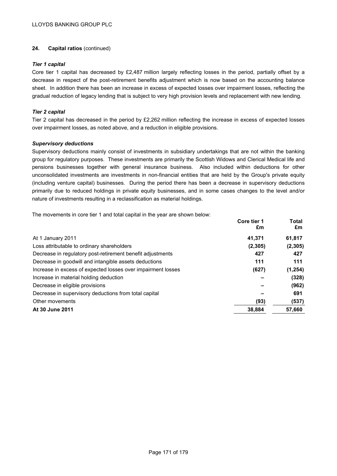## **24. Capital ratios** (continued)

### *Tier 1 capital*

Core tier 1 capital has decreased by £2,487 million largely reflecting losses in the period, partially offset by a decrease in respect of the post-retirement benefits adjustment which is now based on the accounting balance sheet. In addition there has been an increase in excess of expected losses over impairment losses, reflecting the gradual reduction of legacy lending that is subject to very high provision levels and replacement with new lending.

### *Tier 2 capital*

Tier 2 capital has decreased in the period by £2,262 million reflecting the increase in excess of expected losses over impairment losses, as noted above, and a reduction in eligible provisions.

#### *Supervisory deductions*

Supervisory deductions mainly consist of investments in subsidiary undertakings that are not within the banking group for regulatory purposes. These investments are primarily the Scottish Widows and Clerical Medical life and pensions businesses together with general insurance business. Also included within deductions for other unconsolidated investments are investments in non-financial entities that are held by the Group's private equity (including venture capital) businesses. During the period there has been a decrease in supervisory deductions primarily due to reduced holdings in private equity businesses, and in some cases changes to the level and/or nature of investments resulting in a reclassification as material holdings.

The movements in core tier 1 and total capital in the year are shown below:

|                                                              | Core tier 1<br>£m | <b>Total</b><br>£m |
|--------------------------------------------------------------|-------------------|--------------------|
| At 1 January 2011                                            | 41,371            | 61,817             |
| Loss attributable to ordinary shareholders                   | (2,305)           | (2, 305)           |
| Decrease in regulatory post-retirement benefit adjustments   | 427               | 427                |
| Decrease in goodwill and intangible assets deductions        | 111               | 111                |
| Increase in excess of expected losses over impairment losses | (627)             | (1, 254)           |
| Increase in material holding deduction                       |                   | (328)              |
| Decrease in eligible provisions                              |                   | (962)              |
| Decrease in supervisory deductions from total capital        |                   | 691                |
| Other movements                                              | (93)              | (537)              |
| At 30 June 2011                                              | 38,884            | 57,660             |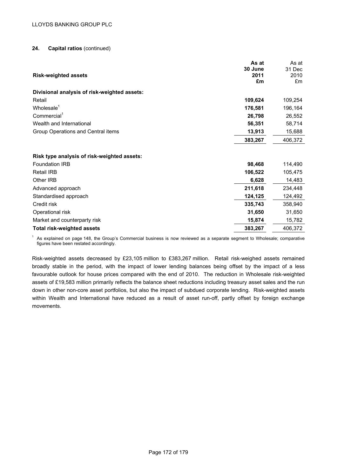## **24. Capital ratios** (continued)

| <b>Risk-weighted assets</b>                  | As at<br>30 June<br>2011<br>£m | As at<br>31 Dec<br>2010<br>£m |
|----------------------------------------------|--------------------------------|-------------------------------|
| Divisional analysis of risk-weighted assets: |                                |                               |
| Retail                                       | 109,624                        | 109,254                       |
| Wholesale <sup>1</sup>                       | 176,581                        | 196,164                       |
| Commercial <sup>1</sup>                      | 26,798                         | 26,552                        |
| Wealth and International                     | 56,351                         | 58,714                        |
| Group Operations and Central items           | 13,913                         | 15,688                        |
|                                              | 383,267                        | 406,372                       |
| Risk type analysis of risk-weighted assets:  |                                |                               |
| <b>Foundation IRB</b>                        | 98,468                         | 114,490                       |
| <b>Retail IRB</b>                            | 106,522                        | 105,475                       |
| Other IRB                                    | 6,628                          | 14,483                        |
| Advanced approach                            | 211,618                        | 234,448                       |
| Standardised approach                        | 124,125                        | 124,492                       |
| Credit risk                                  | 335,743                        | 358,940                       |
| Operational risk                             | 31,650                         | 31,650                        |
| Market and counterparty risk                 | 15,874                         | 15,782                        |
| <b>Total risk-weighted assets</b>            | 383,267                        | 406,372                       |

<sup>1</sup> As explained on page 148, the Group's Commercial business is now reviewed as a separate segment to Wholesale; comparative figures have been restated accordingly.

Risk-weighted assets decreased by £23,105 million to £383,267 million. Retail risk-weighed assets remained broadly stable in the period, with the impact of lower lending balances being offset by the impact of a less favourable outlook for house prices compared with the end of 2010. The reduction in Wholesale risk-weighted assets of £19,583 million primarily reflects the balance sheet reductions including treasury asset sales and the run down in other non-core asset portfolios, but also the impact of subdued corporate lending. Risk-weighted assets within Wealth and International have reduced as a result of asset run-off, partly offset by foreign exchange movements.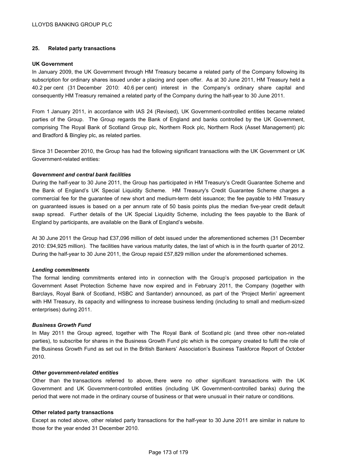### **25. Related party transactions**

### **UK Government**

In January 2009, the UK Government through HM Treasury became a related party of the Company following its subscription for ordinary shares issued under a placing and open offer. As at 30 June 2011, HM Treasury held a 40.2 per cent (31 December 2010: 40.6 per cent) interest in the Company's ordinary share capital and consequently HM Treasury remained a related party of the Company during the half-year to 30 June 2011.

From 1 January 2011, in accordance with IAS 24 (Revised), UK Government-controlled entities became related parties of the Group. The Group regards the Bank of England and banks controlled by the UK Government, comprising The Royal Bank of Scotland Group plc, Northern Rock plc, Northern Rock (Asset Management) plc and Bradford & Bingley plc, as related parties.

Since 31 December 2010, the Group has had the following significant transactions with the UK Government or UK Government-related entities:

#### *Government and central bank facilities*

During the half-year to 30 June 2011, the Group has participated in HM Treasury's Credit Guarantee Scheme and the Bank of England's UK Special Liquidity Scheme. HM Treasury's Credit Guarantee Scheme charges a commercial fee for the guarantee of new short and medium-term debt issuance; the fee payable to HM Treasury on guaranteed issues is based on a per annum rate of 50 basis points plus the median five-year credit default swap spread. Further details of the UK Special Liquidity Scheme, including the fees payable to the Bank of England by participants, are available on the Bank of England's website.

At 30 June 2011 the Group had £37,096 million of debt issued under the aforementioned schemes (31 December 2010: £94,925 million). The facilities have various maturity dates, the last of which is in the fourth quarter of 2012. During the half-year to 30 June 2011, the Group repaid £57,829 million under the aforementioned schemes.

#### *Lending commitments*

The formal lending commitments entered into in connection with the Group's proposed participation in the Government Asset Protection Scheme have now expired and in February 2011, the Company (together with Barclays, Royal Bank of Scotland, HSBC and Santander) announced, as part of the 'Project Merlin' agreement with HM Treasury, its capacity and willingness to increase business lending (including to small and medium-sized enterprises) during 2011.

#### *Business Growth Fund*

In May 2011 the Group agreed, together with The Royal Bank of Scotland plc (and three other non-related parties), to subscribe for shares in the Business Growth Fund plc which is the company created to fulfil the role of the Business Growth Fund as set out in the British Bankers' Association's Business Taskforce Report of October 2010.

#### *Other government-related entities*

Other than the transactions referred to above, there were no other significant transactions with the UK Government and UK Government-controlled entities (including UK Government-controlled banks) during the period that were not made in the ordinary course of business or that were unusual in their nature or conditions.

#### **Other related party transactions**

Except as noted above, other related party transactions for the half-year to 30 June 2011 are similar in nature to those for the year ended 31 December 2010.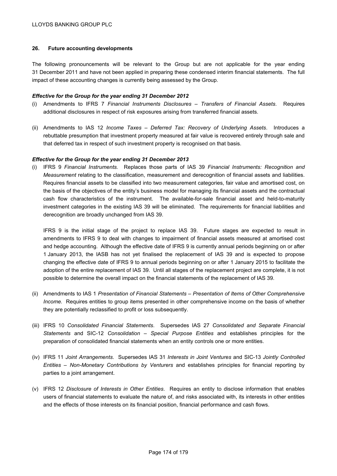### **26. Future accounting developments**

The following pronouncements will be relevant to the Group but are not applicable for the year ending 31 December 2011 and have not been applied in preparing these condensed interim financial statements. The full impact of these accounting changes is currently being assessed by the Group.

### *Effective for the Group for the year ending 31 December 2012*

- (i) Amendments to IFRS 7 *Financial Instruments Disclosures Transfers of Financial Assets*. Requires additional disclosures in respect of risk exposures arising from transferred financial assets.
- (ii) Amendments to IAS 12 *Income Taxes Deferred Tax: Recovery of Underlying Assets*. Introduces a rebuttable presumption that investment property measured at fair value is recovered entirely through sale and that deferred tax in respect of such investment property is recognised on that basis.

### *Effective for the Group for the year ending 31 December 2013*

(i) IFRS 9 *Financial Instruments.* Replaces those parts of IAS 39 *Financial Instruments: Recognition and Measurement* relating to the classification, measurement and derecognition of financial assets and liabilities. Requires financial assets to be classified into two measurement categories, fair value and amortised cost, on the basis of the objectives of the entity's business model for managing its financial assets and the contractual cash flow characteristics of the instrument. The available-for-sale financial asset and held-to-maturity investment categories in the existing IAS 39 will be eliminated. The requirements for financial liabilities and derecognition are broadly unchanged from IAS 39.

 IFRS 9 is the initial stage of the project to replace IAS 39. Future stages are expected to result in amendments to IFRS 9 to deal with changes to impairment of financial assets measured at amortised cost and hedge accounting. Although the effective date of IFRS 9 is currently annual periods beginning on or after 1 January 2013, the IASB has not yet finalised the replacement of IAS 39 and is expected to propose changing the effective date of IFRS 9 to annual periods beginning on or after 1 January 2015 to facilitate the adoption of the entire replacement of IAS 39. Until all stages of the replacement project are complete, it is not possible to determine the overall impact on the financial statements of the replacement of IAS 39.

- (ii) Amendments to IAS 1 *Presentation of Financial Statements Presentation of Items of Other Comprehensive Income.* Requires entities to group items presented in other comprehensive income on the basis of whether they are potentially reclassified to profit or loss subsequently.
- (iii) IFRS 10 *Consolidated Financial Statements*. Supersedes IAS 27 *Consolidated and Separate Financial Statements* and SIC-12 *Consolidation – Special Purpose Entities* and establishes principles for the preparation of consolidated financial statements when an entity controls one or more entities.
- (iv) IFRS 11 *Joint Arrangements*. Supersedes IAS 31 *Interests in Joint Ventures* and SIC-13 *Jointly Controlled Entities – Non-Monetary Contributions by Venturers* and establishes principles for financial reporting by parties to a joint arrangement.
- (v) IFRS 12 *Disclosure of Interests in Other Entities*. Requires an entity to disclose information that enables users of financial statements to evaluate the nature of, and risks associated with, its interests in other entities and the effects of those interests on its financial position, financial performance and cash flows.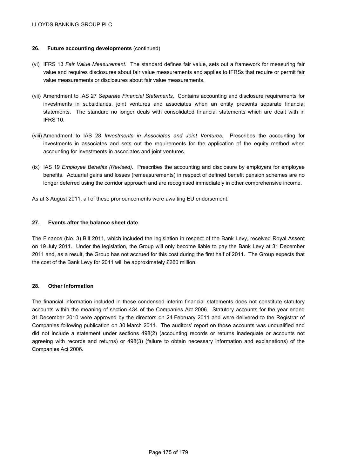#### **26. Future accounting developments** (continued)

- (vi) IFRS 13 *Fair Value Measurement*. The standard defines fair value, sets out a framework for measuring fair value and requires disclosures about fair value measurements and applies to IFRSs that require or permit fair value measurements or disclosures about fair value measurements.
- (vii) Amendment to IAS 27 *Separate Financial Statements*. Contains accounting and disclosure requirements for investments in subsidiaries, joint ventures and associates when an entity presents separate financial statements. The standard no longer deals with consolidated financial statements which are dealt with in IFRS 10.
- (viii) Amendment to IAS 28 *Investments in Associates and Joint Ventures*. Prescribes the accounting for investments in associates and sets out the requirements for the application of the equity method when accounting for investments in associates and joint ventures.
- (ix) IAS 19 *Employee Benefits (Revised).* Prescribes the accounting and disclosure by employers for employee benefits. Actuarial gains and losses (remeasurements) in respect of defined benefit pension schemes are no longer deferred using the corridor approach and are recognised immediately in other comprehensive income.

As at 3 August 2011, all of these pronouncements were awaiting EU endorsement.

#### **27. Events after the balance sheet date**

The Finance (No. 3) Bill 2011, which included the legislation in respect of the Bank Levy, received Royal Assent on 19 July 2011. Under the legislation, the Group will only become liable to pay the Bank Levy at 31 December 2011 and, as a result, the Group has not accrued for this cost during the first half of 2011. The Group expects that the cost of the Bank Levy for 2011 will be approximately £260 million.

#### **28. Other information**

The financial information included in these condensed interim financial statements does not constitute statutory accounts within the meaning of section 434 of the Companies Act 2006. Statutory accounts for the year ended 31 December 2010 were approved by the directors on 24 February 2011 and were delivered to the Registrar of Companies following publication on 30 March 2011. The auditors' report on those accounts was unqualified and did not include a statement under sections 498(2) (accounting records or returns inadequate or accounts not agreeing with records and returns) or 498(3) (failure to obtain necessary information and explanations) of the Companies Act 2006.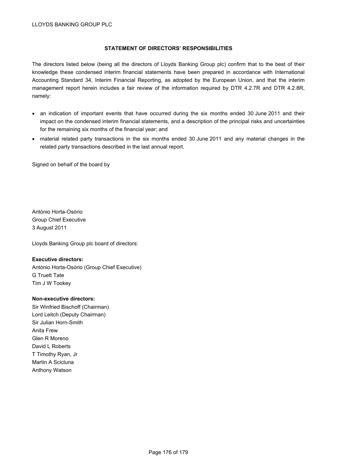### **STATEMENT OF DIRECTORS' RESPONSIBILITIES**

The directors listed below (being all the directors of Lloyds Banking Group plc) confirm that to the best of their knowledge these condensed interim financial statements have been prepared in accordance with International Accounting Standard 34, Interim Financial Reporting, as adopted by the European Union, and that the interim management report herein includes a fair review of the information required by DTR 4.2.7R and DTR 4.2.8R, namely:

- an indication of important events that have occurred during the six months ended 30 June 2011 and their impact on the condensed interim financial statements, and a description of the principal risks and uncertainties for the remaining six months of the financial year; and
- material related party transactions in the six months ended 30 June 2011 and any material changes in the related party transactions described in the last annual report.

Signed on behalf of the board by

António Horta-Osório Group Chief Executive 3 August 2011

Lloyds Banking Group plc board of directors:

#### **Executive directors:**

António Horta-Osório (Group Chief Executive) G Truett Tate Tim J W Tookey

#### **Non-executive directors:**

Sir Winfried Bischoff (Chairman) Lord Leitch (Deputy Chairman) Sir Julian Horn-Smith Anita Frew Glen R Moreno David L Roberts T Timothy Ryan, Jr Martin A Scicluna Anthony Watson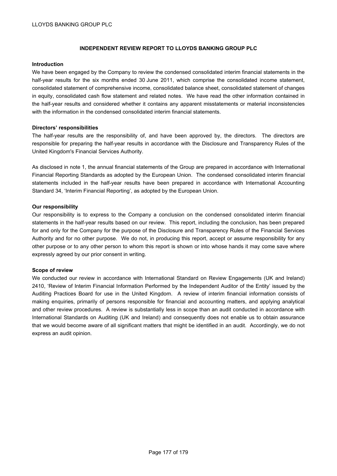## **INDEPENDENT REVIEW REPORT TO LLOYDS BANKING GROUP PLC**

#### **Introduction**

We have been engaged by the Company to review the condensed consolidated interim financial statements in the half-year results for the six months ended 30 June 2011, which comprise the consolidated income statement, consolidated statement of comprehensive income, consolidated balance sheet, consolidated statement of changes in equity, consolidated cash flow statement and related notes. We have read the other information contained in the half-year results and considered whether it contains any apparent misstatements or material inconsistencies with the information in the condensed consolidated interim financial statements.

#### **Directors' responsibilities**

The half-year results are the responsibility of, and have been approved by, the directors. The directors are responsible for preparing the half-year results in accordance with the Disclosure and Transparency Rules of the United Kingdom's Financial Services Authority.

As disclosed in note 1, the annual financial statements of the Group are prepared in accordance with International Financial Reporting Standards as adopted by the European Union. The condensed consolidated interim financial statements included in the half-year results have been prepared in accordance with International Accounting Standard 34, 'Interim Financial Reporting', as adopted by the European Union.

### **Our responsibility**

Our responsibility is to express to the Company a conclusion on the condensed consolidated interim financial statements in the half-year results based on our review. This report, including the conclusion, has been prepared for and only for the Company for the purpose of the Disclosure and Transparency Rules of the Financial Services Authority and for no other purpose. We do not, in producing this report, accept or assume responsibility for any other purpose or to any other person to whom this report is shown or into whose hands it may come save where expressly agreed by our prior consent in writing.

#### **Scope of review**

We conducted our review in accordance with International Standard on Review Engagements (UK and Ireland) 2410, 'Review of Interim Financial Information Performed by the Independent Auditor of the Entity' issued by the Auditing Practices Board for use in the United Kingdom. A review of interim financial information consists of making enquiries, primarily of persons responsible for financial and accounting matters, and applying analytical and other review procedures. A review is substantially less in scope than an audit conducted in accordance with International Standards on Auditing (UK and Ireland) and consequently does not enable us to obtain assurance that we would become aware of all significant matters that might be identified in an audit. Accordingly, we do not express an audit opinion.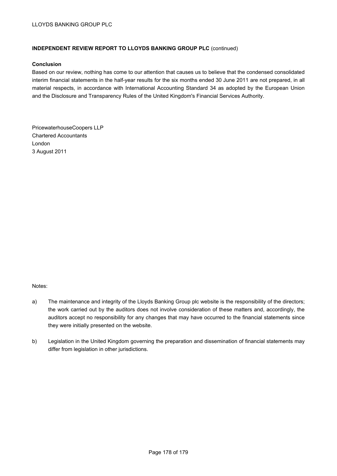## **INDEPENDENT REVIEW REPORT TO LLOYDS BANKING GROUP PLC** (continued)

## **Conclusion**

Based on our review, nothing has come to our attention that causes us to believe that the condensed consolidated interim financial statements in the half-year results for the six months ended 30 June 2011 are not prepared, in all material respects, in accordance with International Accounting Standard 34 as adopted by the European Union and the Disclosure and Transparency Rules of the United Kingdom's Financial Services Authority.

PricewaterhouseCoopers LLP Chartered Accountants London 3 August 2011

#### Notes:

- a) The maintenance and integrity of the Lloyds Banking Group plc website is the responsibility of the directors; the work carried out by the auditors does not involve consideration of these matters and, accordingly, the auditors accept no responsibility for any changes that may have occurred to the financial statements since they were initially presented on the website.
- b) Legislation in the United Kingdom governing the preparation and dissemination of financial statements may differ from legislation in other jurisdictions.